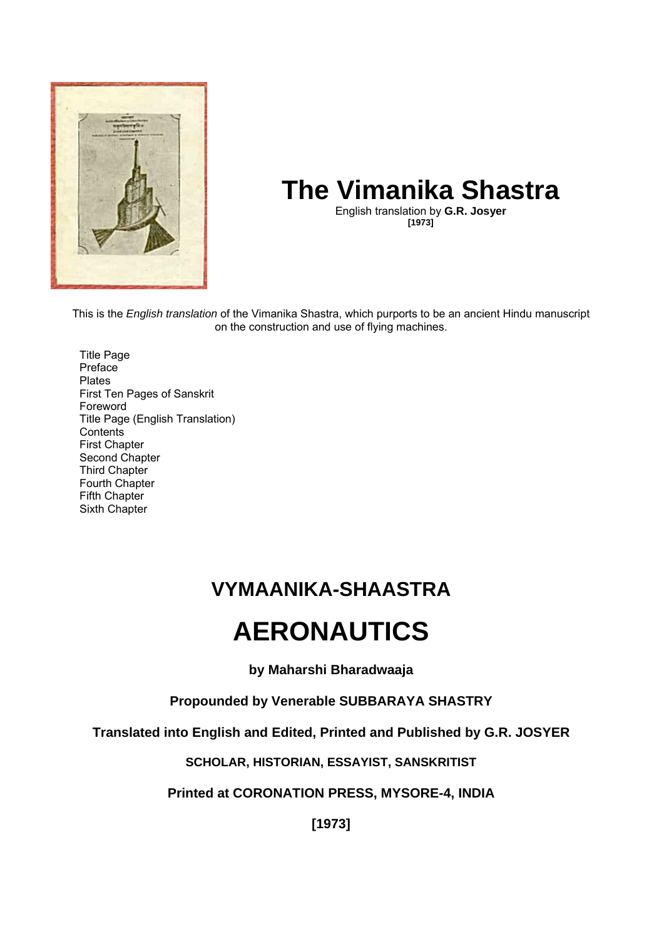

# **The Vimanika Shastra**

English translation by **G.R. Josyer [1973]** 

This is the *English translation* of the Vimanika Shastra, which purports to be an ancient Hindu manuscript on the construction and use of flying machines.

Title Page Preface Plates First Ten Pages of Sanskrit Foreword Title Page (English Translation) **Contents** First Chapter Second Chapter Third Chapter Fourth Chapter Fifth Chapter Sixth Chapter

# **VYMAANIKA-SHAASTRA**

# **AERONAUTICS**

**by Maharshi Bharadwaaja**

**Propounded by Venerable SUBBARAYA SHASTRY**

**Translated into English and Edited, Printed and Published by G.R. JOSYER**

**SCHOLAR, HISTORIAN, ESSAYIST, SANSKRITIST**

**Printed at CORONATION PRESS, MYSORE-4, INDIA**

**[1973]**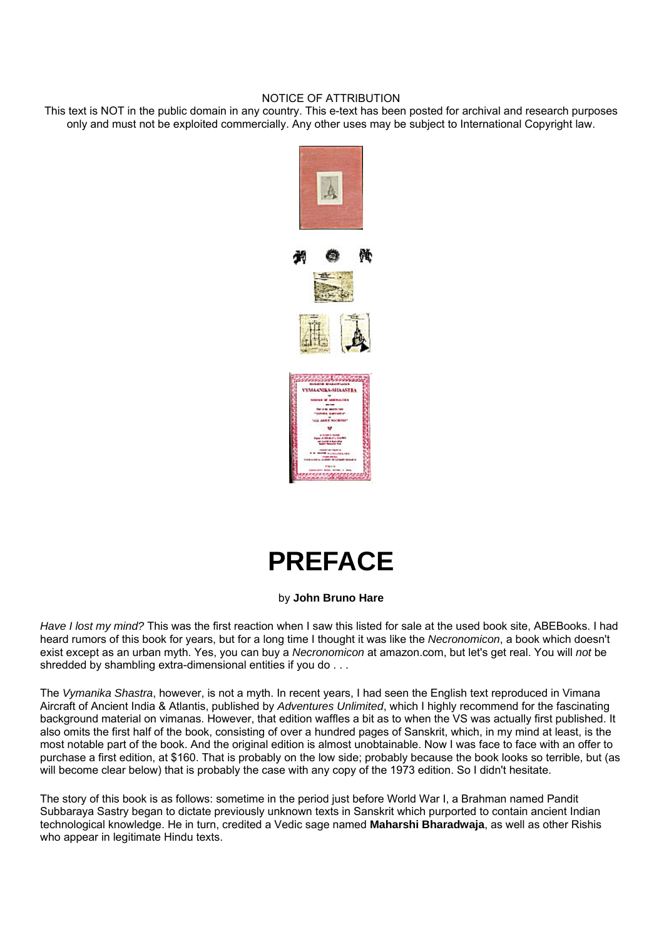#### NOTICE OF ATTRIBUTION

This text is NOT in the public domain in any country. This e-text has been posted for archival and research purposes only and must not be exploited commercially. Any other uses may be subject to International Copyright law.



# **PREFACE**

#### by **John Bruno Hare**

*Have I lost my mind?* This was the first reaction when I saw this listed for sale at the used book site, ABEBooks. I had heard rumors of this book for years, but for a long time I thought it was like the *Necronomicon*, a book which doesn't exist except as an urban myth. Yes, you can buy a *Necronomicon* at amazon.com, but let's get real. You will *not* be shredded by shambling extra-dimensional entities if you do . . .

The *Vymanika Shastra*, however, is not a myth. In recent years, I had seen the English text reproduced in Vimana Aircraft of Ancient India & Atlantis, published by *Adventures Unlimited*, which I highly recommend for the fascinating background material on vimanas. However, that edition waffles a bit as to when the VS was actually first published. It also omits the first half of the book, consisting of over a hundred pages of Sanskrit, which, in my mind at least, is the most notable part of the book. And the original edition is almost unobtainable. Now I was face to face with an offer to purchase a first edition, at \$160. That is probably on the low side; probably because the book looks so terrible, but (as will become clear below) that is probably the case with any copy of the 1973 edition. So I didn't hesitate.

The story of this book is as follows: sometime in the period just before World War I, a Brahman named Pandit Subbaraya Sastry began to dictate previously unknown texts in Sanskrit which purported to contain ancient Indian technological knowledge. He in turn, credited a Vedic sage named **Maharshi Bharadwaja**, as well as other Rishis who appear in legitimate Hindu texts.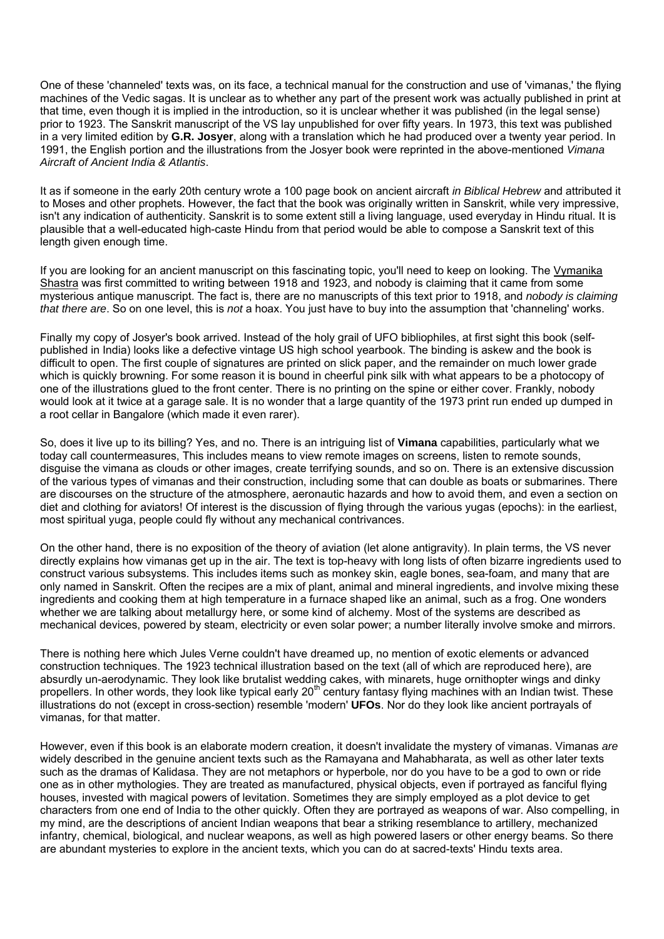One of these 'channeled' texts was, on its face, a technical manual for the construction and use of 'vimanas,' the flying machines of the Vedic sagas. It is unclear as to whether any part of the present work was actually published in print at that time, even though it is implied in the introduction, so it is unclear whether it was published (in the legal sense) prior to 1923. The Sanskrit manuscript of the VS lay unpublished for over fifty years. In 1973, this text was published in a very limited edition by **G.R. Josyer**, along with a translation which he had produced over a twenty year period. In 1991, the English portion and the illustrations from the Josyer book were reprinted in the above-mentioned *Vimana Aircraft of Ancient India & Atlantis*.

It as if someone in the early 20th century wrote a 100 page book on ancient aircraft *in Biblical Hebrew* and attributed it to Moses and other prophets. However, the fact that the book was originally written in Sanskrit, while very impressive, isn't any indication of authenticity. Sanskrit is to some extent still a living language, used everyday in Hindu ritual. It is plausible that a well-educated high-caste Hindu from that period would be able to compose a Sanskrit text of this length given enough time.

If you are looking for an ancient manuscript on this fascinating topic, you'll need to keep on looking. The Vymanika Shastra was first committed to writing between 1918 and 1923, and nobody is claiming that it came from some mysterious antique manuscript. The fact is, there are no manuscripts of this text prior to 1918, and *nobody is claiming that there are*. So on one level, this is *not* a hoax. You just have to buy into the assumption that 'channeling' works.

Finally my copy of Josyer's book arrived. Instead of the holy grail of UFO bibliophiles, at first sight this book (selfpublished in India) looks like a defective vintage US high school yearbook. The binding is askew and the book is difficult to open. The first couple of signatures are printed on slick paper, and the remainder on much lower grade which is quickly browning. For some reason it is bound in cheerful pink silk with what appears to be a photocopy of one of the illustrations glued to the front center. There is no printing on the spine or either cover. Frankly, nobody would look at it twice at a garage sale. It is no wonder that a large quantity of the 1973 print run ended up dumped in a root cellar in Bangalore (which made it even rarer).

So, does it live up to its billing? Yes, and no. There is an intriguing list of **Vimana** capabilities, particularly what we today call countermeasures, This includes means to view remote images on screens, listen to remote sounds, disguise the vimana as clouds or other images, create terrifying sounds, and so on. There is an extensive discussion of the various types of vimanas and their construction, including some that can double as boats or submarines. There are discourses on the structure of the atmosphere, aeronautic hazards and how to avoid them, and even a section on diet and clothing for aviators! Of interest is the discussion of flying through the various yugas (epochs): in the earliest, most spiritual yuga, people could fly without any mechanical contrivances.

On the other hand, there is no exposition of the theory of aviation (let alone antigravity). In plain terms, the VS never directly explains how vimanas get up in the air. The text is top-heavy with long lists of often bizarre ingredients used to construct various subsystems. This includes items such as monkey skin, eagle bones, sea-foam, and many that are only named in Sanskrit. Often the recipes are a mix of plant, animal and mineral ingredients, and involve mixing these ingredients and cooking them at high temperature in a furnace shaped like an animal, such as a frog. One wonders whether we are talking about metallurgy here, or some kind of alchemy. Most of the systems are described as mechanical devices, powered by steam, electricity or even solar power; a number literally involve smoke and mirrors.

There is nothing here which Jules Verne couldn't have dreamed up, no mention of exotic elements or advanced construction techniques. The 1923 technical illustration based on the text (all of which are reproduced here), are absurdly un-aerodynamic. They look like brutalist wedding cakes, with minarets, huge ornithopter wings and dinky propellers. In other words, they look like typical early  $20<sup>th</sup>$  century fantasy flying machines with an Indian twist. These illustrations do not (except in cross-section) resemble 'modern' **UFOs**. Nor do they look like ancient portrayals of vimanas, for that matter.

However, even if this book is an elaborate modern creation, it doesn't invalidate the mystery of vimanas. Vimanas *are* widely described in the genuine ancient texts such as the Ramayana and Mahabharata, as well as other later texts such as the dramas of Kalidasa. They are not metaphors or hyperbole, nor do you have to be a god to own or ride one as in other mythologies. They are treated as manufactured, physical objects, even if portrayed as fanciful flying houses, invested with magical powers of levitation. Sometimes they are simply employed as a plot device to get characters from one end of India to the other quickly. Often they are portrayed as weapons of war. Also compelling, in my mind, are the descriptions of ancient Indian weapons that bear a striking resemblance to artillery, mechanized infantry, chemical, biological, and nuclear weapons, as well as high powered lasers or other energy beams. So there are abundant mysteries to explore in the ancient texts, which you can do at sacred-texts' Hindu texts area.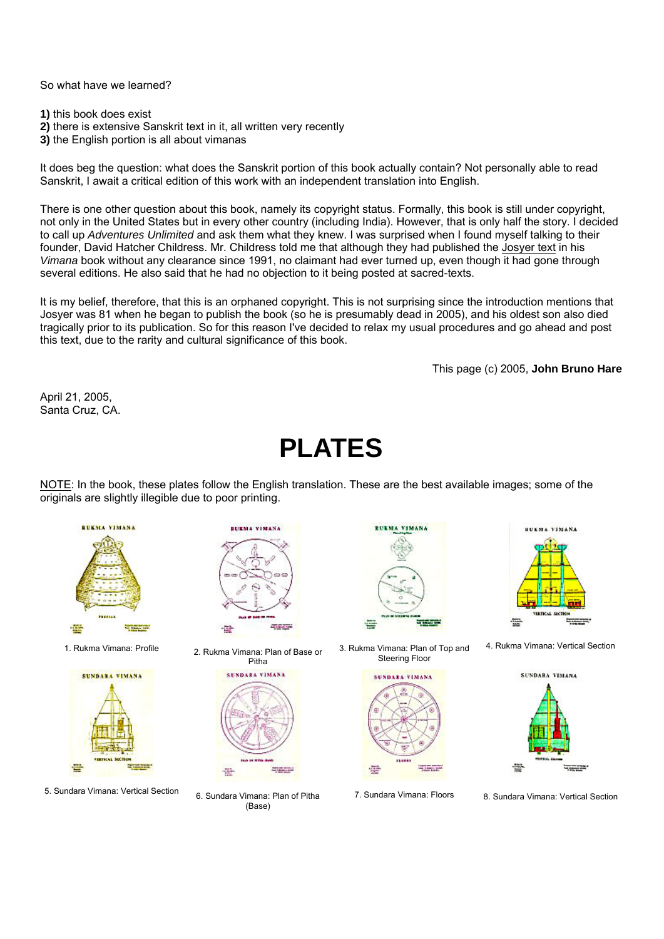So what have we learned?

**1)** this book does exist

**2)** there is extensive Sanskrit text in it, all written very recently

**3)** the English portion is all about vimanas

It does beg the question: what does the Sanskrit portion of this book actually contain? Not personally able to read Sanskrit, I await a critical edition of this work with an independent translation into English.

There is one other question about this book, namely its copyright status. Formally, this book is still under copyright, not only in the United States but in every other country (including India). However, that is only half the story. I decided to call up *Adventures Unlimited* and ask them what they knew. I was surprised when I found myself talking to their founder, David Hatcher Childress. Mr. Childress told me that although they had published the Josyer text in his *Vimana* book without any clearance since 1991, no claimant had ever turned up, even though it had gone through several editions. He also said that he had no objection to it being posted at sacred-texts.

It is my belief, therefore, that this is an orphaned copyright. This is not surprising since the introduction mentions that Josyer was 81 when he began to publish the book (so he is presumably dead in 2005), and his oldest son also died tragically prior to its publication. So for this reason I've decided to relax my usual procedures and go ahead and post this text, due to the rarity and cultural significance of this book.

This page (c) 2005, **John Bruno Hare**

April 21, 2005, Santa Cruz, CA.

# **PLATES**

NOTE: In the book, these plates follow the English translation. These are the best available images; some of the originals are slightly illegible due to poor printing.





**BURNA VIMANA State** ÷

1. Rukma Vimana: Profile 2. Rukma Vimana: Plan of Base or Pitha



5. Sundara Vimana: Vertical Section 6. Sundara Vimana: Plan of Pitha (Base)



E

**VIMANA** 









4. Rukma Vimana: Vertical Section

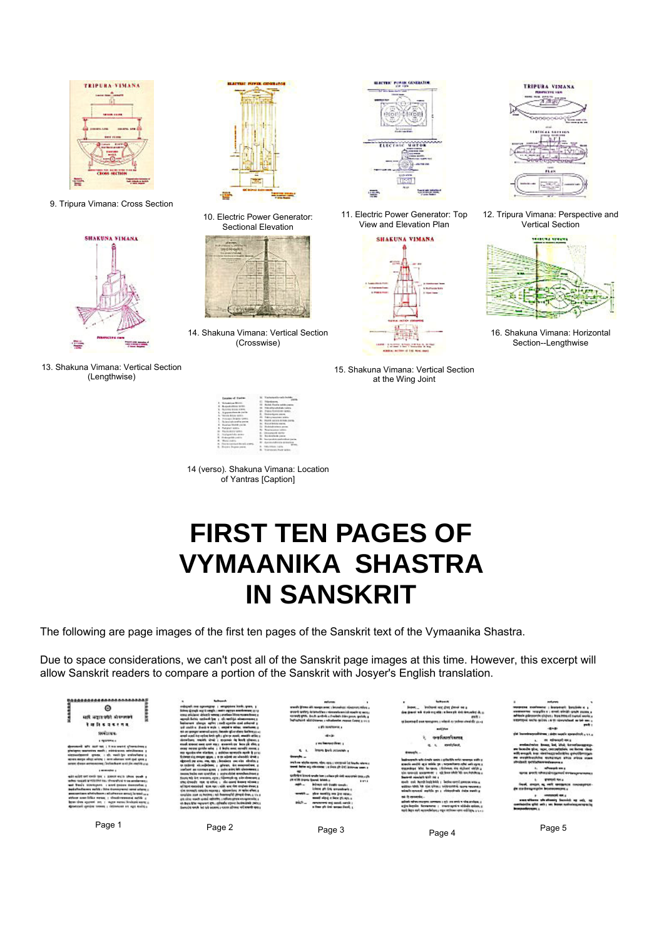

9. Tripura Vimana: Cross Section



13. Shakuna Vimana: Vertical Section (Lengthwise)



10. Electric Power Generator: Sectional Elevation



14. Shakuna Vimana: Vertical Section (Crosswise)



14 (verso). Shakuna Vimana: Location of Yantras [Caption]



11. Electric Power Generator: Top View and Elevation Plan



15. Shakuna Vimana: Vertical Section at the Wing Joint



12. Tripura Vimana: Perspective and Vertical Section



16. Shakuna Vimana: Horizontal Section--Lengthwise

# **FIRST TEN PAGES OF VYMAANIKA SHASTRA IN SANSKRIT**

The following are page images of the first ten pages of the Sanskrit text of the Vymaanika Shastra.

Due to space considerations, we can't post all of the Sanskrit page images at this time. However, this excerpt will allow Sanskrit readers to compare a portion of the Sanskrit with Josyer's English translation.

 $\circ$ pe stat **DESSERS PERSONA** Page 1 Page 2 Page 2 Page 3 Page 4 Page 5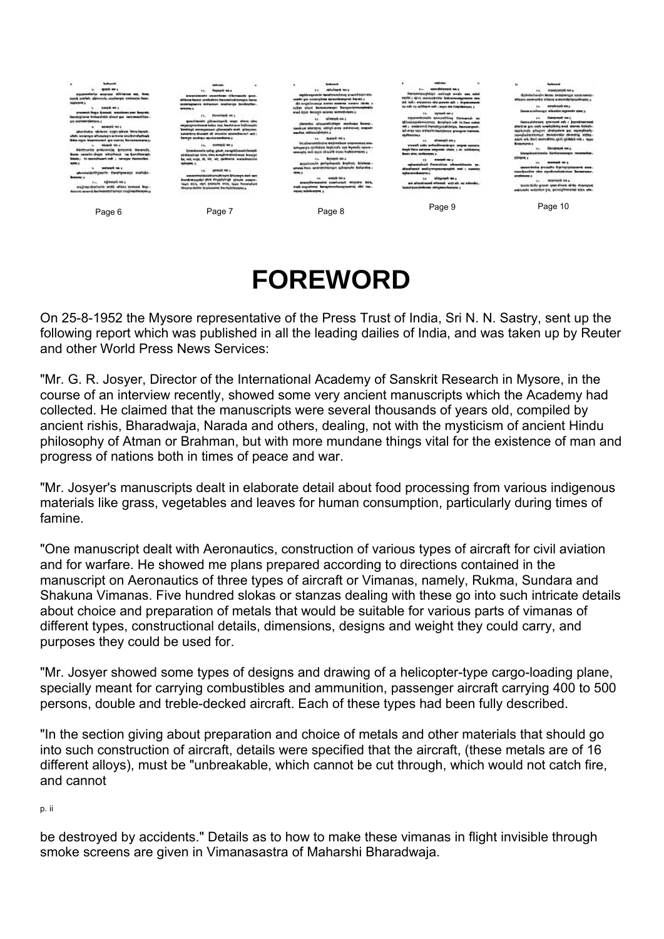Page 6 **Page 7** Page 7 Page 8 Page 9 Page 9 Page 10

# **FOREWORD**

On 25-8-1952 the Mysore representative of the Press Trust of India, Sri N. N. Sastry, sent up the following report which was published in all the leading dailies of India, and was taken up by Reuter and other World Press News Services:

"Mr. G. R. Josyer, Director of the International Academy of Sanskrit Research in Mysore, in the course of an interview recently, showed some very ancient manuscripts which the Academy had collected. He claimed that the manuscripts were several thousands of years old, compiled by ancient rishis, Bharadwaja, Narada and others, dealing, not with the mysticism of ancient Hindu philosophy of Atman or Brahman, but with more mundane things vital for the existence of man and progress of nations both in times of peace and war.

"Mr. Josyer's manuscripts dealt in elaborate detail about food processing from various indigenous materials like grass, vegetables and leaves for human consumption, particularly during times of famine.

"One manuscript dealt with Aeronautics, construction of various types of aircraft for civil aviation and for warfare. He showed me plans prepared according to directions contained in the manuscript on Aeronautics of three types of aircraft or Vimanas, namely, Rukma, Sundara and Shakuna Vimanas. Five hundred slokas or stanzas dealing with these go into such intricate details about choice and preparation of metals that would be suitable for various parts of vimanas of different types, constructional details, dimensions, designs and weight they could carry, and purposes they could be used for.

"Mr. Josyer showed some types of designs and drawing of a helicopter-type cargo-loading plane, specially meant for carrying combustibles and ammunition, passenger aircraft carrying 400 to 500 persons, double and treble-decked aircraft. Each of these types had been fully described.

"In the section giving about preparation and choice of metals and other materials that should go into such construction of aircraft, details were specified that the aircraft, (these metals are of 16 different alloys), must be "unbreakable, which cannot be cut through, which would not catch fire, and cannot

p. ii

be destroyed by accidents." Details as to how to make these vimanas in flight invisible through smoke screens are given in Vimanasastra of Maharshi Bharadwaja.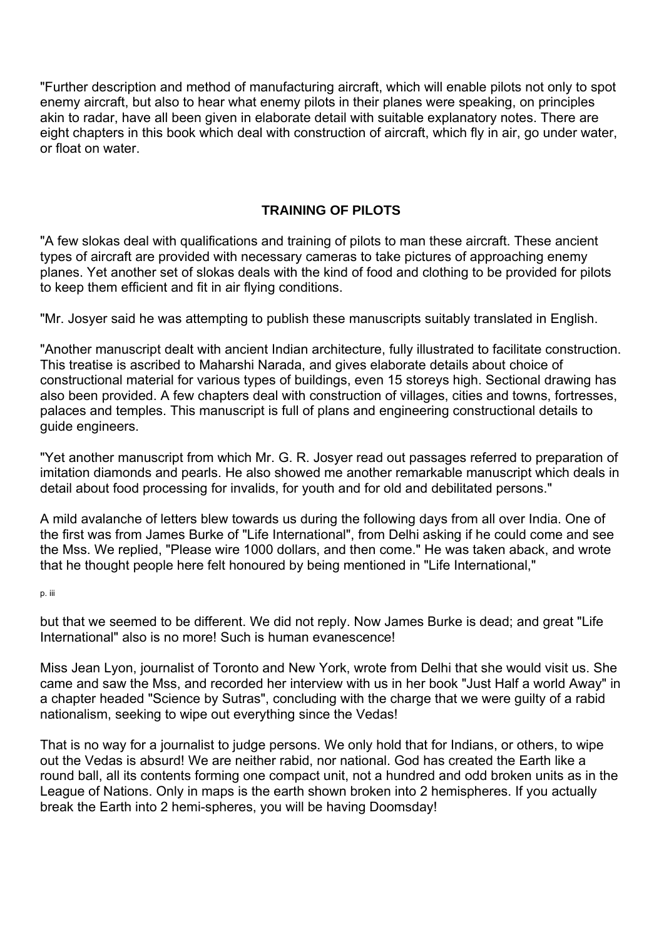"Further description and method of manufacturing aircraft, which will enable pilots not only to spot enemy aircraft, but also to hear what enemy pilots in their planes were speaking, on principles akin to radar, have all been given in elaborate detail with suitable explanatory notes. There are eight chapters in this book which deal with construction of aircraft, which fly in air, go under water, or float on water.

### **TRAINING OF PILOTS**

"A few slokas deal with qualifications and training of pilots to man these aircraft. These ancient types of aircraft are provided with necessary cameras to take pictures of approaching enemy planes. Yet another set of slokas deals with the kind of food and clothing to be provided for pilots to keep them efficient and fit in air flying conditions.

"Mr. Josyer said he was attempting to publish these manuscripts suitably translated in English.

"Another manuscript dealt with ancient Indian architecture, fully illustrated to facilitate construction. This treatise is ascribed to Maharshi Narada, and gives elaborate details about choice of constructional material for various types of buildings, even 15 storeys high. Sectional drawing has also been provided. A few chapters deal with construction of villages, cities and towns, fortresses, palaces and temples. This manuscript is full of plans and engineering constructional details to guide engineers.

"Yet another manuscript from which Mr. G. R. Josyer read out passages referred to preparation of imitation diamonds and pearls. He also showed me another remarkable manuscript which deals in detail about food processing for invalids, for youth and for old and debilitated persons."

A mild avalanche of letters blew towards us during the following days from all over India. One of the first was from James Burke of "Life International", from Delhi asking if he could come and see the Mss. We replied, "Please wire 1000 dollars, and then come." He was taken aback, and wrote that he thought people here felt honoured by being mentioned in "Life International,"

p. iii

but that we seemed to be different. We did not reply. Now James Burke is dead; and great "Life International" also is no more! Such is human evanescence!

Miss Jean Lyon, journalist of Toronto and New York, wrote from Delhi that she would visit us. She came and saw the Mss, and recorded her interview with us in her book "Just Half a world Away" in a chapter headed "Science by Sutras", concluding with the charge that we were guilty of a rabid nationalism, seeking to wipe out everything since the Vedas!

That is no way for a journalist to judge persons. We only hold that for Indians, or others, to wipe out the Vedas is absurd! We are neither rabid, nor national. God has created the Earth like a round ball, all its contents forming one compact unit, not a hundred and odd broken units as in the League of Nations. Only in maps is the earth shown broken into 2 hemispheres. If you actually break the Earth into 2 hemi-spheres, you will be having Doomsday!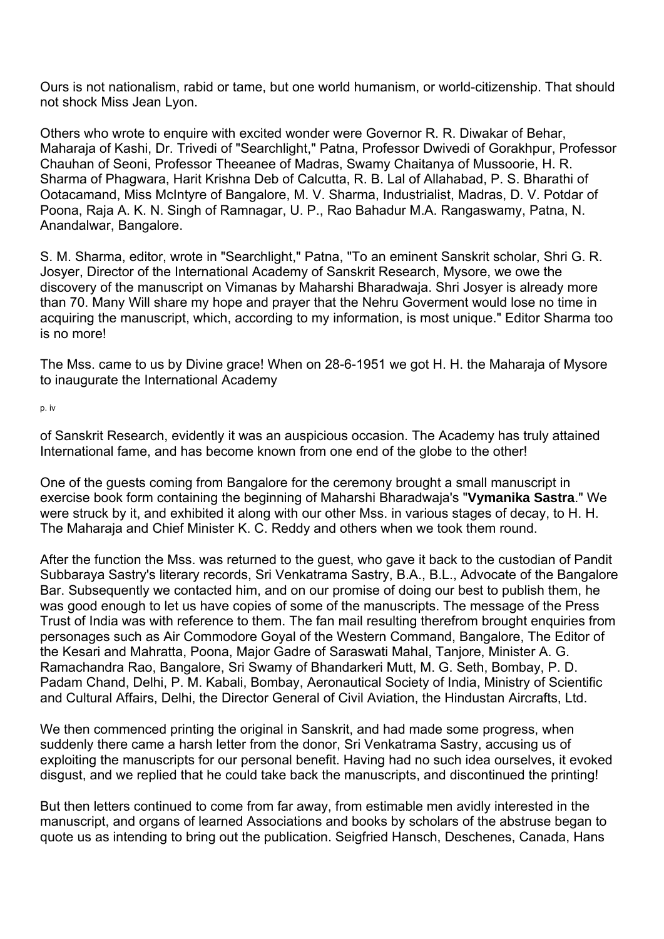Ours is not nationalism, rabid or tame, but one world humanism, or world-citizenship. That should not shock Miss Jean Lyon.

Others who wrote to enquire with excited wonder were Governor R. R. Diwakar of Behar, Maharaja of Kashi, Dr. Trivedi of "Searchlight," Patna, Professor Dwivedi of Gorakhpur, Professor Chauhan of Seoni, Professor Theeanee of Madras, Swamy Chaitanya of Mussoorie, H. R. Sharma of Phagwara, Harit Krishna Deb of Calcutta, R. B. Lal of Allahabad, P. S. Bharathi of Ootacamand, Miss McIntyre of Bangalore, M. V. Sharma, Industrialist, Madras, D. V. Potdar of Poona, Raja A. K. N. Singh of Ramnagar, U. P., Rao Bahadur M.A. Rangaswamy, Patna, N. Anandalwar, Bangalore.

S. M. Sharma, editor, wrote in "Searchlight," Patna, "To an eminent Sanskrit scholar, Shri G. R. Josyer, Director of the International Academy of Sanskrit Research, Mysore, we owe the discovery of the manuscript on Vimanas by Maharshi Bharadwaja. Shri Josyer is already more than 70. Many Will share my hope and prayer that the Nehru Goverment would lose no time in acquiring the manuscript, which, according to my information, is most unique." Editor Sharma too is no more!

The Mss. came to us by Divine grace! When on 28-6-1951 we got H. H. the Maharaja of Mysore to inaugurate the International Academy

p. iv

of Sanskrit Research, evidently it was an auspicious occasion. The Academy has truly attained International fame, and has become known from one end of the globe to the other!

One of the guests coming from Bangalore for the ceremony brought a small manuscript in exercise book form containing the beginning of Maharshi Bharadwaja's "**Vymanika Sastra**." We were struck by it, and exhibited it along with our other Mss. in various stages of decay, to H. H. The Maharaja and Chief Minister K. C. Reddy and others when we took them round.

After the function the Mss. was returned to the guest, who gave it back to the custodian of Pandit Subbaraya Sastry's literary records, Sri Venkatrama Sastry, B.A., B.L., Advocate of the Bangalore Bar. Subsequently we contacted him, and on our promise of doing our best to publish them, he was good enough to let us have copies of some of the manuscripts. The message of the Press Trust of India was with reference to them. The fan mail resulting therefrom brought enquiries from personages such as Air Commodore Goyal of the Western Command, Bangalore, The Editor of the Kesari and Mahratta, Poona, Major Gadre of Saraswati Mahal, Tanjore, Minister A. G. Ramachandra Rao, Bangalore, Sri Swamy of Bhandarkeri Mutt, M. G. Seth, Bombay, P. D. Padam Chand, Delhi, P. M. Kabali, Bombay, Aeronautical Society of India, Ministry of Scientific and Cultural Affairs, Delhi, the Director General of Civil Aviation, the Hindustan Aircrafts, Ltd.

We then commenced printing the original in Sanskrit, and had made some progress, when suddenly there came a harsh letter from the donor, Sri Venkatrama Sastry, accusing us of exploiting the manuscripts for our personal benefit. Having had no such idea ourselves, it evoked disgust, and we replied that he could take back the manuscripts, and discontinued the printing!

But then letters continued to come from far away, from estimable men avidly interested in the manuscript, and organs of learned Associations and books by scholars of the abstruse began to quote us as intending to bring out the publication. Seigfried Hansch, Deschenes, Canada, Hans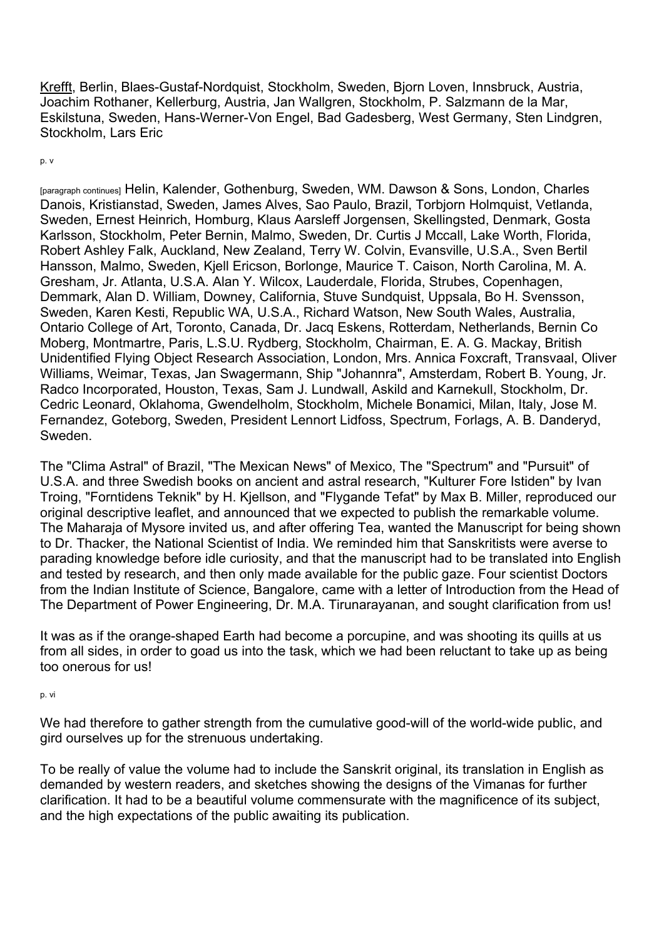Krefft, Berlin, Blaes-Gustaf-Nordquist, Stockholm, Sweden, Bjorn Loven, Innsbruck, Austria, Joachim Rothaner, Kellerburg, Austria, Jan Wallgren, Stockholm, P. Salzmann de la Mar, Eskilstuna, Sweden, Hans-Werner-Von Engel, Bad Gadesberg, West Germany, Sten Lindgren, Stockholm, Lars Eric

p. v

[paragraph continues] Helin, Kalender, Gothenburg, Sweden, WM. Dawson & Sons, London, Charles Danois, Kristianstad, Sweden, James Alves, Sao Paulo, Brazil, Torbjorn Holmquist, Vetlanda, Sweden, Ernest Heinrich, Homburg, Klaus Aarsleff Jorgensen, Skellingsted, Denmark, Gosta Karlsson, Stockholm, Peter Bernin, Malmo, Sweden, Dr. Curtis J Mccall, Lake Worth, Florida, Robert Ashley Falk, Auckland, New Zealand, Terry W. Colvin, Evansville, U.S.A., Sven Bertil Hansson, Malmo, Sweden, Kjell Ericson, Borlonge, Maurice T. Caison, North Carolina, M. A. Gresham, Jr. Atlanta, U.S.A. Alan Y. Wilcox, Lauderdale, Florida, Strubes, Copenhagen, Demmark, Alan D. William, Downey, California, Stuve Sundquist, Uppsala, Bo H. Svensson, Sweden, Karen Kesti, Republic WA, U.S.A., Richard Watson, New South Wales, Australia, Ontario College of Art, Toronto, Canada, Dr. Jacq Eskens, Rotterdam, Netherlands, Bernin Co Moberg, Montmartre, Paris, L.S.U. Rydberg, Stockholm, Chairman, E. A. G. Mackay, British Unidentified Flying Object Research Association, London, Mrs. Annica Foxcraft, Transvaal, Oliver Williams, Weimar, Texas, Jan Swagermann, Ship "Johannra", Amsterdam, Robert B. Young, Jr. Radco Incorporated, Houston, Texas, Sam J. Lundwall, Askild and Karnekull, Stockholm, Dr. Cedric Leonard, Oklahoma, Gwendelholm, Stockholm, Michele Bonamici, Milan, Italy, Jose M. Fernandez, Goteborg, Sweden, President Lennort Lidfoss, Spectrum, Forlags, A. B. Danderyd, Sweden.

The "Clima Astral" of Brazil, "The Mexican News" of Mexico, The "Spectrum" and "Pursuit" of U.S.A. and three Swedish books on ancient and astral research, "Kulturer Fore Istiden" by Ivan Troing, "Forntidens Teknik" by H. Kjellson, and "Flygande Tefat" by Max B. Miller, reproduced our original descriptive leaflet, and announced that we expected to publish the remarkable volume. The Maharaja of Mysore invited us, and after offering Tea, wanted the Manuscript for being shown to Dr. Thacker, the National Scientist of India. We reminded him that Sanskritists were averse to parading knowledge before idle curiosity, and that the manuscript had to be translated into English and tested by research, and then only made available for the public gaze. Four scientist Doctors from the Indian Institute of Science, Bangalore, came with a letter of Introduction from the Head of The Department of Power Engineering, Dr. M.A. Tirunarayanan, and sought clarification from us!

It was as if the orange-shaped Earth had become a porcupine, and was shooting its quills at us from all sides, in order to goad us into the task, which we had been reluctant to take up as being too onerous for us!

p. vi

We had therefore to gather strength from the cumulative good-will of the world-wide public, and gird ourselves up for the strenuous undertaking.

To be really of value the volume had to include the Sanskrit original, its translation in English as demanded by western readers, and sketches showing the designs of the Vimanas for further clarification. It had to be a beautiful volume commensurate with the magnificence of its subject, and the high expectations of the public awaiting its publication.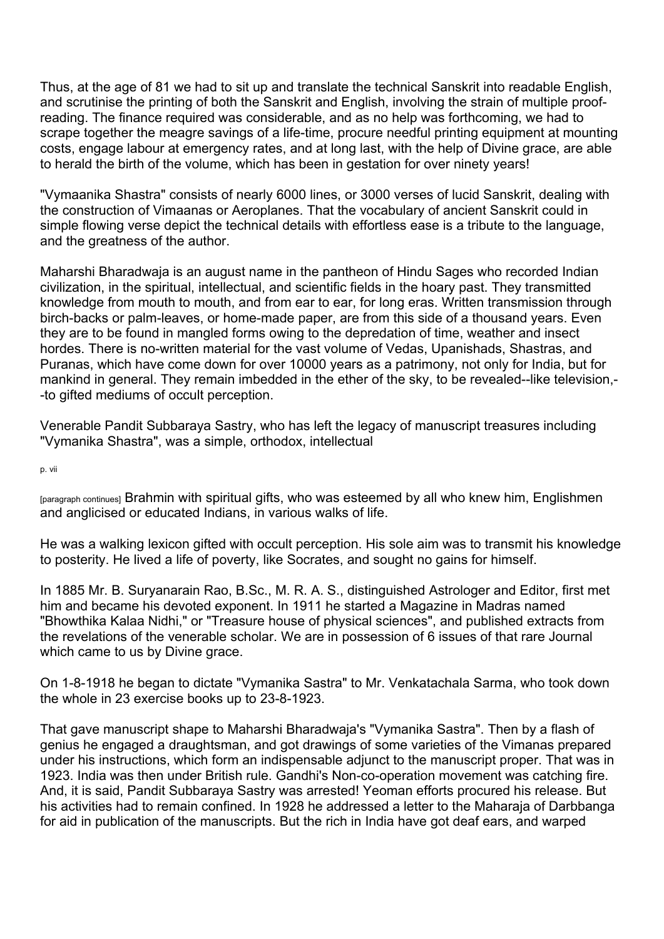Thus, at the age of 81 we had to sit up and translate the technical Sanskrit into readable English, and scrutinise the printing of both the Sanskrit and English, involving the strain of multiple proofreading. The finance required was considerable, and as no help was forthcoming, we had to scrape together the meagre savings of a life-time, procure needful printing equipment at mounting costs, engage labour at emergency rates, and at long last, with the help of Divine grace, are able to herald the birth of the volume, which has been in gestation for over ninety years!

"Vymaanika Shastra" consists of nearly 6000 lines, or 3000 verses of lucid Sanskrit, dealing with the construction of Vimaanas or Aeroplanes. That the vocabulary of ancient Sanskrit could in simple flowing verse depict the technical details with effortless ease is a tribute to the language, and the greatness of the author.

Maharshi Bharadwaja is an august name in the pantheon of Hindu Sages who recorded Indian civilization, in the spiritual, intellectual, and scientific fields in the hoary past. They transmitted knowledge from mouth to mouth, and from ear to ear, for long eras. Written transmission through birch-backs or palm-leaves, or home-made paper, are from this side of a thousand years. Even they are to be found in mangled forms owing to the depredation of time, weather and insect hordes. There is no-written material for the vast volume of Vedas, Upanishads, Shastras, and Puranas, which have come down for over 10000 years as a patrimony, not only for India, but for mankind in general. They remain imbedded in the ether of the sky, to be revealed--like television,- -to gifted mediums of occult perception.

Venerable Pandit Subbaraya Sastry, who has left the legacy of manuscript treasures including "Vymanika Shastra", was a simple, orthodox, intellectual

p. vii

[paragraph continues] Brahmin with spiritual gifts, who was esteemed by all who knew him, Englishmen and anglicised or educated Indians, in various walks of life.

He was a walking lexicon gifted with occult perception. His sole aim was to transmit his knowledge to posterity. He lived a life of poverty, like Socrates, and sought no gains for himself.

In 1885 Mr. B. Suryanarain Rao, B.Sc., M. R. A. S., distinguished Astrologer and Editor, first met him and became his devoted exponent. In 1911 he started a Magazine in Madras named "Bhowthika Kalaa Nidhi," or "Treasure house of physical sciences", and published extracts from the revelations of the venerable scholar. We are in possession of 6 issues of that rare Journal which came to us by Divine grace.

On 1-8-1918 he began to dictate "Vymanika Sastra" to Mr. Venkatachala Sarma, who took down the whole in 23 exercise books up to 23-8-1923.

That gave manuscript shape to Maharshi Bharadwaja's "Vymanika Sastra". Then by a flash of genius he engaged a draughtsman, and got drawings of some varieties of the Vimanas prepared under his instructions, which form an indispensable adjunct to the manuscript proper. That was in 1923. India was then under British rule. Gandhi's Non-co-operation movement was catching fire. And, it is said, Pandit Subbaraya Sastry was arrested! Yeoman efforts procured his release. But his activities had to remain confined. In 1928 he addressed a letter to the Maharaja of Darbbanga for aid in publication of the manuscripts. But the rich in India have got deaf ears, and warped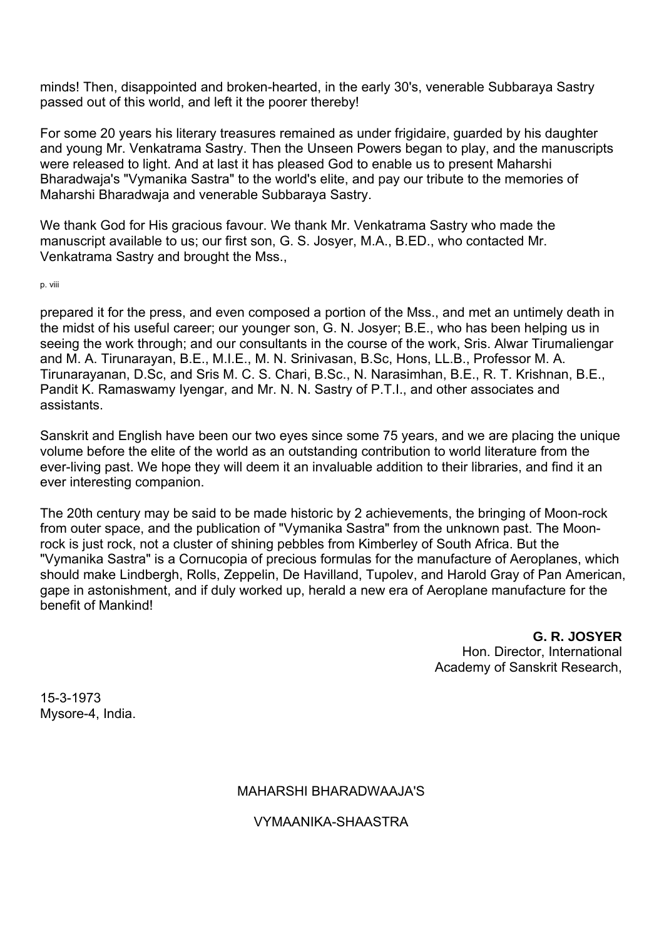minds! Then, disappointed and broken-hearted, in the early 30's, venerable Subbaraya Sastry passed out of this world, and left it the poorer thereby!

For some 20 years his literary treasures remained as under frigidaire, guarded by his daughter and young Mr. Venkatrama Sastry. Then the Unseen Powers began to play, and the manuscripts were released to light. And at last it has pleased God to enable us to present Maharshi Bharadwaja's "Vymanika Sastra" to the world's elite, and pay our tribute to the memories of Maharshi Bharadwaja and venerable Subbaraya Sastry.

We thank God for His gracious favour. We thank Mr. Venkatrama Sastry who made the manuscript available to us; our first son, G. S. Josyer, M.A., B.ED., who contacted Mr. Venkatrama Sastry and brought the Mss.,

p. viii

prepared it for the press, and even composed a portion of the Mss., and met an untimely death in the midst of his useful career; our younger son, G. N. Josyer; B.E., who has been helping us in seeing the work through; and our consultants in the course of the work, Sris. Alwar Tirumaliengar and M. A. Tirunarayan, B.E., M.I.E., M. N. Srinivasan, B.Sc, Hons, LL.B., Professor M. A. Tirunarayanan, D.Sc, and Sris M. C. S. Chari, B.Sc., N. Narasimhan, B.E., R. T. Krishnan, B.E., Pandit K. Ramaswamy Iyengar, and Mr. N. N. Sastry of P.T.I., and other associates and assistants.

Sanskrit and English have been our two eyes since some 75 years, and we are placing the unique volume before the elite of the world as an outstanding contribution to world literature from the ever-living past. We hope they will deem it an invaluable addition to their libraries, and find it an ever interesting companion.

The 20th century may be said to be made historic by 2 achievements, the bringing of Moon-rock from outer space, and the publication of "Vymanika Sastra" from the unknown past. The Moonrock is just rock, not a cluster of shining pebbles from Kimberley of South Africa. But the "Vymanika Sastra" is a Cornucopia of precious formulas for the manufacture of Aeroplanes, which should make Lindbergh, Rolls, Zeppelin, De Havilland, Tupolev, and Harold Gray of Pan American, gape in astonishment, and if duly worked up, herald a new era of Aeroplane manufacture for the benefit of Mankind!

> **G. R. JOSYER**  Hon. Director, International Academy of Sanskrit Research,

15-3-1973 Mysore-4, India.

### MAHARSHI BHARADWAAJA'S

VYMAANIKA-SHAASTRA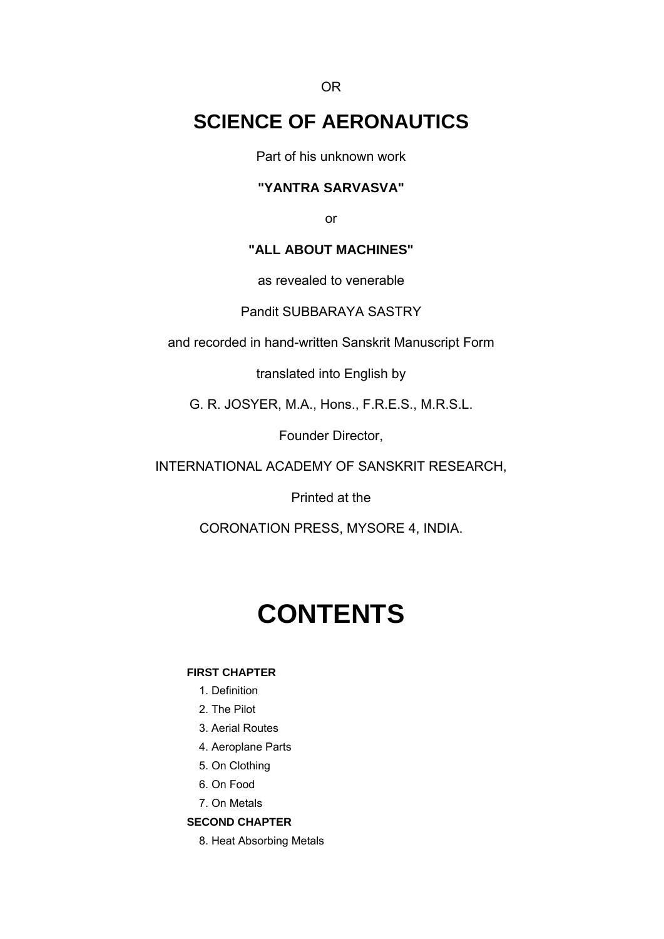#### OR

# **SCIENCE OF AERONAUTICS**

Part of his unknown work

#### **"YANTRA SARVASVA"**

or

#### **"ALL ABOUT MACHINES"**

as revealed to venerable

Pandit SUBBARAYA SASTRY

and recorded in hand-written Sanskrit Manuscript Form

translated into English by

G. R. JOSYER, M.A., Hons., F.R.E.S., M.R.S.L.

Founder Director,

INTERNATIONAL ACADEMY OF SANSKRIT RESEARCH,

Printed at the

CORONATION PRESS, MYSORE 4, INDIA.

# **CONTENTS**

#### **FIRST CHAPTER**

- 1. Definition
- 2. The Pilot
- 3. Aerial Routes
- 4. Aeroplane Parts
- 5. On Clothing
- 6. On Food
- 7. On Metals

#### **SECOND CHAPTER**

8. Heat Absorbing Metals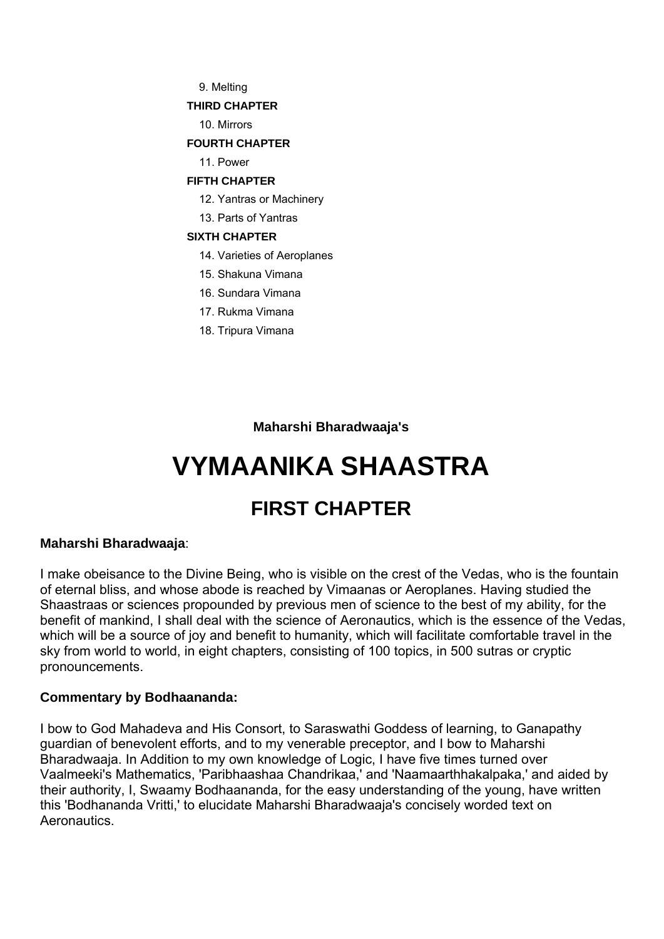#### 9. Melting

#### **THIRD CHAPTER**

10. Mirrors

#### **FOURTH CHAPTER**

11. Power

#### **FIFTH CHAPTER**

- 12. Yantras or Machinery
- 13. Parts of Yantras

#### **SIXTH CHAPTER**

- 14. Varieties of Aeroplanes
- 15. Shakuna Vimana
- 16. Sundara Vimana
- 17. Rukma Vimana
- 18. Tripura Vimana

**Maharshi Bharadwaaja's**

# **VYMAANIKA SHAASTRA**

# **FIRST CHAPTER**

#### **Maharshi Bharadwaaja**:

I make obeisance to the Divine Being, who is visible on the crest of the Vedas, who is the fountain of eternal bliss, and whose abode is reached by Vimaanas or Aeroplanes. Having studied the Shaastraas or sciences propounded by previous men of science to the best of my ability, for the benefit of mankind, I shall deal with the science of Aeronautics, which is the essence of the Vedas, which will be a source of joy and benefit to humanity, which will facilitate comfortable travel in the sky from world to world, in eight chapters, consisting of 100 topics, in 500 sutras or cryptic pronouncements.

#### **Commentary by Bodhaananda:**

I bow to God Mahadeva and His Consort, to Saraswathi Goddess of learning, to Ganapathy guardian of benevolent efforts, and to my venerable preceptor, and I bow to Maharshi Bharadwaaja. In Addition to my own knowledge of Logic, I have five times turned over Vaalmeeki's Mathematics, 'Paribhaashaa Chandrikaa,' and 'Naamaarthhakalpaka,' and aided by their authority, I, Swaamy Bodhaananda, for the easy understanding of the young, have written this 'Bodhananda Vritti,' to elucidate Maharshi Bharadwaaja's concisely worded text on **Aeronautics**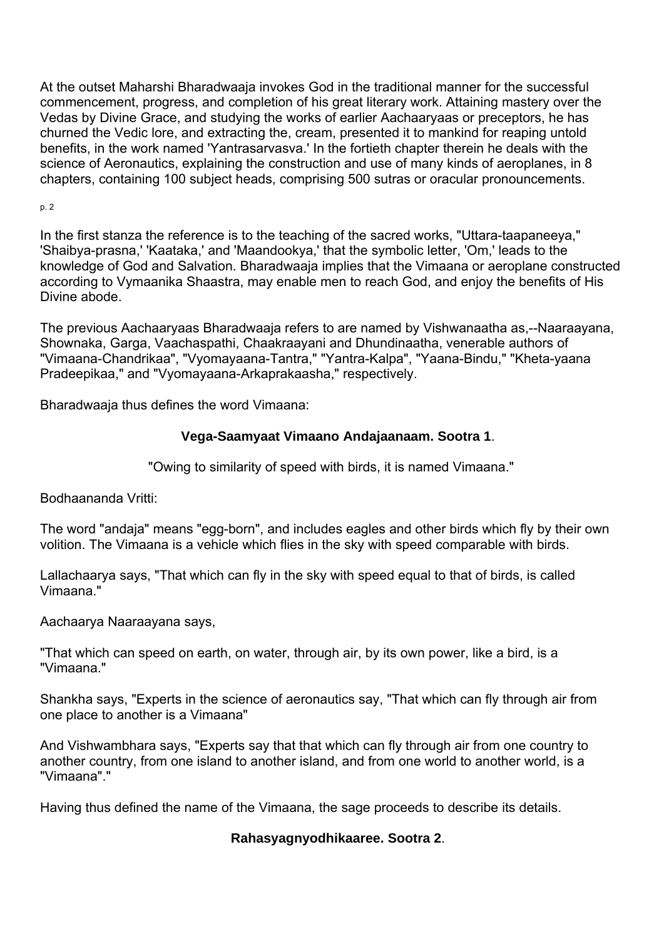At the outset Maharshi Bharadwaaja invokes God in the traditional manner for the successful commencement, progress, and completion of his great literary work. Attaining mastery over the Vedas by Divine Grace, and studying the works of earlier Aachaaryaas or preceptors, he has churned the Vedic lore, and extracting the, cream, presented it to mankind for reaping untold benefits, in the work named 'Yantrasarvasva.' In the fortieth chapter therein he deals with the science of Aeronautics, explaining the construction and use of many kinds of aeroplanes, in 8 chapters, containing 100 subject heads, comprising 500 sutras or oracular pronouncements.

#### p. 2

In the first stanza the reference is to the teaching of the sacred works, "Uttara-taapaneeya," 'Shaibya-prasna,' 'Kaataka,' and 'Maandookya,' that the symbolic letter, 'Om,' leads to the knowledge of God and Salvation. Bharadwaaja implies that the Vimaana or aeroplane constructed according to Vymaanika Shaastra, may enable men to reach God, and enjoy the benefits of His Divine abode.

The previous Aachaaryaas Bharadwaaja refers to are named by Vishwanaatha as,--Naaraayana, Shownaka, Garga, Vaachaspathi, Chaakraayani and Dhundinaatha, venerable authors of "Vimaana-Chandrikaa", "Vyomayaana-Tantra," "Yantra-Kalpa", "Yaana-Bindu," "Kheta-yaana Pradeepikaa," and "Vyomayaana-Arkaprakaasha," respectively.

Bharadwaaja thus defines the word Vimaana:

### **Vega-Saamyaat Vimaano Andajaanaam. Sootra 1**.

"Owing to similarity of speed with birds, it is named Vimaana."

Bodhaananda Vritti:

The word "andaja" means "egg-born", and includes eagles and other birds which fly by their own volition. The Vimaana is a vehicle which flies in the sky with speed comparable with birds.

Lallachaarya says, "That which can fly in the sky with speed equal to that of birds, is called Vimaana."

Aachaarya Naaraayana says,

"That which can speed on earth, on water, through air, by its own power, like a bird, is a "Vimaana."

Shankha says, "Experts in the science of aeronautics say, "That which can fly through air from one place to another is a Vimaana"

And Vishwambhara says, "Experts say that that which can fly through air from one country to another country, from one island to another island, and from one world to another world, is a "Vimaana"."

Having thus defined the name of the Vimaana, the sage proceeds to describe its details.

#### **Rahasyagnyodhikaaree. Sootra 2**.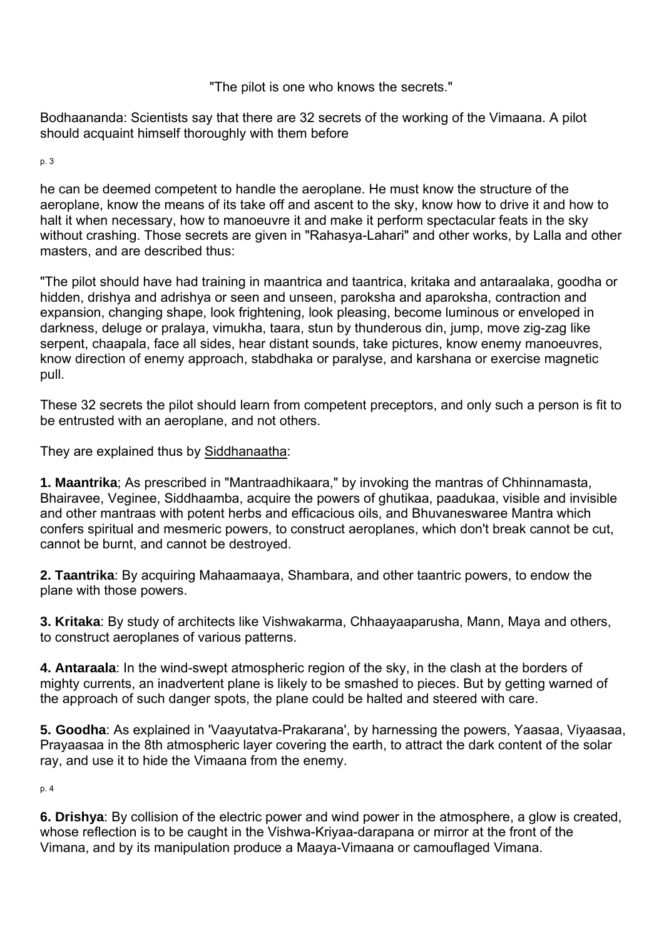"The pilot is one who knows the secrets."

Bodhaananda: Scientists say that there are 32 secrets of the working of the Vimaana. A pilot should acquaint himself thoroughly with them before

p. 3

he can be deemed competent to handle the aeroplane. He must know the structure of the aeroplane, know the means of its take off and ascent to the sky, know how to drive it and how to halt it when necessary, how to manoeuvre it and make it perform spectacular feats in the sky without crashing. Those secrets are given in "Rahasya-Lahari" and other works, by Lalla and other masters, and are described thus:

"The pilot should have had training in maantrica and taantrica, kritaka and antaraalaka, goodha or hidden, drishya and adrishya or seen and unseen, paroksha and aparoksha, contraction and expansion, changing shape, look frightening, look pleasing, become luminous or enveloped in darkness, deluge or pralaya, vimukha, taara, stun by thunderous din, jump, move zig-zag like serpent, chaapala, face all sides, hear distant sounds, take pictures, know enemy manoeuvres, know direction of enemy approach, stabdhaka or paralyse, and karshana or exercise magnetic pull.

These 32 secrets the pilot should learn from competent preceptors, and only such a person is fit to be entrusted with an aeroplane, and not others.

They are explained thus by Siddhanaatha:

**1. Maantrika**; As prescribed in "Mantraadhikaara," by invoking the mantras of Chhinnamasta, Bhairavee, Veginee, Siddhaamba, acquire the powers of ghutikaa, paadukaa, visible and invisible and other mantraas with potent herbs and efficacious oils, and Bhuvaneswaree Mantra which confers spiritual and mesmeric powers, to construct aeroplanes, which don't break cannot be cut, cannot be burnt, and cannot be destroyed.

**2. Taantrika**: By acquiring Mahaamaaya, Shambara, and other taantric powers, to endow the plane with those powers.

**3. Kritaka**: By study of architects like Vishwakarma, Chhaayaaparusha, Mann, Maya and others, to construct aeroplanes of various patterns.

**4. Antaraala**: In the wind-swept atmospheric region of the sky, in the clash at the borders of mighty currents, an inadvertent plane is likely to be smashed to pieces. But by getting warned of the approach of such danger spots, the plane could be halted and steered with care.

**5. Goodha**: As explained in 'Vaayutatva-Prakarana', by harnessing the powers, Yaasaa, Viyaasaa, Prayaasaa in the 8th atmospheric layer covering the earth, to attract the dark content of the solar ray, and use it to hide the Vimaana from the enemy.

p. 4

**6. Drishya**: By collision of the electric power and wind power in the atmosphere, a glow is created, whose reflection is to be caught in the Vishwa-Kriyaa-darapana or mirror at the front of the Vimana, and by its manipulation produce a Maaya-Vimaana or camouflaged Vimana.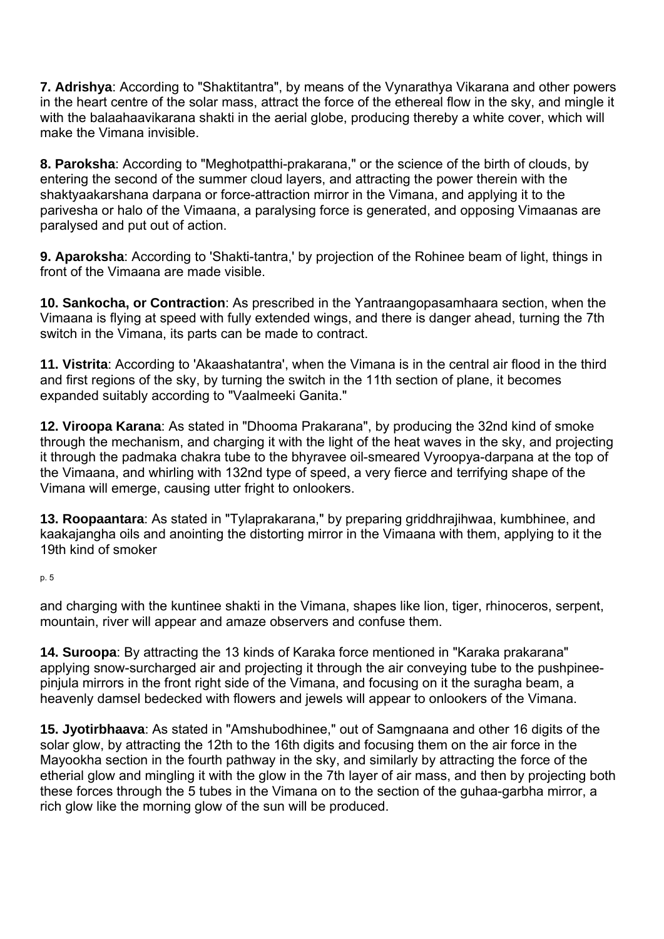**7. Adrishya**: According to "Shaktitantra", by means of the Vynarathya Vikarana and other powers in the heart centre of the solar mass, attract the force of the ethereal flow in the sky, and mingle it with the balaahaavikarana shakti in the aerial globe, producing thereby a white cover, which will make the Vimana invisible.

**8. Paroksha**: According to "Meghotpatthi-prakarana," or the science of the birth of clouds, by entering the second of the summer cloud layers, and attracting the power therein with the shaktyaakarshana darpana or force-attraction mirror in the Vimana, and applying it to the parivesha or halo of the Vimaana, a paralysing force is generated, and opposing Vimaanas are paralysed and put out of action.

**9. Aparoksha**: According to 'Shakti-tantra,' by projection of the Rohinee beam of light, things in front of the Vimaana are made visible.

**10. Sankocha, or Contraction**: As prescribed in the Yantraangopasamhaara section, when the Vimaana is flying at speed with fully extended wings, and there is danger ahead, turning the 7th switch in the Vimana, its parts can be made to contract.

**11. Vistrita**: According to 'Akaashatantra', when the Vimana is in the central air flood in the third and first regions of the sky, by turning the switch in the 11th section of plane, it becomes expanded suitably according to "Vaalmeeki Ganita."

**12. Viroopa Karana**: As stated in "Dhooma Prakarana", by producing the 32nd kind of smoke through the mechanism, and charging it with the light of the heat waves in the sky, and projecting it through the padmaka chakra tube to the bhyravee oil-smeared Vyroopya-darpana at the top of the Vimaana, and whirling with 132nd type of speed, a very fierce and terrifying shape of the Vimana will emerge, causing utter fright to onlookers.

**13. Roopaantara**: As stated in "Tylaprakarana," by preparing griddhrajihwaa, kumbhinee, and kaakajangha oils and anointing the distorting mirror in the Vimaana with them, applying to it the 19th kind of smoker

p. 5

and charging with the kuntinee shakti in the Vimana, shapes like lion, tiger, rhinoceros, serpent, mountain, river will appear and amaze observers and confuse them.

**14. Suroopa**: By attracting the 13 kinds of Karaka force mentioned in "Karaka prakarana" applying snow-surcharged air and projecting it through the air conveying tube to the pushpineepinjula mirrors in the front right side of the Vimana, and focusing on it the suragha beam, a heavenly damsel bedecked with flowers and jewels will appear to onlookers of the Vimana.

**15. Jyotirbhaava**: As stated in "Amshubodhinee," out of Samgnaana and other 16 digits of the solar glow, by attracting the 12th to the 16th digits and focusing them on the air force in the Mayookha section in the fourth pathway in the sky, and similarly by attracting the force of the etherial glow and mingling it with the glow in the 7th layer of air mass, and then by projecting both these forces through the 5 tubes in the Vimana on to the section of the guhaa-garbha mirror, a rich glow like the morning glow of the sun will be produced.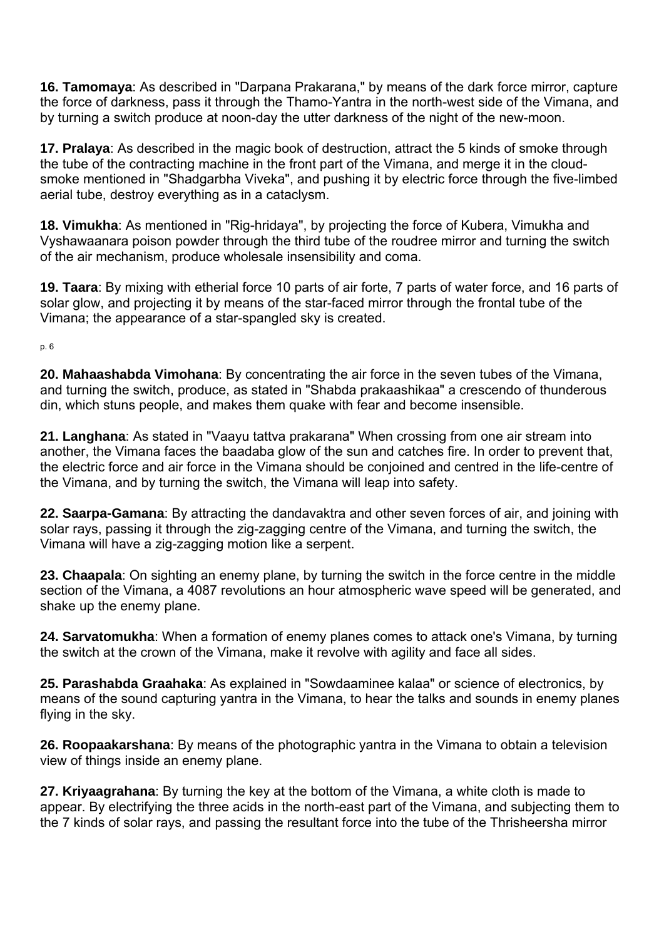**16. Tamomaya**: As described in "Darpana Prakarana," by means of the dark force mirror, capture the force of darkness, pass it through the Thamo-Yantra in the north-west side of the Vimana, and by turning a switch produce at noon-day the utter darkness of the night of the new-moon.

**17. Pralaya**: As described in the magic book of destruction, attract the 5 kinds of smoke through the tube of the contracting machine in the front part of the Vimana, and merge it in the cloudsmoke mentioned in "Shadgarbha Viveka", and pushing it by electric force through the five-limbed aerial tube, destroy everything as in a cataclysm.

**18. Vimukha**: As mentioned in "Rig-hridaya", by projecting the force of Kubera, Vimukha and Vyshawaanara poison powder through the third tube of the roudree mirror and turning the switch of the air mechanism, produce wholesale insensibility and coma.

**19. Taara**: By mixing with etherial force 10 parts of air forte, 7 parts of water force, and 16 parts of solar glow, and projecting it by means of the star-faced mirror through the frontal tube of the Vimana; the appearance of a star-spangled sky is created.

p. 6

**20. Mahaashabda Vimohana**: By concentrating the air force in the seven tubes of the Vimana, and turning the switch, produce, as stated in "Shabda prakaashikaa" a crescendo of thunderous din, which stuns people, and makes them quake with fear and become insensible.

**21. Langhana**: As stated in "Vaayu tattva prakarana" When crossing from one air stream into another, the Vimana faces the baadaba glow of the sun and catches fire. In order to prevent that, the electric force and air force in the Vimana should be conjoined and centred in the life-centre of the Vimana, and by turning the switch, the Vimana will leap into safety.

**22. Saarpa-Gamana**: By attracting the dandavaktra and other seven forces of air, and joining with solar rays, passing it through the zig-zagging centre of the Vimana, and turning the switch, the Vimana will have a zig-zagging motion like a serpent.

**23. Chaapala**: On sighting an enemy plane, by turning the switch in the force centre in the middle section of the Vimana, a 4087 revolutions an hour atmospheric wave speed will be generated, and shake up the enemy plane.

**24. Sarvatomukha**: When a formation of enemy planes comes to attack one's Vimana, by turning the switch at the crown of the Vimana, make it revolve with agility and face all sides.

**25. Parashabda Graahaka**: As explained in "Sowdaaminee kalaa" or science of electronics, by means of the sound capturing yantra in the Vimana, to hear the talks and sounds in enemy planes flying in the sky.

**26. Roopaakarshana**: By means of the photographic yantra in the Vimana to obtain a television view of things inside an enemy plane.

**27. Kriyaagrahana**: By turning the key at the bottom of the Vimana, a white cloth is made to appear. By electrifying the three acids in the north-east part of the Vimana, and subjecting them to the 7 kinds of solar rays, and passing the resultant force into the tube of the Thrisheersha mirror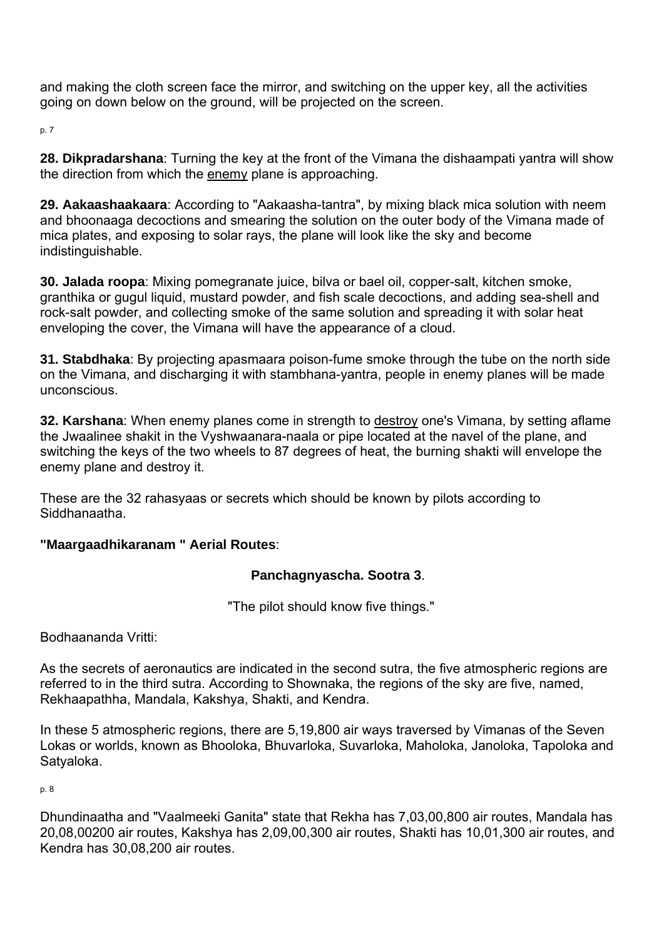and making the cloth screen face the mirror, and switching on the upper key, all the activities going on down below on the ground, will be projected on the screen.

p. 7

**28. Dikpradarshana**: Turning the key at the front of the Vimana the dishaampati yantra will show the direction from which the enemy plane is approaching.

**29. Aakaashaakaara**: According to "Aakaasha-tantra", by mixing black mica solution with neem and bhoonaaga decoctions and smearing the solution on the outer body of the Vimana made of mica plates, and exposing to solar rays, the plane will look like the sky and become indistinguishable.

**30. Jalada roopa**: Mixing pomegranate juice, bilva or bael oil, copper-salt, kitchen smoke, granthika or gugul liquid, mustard powder, and fish scale decoctions, and adding sea-shell and rock-salt powder, and collecting smoke of the same solution and spreading it with solar heat enveloping the cover, the Vimana will have the appearance of a cloud.

**31. Stabdhaka**: By projecting apasmaara poison-fume smoke through the tube on the north side on the Vimana, and discharging it with stambhana-yantra, people in enemy planes will be made unconscious.

**32. Karshana**: When enemy planes come in strength to destroy one's Vimana, by setting aflame the Jwaalinee shakit in the Vyshwaanara-naala or pipe located at the navel of the plane, and switching the keys of the two wheels to 87 degrees of heat, the burning shakti will envelope the enemy plane and destroy it.

These are the 32 rahasyaas or secrets which should be known by pilots according to Siddhanaatha.

**"Maargaadhikaranam " Aerial Routes**:

### **Panchagnyascha. Sootra 3**.

"The pilot should know five things."

Bodhaananda Vritti:

As the secrets of aeronautics are indicated in the second sutra, the five atmospheric regions are referred to in the third sutra. According to Shownaka, the regions of the sky are five, named, Rekhaapathha, Mandala, Kakshya, Shakti, and Kendra.

In these 5 atmospheric regions, there are 5,19,800 air ways traversed by Vimanas of the Seven Lokas or worlds, known as Bhooloka, Bhuvarloka, Suvarloka, Maholoka, Janoloka, Tapoloka and Satyaloka.

p. 8

Dhundinaatha and "Vaalmeeki Ganita" state that Rekha has 7,03,00,800 air routes, Mandala has 20,08,00200 air routes, Kakshya has 2,09,00,300 air routes, Shakti has 10,01,300 air routes, and Kendra has 30,08,200 air routes.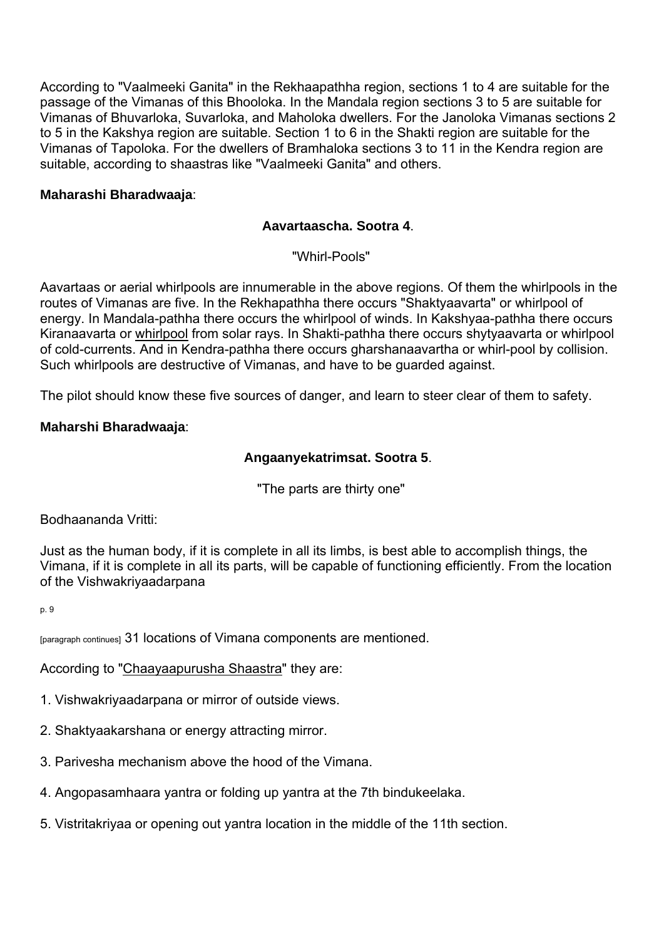According to "Vaalmeeki Ganita" in the Rekhaapathha region, sections 1 to 4 are suitable for the passage of the Vimanas of this Bhooloka. In the Mandala region sections 3 to 5 are suitable for Vimanas of Bhuvarloka, Suvarloka, and Maholoka dwellers. For the Janoloka Vimanas sections 2 to 5 in the Kakshya region are suitable. Section 1 to 6 in the Shakti region are suitable for the Vimanas of Tapoloka. For the dwellers of Bramhaloka sections 3 to 11 in the Kendra region are suitable, according to shaastras like "Vaalmeeki Ganita" and others.

#### **Maharashi Bharadwaaja**:

#### **Aavartaascha. Sootra 4**.

"Whirl-Pools"

Aavartaas or aerial whirlpools are innumerable in the above regions. Of them the whirlpools in the routes of Vimanas are five. In the Rekhapathha there occurs "Shaktyaavarta" or whirlpool of energy. In Mandala-pathha there occurs the whirlpool of winds. In Kakshyaa-pathha there occurs Kiranaavarta or whirlpool from solar rays. In Shakti-pathha there occurs shytyaavarta or whirlpool of cold-currents. And in Kendra-pathha there occurs gharshanaavartha or whirl-pool by collision. Such whirlpools are destructive of Vimanas, and have to be guarded against.

The pilot should know these five sources of danger, and learn to steer clear of them to safety.

#### **Maharshi Bharadwaaja**:

### **Angaanyekatrimsat. Sootra 5**.

"The parts are thirty one"

Bodhaananda Vritti:

Just as the human body, if it is complete in all its limbs, is best able to accomplish things, the Vimana, if it is complete in all its parts, will be capable of functioning efficiently. From the location of the Vishwakriyaadarpana

p. 9

[paragraph continues] 31 locations of Vimana components are mentioned.

According to "Chaayaapurusha Shaastra" they are:

- 1. Vishwakriyaadarpana or mirror of outside views.
- 2. Shaktyaakarshana or energy attracting mirror.
- 3. Parivesha mechanism above the hood of the Vimana.
- 4. Angopasamhaara yantra or folding up yantra at the 7th bindukeelaka.
- 5. Vistritakriyaa or opening out yantra location in the middle of the 11th section.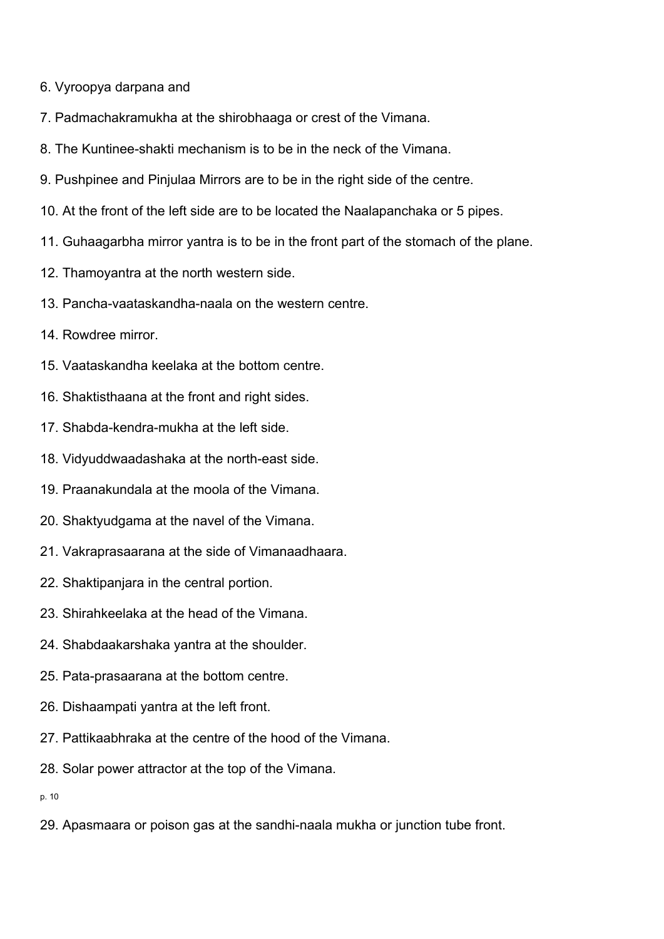- 6. Vyroopya darpana and
- 7. Padmachakramukha at the shirobhaaga or crest of the Vimana.
- 8. The Kuntinee-shakti mechanism is to be in the neck of the Vimana.
- 9. Pushpinee and Pinjulaa Mirrors are to be in the right side of the centre.
- 10. At the front of the left side are to be located the Naalapanchaka or 5 pipes.
- 11. Guhaagarbha mirror yantra is to be in the front part of the stomach of the plane.
- 12. Thamoyantra at the north western side.
- 13. Pancha-vaataskandha-naala on the western centre.
- 14. Rowdree mirror.
- 15. Vaataskandha keelaka at the bottom centre.
- 16. Shaktisthaana at the front and right sides.
- 17. Shabda-kendra-mukha at the left side.
- 18. Vidyuddwaadashaka at the north-east side.
- 19. Praanakundala at the moola of the Vimana.
- 20. Shaktyudgama at the navel of the Vimana.
- 21. Vakraprasaarana at the side of Vimanaadhaara.
- 22. Shaktipanjara in the central portion.
- 23. Shirahkeelaka at the head of the Vimana.
- 24. Shabdaakarshaka yantra at the shoulder.
- 25. Pata-prasaarana at the bottom centre.
- 26. Dishaampati yantra at the left front.
- 27. Pattikaabhraka at the centre of the hood of the Vimana.
- 28. Solar power attractor at the top of the Vimana.

p. 10

29. Apasmaara or poison gas at the sandhi-naala mukha or junction tube front.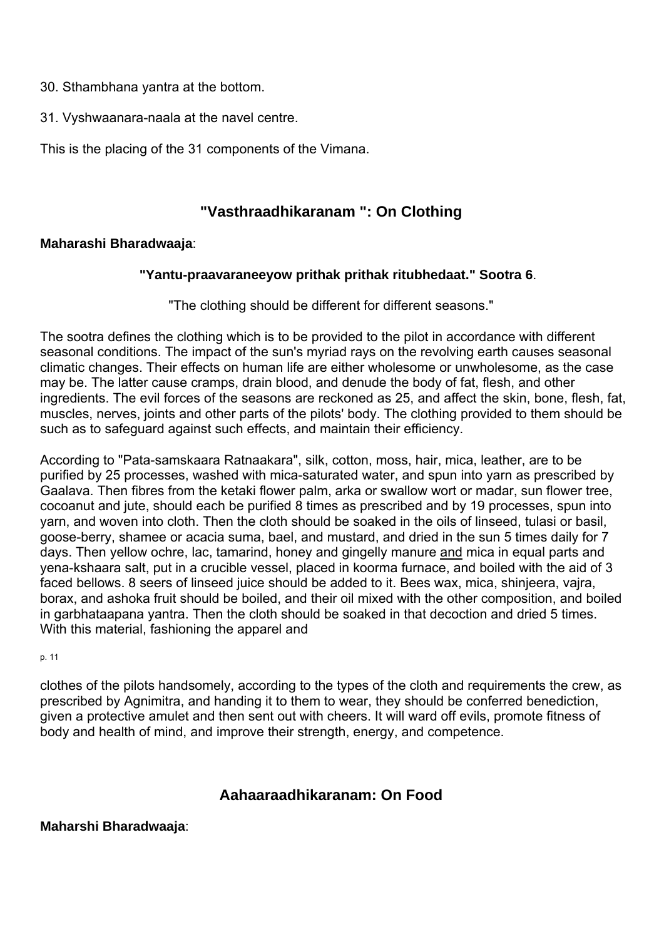30. Sthambhana yantra at the bottom.

31. Vyshwaanara-naala at the navel centre.

This is the placing of the 31 components of the Vimana.

# **"Vasthraadhikaranam ": On Clothing**

#### **Maharashi Bharadwaaja**:

#### **"Yantu-praavaraneeyow prithak prithak ritubhedaat." Sootra 6**.

"The clothing should be different for different seasons."

The sootra defines the clothing which is to be provided to the pilot in accordance with different seasonal conditions. The impact of the sun's myriad rays on the revolving earth causes seasonal climatic changes. Their effects on human life are either wholesome or unwholesome, as the case may be. The latter cause cramps, drain blood, and denude the body of fat, flesh, and other ingredients. The evil forces of the seasons are reckoned as 25, and affect the skin, bone, flesh, fat, muscles, nerves, joints and other parts of the pilots' body. The clothing provided to them should be such as to safeguard against such effects, and maintain their efficiency.

According to "Pata-samskaara Ratnaakara", silk, cotton, moss, hair, mica, leather, are to be purified by 25 processes, washed with mica-saturated water, and spun into yarn as prescribed by Gaalava. Then fibres from the ketaki flower palm, arka or swallow wort or madar, sun flower tree, cocoanut and jute, should each be purified 8 times as prescribed and by 19 processes, spun into yarn, and woven into cloth. Then the cloth should be soaked in the oils of linseed, tulasi or basil, goose-berry, shamee or acacia suma, bael, and mustard, and dried in the sun 5 times daily for 7 days. Then yellow ochre, lac, tamarind, honey and gingelly manure and mica in equal parts and yena-kshaara salt, put in a crucible vessel, placed in koorma furnace, and boiled with the aid of 3 faced bellows. 8 seers of linseed juice should be added to it. Bees wax, mica, shinjeera, vajra, borax, and ashoka fruit should be boiled, and their oil mixed with the other composition, and boiled in garbhataapana yantra. Then the cloth should be soaked in that decoction and dried 5 times. With this material, fashioning the apparel and

p. 11

clothes of the pilots handsomely, according to the types of the cloth and requirements the crew, as prescribed by Agnimitra, and handing it to them to wear, they should be conferred benediction, given a protective amulet and then sent out with cheers. It will ward off evils, promote fitness of body and health of mind, and improve their strength, energy, and competence.

## **Aahaaraadhikaranam: On Food**

**Maharshi Bharadwaaja**: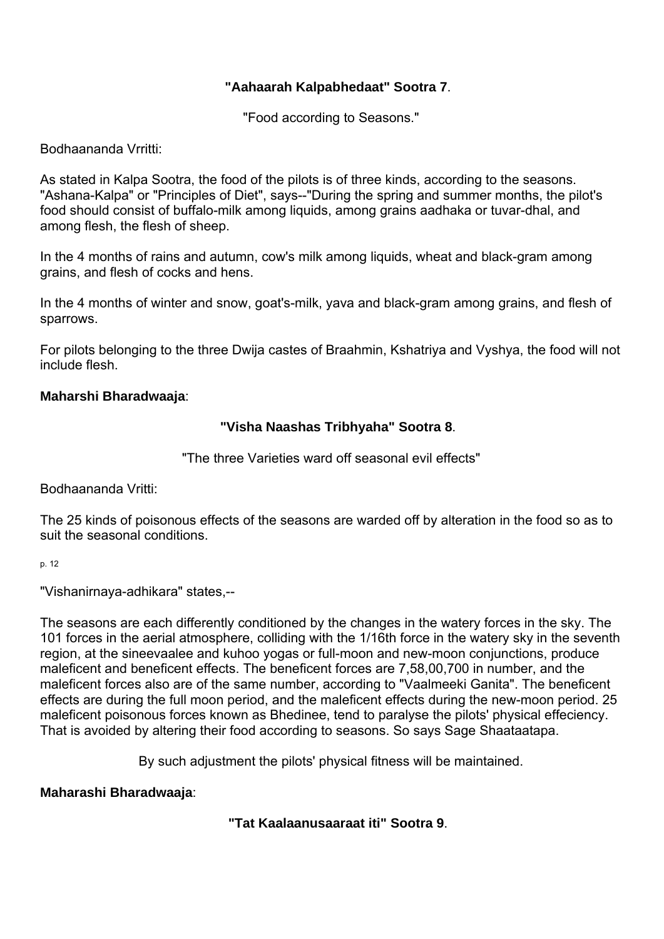### **"Aahaarah Kalpabhedaat" Sootra 7**.

"Food according to Seasons."

Bodhaananda Vrritti:

As stated in Kalpa Sootra, the food of the pilots is of three kinds, according to the seasons. "Ashana-Kalpa" or "Principles of Diet", says--"During the spring and summer months, the pilot's food should consist of buffalo-milk among liquids, among grains aadhaka or tuvar-dhal, and among flesh, the flesh of sheep.

In the 4 months of rains and autumn, cow's milk among liquids, wheat and black-gram among grains, and flesh of cocks and hens.

In the 4 months of winter and snow, goat's-milk, yava and black-gram among grains, and flesh of sparrows.

For pilots belonging to the three Dwija castes of Braahmin, Kshatriya and Vyshya, the food will not include flesh.

#### **Maharshi Bharadwaaja**:

### **"Visha Naashas Tribhyaha" Sootra 8**.

"The three Varieties ward off seasonal evil effects"

Bodhaananda Vritti:

The 25 kinds of poisonous effects of the seasons are warded off by alteration in the food so as to suit the seasonal conditions.

p. 12

"Vishanirnaya-adhikara" states,--

The seasons are each differently conditioned by the changes in the watery forces in the sky. The 101 forces in the aerial atmosphere, colliding with the 1/16th force in the watery sky in the seventh region, at the sineevaalee and kuhoo yogas or full-moon and new-moon conjunctions, produce maleficent and beneficent effects. The beneficent forces are 7,58,00,700 in number, and the maleficent forces also are of the same number, according to "Vaalmeeki Ganita". The beneficent effects are during the full moon period, and the maleficent effects during the new-moon period. 25 maleficent poisonous forces known as Bhedinee, tend to paralyse the pilots' physical effeciency. That is avoided by altering their food according to seasons. So says Sage Shaataatapa.

By such adjustment the pilots' physical fitness will be maintained.

### **Maharashi Bharadwaaja**:

**"Tat Kaalaanusaaraat iti" Sootra 9**.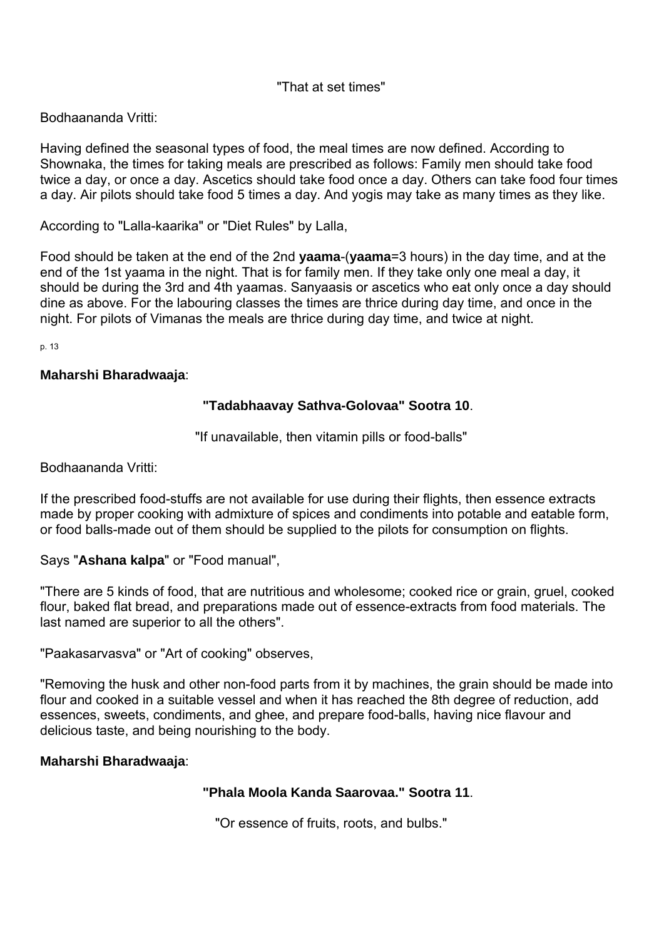"That at set times"

Bodhaananda Vritti:

Having defined the seasonal types of food, the meal times are now defined. According to Shownaka, the times for taking meals are prescribed as follows: Family men should take food twice a day, or once a day. Ascetics should take food once a day. Others can take food four times a day. Air pilots should take food 5 times a day. And yogis may take as many times as they like.

According to "Lalla-kaarika" or "Diet Rules" by Lalla,

Food should be taken at the end of the 2nd **yaama**-(**yaama**=3 hours) in the day time, and at the end of the 1st yaama in the night. That is for family men. If they take only one meal a day, it should be during the 3rd and 4th yaamas. Sanyaasis or ascetics who eat only once a day should dine as above. For the labouring classes the times are thrice during day time, and once in the night. For pilots of Vimanas the meals are thrice during day time, and twice at night.

p. 13

#### **Maharshi Bharadwaaja**:

### **"Tadabhaavay Sathva-Golovaa" Sootra 10**.

"If unavailable, then vitamin pills or food-balls"

Bodhaananda Vritti:

If the prescribed food-stuffs are not available for use during their flights, then essence extracts made by proper cooking with admixture of spices and condiments into potable and eatable form, or food balls-made out of them should be supplied to the pilots for consumption on flights.

Says "**Ashana kalpa**" or "Food manual",

"There are 5 kinds of food, that are nutritious and wholesome; cooked rice or grain, gruel, cooked flour, baked flat bread, and preparations made out of essence-extracts from food materials. The last named are superior to all the others".

"Paakasarvasva" or "Art of cooking" observes,

"Removing the husk and other non-food parts from it by machines, the grain should be made into flour and cooked in a suitable vessel and when it has reached the 8th degree of reduction, add essences, sweets, condiments, and ghee, and prepare food-balls, having nice flavour and delicious taste, and being nourishing to the body.

#### **Maharshi Bharadwaaja**:

### **"Phala Moola Kanda Saarovaa." Sootra 11**.

"Or essence of fruits, roots, and bulbs."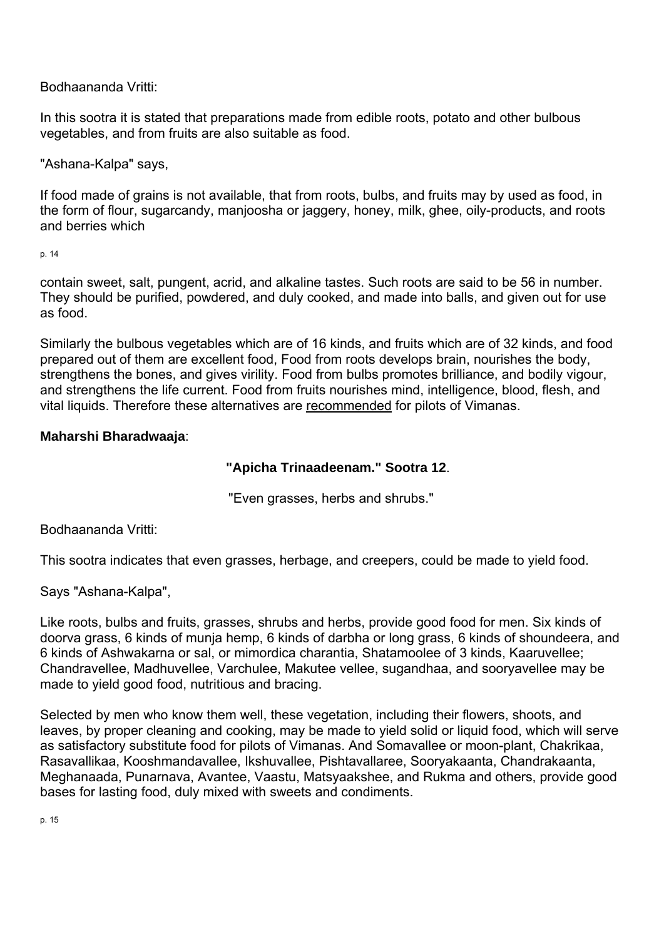Bodhaananda Vritti:

In this sootra it is stated that preparations made from edible roots, potato and other bulbous vegetables, and from fruits are also suitable as food.

"Ashana-Kalpa" says,

If food made of grains is not available, that from roots, bulbs, and fruits may by used as food, in the form of flour, sugarcandy, manjoosha or jaggery, honey, milk, ghee, oily-products, and roots and berries which

p. 14

contain sweet, salt, pungent, acrid, and alkaline tastes. Such roots are said to be 56 in number. They should be purified, powdered, and duly cooked, and made into balls, and given out for use as food.

Similarly the bulbous vegetables which are of 16 kinds, and fruits which are of 32 kinds, and food prepared out of them are excellent food, Food from roots develops brain, nourishes the body, strengthens the bones, and gives virility. Food from bulbs promotes brilliance, and bodily vigour, and strengthens the life current. Food from fruits nourishes mind, intelligence, blood, flesh, and vital liquids. Therefore these alternatives are recommended for pilots of Vimanas.

### **Maharshi Bharadwaaja**:

### **"Apicha Trinaadeenam." Sootra 12**.

"Even grasses, herbs and shrubs."

Bodhaananda Vritti:

This sootra indicates that even grasses, herbage, and creepers, could be made to yield food.

Says "Ashana-Kalpa",

Like roots, bulbs and fruits, grasses, shrubs and herbs, provide good food for men. Six kinds of doorva grass, 6 kinds of munja hemp, 6 kinds of darbha or long grass, 6 kinds of shoundeera, and 6 kinds of Ashwakarna or sal, or mimordica charantia, Shatamoolee of 3 kinds, Kaaruvellee; Chandravellee, Madhuvellee, Varchulee, Makutee vellee, sugandhaa, and sooryavellee may be made to yield good food, nutritious and bracing.

Selected by men who know them well, these vegetation, including their flowers, shoots, and leaves, by proper cleaning and cooking, may be made to yield solid or liquid food, which will serve as satisfactory substitute food for pilots of Vimanas. And Somavallee or moon-plant, Chakrikaa, Rasavallikaa, Kooshmandavallee, Ikshuvallee, Pishtavallaree, Sooryakaanta, Chandrakaanta, Meghanaada, Punarnava, Avantee, Vaastu, Matsyaakshee, and Rukma and others, provide good bases for lasting food, duly mixed with sweets and condiments.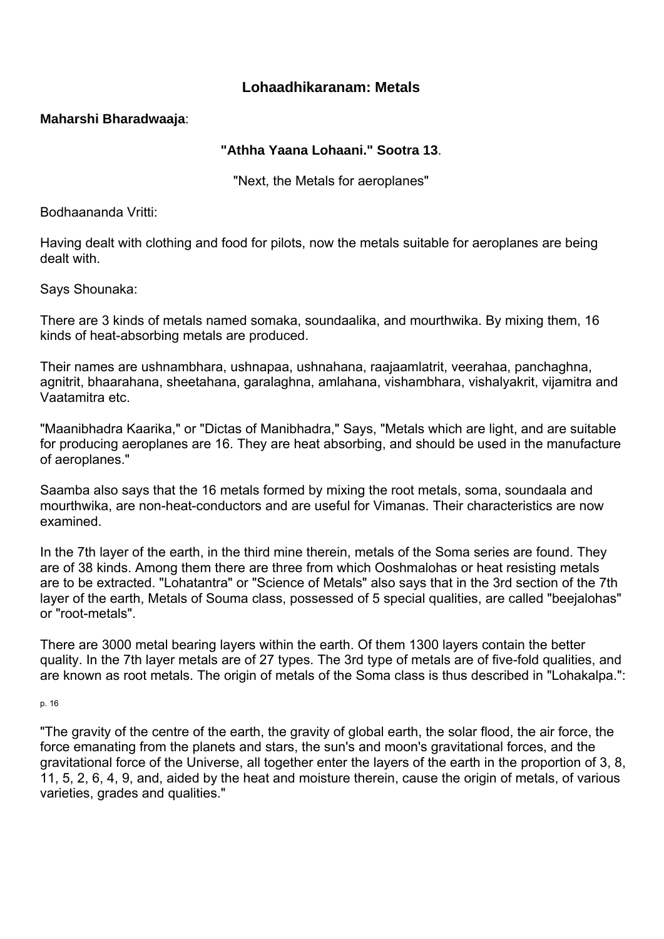## **Lohaadhikaranam: Metals**

#### **Maharshi Bharadwaaja**:

#### **"Athha Yaana Lohaani." Sootra 13**.

"Next, the Metals for aeroplanes"

Bodhaananda Vritti:

Having dealt with clothing and food for pilots, now the metals suitable for aeroplanes are being dealt with.

Says Shounaka:

There are 3 kinds of metals named somaka, soundaalika, and mourthwika. By mixing them, 16 kinds of heat-absorbing metals are produced.

Their names are ushnambhara, ushnapaa, ushnahana, raajaamlatrit, veerahaa, panchaghna, agnitrit, bhaarahana, sheetahana, garalaghna, amlahana, vishambhara, vishalyakrit, vijamitra and Vaatamitra etc.

"Maanibhadra Kaarika," or "Dictas of Manibhadra," Says, "Metals which are light, and are suitable for producing aeroplanes are 16. They are heat absorbing, and should be used in the manufacture of aeroplanes."

Saamba also says that the 16 metals formed by mixing the root metals, soma, soundaala and mourthwika, are non-heat-conductors and are useful for Vimanas. Their characteristics are now examined.

In the 7th layer of the earth, in the third mine therein, metals of the Soma series are found. They are of 38 kinds. Among them there are three from which Ooshmalohas or heat resisting metals are to be extracted. "Lohatantra" or "Science of Metals" also says that in the 3rd section of the 7th layer of the earth, Metals of Souma class, possessed of 5 special qualities, are called "beejalohas" or "root-metals".

There are 3000 metal bearing layers within the earth. Of them 1300 layers contain the better quality. In the 7th layer metals are of 27 types. The 3rd type of metals are of five-fold qualities, and are known as root metals. The origin of metals of the Soma class is thus described in "Lohakalpa.":

p. 16

"The gravity of the centre of the earth, the gravity of global earth, the solar flood, the air force, the force emanating from the planets and stars, the sun's and moon's gravitational forces, and the gravitational force of the Universe, all together enter the layers of the earth in the proportion of 3, 8, 11, 5, 2, 6, 4, 9, and, aided by the heat and moisture therein, cause the origin of metals, of various varieties, grades and qualities."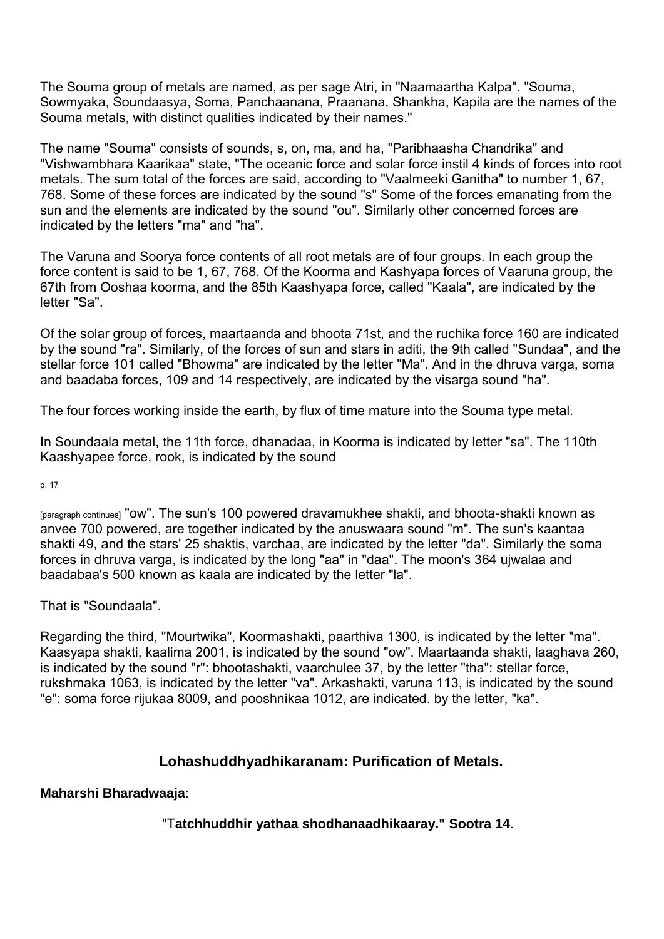The Souma group of metals are named, as per sage Atri, in "Naamaartha Kalpa". "Souma, Sowmyaka, Soundaasya, Soma, Panchaanana, Praanana, Shankha, Kapila are the names of the Souma metals, with distinct qualities indicated by their names."

The name "Souma" consists of sounds, s, on, ma, and ha, "Paribhaasha Chandrika" and "Vishwambhara Kaarikaa" state, "The oceanic force and solar force instil 4 kinds of forces into root metals. The sum total of the forces are said, according to "Vaalmeeki Ganitha" to number 1, 67, 768. Some of these forces are indicated by the sound "s" Some of the forces emanating from the sun and the elements are indicated by the sound "ou". Similarly other concerned forces are indicated by the letters "ma" and "ha".

The Varuna and Soorya force contents of all root metals are of four groups. In each group the force content is said to be 1, 67, 768. Of the Koorma and Kashyapa forces of Vaaruna group, the 67th from Ooshaa koorma, and the 85th Kaashyapa force, called "Kaala", are indicated by the letter "Sa".

Of the solar group of forces, maartaanda and bhoota 71st, and the ruchika force 160 are indicated by the sound "ra". Similarly, of the forces of sun and stars in aditi, the 9th called "Sundaa", and the stellar force 101 called "Bhowma" are indicated by the letter "Ma". And in the dhruva varga, soma and baadaba forces, 109 and 14 respectively, are indicated by the visarga sound "ha".

The four forces working inside the earth, by flux of time mature into the Souma type metal.

In Soundaala metal, the 11th force, dhanadaa, in Koorma is indicated by letter "sa". The 110th Kaashyapee force, rook, is indicated by the sound

p. 17

[paragraph continues] "ow". The sun's 100 powered dravamukhee shakti, and bhoota-shakti known as anvee 700 powered, are together indicated by the anuswaara sound "m". The sun's kaantaa shakti 49, and the stars' 25 shaktis, varchaa, are indicated by the letter "da". Similarly the soma forces in dhruva varga, is indicated by the long "aa" in "daa". The moon's 364 ujwalaa and baadabaa's 500 known as kaala are indicated by the letter "la".

That is "Soundaala".

Regarding the third, "Mourtwika", Koormashakti, paarthiva 1300, is indicated by the letter "ma". Kaasyapa shakti, kaalima 2001, is indicated by the sound "ow". Maartaanda shakti, laaghava 260, is indicated by the sound "r": bhootashakti, vaarchulee 37, by the letter "tha": stellar force, rukshmaka 1063, is indicated by the letter "va". Arkashakti, varuna 113, is indicated by the sound "e": soma force rijukaa 8009, and pooshnikaa 1012, are indicated. by the letter, "ka".

### **Lohashuddhyadhikaranam: Purification of Metals.**

#### **Maharshi Bharadwaaja**:

"T**atchhuddhir yathaa shodhanaadhikaaray." Sootra 14**.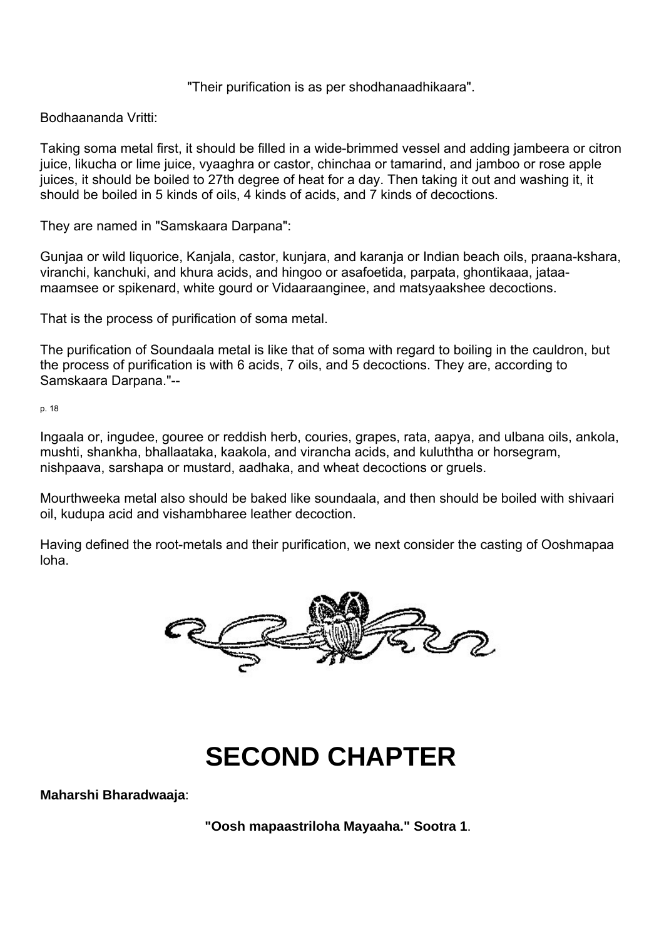"Their purification is as per shodhanaadhikaara".

Bodhaananda Vritti:

Taking soma metal first, it should be filled in a wide-brimmed vessel and adding jambeera or citron juice, likucha or lime juice, vyaaghra or castor, chinchaa or tamarind, and jamboo or rose apple juices, it should be boiled to 27th degree of heat for a day. Then taking it out and washing it, it should be boiled in 5 kinds of oils, 4 kinds of acids, and 7 kinds of decoctions.

They are named in "Samskaara Darpana":

Gunjaa or wild liquorice, Kanjala, castor, kunjara, and karanja or Indian beach oils, praana-kshara, viranchi, kanchuki, and khura acids, and hingoo or asafoetida, parpata, ghontikaaa, jataamaamsee or spikenard, white gourd or Vidaaraanginee, and matsyaakshee decoctions.

That is the process of purification of soma metal.

The purification of Soundaala metal is like that of soma with regard to boiling in the cauldron, but the process of purification is with 6 acids, 7 oils, and 5 decoctions. They are, according to Samskaara Darpana."--

p. 18

Ingaala or, ingudee, gouree or reddish herb, couries, grapes, rata, aapya, and ulbana oils, ankola, mushti, shankha, bhallaataka, kaakola, and virancha acids, and kuluththa or horsegram, nishpaava, sarshapa or mustard, aadhaka, and wheat decoctions or gruels.

Mourthweeka metal also should be baked like soundaala, and then should be boiled with shivaari oil, kudupa acid and vishambharee leather decoction.

Having defined the root-metals and their purification, we next consider the casting of Ooshmapaa loha.



# **SECOND CHAPTER**

**Maharshi Bharadwaaja**:

**"Oosh mapaastriloha Mayaaha." Sootra 1**.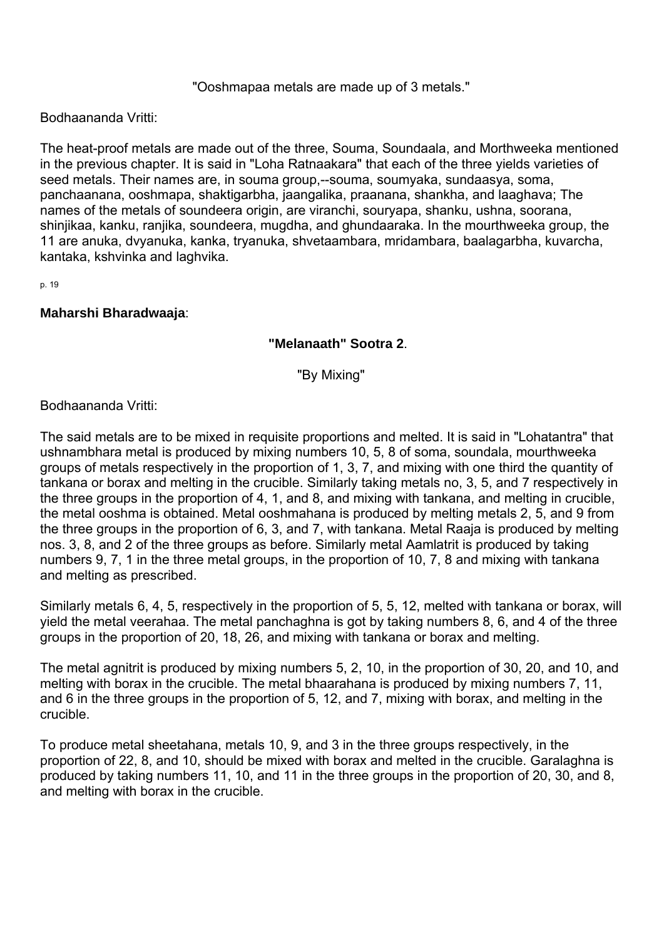#### "Ooshmapaa metals are made up of 3 metals."

Bodhaananda Vritti:

The heat-proof metals are made out of the three, Souma, Soundaala, and Morthweeka mentioned in the previous chapter. It is said in "Loha Ratnaakara" that each of the three yields varieties of seed metals. Their names are, in souma group,--souma, soumyaka, sundaasya, soma, panchaanana, ooshmapa, shaktigarbha, jaangalika, praanana, shankha, and laaghava; The names of the metals of soundeera origin, are viranchi, souryapa, shanku, ushna, soorana, shinjikaa, kanku, ranjika, soundeera, mugdha, and ghundaaraka. In the mourthweeka group, the 11 are anuka, dvyanuka, kanka, tryanuka, shvetaambara, mridambara, baalagarbha, kuvarcha, kantaka, kshvinka and laghvika.

p. 19

#### **Maharshi Bharadwaaja**:

#### **"Melanaath" Sootra 2**.

"By Mixing"

Bodhaananda Vritti:

The said metals are to be mixed in requisite proportions and melted. It is said in "Lohatantra" that ushnambhara metal is produced by mixing numbers 10, 5, 8 of soma, soundala, mourthweeka groups of metals respectively in the proportion of 1, 3, 7, and mixing with one third the quantity of tankana or borax and melting in the crucible. Similarly taking metals no, 3, 5, and 7 respectively in the three groups in the proportion of 4, 1, and 8, and mixing with tankana, and melting in crucible, the metal ooshma is obtained. Metal ooshmahana is produced by melting metals 2, 5, and 9 from the three groups in the proportion of 6, 3, and 7, with tankana. Metal Raaja is produced by melting nos. 3, 8, and 2 of the three groups as before. Similarly metal Aamlatrit is produced by taking numbers 9, 7, 1 in the three metal groups, in the proportion of 10, 7, 8 and mixing with tankana and melting as prescribed.

Similarly metals 6, 4, 5, respectively in the proportion of 5, 5, 12, melted with tankana or borax, will yield the metal veerahaa. The metal panchaghna is got by taking numbers 8, 6, and 4 of the three groups in the proportion of 20, 18, 26, and mixing with tankana or borax and melting.

The metal agnitrit is produced by mixing numbers 5, 2, 10, in the proportion of 30, 20, and 10, and melting with borax in the crucible. The metal bhaarahana is produced by mixing numbers 7, 11, and 6 in the three groups in the proportion of 5, 12, and 7, mixing with borax, and melting in the crucible.

To produce metal sheetahana, metals 10, 9, and 3 in the three groups respectively, in the proportion of 22, 8, and 10, should be mixed with borax and melted in the crucible. Garalaghna is produced by taking numbers 11, 10, and 11 in the three groups in the proportion of 20, 30, and 8, and melting with borax in the crucible.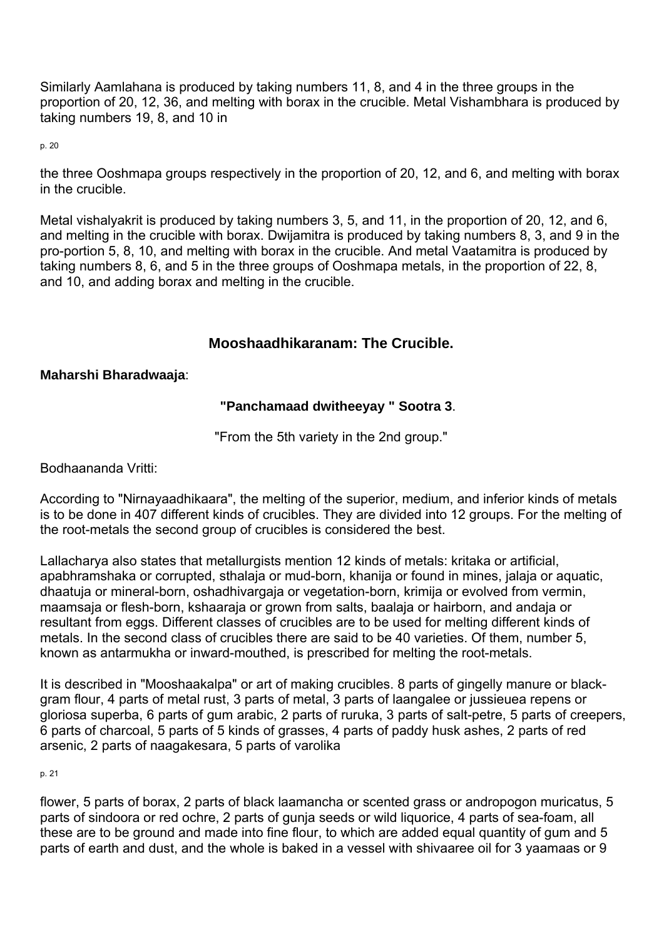Similarly Aamlahana is produced by taking numbers 11, 8, and 4 in the three groups in the proportion of 20, 12, 36, and melting with borax in the crucible. Metal Vishambhara is produced by taking numbers 19, 8, and 10 in

p. 20

the three Ooshmapa groups respectively in the proportion of 20, 12, and 6, and melting with borax in the crucible.

Metal vishalyakrit is produced by taking numbers 3, 5, and 11, in the proportion of 20, 12, and 6, and melting in the crucible with borax. Dwijamitra is produced by taking numbers 8, 3, and 9 in the pro-portion 5, 8, 10, and melting with borax in the crucible. And metal Vaatamitra is produced by taking numbers 8, 6, and 5 in the three groups of Ooshmapa metals, in the proportion of 22, 8, and 10, and adding borax and melting in the crucible.

### **Mooshaadhikaranam: The Crucible.**

#### **Maharshi Bharadwaaja**:

### **"Panchamaad dwitheeyay " Sootra 3**.

"From the 5th variety in the 2nd group."

Bodhaananda Vritti:

According to "Nirnayaadhikaara", the melting of the superior, medium, and inferior kinds of metals is to be done in 407 different kinds of crucibles. They are divided into 12 groups. For the melting of the root-metals the second group of crucibles is considered the best.

Lallacharya also states that metallurgists mention 12 kinds of metals: kritaka or artificial, apabhramshaka or corrupted, sthalaja or mud-born, khanija or found in mines, jalaja or aquatic, dhaatuja or mineral-born, oshadhivargaja or vegetation-born, krimija or evolved from vermin, maamsaja or flesh-born, kshaaraja or grown from salts, baalaja or hairborn, and andaja or resultant from eggs. Different classes of crucibles are to be used for melting different kinds of metals. In the second class of crucibles there are said to be 40 varieties. Of them, number 5, known as antarmukha or inward-mouthed, is prescribed for melting the root-metals.

It is described in "Mooshaakalpa" or art of making crucibles. 8 parts of gingelly manure or blackgram flour, 4 parts of metal rust, 3 parts of metal, 3 parts of laangalee or jussieuea repens or gloriosa superba, 6 parts of gum arabic, 2 parts of ruruka, 3 parts of salt-petre, 5 parts of creepers, 6 parts of charcoal, 5 parts of 5 kinds of grasses, 4 parts of paddy husk ashes, 2 parts of red arsenic, 2 parts of naagakesara, 5 parts of varolika

p. 21

flower, 5 parts of borax, 2 parts of black laamancha or scented grass or andropogon muricatus, 5 parts of sindoora or red ochre, 2 parts of gunja seeds or wild liquorice, 4 parts of sea-foam, all these are to be ground and made into fine flour, to which are added equal quantity of gum and 5 parts of earth and dust, and the whole is baked in a vessel with shivaaree oil for 3 yaamaas or 9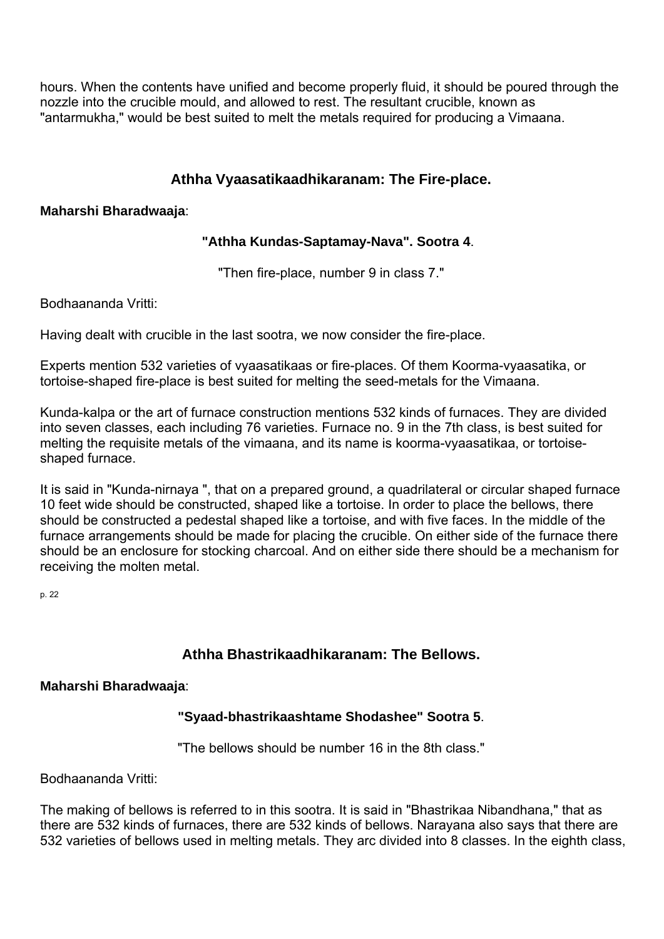hours. When the contents have unified and become properly fluid, it should be poured through the nozzle into the crucible mould, and allowed to rest. The resultant crucible, known as "antarmukha," would be best suited to melt the metals required for producing a Vimaana.

# **Athha Vyaasatikaadhikaranam: The Fire-place.**

### **Maharshi Bharadwaaja**:

### **"Athha Kundas-Saptamay-Nava". Sootra 4**.

"Then fire-place, number 9 in class 7."

Bodhaananda Vritti:

Having dealt with crucible in the last sootra, we now consider the fire-place.

Experts mention 532 varieties of vyaasatikaas or fire-places. Of them Koorma-vyaasatika, or tortoise-shaped fire-place is best suited for melting the seed-metals for the Vimaana.

Kunda-kalpa or the art of furnace construction mentions 532 kinds of furnaces. They are divided into seven classes, each including 76 varieties. Furnace no. 9 in the 7th class, is best suited for melting the requisite metals of the vimaana, and its name is koorma-vyaasatikaa, or tortoiseshaped furnace.

It is said in "Kunda-nirnaya ", that on a prepared ground, a quadrilateral or circular shaped furnace 10 feet wide should be constructed, shaped like a tortoise. In order to place the bellows, there should be constructed a pedestal shaped like a tortoise, and with five faces. In the middle of the furnace arrangements should be made for placing the crucible. On either side of the furnace there should be an enclosure for stocking charcoal. And on either side there should be a mechanism for receiving the molten metal.

p. 22

# **Athha Bhastrikaadhikaranam: The Bellows.**

### **Maharshi Bharadwaaja**:

### **"Syaad-bhastrikaashtame Shodashee" Sootra 5**.

"The bellows should be number 16 in the 8th class."

Bodhaananda Vritti:

The making of bellows is referred to in this sootra. It is said in "Bhastrikaa Nibandhana," that as there are 532 kinds of furnaces, there are 532 kinds of bellows. Narayana also says that there are 532 varieties of bellows used in melting metals. They arc divided into 8 classes. In the eighth class,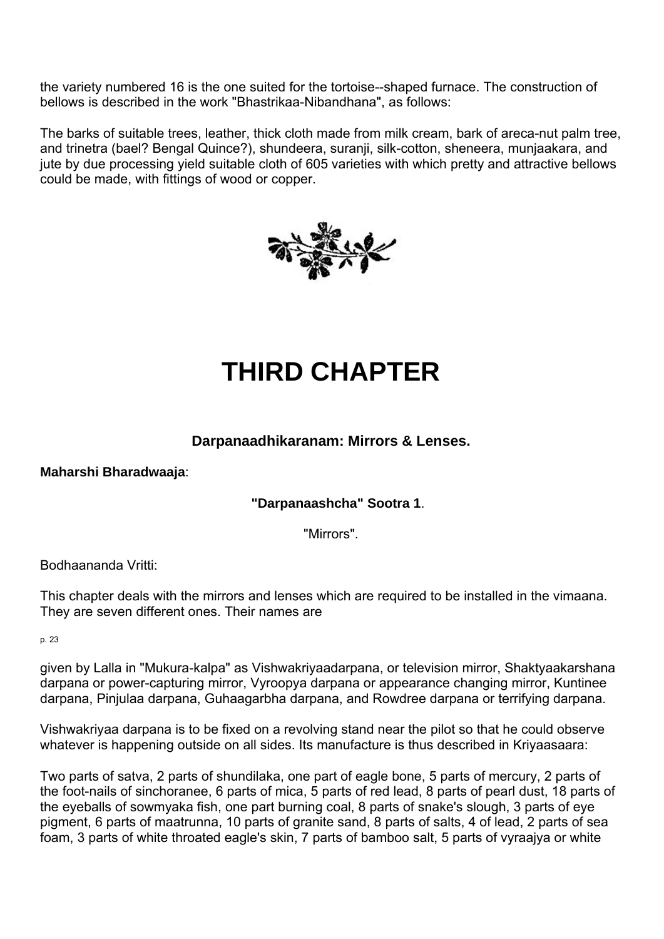the variety numbered 16 is the one suited for the tortoise--shaped furnace. The construction of bellows is described in the work "Bhastrikaa-Nibandhana", as follows:

The barks of suitable trees, leather, thick cloth made from milk cream, bark of areca-nut palm tree, and trinetra (bael? Bengal Quince?), shundeera, suranji, silk-cotton, sheneera, munjaakara, and jute by due processing yield suitable cloth of 605 varieties with which pretty and attractive bellows could be made, with fittings of wood or copper.



# **THIRD CHAPTER**

## **Darpanaadhikaranam: Mirrors & Lenses.**

**Maharshi Bharadwaaja**:

**"Darpanaashcha" Sootra 1**.

"Mirrors".

Bodhaananda Vritti:

This chapter deals with the mirrors and lenses which are required to be installed in the vimaana. They are seven different ones. Their names are

p. 23

given by Lalla in "Mukura-kalpa" as Vishwakriyaadarpana, or television mirror, Shaktyaakarshana darpana or power-capturing mirror, Vyroopya darpana or appearance changing mirror, Kuntinee darpana, Pinjulaa darpana, Guhaagarbha darpana, and Rowdree darpana or terrifying darpana.

Vishwakriyaa darpana is to be fixed on a revolving stand near the pilot so that he could observe whatever is happening outside on all sides. Its manufacture is thus described in Kriyaasaara:

Two parts of satva, 2 parts of shundilaka, one part of eagle bone, 5 parts of mercury, 2 parts of the foot-nails of sinchoranee, 6 parts of mica, 5 parts of red lead, 8 parts of pearl dust, 18 parts of the eyeballs of sowmyaka fish, one part burning coal, 8 parts of snake's slough, 3 parts of eye pigment, 6 parts of maatrunna, 10 parts of granite sand, 8 parts of salts, 4 of lead, 2 parts of sea foam, 3 parts of white throated eagle's skin, 7 parts of bamboo salt, 5 parts of vyraajya or white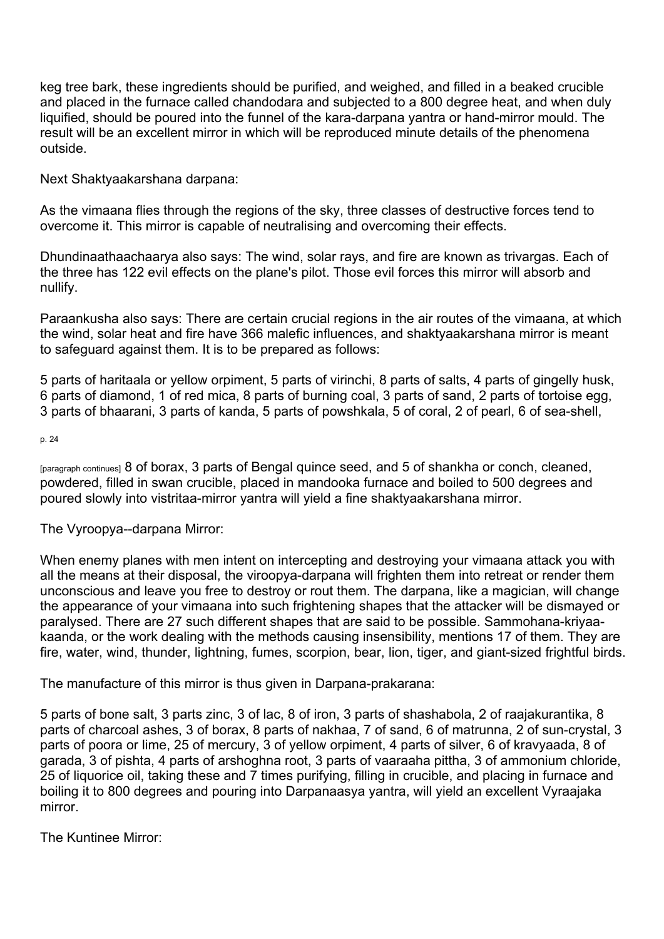keg tree bark, these ingredients should be purified, and weighed, and filled in a beaked crucible and placed in the furnace called chandodara and subjected to a 800 degree heat, and when duly liquified, should be poured into the funnel of the kara-darpana yantra or hand-mirror mould. The result will be an excellent mirror in which will be reproduced minute details of the phenomena outside.

Next Shaktyaakarshana darpana:

As the vimaana flies through the regions of the sky, three classes of destructive forces tend to overcome it. This mirror is capable of neutralising and overcoming their effects.

Dhundinaathaachaarya also says: The wind, solar rays, and fire are known as trivargas. Each of the three has 122 evil effects on the plane's pilot. Those evil forces this mirror will absorb and nullify.

Paraankusha also says: There are certain crucial regions in the air routes of the vimaana, at which the wind, solar heat and fire have 366 malefic influences, and shaktyaakarshana mirror is meant to safeguard against them. It is to be prepared as follows:

5 parts of haritaala or yellow orpiment, 5 parts of virinchi, 8 parts of salts, 4 parts of gingelly husk, 6 parts of diamond, 1 of red mica, 8 parts of burning coal, 3 parts of sand, 2 parts of tortoise egg, 3 parts of bhaarani, 3 parts of kanda, 5 parts of powshkala, 5 of coral, 2 of pearl, 6 of sea-shell,

p. 24

[paragraph continues] 8 of borax, 3 parts of Bengal quince seed, and 5 of shankha or conch, cleaned, powdered, filled in swan crucible, placed in mandooka furnace and boiled to 500 degrees and poured slowly into vistritaa-mirror yantra will yield a fine shaktyaakarshana mirror.

The Vyroopya--darpana Mirror:

When enemy planes with men intent on intercepting and destroying your vimaana attack you with all the means at their disposal, the viroopya-darpana will frighten them into retreat or render them unconscious and leave you free to destroy or rout them. The darpana, like a magician, will change the appearance of your vimaana into such frightening shapes that the attacker will be dismayed or paralysed. There are 27 such different shapes that are said to be possible. Sammohana-kriyaakaanda, or the work dealing with the methods causing insensibility, mentions 17 of them. They are fire, water, wind, thunder, lightning, fumes, scorpion, bear, lion, tiger, and giant-sized frightful birds.

The manufacture of this mirror is thus given in Darpana-prakarana:

5 parts of bone salt, 3 parts zinc, 3 of lac, 8 of iron, 3 parts of shashabola, 2 of raajakurantika, 8 parts of charcoal ashes, 3 of borax, 8 parts of nakhaa, 7 of sand, 6 of matrunna, 2 of sun-crystal, 3 parts of poora or lime, 25 of mercury, 3 of yellow orpiment, 4 parts of silver, 6 of kravyaada, 8 of garada, 3 of pishta, 4 parts of arshoghna root, 3 parts of vaaraaha pittha, 3 of ammonium chloride, 25 of liquorice oil, taking these and 7 times purifying, filling in crucible, and placing in furnace and boiling it to 800 degrees and pouring into Darpanaasya yantra, will yield an excellent Vyraajaka mirror.

The Kuntinee Mirror: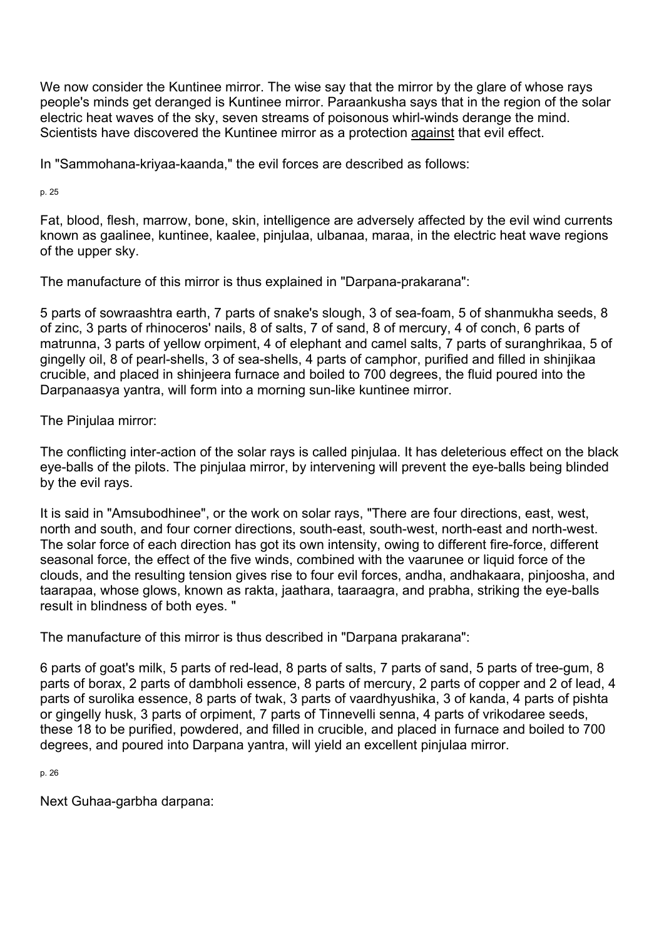We now consider the Kuntinee mirror. The wise say that the mirror by the glare of whose rays people's minds get deranged is Kuntinee mirror. Paraankusha says that in the region of the solar electric heat waves of the sky, seven streams of poisonous whirl-winds derange the mind. Scientists have discovered the Kuntinee mirror as a protection against that evil effect.

In "Sammohana-kriyaa-kaanda," the evil forces are described as follows:

p. 25

Fat, blood, flesh, marrow, bone, skin, intelligence are adversely affected by the evil wind currents known as gaalinee, kuntinee, kaalee, pinjulaa, ulbanaa, maraa, in the electric heat wave regions of the upper sky.

The manufacture of this mirror is thus explained in "Darpana-prakarana":

5 parts of sowraashtra earth, 7 parts of snake's slough, 3 of sea-foam, 5 of shanmukha seeds, 8 of zinc, 3 parts of rhinoceros' nails, 8 of salts, 7 of sand, 8 of mercury, 4 of conch, 6 parts of matrunna, 3 parts of yellow orpiment, 4 of elephant and camel salts, 7 parts of suranghrikaa, 5 of gingelly oil, 8 of pearl-shells, 3 of sea-shells, 4 parts of camphor, purified and filled in shinjikaa crucible, and placed in shinjeera furnace and boiled to 700 degrees, the fluid poured into the Darpanaasya yantra, will form into a morning sun-like kuntinee mirror.

The Pinjulaa mirror:

The conflicting inter-action of the solar rays is called pinjulaa. It has deleterious effect on the black eye-balls of the pilots. The pinjulaa mirror, by intervening will prevent the eye-balls being blinded by the evil rays.

It is said in "Amsubodhinee", or the work on solar rays, "There are four directions, east, west, north and south, and four corner directions, south-east, south-west, north-east and north-west. The solar force of each direction has got its own intensity, owing to different fire-force, different seasonal force, the effect of the five winds, combined with the vaarunee or liquid force of the clouds, and the resulting tension gives rise to four evil forces, andha, andhakaara, pinjoosha, and taarapaa, whose glows, known as rakta, jaathara, taaraagra, and prabha, striking the eye-balls result in blindness of both eyes. "

The manufacture of this mirror is thus described in "Darpana prakarana":

6 parts of goat's milk, 5 parts of red-lead, 8 parts of salts, 7 parts of sand, 5 parts of tree-gum, 8 parts of borax, 2 parts of dambholi essence, 8 parts of mercury, 2 parts of copper and 2 of lead, 4 parts of surolika essence, 8 parts of twak, 3 parts of vaardhyushika, 3 of kanda, 4 parts of pishta or gingelly husk, 3 parts of orpiment, 7 parts of Tinnevelli senna, 4 parts of vrikodaree seeds, these 18 to be purified, powdered, and filled in crucible, and placed in furnace and boiled to 700 degrees, and poured into Darpana yantra, will yield an excellent pinjulaa mirror.

p. 26

Next Guhaa-garbha darpana: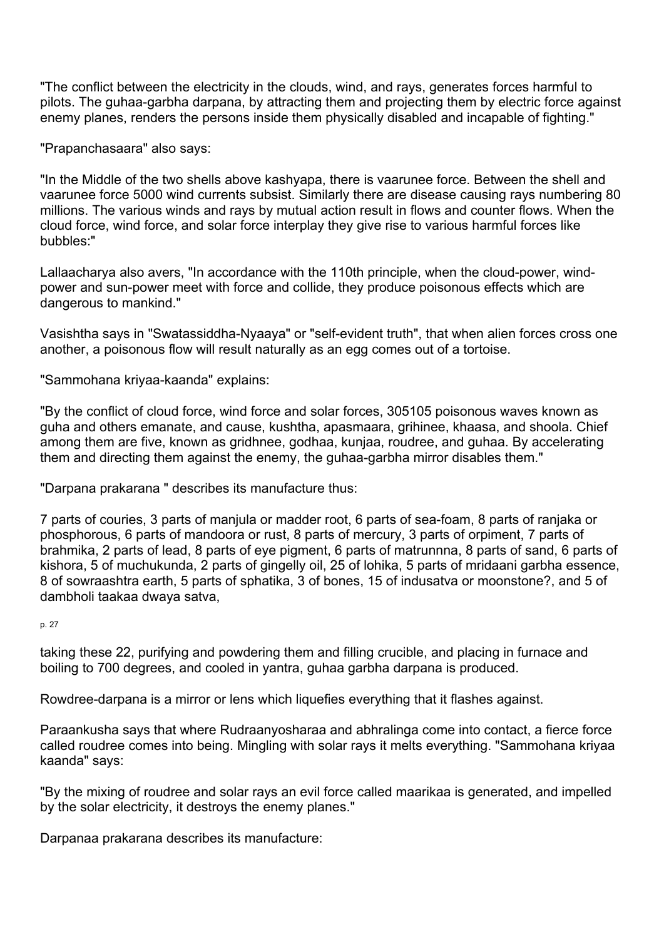"The conflict between the electricity in the clouds, wind, and rays, generates forces harmful to pilots. The guhaa-garbha darpana, by attracting them and projecting them by electric force against enemy planes, renders the persons inside them physically disabled and incapable of fighting."

"Prapanchasaara" also says:

"In the Middle of the two shells above kashyapa, there is vaarunee force. Between the shell and vaarunee force 5000 wind currents subsist. Similarly there are disease causing rays numbering 80 millions. The various winds and rays by mutual action result in flows and counter flows. When the cloud force, wind force, and solar force interplay they give rise to various harmful forces like bubbles:"

Lallaacharya also avers, "In accordance with the 110th principle, when the cloud-power, windpower and sun-power meet with force and collide, they produce poisonous effects which are dangerous to mankind."

Vasishtha says in "Swatassiddha-Nyaaya" or "self-evident truth", that when alien forces cross one another, a poisonous flow will result naturally as an egg comes out of a tortoise.

"Sammohana kriyaa-kaanda" explains:

"By the conflict of cloud force, wind force and solar forces, 305105 poisonous waves known as guha and others emanate, and cause, kushtha, apasmaara, grihinee, khaasa, and shoola. Chief among them are five, known as gridhnee, godhaa, kunjaa, roudree, and guhaa. By accelerating them and directing them against the enemy, the guhaa-garbha mirror disables them."

"Darpana prakarana " describes its manufacture thus:

7 parts of couries, 3 parts of manjula or madder root, 6 parts of sea-foam, 8 parts of ranjaka or phosphorous, 6 parts of mandoora or rust, 8 parts of mercury, 3 parts of orpiment, 7 parts of brahmika, 2 parts of lead, 8 parts of eye pigment, 6 parts of matrunnna, 8 parts of sand, 6 parts of kishora, 5 of muchukunda, 2 parts of gingelly oil, 25 of lohika, 5 parts of mridaani garbha essence, 8 of sowraashtra earth, 5 parts of sphatika, 3 of bones, 15 of indusatva or moonstone?, and 5 of dambholi taakaa dwaya satva,

p. 27

taking these 22, purifying and powdering them and filling crucible, and placing in furnace and boiling to 700 degrees, and cooled in yantra, guhaa garbha darpana is produced.

Rowdree-darpana is a mirror or lens which liquefies everything that it flashes against.

Paraankusha says that where Rudraanyosharaa and abhralinga come into contact, a fierce force called roudree comes into being. Mingling with solar rays it melts everything. "Sammohana kriyaa kaanda" says:

"By the mixing of roudree and solar rays an evil force called maarikaa is generated, and impelled by the solar electricity, it destroys the enemy planes."

Darpanaa prakarana describes its manufacture: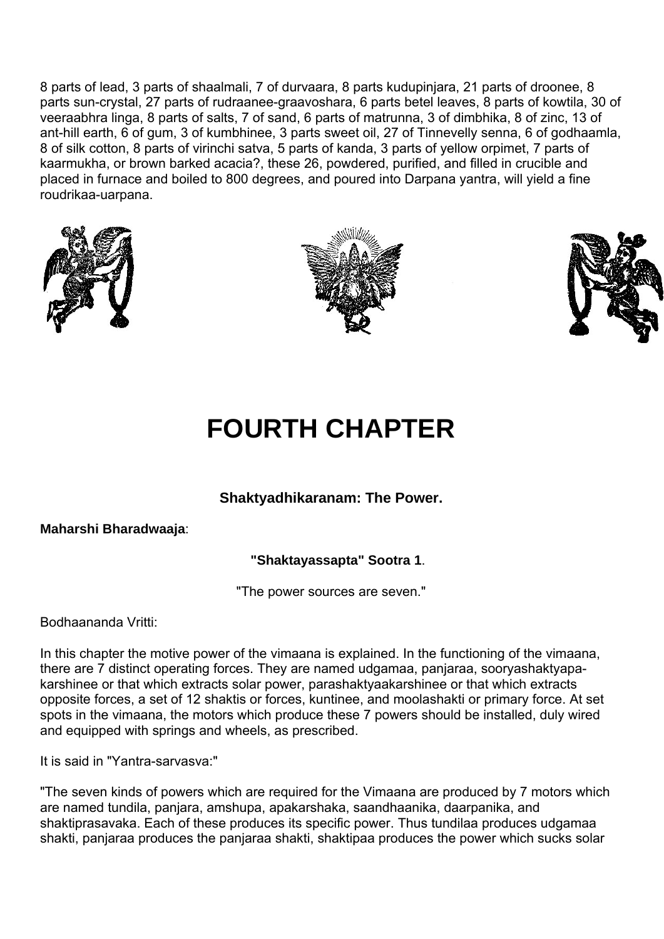8 parts of lead, 3 parts of shaalmali, 7 of durvaara, 8 parts kudupinjara, 21 parts of droonee, 8 parts sun-crystal, 27 parts of rudraanee-graavoshara, 6 parts betel leaves, 8 parts of kowtila, 30 of veeraabhra linga, 8 parts of salts, 7 of sand, 6 parts of matrunna, 3 of dimbhika, 8 of zinc, 13 of ant-hill earth, 6 of gum, 3 of kumbhinee, 3 parts sweet oil, 27 of Tinnevelly senna, 6 of godhaamla, 8 of silk cotton, 8 parts of virinchi satva, 5 parts of kanda, 3 parts of yellow orpimet, 7 parts of kaarmukha, or brown barked acacia?, these 26, powdered, purified, and filled in crucible and placed in furnace and boiled to 800 degrees, and poured into Darpana yantra, will yield a fine roudrikaa-uarpana.







# **FOURTH CHAPTER**

**Shaktyadhikaranam: The Power.** 

**Maharshi Bharadwaaja**:

**"Shaktayassapta" Sootra 1**.

"The power sources are seven."

Bodhaananda Vritti:

In this chapter the motive power of the vimaana is explained. In the functioning of the vimaana, there are 7 distinct operating forces. They are named udgamaa, panjaraa, sooryashaktyapakarshinee or that which extracts solar power, parashaktyaakarshinee or that which extracts opposite forces, a set of 12 shaktis or forces, kuntinee, and moolashakti or primary force. At set spots in the vimaana, the motors which produce these 7 powers should be installed, duly wired and equipped with springs and wheels, as prescribed.

It is said in "Yantra-sarvasva:"

"The seven kinds of powers which are required for the Vimaana are produced by 7 motors which are named tundila, panjara, amshupa, apakarshaka, saandhaanika, daarpanika, and shaktiprasavaka. Each of these produces its specific power. Thus tundilaa produces udgamaa shakti, panjaraa produces the panjaraa shakti, shaktipaa produces the power which sucks solar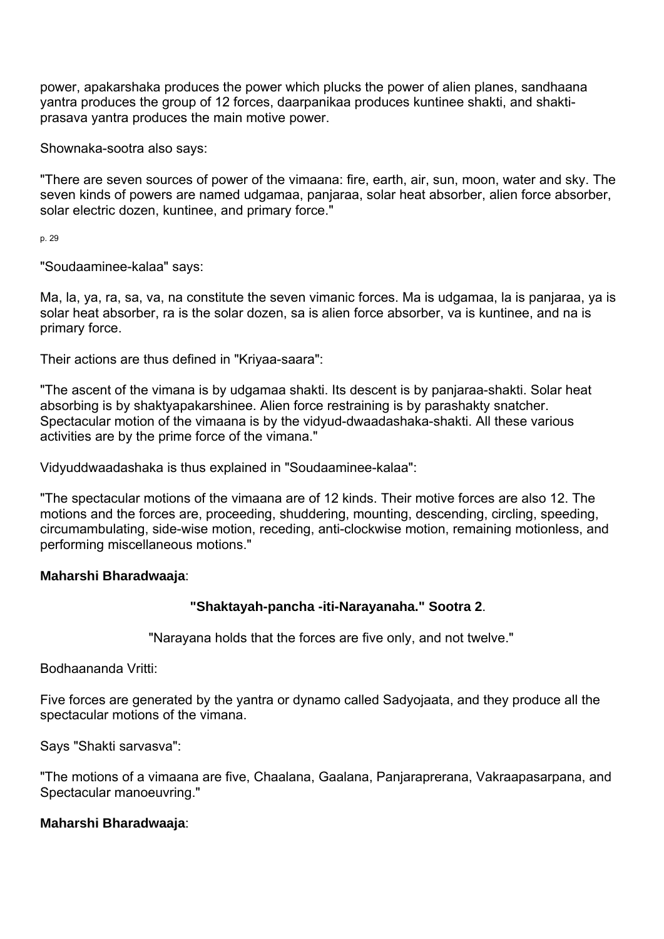power, apakarshaka produces the power which plucks the power of alien planes, sandhaana yantra produces the group of 12 forces, daarpanikaa produces kuntinee shakti, and shaktiprasava yantra produces the main motive power.

Shownaka-sootra also says:

"There are seven sources of power of the vimaana: fire, earth, air, sun, moon, water and sky. The seven kinds of powers are named udgamaa, panjaraa, solar heat absorber, alien force absorber, solar electric dozen, kuntinee, and primary force."

p. 29

"Soudaaminee-kalaa" says:

Ma, la, ya, ra, sa, va, na constitute the seven vimanic forces. Ma is udgamaa, la is panjaraa, ya is solar heat absorber, ra is the solar dozen, sa is alien force absorber, va is kuntinee, and na is primary force.

Their actions are thus defined in "Kriyaa-saara":

"The ascent of the vimana is by udgamaa shakti. Its descent is by panjaraa-shakti. Solar heat absorbing is by shaktyapakarshinee. Alien force restraining is by parashakty snatcher. Spectacular motion of the vimaana is by the vidyud-dwaadashaka-shakti. All these various activities are by the prime force of the vimana."

Vidyuddwaadashaka is thus explained in "Soudaaminee-kalaa":

"The spectacular motions of the vimaana are of 12 kinds. Their motive forces are also 12. The motions and the forces are, proceeding, shuddering, mounting, descending, circling, speeding, circumambulating, side-wise motion, receding, anti-clockwise motion, remaining motionless, and performing miscellaneous motions."

#### **Maharshi Bharadwaaja**:

#### **"Shaktayah-pancha -iti-Narayanaha." Sootra 2**.

"Narayana holds that the forces are five only, and not twelve."

Bodhaananda Vritti:

Five forces are generated by the yantra or dynamo called Sadyojaata, and they produce all the spectacular motions of the vimana.

Says "Shakti sarvasva":

"The motions of a vimaana are five, Chaalana, Gaalana, Panjaraprerana, Vakraapasarpana, and Spectacular manoeuvring."

#### **Maharshi Bharadwaaja**: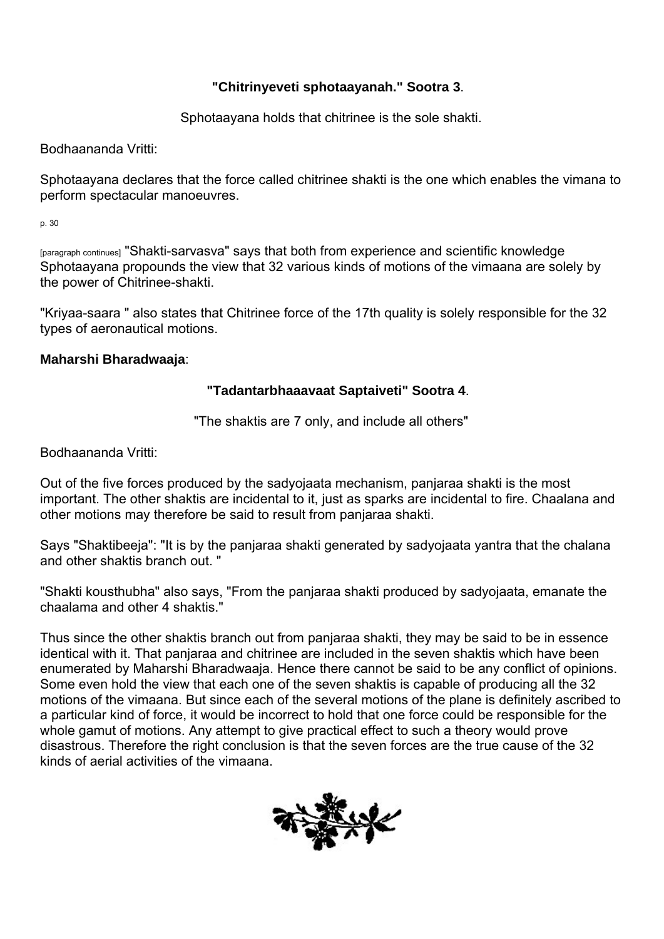## **"Chitrinyeveti sphotaayanah." Sootra 3**.

Sphotaayana holds that chitrinee is the sole shakti.

Bodhaananda Vritti:

Sphotaayana declares that the force called chitrinee shakti is the one which enables the vimana to perform spectacular manoeuvres.

p. 30

[paragraph continues] "Shakti-sarvasva" says that both from experience and scientific knowledge Sphotaayana propounds the view that 32 various kinds of motions of the vimaana are solely by the power of Chitrinee-shakti.

"Kriyaa-saara " also states that Chitrinee force of the 17th quality is solely responsible for the 32 types of aeronautical motions.

## **Maharshi Bharadwaaja**:

## **"Tadantarbhaaavaat Saptaiveti" Sootra 4**.

"The shaktis are 7 only, and include all others"

Bodhaananda Vritti:

Out of the five forces produced by the sadyojaata mechanism, panjaraa shakti is the most important. The other shaktis are incidental to it, just as sparks are incidental to fire. Chaalana and other motions may therefore be said to result from panjaraa shakti.

Says "Shaktibeeja": "It is by the panjaraa shakti generated by sadyojaata yantra that the chalana and other shaktis branch out. "

"Shakti kousthubha" also says, "From the panjaraa shakti produced by sadyojaata, emanate the chaalama and other 4 shaktis."

Thus since the other shaktis branch out from panjaraa shakti, they may be said to be in essence identical with it. That panjaraa and chitrinee are included in the seven shaktis which have been enumerated by Maharshi Bharadwaaja. Hence there cannot be said to be any conflict of opinions. Some even hold the view that each one of the seven shaktis is capable of producing all the 32 motions of the vimaana. But since each of the several motions of the plane is definitely ascribed to a particular kind of force, it would be incorrect to hold that one force could be responsible for the whole gamut of motions. Any attempt to give practical effect to such a theory would prove disastrous. Therefore the right conclusion is that the seven forces are the true cause of the 32 kinds of aerial activities of the vimaana.

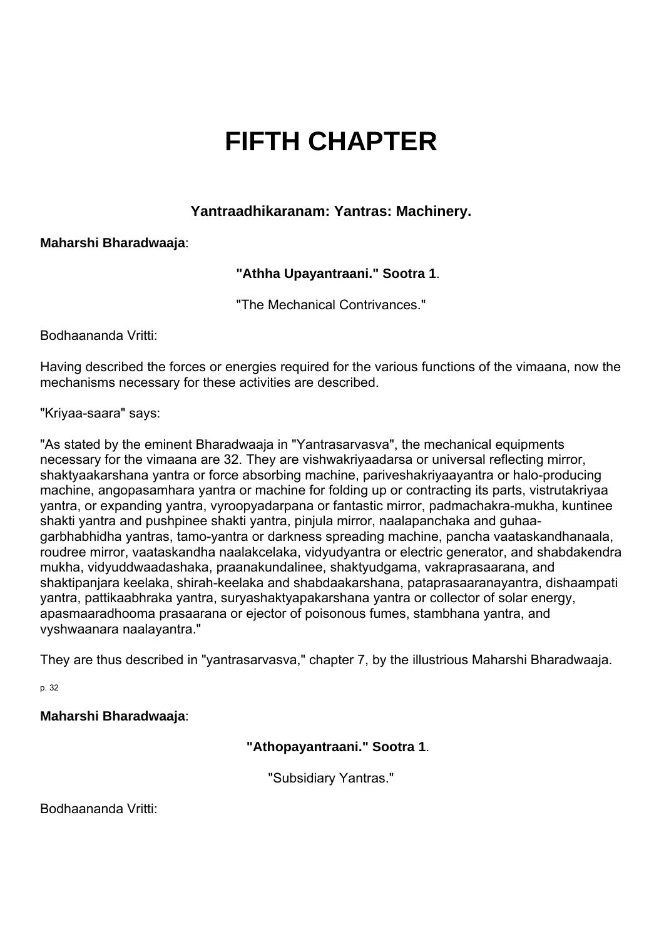# **FIFTH CHAPTER**

# **Yantraadhikaranam: Yantras: Machinery.**

# **Maharshi Bharadwaaja**:

# **"Athha Upayantraani." Sootra 1**.

"The Mechanical Contrivances."

Bodhaananda Vritti:

Having described the forces or energies required for the various functions of the vimaana, now the mechanisms necessary for these activities are described.

"Kriyaa-saara" says:

"As stated by the eminent Bharadwaaja in "Yantrasarvasva", the mechanical equipments necessary for the vimaana are 32. They are vishwakriyaadarsa or universal reflecting mirror, shaktyaakarshana yantra or force absorbing machine, pariveshakriyaayantra or halo-producing machine, angopasamhara yantra or machine for folding up or contracting its parts, vistrutakriyaa yantra, or expanding yantra, vyroopyadarpana or fantastic mirror, padmachakra-mukha, kuntinee shakti yantra and pushpinee shakti yantra, pinjula mirror, naalapanchaka and guhaagarbhabhidha yantras, tamo-yantra or darkness spreading machine, pancha vaataskandhanaala, roudree mirror, vaataskandha naalakcelaka, vidyudyantra or electric generator, and shabdakendra mukha, vidyuddwaadashaka, praanakundalinee, shaktyudgama, vakraprasaarana, and shaktipanjara keelaka, shirah-keelaka and shabdaakarshana, pataprasaaranayantra, dishaampati yantra, pattikaabhraka yantra, suryashaktyapakarshana yantra or collector of solar energy, apasmaaradhooma prasaarana or ejector of poisonous fumes, stambhana yantra, and vyshwaanara naalayantra."

They are thus described in "yantrasarvasva," chapter 7, by the illustrious Maharshi Bharadwaaja.

p. 32

**Maharshi Bharadwaaja**:

**"Athopayantraani." Sootra 1**.

"Subsidiary Yantras."

Bodhaananda Vritti: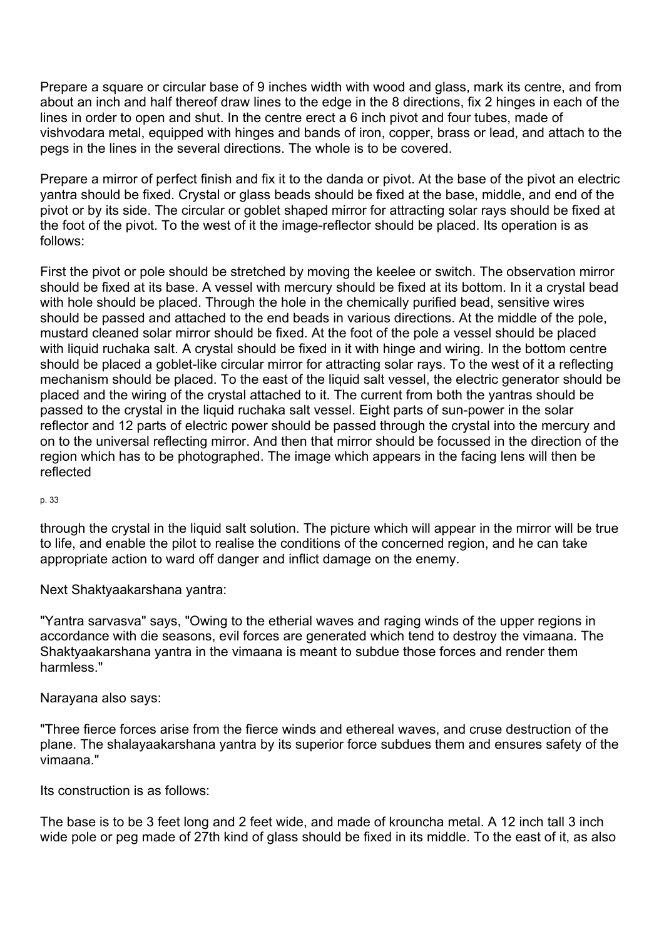Prepare a square or circular base of 9 inches width with wood and glass, mark its centre, and from about an inch and half thereof draw lines to the edge in the 8 directions, fix 2 hinges in each of the lines in order to open and shut. In the centre erect a 6 inch pivot and four tubes, made of vishvodara metal, equipped with hinges and bands of iron, copper, brass or lead, and attach to the pegs in the lines in the several directions. The whole is to be covered.

Prepare a mirror of perfect finish and fix it to the danda or pivot. At the base of the pivot an electric yantra should be fixed. Crystal or glass beads should be fixed at the base, middle, and end of the pivot or by its side. The circular or goblet shaped mirror for attracting solar rays should be fixed at the foot of the pivot. To the west of it the image-reflector should be placed. Its operation is as follows:

First the pivot or pole should be stretched by moving the keelee or switch. The observation mirror should be fixed at its base. A vessel with mercury should be fixed at its bottom. In it a crystal bead with hole should be placed. Through the hole in the chemically purified bead, sensitive wires should be passed and attached to the end beads in various directions. At the middle of the pole, mustard cleaned solar mirror should be fixed. At the foot of the pole a vessel should be placed with liquid ruchaka salt. A crystal should be fixed in it with hinge and wiring. In the bottom centre should be placed a goblet-like circular mirror for attracting solar rays. To the west of it a reflecting mechanism should be placed. To the east of the liquid salt vessel, the electric generator should be placed and the wiring of the crystal attached to it. The current from both the yantras should be passed to the crystal in the liquid ruchaka salt vessel. Eight parts of sun-power in the solar reflector and 12 parts of electric power should be passed through the crystal into the mercury and on to the universal reflecting mirror. And then that mirror should be focussed in the direction of the region which has to be photographed. The image which appears in the facing lens will then be reflected

p. 33

through the crystal in the liquid salt solution. The picture which will appear in the mirror will be true to life, and enable the pilot to realise the conditions of the concerned region, and he can take appropriate action to ward off danger and inflict damage on the enemy.

Next Shaktyaakarshana yantra:

"Yantra sarvasva" says, "Owing to the etherial waves and raging winds of the upper regions in accordance with die seasons, evil forces are generated which tend to destroy the vimaana. The Shaktyaakarshana yantra in the vimaana is meant to subdue those forces and render them harmless."

## Narayana also says:

"Three fierce forces arise from the fierce winds and ethereal waves, and cruse destruction of the plane. The shalayaakarshana yantra by its superior force subdues them and ensures safety of the vimaana."

Its construction is as follows:

The base is to be 3 feet long and 2 feet wide, and made of krouncha metal. A 12 inch tall 3 inch wide pole or peg made of 27th kind of glass should be fixed in its middle. To the east of it, as also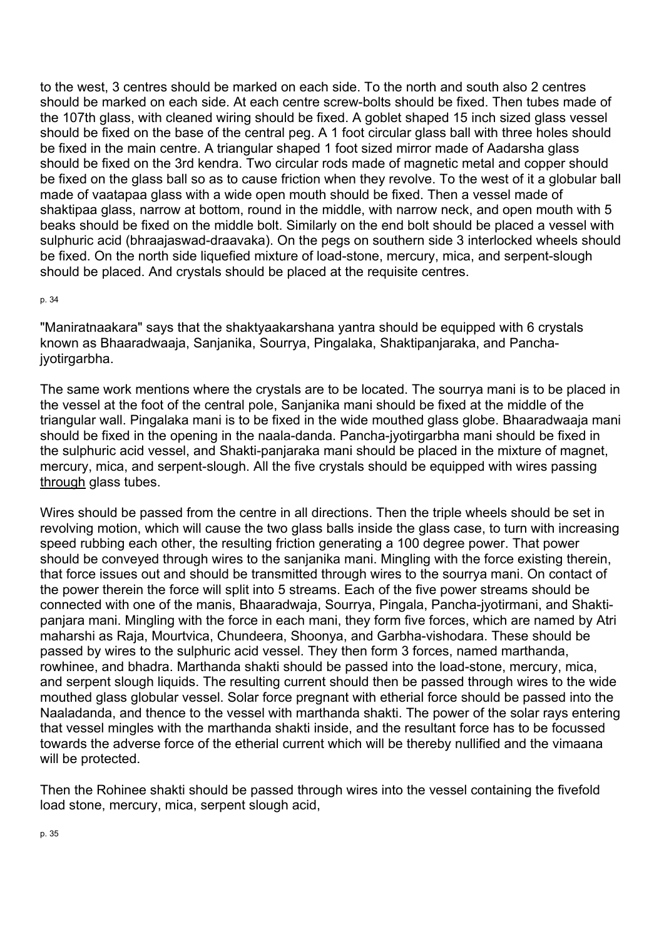to the west, 3 centres should be marked on each side. To the north and south also 2 centres should be marked on each side. At each centre screw-bolts should be fixed. Then tubes made of the 107th glass, with cleaned wiring should be fixed. A goblet shaped 15 inch sized glass vessel should be fixed on the base of the central peg. A 1 foot circular glass ball with three holes should be fixed in the main centre. A triangular shaped 1 foot sized mirror made of Aadarsha glass should be fixed on the 3rd kendra. Two circular rods made of magnetic metal and copper should be fixed on the glass ball so as to cause friction when they revolve. To the west of it a globular ball made of vaatapaa glass with a wide open mouth should be fixed. Then a vessel made of shaktipaa glass, narrow at bottom, round in the middle, with narrow neck, and open mouth with 5 beaks should be fixed on the middle bolt. Similarly on the end bolt should be placed a vessel with sulphuric acid (bhraajaswad-draavaka). On the pegs on southern side 3 interlocked wheels should be fixed. On the north side liquefied mixture of load-stone, mercury, mica, and serpent-slough should be placed. And crystals should be placed at the requisite centres.

#### p. 34

"Maniratnaakara" says that the shaktyaakarshana yantra should be equipped with 6 crystals known as Bhaaradwaaja, Sanjanika, Sourrya, Pingalaka, Shaktipanjaraka, and Panchajyotirgarbha.

The same work mentions where the crystals are to be located. The sourrya mani is to be placed in the vessel at the foot of the central pole, Sanjanika mani should be fixed at the middle of the triangular wall. Pingalaka mani is to be fixed in the wide mouthed glass globe. Bhaaradwaaja mani should be fixed in the opening in the naala-danda. Pancha-jyotirgarbha mani should be fixed in the sulphuric acid vessel, and Shakti-panjaraka mani should be placed in the mixture of magnet, mercury, mica, and serpent-slough. All the five crystals should be equipped with wires passing through glass tubes.

Wires should be passed from the centre in all directions. Then the triple wheels should be set in revolving motion, which will cause the two glass balls inside the glass case, to turn with increasing speed rubbing each other, the resulting friction generating a 100 degree power. That power should be conveyed through wires to the sanjanika mani. Mingling with the force existing therein, that force issues out and should be transmitted through wires to the sourrya mani. On contact of the power therein the force will split into 5 streams. Each of the five power streams should be connected with one of the manis, Bhaaradwaja, Sourrya, Pingala, Pancha-jyotirmani, and Shaktipanjara mani. Mingling with the force in each mani, they form five forces, which are named by Atri maharshi as Raja, Mourtvica, Chundeera, Shoonya, and Garbha-vishodara. These should be passed by wires to the sulphuric acid vessel. They then form 3 forces, named marthanda, rowhinee, and bhadra. Marthanda shakti should be passed into the load-stone, mercury, mica, and serpent slough liquids. The resulting current should then be passed through wires to the wide mouthed glass globular vessel. Solar force pregnant with etherial force should be passed into the Naaladanda, and thence to the vessel with marthanda shakti. The power of the solar rays entering that vessel mingles with the marthanda shakti inside, and the resultant force has to be focussed towards the adverse force of the etherial current which will be thereby nullified and the vimaana will be protected.

Then the Rohinee shakti should be passed through wires into the vessel containing the fivefold load stone, mercury, mica, serpent slough acid,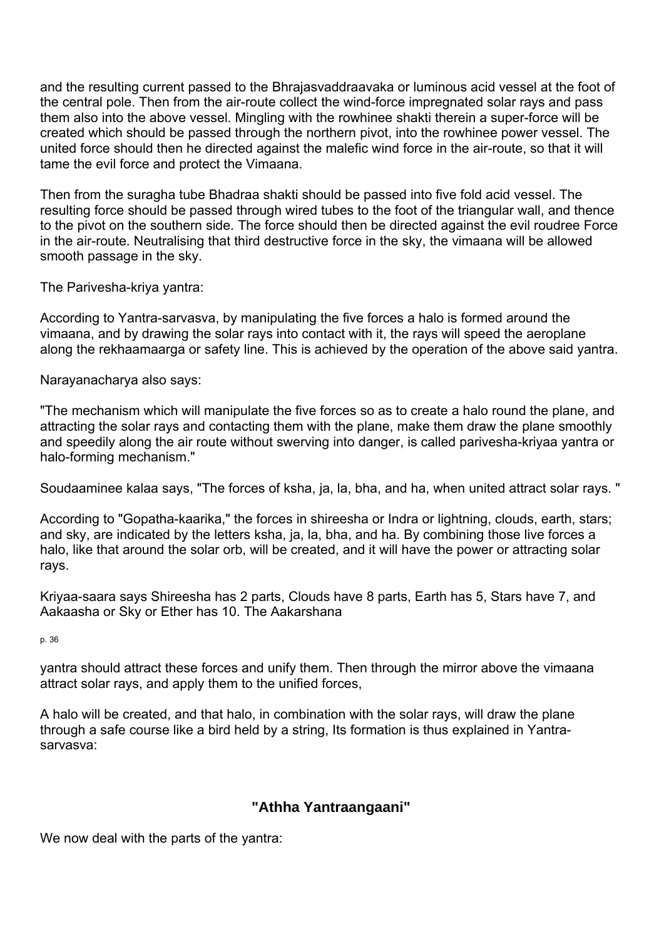and the resulting current passed to the Bhrajasvaddraavaka or luminous acid vessel at the foot of the central pole. Then from the air-route collect the wind-force impregnated solar rays and pass them also into the above vessel. Mingling with the rowhinee shakti therein a super-force will be created which should be passed through the northern pivot, into the rowhinee power vessel. The united force should then he directed against the malefic wind force in the air-route, so that it will tame the evil force and protect the Vimaana.

Then from the suragha tube Bhadraa shakti should be passed into five fold acid vessel. The resulting force should be passed through wired tubes to the foot of the triangular wall, and thence to the pivot on the southern side. The force should then be directed against the evil roudree Force in the air-route. Neutralising that third destructive force in the sky, the vimaana will be allowed smooth passage in the sky.

The Parivesha-kriya yantra:

According to Yantra-sarvasva, by manipulating the five forces a halo is formed around the vimaana, and by drawing the solar rays into contact with it, the rays will speed the aeroplane along the rekhaamaarga or safety line. This is achieved by the operation of the above said yantra.

Narayanacharya also says:

"The mechanism which will manipulate the five forces so as to create a halo round the plane, and attracting the solar rays and contacting them with the plane, make them draw the plane smoothly and speedily along the air route without swerving into danger, is called parivesha-kriyaa yantra or halo-forming mechanism."

Soudaaminee kalaa says, "The forces of ksha, ja, la, bha, and ha, when united attract solar rays. "

According to "Gopatha-kaarika," the forces in shireesha or Indra or lightning, clouds, earth, stars; and sky, are indicated by the letters ksha, ja, la, bha, and ha. By combining those live forces a halo, like that around the solar orb, will be created, and it will have the power or attracting solar rays.

Kriyaa-saara says Shireesha has 2 parts, Clouds have 8 parts, Earth has 5, Stars have 7, and Aakaasha or Sky or Ether has 10. The Aakarshana

p. 36

yantra should attract these forces and unify them. Then through the mirror above the vimaana attract solar rays, and apply them to the unified forces,

A halo will be created, and that halo, in combination with the solar rays, will draw the plane through a safe course like a bird held by a string, Its formation is thus explained in Yantrasarvasva:

# **"Athha Yantraangaani"**

We now deal with the parts of the vantra: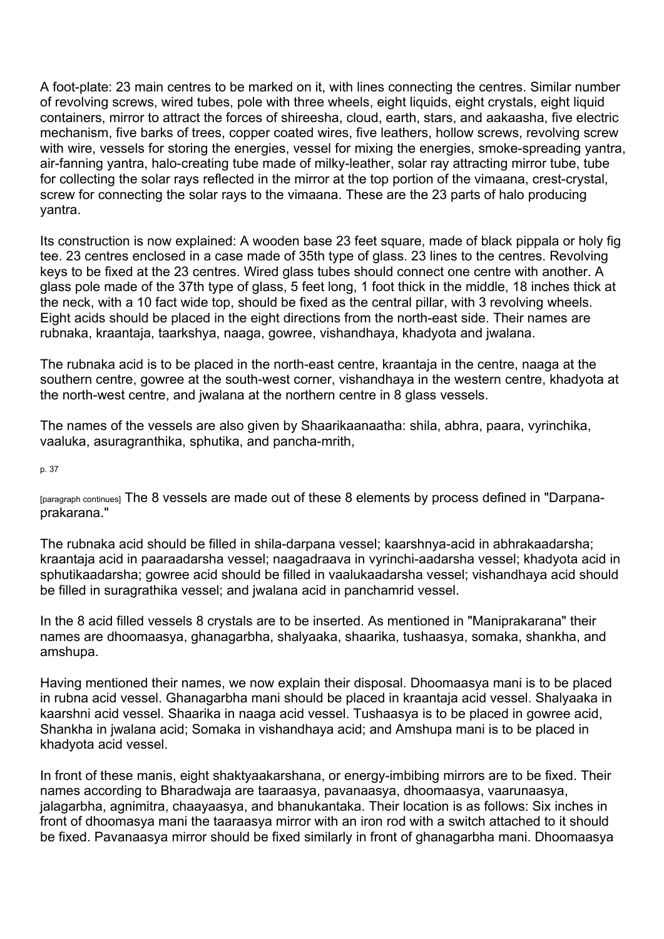A foot-plate: 23 main centres to be marked on it, with lines connecting the centres. Similar number of revolving screws, wired tubes, pole with three wheels, eight liquids, eight crystals, eight liquid containers, mirror to attract the forces of shireesha, cloud, earth, stars, and aakaasha, five electric mechanism, five barks of trees, copper coated wires, five leathers, hollow screws, revolving screw with wire, vessels for storing the energies, vessel for mixing the energies, smoke-spreading yantra, air-fanning yantra, halo-creating tube made of milky-leather, solar ray attracting mirror tube, tube for collecting the solar rays reflected in the mirror at the top portion of the vimaana, crest-crystal, screw for connecting the solar rays to the vimaana. These are the 23 parts of halo producing yantra.

Its construction is now explained: A wooden base 23 feet square, made of black pippala or holy fig tee. 23 centres enclosed in a case made of 35th type of glass. 23 lines to the centres. Revolving keys to be fixed at the 23 centres. Wired glass tubes should connect one centre with another. A glass pole made of the 37th type of glass, 5 feet long, 1 foot thick in the middle, 18 inches thick at the neck, with a 10 fact wide top, should be fixed as the central pillar, with 3 revolving wheels. Eight acids should be placed in the eight directions from the north-east side. Their names are rubnaka, kraantaja, taarkshya, naaga, gowree, vishandhaya, khadyota and jwalana.

The rubnaka acid is to be placed in the north-east centre, kraantaja in the centre, naaga at the southern centre, gowree at the south-west corner, vishandhaya in the western centre, khadyota at the north-west centre, and jwalana at the northern centre in 8 glass vessels.

The names of the vessels are also given by Shaarikaanaatha: shila, abhra, paara, vyrinchika, vaaluka, asuragranthika, sphutika, and pancha-mrith,

p. 37

[paragraph continues] The 8 vessels are made out of these 8 elements by process defined in "Darpanaprakarana."

The rubnaka acid should be filled in shila-darpana vessel; kaarshnya-acid in abhrakaadarsha; kraantaja acid in paaraadarsha vessel; naagadraava in vyrinchi-aadarsha vessel; khadyota acid in sphutikaadarsha; gowree acid should be filled in vaalukaadarsha vessel; vishandhaya acid should be filled in suragrathika vessel; and jwalana acid in panchamrid vessel.

In the 8 acid filled vessels 8 crystals are to be inserted. As mentioned in "Maniprakarana" their names are dhoomaasya, ghanagarbha, shalyaaka, shaarika, tushaasya, somaka, shankha, and amshupa.

Having mentioned their names, we now explain their disposal. Dhoomaasya mani is to be placed in rubna acid vessel. Ghanagarbha mani should be placed in kraantaja acid vessel. Shalyaaka in kaarshni acid vessel. Shaarika in naaga acid vessel. Tushaasya is to be placed in gowree acid, Shankha in jwalana acid; Somaka in vishandhaya acid; and Amshupa mani is to be placed in khadyota acid vessel.

In front of these manis, eight shaktyaakarshana, or energy-imbibing mirrors are to be fixed. Their names according to Bharadwaja are taaraasya, pavanaasya, dhoomaasya, vaarunaasya, jalagarbha, agnimitra, chaayaasya, and bhanukantaka. Their location is as follows: Six inches in front of dhoomasya mani the taaraasya mirror with an iron rod with a switch attached to it should be fixed. Pavanaasya mirror should be fixed similarly in front of ghanagarbha mani. Dhoomaasya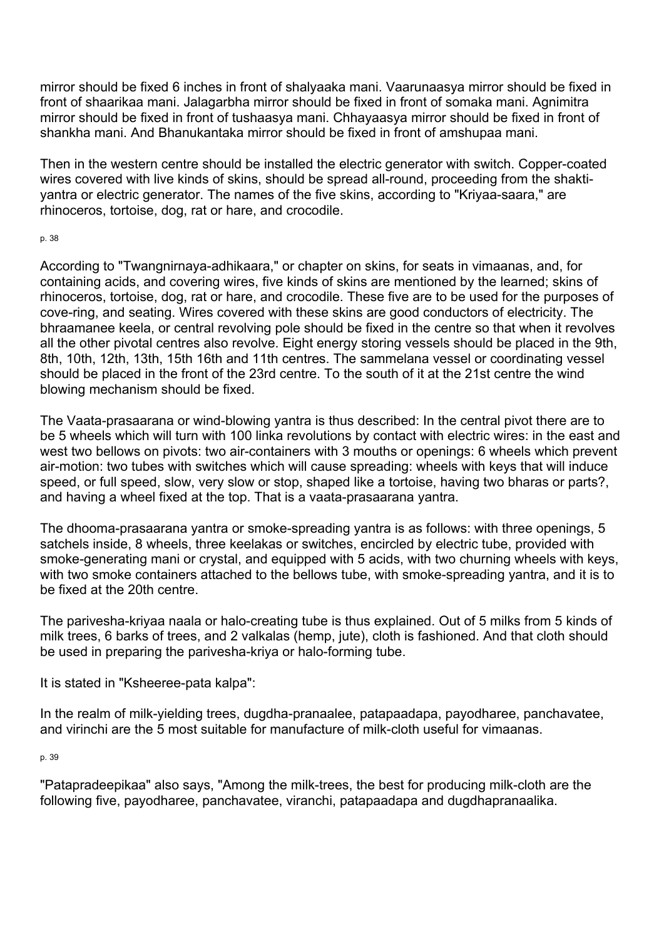mirror should be fixed 6 inches in front of shalyaaka mani. Vaarunaasya mirror should be fixed in front of shaarikaa mani. Jalagarbha mirror should be fixed in front of somaka mani. Agnimitra mirror should be fixed in front of tushaasya mani. Chhayaasya mirror should be fixed in front of shankha mani. And Bhanukantaka mirror should be fixed in front of amshupaa mani.

Then in the western centre should be installed the electric generator with switch. Copper-coated wires covered with live kinds of skins, should be spread all-round, proceeding from the shaktiyantra or electric generator. The names of the five skins, according to "Kriyaa-saara," are rhinoceros, tortoise, dog, rat or hare, and crocodile.

#### p. 38

According to "Twangnirnaya-adhikaara," or chapter on skins, for seats in vimaanas, and, for containing acids, and covering wires, five kinds of skins are mentioned by the learned; skins of rhinoceros, tortoise, dog, rat or hare, and crocodile. These five are to be used for the purposes of cove-ring, and seating. Wires covered with these skins are good conductors of electricity. The bhraamanee keela, or central revolving pole should be fixed in the centre so that when it revolves all the other pivotal centres also revolve. Eight energy storing vessels should be placed in the 9th, 8th, 10th, 12th, 13th, 15th 16th and 11th centres. The sammelana vessel or coordinating vessel should be placed in the front of the 23rd centre. To the south of it at the 21st centre the wind blowing mechanism should be fixed.

The Vaata-prasaarana or wind-blowing yantra is thus described: In the central pivot there are to be 5 wheels which will turn with 100 linka revolutions by contact with electric wires: in the east and west two bellows on pivots: two air-containers with 3 mouths or openings: 6 wheels which prevent air-motion: two tubes with switches which will cause spreading: wheels with keys that will induce speed, or full speed, slow, very slow or stop, shaped like a tortoise, having two bharas or parts?, and having a wheel fixed at the top. That is a vaata-prasaarana yantra.

The dhooma-prasaarana yantra or smoke-spreading yantra is as follows: with three openings, 5 satchels inside, 8 wheels, three keelakas or switches, encircled by electric tube, provided with smoke-generating mani or crystal, and equipped with 5 acids, with two churning wheels with keys, with two smoke containers attached to the bellows tube, with smoke-spreading yantra, and it is to be fixed at the 20th centre.

The parivesha-kriyaa naala or halo-creating tube is thus explained. Out of 5 milks from 5 kinds of milk trees, 6 barks of trees, and 2 valkalas (hemp, jute), cloth is fashioned. And that cloth should be used in preparing the parivesha-kriya or halo-forming tube.

It is stated in "Ksheeree-pata kalpa":

In the realm of milk-yielding trees, dugdha-pranaalee, patapaadapa, payodharee, panchavatee, and virinchi are the 5 most suitable for manufacture of milk-cloth useful for vimaanas.

p. 39

"Patapradeepikaa" also says, "Among the milk-trees, the best for producing milk-cloth are the following five, payodharee, panchavatee, viranchi, patapaadapa and dugdhapranaalika.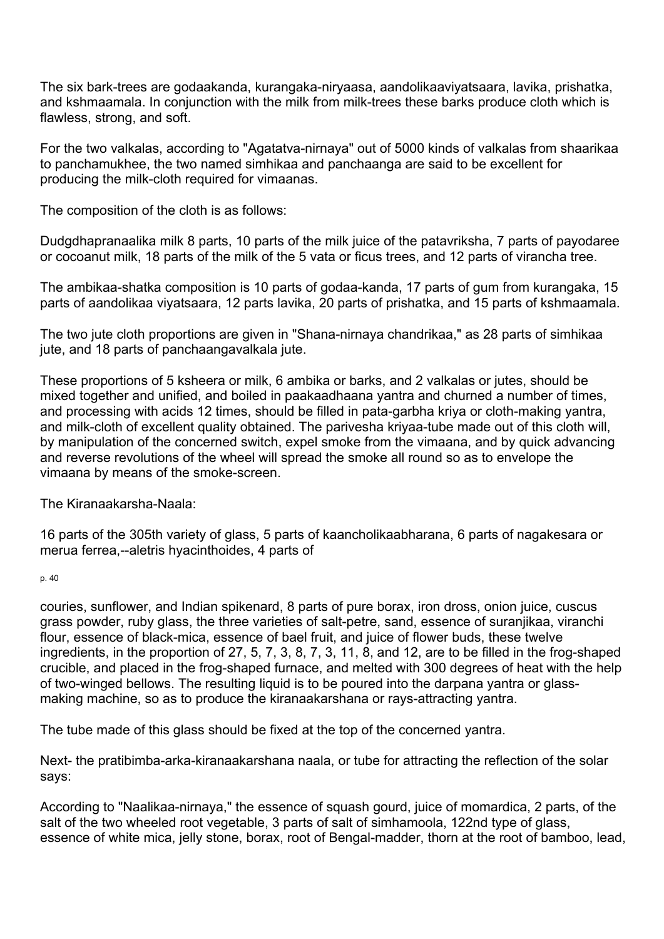The six bark-trees are godaakanda, kurangaka-niryaasa, aandolikaaviyatsaara, lavika, prishatka, and kshmaamala. In conjunction with the milk from milk-trees these barks produce cloth which is flawless, strong, and soft.

For the two valkalas, according to "Agatatva-nirnaya" out of 5000 kinds of valkalas from shaarikaa to panchamukhee, the two named simhikaa and panchaanga are said to be excellent for producing the milk-cloth required for vimaanas.

The composition of the cloth is as follows:

Dudgdhapranaalika milk 8 parts, 10 parts of the milk juice of the patavriksha, 7 parts of payodaree or cocoanut milk, 18 parts of the milk of the 5 vata or ficus trees, and 12 parts of virancha tree.

The ambikaa-shatka composition is 10 parts of godaa-kanda, 17 parts of gum from kurangaka, 15 parts of aandolikaa viyatsaara, 12 parts lavika, 20 parts of prishatka, and 15 parts of kshmaamala.

The two jute cloth proportions are given in "Shana-nirnaya chandrikaa," as 28 parts of simhikaa jute, and 18 parts of panchaangavalkala jute.

These proportions of 5 ksheera or milk, 6 ambika or barks, and 2 valkalas or jutes, should be mixed together and unified, and boiled in paakaadhaana yantra and churned a number of times, and processing with acids 12 times, should be filled in pata-garbha kriya or cloth-making yantra, and milk-cloth of excellent quality obtained. The parivesha kriyaa-tube made out of this cloth will, by manipulation of the concerned switch, expel smoke from the vimaana, and by quick advancing and reverse revolutions of the wheel will spread the smoke all round so as to envelope the vimaana by means of the smoke-screen.

The Kiranaakarsha-Naala:

16 parts of the 305th variety of glass, 5 parts of kaancholikaabharana, 6 parts of nagakesara or merua ferrea,--aletris hyacinthoides, 4 parts of

p. 40

couries, sunflower, and Indian spikenard, 8 parts of pure borax, iron dross, onion juice, cuscus grass powder, ruby glass, the three varieties of salt-petre, sand, essence of suranjikaa, viranchi flour, essence of black-mica, essence of bael fruit, and juice of flower buds, these twelve ingredients, in the proportion of 27, 5, 7, 3, 8, 7, 3, 11, 8, and 12, are to be filled in the frog-shaped crucible, and placed in the frog-shaped furnace, and melted with 300 degrees of heat with the help of two-winged bellows. The resulting liquid is to be poured into the darpana yantra or glassmaking machine, so as to produce the kiranaakarshana or rays-attracting yantra.

The tube made of this glass should be fixed at the top of the concerned yantra.

Next- the pratibimba-arka-kiranaakarshana naala, or tube for attracting the reflection of the solar says:

According to "Naalikaa-nirnaya," the essence of squash gourd, juice of momardica, 2 parts, of the salt of the two wheeled root vegetable, 3 parts of salt of simhamoola, 122nd type of glass, essence of white mica, jelly stone, borax, root of Bengal-madder, thorn at the root of bamboo, lead,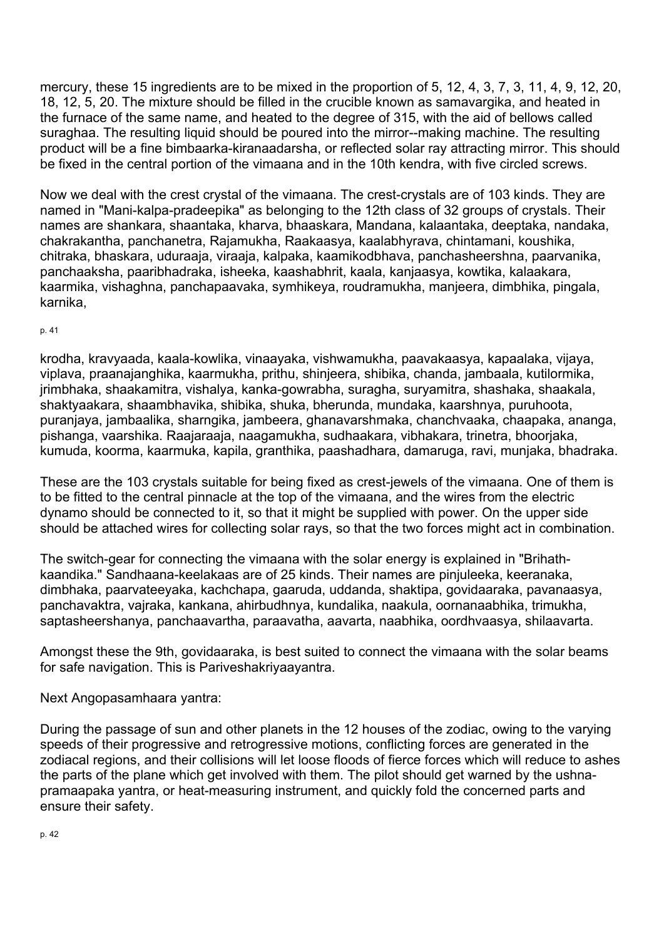mercury, these 15 ingredients are to be mixed in the proportion of 5, 12, 4, 3, 7, 3, 11, 4, 9, 12, 20, 18, 12, 5, 20. The mixture should be filled in the crucible known as samavargika, and heated in the furnace of the same name, and heated to the degree of 315, with the aid of bellows called suraghaa. The resulting liquid should be poured into the mirror--making machine. The resulting product will be a fine bimbaarka-kiranaadarsha, or reflected solar ray attracting mirror. This should be fixed in the central portion of the vimaana and in the 10th kendra, with five circled screws.

Now we deal with the crest crystal of the vimaana. The crest-crystals are of 103 kinds. They are named in "Mani-kalpa-pradeepika" as belonging to the 12th class of 32 groups of crystals. Their names are shankara, shaantaka, kharva, bhaaskara, Mandana, kalaantaka, deeptaka, nandaka, chakrakantha, panchanetra, Rajamukha, Raakaasya, kaalabhyrava, chintamani, koushika, chitraka, bhaskara, uduraaja, viraaja, kalpaka, kaamikodbhava, panchasheershna, paarvanika, panchaaksha, paaribhadraka, isheeka, kaashabhrit, kaala, kanjaasya, kowtika, kalaakara, kaarmika, vishaghna, panchapaavaka, symhikeya, roudramukha, manjeera, dimbhika, pingala, karnika,

p. 41

krodha, kravyaada, kaala-kowlika, vinaayaka, vishwamukha, paavakaasya, kapaalaka, vijaya, viplava, praanajanghika, kaarmukha, prithu, shinjeera, shibika, chanda, jambaala, kutilormika, jrimbhaka, shaakamitra, vishalya, kanka-gowrabha, suragha, suryamitra, shashaka, shaakala, shaktyaakara, shaambhavika, shibika, shuka, bherunda, mundaka, kaarshnya, puruhoota, puranjaya, jambaalika, sharngika, jambeera, ghanavarshmaka, chanchvaaka, chaapaka, ananga, pishanga, vaarshika. Raajaraaja, naagamukha, sudhaakara, vibhakara, trinetra, bhoorjaka, kumuda, koorma, kaarmuka, kapila, granthika, paashadhara, damaruga, ravi, munjaka, bhadraka.

These are the 103 crystals suitable for being fixed as crest-jewels of the vimaana. One of them is to be fitted to the central pinnacle at the top of the vimaana, and the wires from the electric dynamo should be connected to it, so that it might be supplied with power. On the upper side should be attached wires for collecting solar rays, so that the two forces might act in combination.

The switch-gear for connecting the vimaana with the solar energy is explained in "Brihathkaandika." Sandhaana-keelakaas are of 25 kinds. Their names are pinjuleeka, keeranaka, dimbhaka, paarvateeyaka, kachchapa, gaaruda, uddanda, shaktipa, govidaaraka, pavanaasya, panchavaktra, vajraka, kankana, ahirbudhnya, kundalika, naakula, oornanaabhika, trimukha, saptasheershanya, panchaavartha, paraavatha, aavarta, naabhika, oordhvaasya, shilaavarta.

Amongst these the 9th, govidaaraka, is best suited to connect the vimaana with the solar beams for safe navigation. This is Pariveshakriyaayantra.

Next Angopasamhaara yantra:

During the passage of sun and other planets in the 12 houses of the zodiac, owing to the varying speeds of their progressive and retrogressive motions, conflicting forces are generated in the zodiacal regions, and their collisions will let loose floods of fierce forces which will reduce to ashes the parts of the plane which get involved with them. The pilot should get warned by the ushnapramaapaka yantra, or heat-measuring instrument, and quickly fold the concerned parts and ensure their safety.

p. 42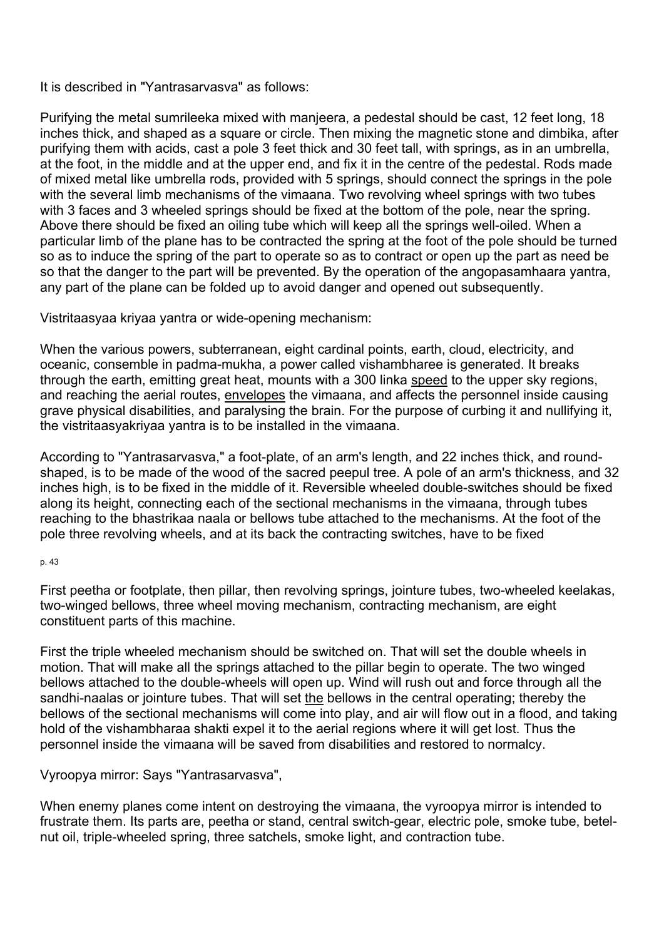It is described in "Yantrasarvasva" as follows:

Purifying the metal sumrileeka mixed with manjeera, a pedestal should be cast, 12 feet long, 18 inches thick, and shaped as a square or circle. Then mixing the magnetic stone and dimbika, after purifying them with acids, cast a pole 3 feet thick and 30 feet tall, with springs, as in an umbrella, at the foot, in the middle and at the upper end, and fix it in the centre of the pedestal. Rods made of mixed metal like umbrella rods, provided with 5 springs, should connect the springs in the pole with the several limb mechanisms of the vimaana. Two revolving wheel springs with two tubes with 3 faces and 3 wheeled springs should be fixed at the bottom of the pole, near the spring. Above there should be fixed an oiling tube which will keep all the springs well-oiled. When a particular limb of the plane has to be contracted the spring at the foot of the pole should be turned so as to induce the spring of the part to operate so as to contract or open up the part as need be so that the danger to the part will be prevented. By the operation of the angopasamhaara yantra, any part of the plane can be folded up to avoid danger and opened out subsequently.

Vistritaasyaa kriyaa yantra or wide-opening mechanism:

When the various powers, subterranean, eight cardinal points, earth, cloud, electricity, and oceanic, consemble in padma-mukha, a power called vishambharee is generated. It breaks through the earth, emitting great heat, mounts with a 300 linka speed to the upper sky regions, and reaching the aerial routes, envelopes the vimaana, and affects the personnel inside causing grave physical disabilities, and paralysing the brain. For the purpose of curbing it and nullifying it, the vistritaasyakriyaa yantra is to be installed in the vimaana.

According to "Yantrasarvasva," a foot-plate, of an arm's length, and 22 inches thick, and roundshaped, is to be made of the wood of the sacred peepul tree. A pole of an arm's thickness, and 32 inches high, is to be fixed in the middle of it. Reversible wheeled double-switches should be fixed along its height, connecting each of the sectional mechanisms in the vimaana, through tubes reaching to the bhastrikaa naala or bellows tube attached to the mechanisms. At the foot of the pole three revolving wheels, and at its back the contracting switches, have to be fixed

#### p. 43

First peetha or footplate, then pillar, then revolving springs, jointure tubes, two-wheeled keelakas, two-winged bellows, three wheel moving mechanism, contracting mechanism, are eight constituent parts of this machine.

First the triple wheeled mechanism should be switched on. That will set the double wheels in motion. That will make all the springs attached to the pillar begin to operate. The two winged bellows attached to the double-wheels will open up. Wind will rush out and force through all the sandhi-naalas or jointure tubes. That will set the bellows in the central operating; thereby the bellows of the sectional mechanisms will come into play, and air will flow out in a flood, and taking hold of the vishambharaa shakti expel it to the aerial regions where it will get lost. Thus the personnel inside the vimaana will be saved from disabilities and restored to normalcy.

Vyroopya mirror: Says "Yantrasarvasva",

When enemy planes come intent on destroying the vimaana, the vyroopya mirror is intended to frustrate them. Its parts are, peetha or stand, central switch-gear, electric pole, smoke tube, betelnut oil, triple-wheeled spring, three satchels, smoke light, and contraction tube.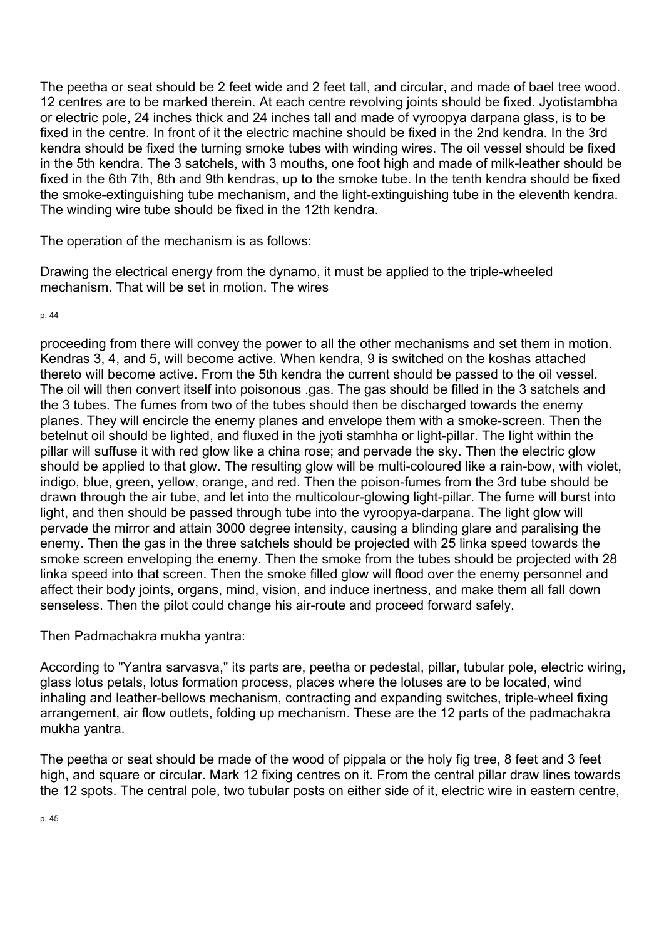The peetha or seat should be 2 feet wide and 2 feet tall, and circular, and made of bael tree wood. 12 centres are to be marked therein. At each centre revolving joints should be fixed. Jyotistambha or electric pole, 24 inches thick and 24 inches tall and made of vyroopya darpana glass, is to be fixed in the centre. In front of it the electric machine should be fixed in the 2nd kendra. In the 3rd kendra should be fixed the turning smoke tubes with winding wires. The oil vessel should be fixed in the 5th kendra. The 3 satchels, with 3 mouths, one foot high and made of milk-leather should be fixed in the 6th 7th, 8th and 9th kendras, up to the smoke tube. In the tenth kendra should be fixed the smoke-extinguishing tube mechanism, and the light-extinguishing tube in the eleventh kendra. The winding wire tube should be fixed in the 12th kendra.

The operation of the mechanism is as follows:

Drawing the electrical energy from the dynamo, it must be applied to the triple-wheeled mechanism. That will be set in motion. The wires

p. 44

proceeding from there will convey the power to all the other mechanisms and set them in motion. Kendras 3, 4, and 5, will become active. When kendra, 9 is switched on the koshas attached thereto will become active. From the 5th kendra the current should be passed to the oil vessel. The oil will then convert itself into poisonous .gas. The gas should be filled in the 3 satchels and the 3 tubes. The fumes from two of the tubes should then be discharged towards the enemy planes. They will encircle the enemy planes and envelope them with a smoke-screen. Then the betelnut oil should be lighted, and fluxed in the jyoti stamhha or light-pillar. The light within the pillar will suffuse it with red glow like a china rose; and pervade the sky. Then the electric glow should be applied to that glow. The resulting glow will be multi-coloured like a rain-bow, with violet, indigo, blue, green, yellow, orange, and red. Then the poison-fumes from the 3rd tube should be drawn through the air tube, and let into the multicolour-glowing light-pillar. The fume will burst into light, and then should be passed through tube into the vyroopya-darpana. The light glow will pervade the mirror and attain 3000 degree intensity, causing a blinding glare and paralising the enemy. Then the gas in the three satchels should be projected with 25 linka speed towards the smoke screen enveloping the enemy. Then the smoke from the tubes should be projected with 28 linka speed into that screen. Then the smoke filled glow will flood over the enemy personnel and affect their body joints, organs, mind, vision, and induce inertness, and make them all fall down senseless. Then the pilot could change his air-route and proceed forward safely.

Then Padmachakra mukha yantra:

According to "Yantra sarvasva," its parts are, peetha or pedestal, pillar, tubular pole, electric wiring, glass lotus petals, lotus formation process, places where the lotuses are to be located, wind inhaling and leather-bellows mechanism, contracting and expanding switches, triple-wheel fixing arrangement, air flow outlets, folding up mechanism. These are the 12 parts of the padmachakra mukha yantra.

The peetha or seat should be made of the wood of pippala or the holy fig tree, 8 feet and 3 feet high, and square or circular. Mark 12 fixing centres on it. From the central pillar draw lines towards the 12 spots. The central pole, two tubular posts on either side of it, electric wire in eastern centre,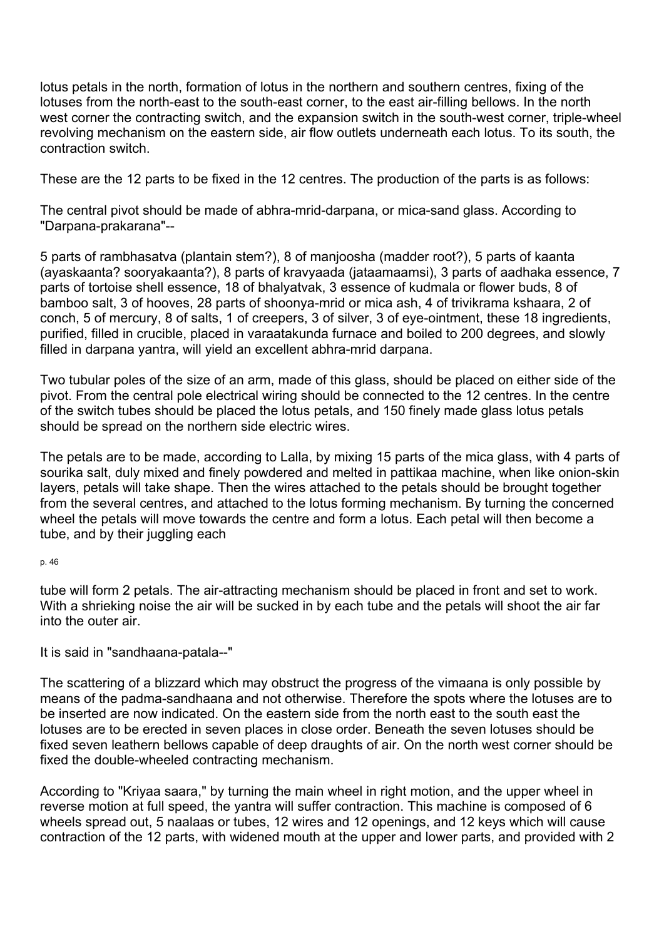lotus petals in the north, formation of lotus in the northern and southern centres, fixing of the lotuses from the north-east to the south-east corner, to the east air-filling bellows. In the north west corner the contracting switch, and the expansion switch in the south-west corner, triple-wheel revolving mechanism on the eastern side, air flow outlets underneath each lotus. To its south, the contraction switch.

These are the 12 parts to be fixed in the 12 centres. The production of the parts is as follows:

The central pivot should be made of abhra-mrid-darpana, or mica-sand glass. According to "Darpana-prakarana"--

5 parts of rambhasatva (plantain stem?), 8 of manjoosha (madder root?), 5 parts of kaanta (ayaskaanta? sooryakaanta?), 8 parts of kravyaada (jataamaamsi), 3 parts of aadhaka essence, 7 parts of tortoise shell essence, 18 of bhalyatvak, 3 essence of kudmala or flower buds, 8 of bamboo salt, 3 of hooves, 28 parts of shoonya-mrid or mica ash, 4 of trivikrama kshaara, 2 of conch, 5 of mercury, 8 of salts, 1 of creepers, 3 of silver, 3 of eye-ointment, these 18 ingredients, purified, filled in crucible, placed in varaatakunda furnace and boiled to 200 degrees, and slowly filled in darpana yantra, will yield an excellent abhra-mrid darpana.

Two tubular poles of the size of an arm, made of this glass, should be placed on either side of the pivot. From the central pole electrical wiring should be connected to the 12 centres. In the centre of the switch tubes should be placed the lotus petals, and 150 finely made glass lotus petals should be spread on the northern side electric wires.

The petals are to be made, according to Lalla, by mixing 15 parts of the mica glass, with 4 parts of sourika salt, duly mixed and finely powdered and melted in pattikaa machine, when like onion-skin layers, petals will take shape. Then the wires attached to the petals should be brought together from the several centres, and attached to the lotus forming mechanism. By turning the concerned wheel the petals will move towards the centre and form a lotus. Each petal will then become a tube, and by their juggling each

p. 46

tube will form 2 petals. The air-attracting mechanism should be placed in front and set to work. With a shrieking noise the air will be sucked in by each tube and the petals will shoot the air far into the outer air.

It is said in "sandhaana-patala--"

The scattering of a blizzard which may obstruct the progress of the vimaana is only possible by means of the padma-sandhaana and not otherwise. Therefore the spots where the lotuses are to be inserted are now indicated. On the eastern side from the north east to the south east the lotuses are to be erected in seven places in close order. Beneath the seven lotuses should be fixed seven leathern bellows capable of deep draughts of air. On the north west corner should be fixed the double-wheeled contracting mechanism.

According to "Kriyaa saara," by turning the main wheel in right motion, and the upper wheel in reverse motion at full speed, the yantra will suffer contraction. This machine is composed of 6 wheels spread out, 5 naalaas or tubes, 12 wires and 12 openings, and 12 keys which will cause contraction of the 12 parts, with widened mouth at the upper and lower parts, and provided with 2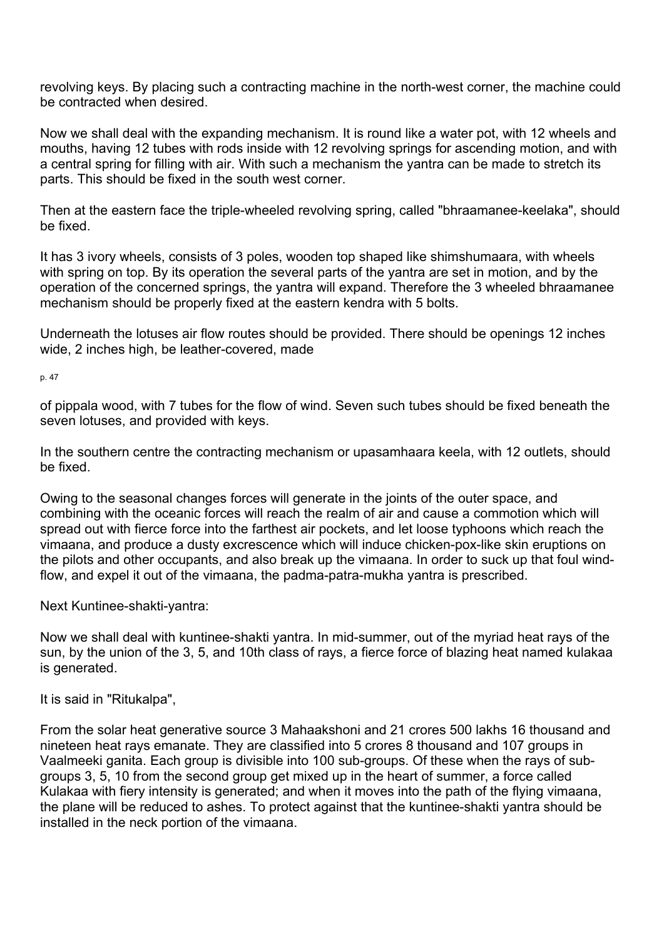revolving keys. By placing such a contracting machine in the north-west corner, the machine could be contracted when desired.

Now we shall deal with the expanding mechanism. It is round like a water pot, with 12 wheels and mouths, having 12 tubes with rods inside with 12 revolving springs for ascending motion, and with a central spring for filling with air. With such a mechanism the yantra can be made to stretch its parts. This should be fixed in the south west corner.

Then at the eastern face the triple-wheeled revolving spring, called "bhraamanee-keelaka", should be fixed.

It has 3 ivory wheels, consists of 3 poles, wooden top shaped like shimshumaara, with wheels with spring on top. By its operation the several parts of the yantra are set in motion, and by the operation of the concerned springs, the yantra will expand. Therefore the 3 wheeled bhraamanee mechanism should be properly fixed at the eastern kendra with 5 bolts.

Underneath the lotuses air flow routes should be provided. There should be openings 12 inches wide, 2 inches high, be leather-covered, made

p. 47

of pippala wood, with 7 tubes for the flow of wind. Seven such tubes should be fixed beneath the seven lotuses, and provided with keys.

In the southern centre the contracting mechanism or upasamhaara keela, with 12 outlets, should be fixed.

Owing to the seasonal changes forces will generate in the joints of the outer space, and combining with the oceanic forces will reach the realm of air and cause a commotion which will spread out with fierce force into the farthest air pockets, and let loose typhoons which reach the vimaana, and produce a dusty excrescence which will induce chicken-pox-like skin eruptions on the pilots and other occupants, and also break up the vimaana. In order to suck up that foul windflow, and expel it out of the vimaana, the padma-patra-mukha yantra is prescribed.

Next Kuntinee-shakti-yantra:

Now we shall deal with kuntinee-shakti yantra. In mid-summer, out of the myriad heat rays of the sun, by the union of the 3, 5, and 10th class of rays, a fierce force of blazing heat named kulakaa is generated.

It is said in "Ritukalpa",

From the solar heat generative source 3 Mahaakshoni and 21 crores 500 lakhs 16 thousand and nineteen heat rays emanate. They are classified into 5 crores 8 thousand and 107 groups in Vaalmeeki ganita. Each group is divisible into 100 sub-groups. Of these when the rays of subgroups 3, 5, 10 from the second group get mixed up in the heart of summer, a force called Kulakaa with fiery intensity is generated; and when it moves into the path of the flying vimaana, the plane will be reduced to ashes. To protect against that the kuntinee-shakti yantra should be installed in the neck portion of the vimaana.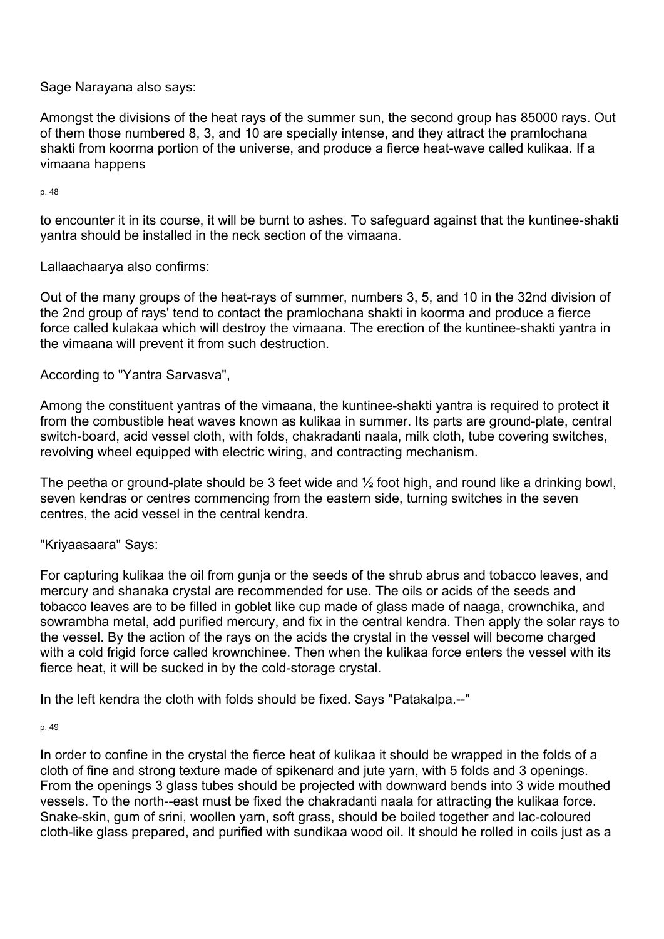Sage Narayana also says:

Amongst the divisions of the heat rays of the summer sun, the second group has 85000 rays. Out of them those numbered 8, 3, and 10 are specially intense, and they attract the pramlochana shakti from koorma portion of the universe, and produce a fierce heat-wave called kulikaa. If a vimaana happens

p. 48

to encounter it in its course, it will be burnt to ashes. To safeguard against that the kuntinee-shakti yantra should be installed in the neck section of the vimaana.

Lallaachaarya also confirms:

Out of the many groups of the heat-rays of summer, numbers 3, 5, and 10 in the 32nd division of the 2nd group of rays' tend to contact the pramlochana shakti in koorma and produce a fierce force called kulakaa which will destroy the vimaana. The erection of the kuntinee-shakti yantra in the vimaana will prevent it from such destruction.

According to "Yantra Sarvasva",

Among the constituent yantras of the vimaana, the kuntinee-shakti yantra is required to protect it from the combustible heat waves known as kulikaa in summer. Its parts are ground-plate, central switch-board, acid vessel cloth, with folds, chakradanti naala, milk cloth, tube covering switches, revolving wheel equipped with electric wiring, and contracting mechanism.

The peetha or ground-plate should be 3 feet wide and ½ foot high, and round like a drinking bowl, seven kendras or centres commencing from the eastern side, turning switches in the seven centres, the acid vessel in the central kendra.

"Kriyaasaara" Says:

For capturing kulikaa the oil from gunja or the seeds of the shrub abrus and tobacco leaves, and mercury and shanaka crystal are recommended for use. The oils or acids of the seeds and tobacco leaves are to be filled in goblet like cup made of glass made of naaga, crownchika, and sowrambha metal, add purified mercury, and fix in the central kendra. Then apply the solar rays to the vessel. By the action of the rays on the acids the crystal in the vessel will become charged with a cold frigid force called krownchinee. Then when the kulikaa force enters the vessel with its fierce heat, it will be sucked in by the cold-storage crystal.

In the left kendra the cloth with folds should be fixed. Says "Patakalpa.--"

p. 49

In order to confine in the crystal the fierce heat of kulikaa it should be wrapped in the folds of a cloth of fine and strong texture made of spikenard and jute yarn, with 5 folds and 3 openings. From the openings 3 glass tubes should be projected with downward bends into 3 wide mouthed vessels. To the north--east must be fixed the chakradanti naala for attracting the kulikaa force. Snake-skin, gum of srini, woollen yarn, soft grass, should be boiled together and lac-coloured cloth-like glass prepared, and purified with sundikaa wood oil. It should he rolled in coils just as a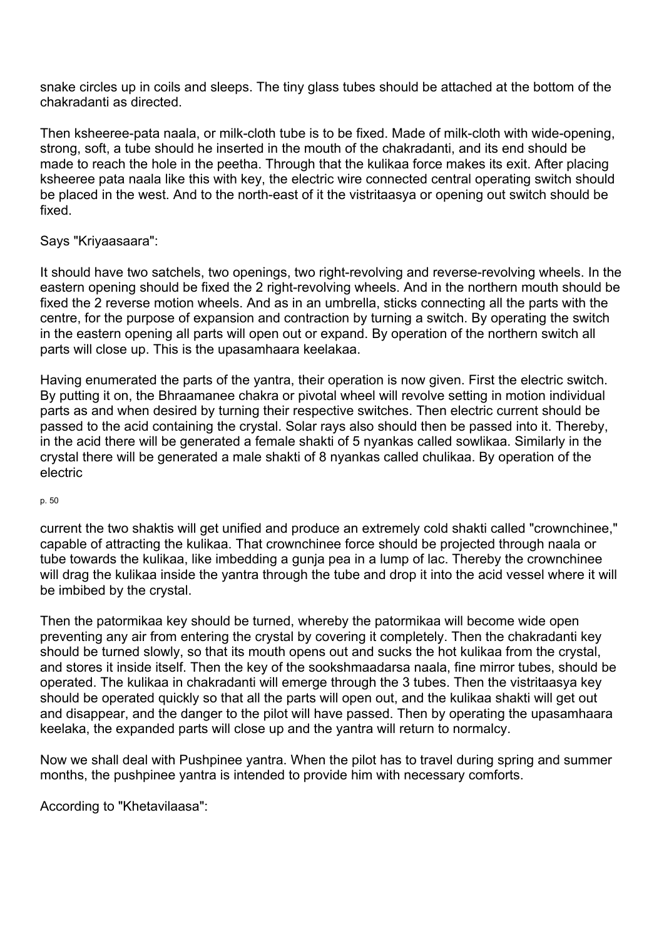snake circles up in coils and sleeps. The tiny glass tubes should be attached at the bottom of the chakradanti as directed.

Then ksheeree-pata naala, or milk-cloth tube is to be fixed. Made of milk-cloth with wide-opening, strong, soft, a tube should he inserted in the mouth of the chakradanti, and its end should be made to reach the hole in the peetha. Through that the kulikaa force makes its exit. After placing ksheeree pata naala like this with key, the electric wire connected central operating switch should be placed in the west. And to the north-east of it the vistritaasya or opening out switch should be fixed.

Says "Kriyaasaara":

It should have two satchels, two openings, two right-revolving and reverse-revolving wheels. In the eastern opening should be fixed the 2 right-revolving wheels. And in the northern mouth should be fixed the 2 reverse motion wheels. And as in an umbrella, sticks connecting all the parts with the centre, for the purpose of expansion and contraction by turning a switch. By operating the switch in the eastern opening all parts will open out or expand. By operation of the northern switch all parts will close up. This is the upasamhaara keelakaa.

Having enumerated the parts of the yantra, their operation is now given. First the electric switch. By putting it on, the Bhraamanee chakra or pivotal wheel will revolve setting in motion individual parts as and when desired by turning their respective switches. Then electric current should be passed to the acid containing the crystal. Solar rays also should then be passed into it. Thereby, in the acid there will be generated a female shakti of 5 nyankas called sowlikaa. Similarly in the crystal there will be generated a male shakti of 8 nyankas called chulikaa. By operation of the electric

p. 50

current the two shaktis will get unified and produce an extremely cold shakti called "crownchinee," capable of attracting the kulikaa. That crownchinee force should be projected through naala or tube towards the kulikaa, like imbedding a gunja pea in a lump of lac. Thereby the crownchinee will drag the kulikaa inside the yantra through the tube and drop it into the acid vessel where it will be imbibed by the crystal.

Then the patormikaa key should be turned, whereby the patormikaa will become wide open preventing any air from entering the crystal by covering it completely. Then the chakradanti key should be turned slowly, so that its mouth opens out and sucks the hot kulikaa from the crystal, and stores it inside itself. Then the key of the sookshmaadarsa naala, fine mirror tubes, should be operated. The kulikaa in chakradanti will emerge through the 3 tubes. Then the vistritaasya key should be operated quickly so that all the parts will open out, and the kulikaa shakti will get out and disappear, and the danger to the pilot will have passed. Then by operating the upasamhaara keelaka, the expanded parts will close up and the yantra will return to normalcy.

Now we shall deal with Pushpinee yantra. When the pilot has to travel during spring and summer months, the pushpinee yantra is intended to provide him with necessary comforts.

According to "Khetavilaasa":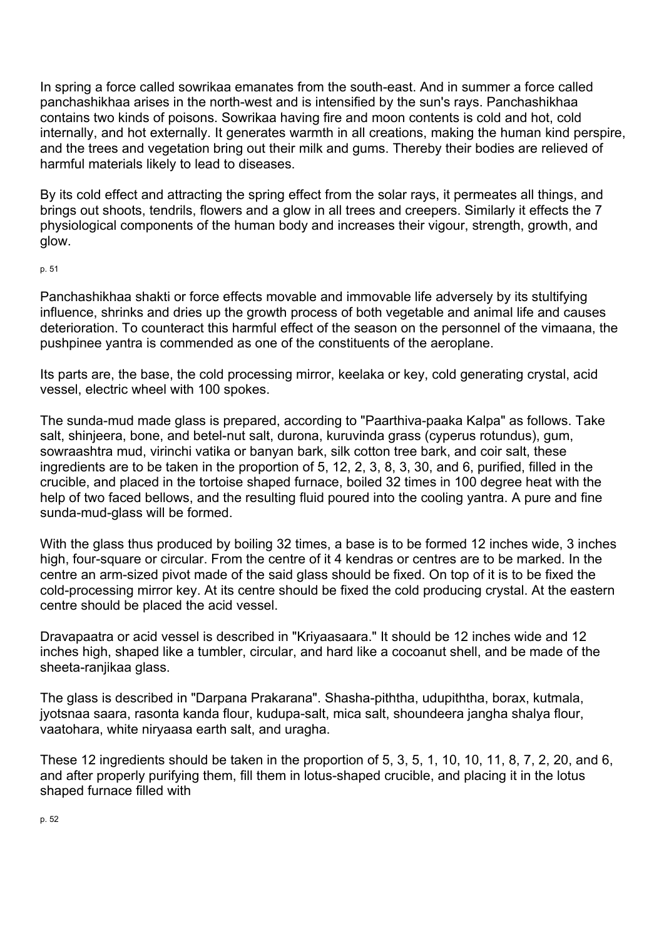In spring a force called sowrikaa emanates from the south-east. And in summer a force called panchashikhaa arises in the north-west and is intensified by the sun's rays. Panchashikhaa contains two kinds of poisons. Sowrikaa having fire and moon contents is cold and hot, cold internally, and hot externally. It generates warmth in all creations, making the human kind perspire, and the trees and vegetation bring out their milk and gums. Thereby their bodies are relieved of harmful materials likely to lead to diseases.

By its cold effect and attracting the spring effect from the solar rays, it permeates all things, and brings out shoots, tendrils, flowers and a glow in all trees and creepers. Similarly it effects the 7 physiological components of the human body and increases their vigour, strength, growth, and glow.

p. 51

Panchashikhaa shakti or force effects movable and immovable life adversely by its stultifying influence, shrinks and dries up the growth process of both vegetable and animal life and causes deterioration. To counteract this harmful effect of the season on the personnel of the vimaana, the pushpinee yantra is commended as one of the constituents of the aeroplane.

Its parts are, the base, the cold processing mirror, keelaka or key, cold generating crystal, acid vessel, electric wheel with 100 spokes.

The sunda-mud made glass is prepared, according to "Paarthiva-paaka Kalpa" as follows. Take salt, shinjeera, bone, and betel-nut salt, durona, kuruvinda grass (cyperus rotundus), gum, sowraashtra mud, virinchi vatika or banyan bark, silk cotton tree bark, and coir salt, these ingredients are to be taken in the proportion of 5, 12, 2, 3, 8, 3, 30, and 6, purified, filled in the crucible, and placed in the tortoise shaped furnace, boiled 32 times in 100 degree heat with the help of two faced bellows, and the resulting fluid poured into the cooling yantra. A pure and fine sunda-mud-glass will be formed.

With the glass thus produced by boiling 32 times, a base is to be formed 12 inches wide, 3 inches high, four-square or circular. From the centre of it 4 kendras or centres are to be marked. In the centre an arm-sized pivot made of the said glass should be fixed. On top of it is to be fixed the cold-processing mirror key. At its centre should be fixed the cold producing crystal. At the eastern centre should be placed the acid vessel.

Dravapaatra or acid vessel is described in "Kriyaasaara." It should be 12 inches wide and 12 inches high, shaped like a tumbler, circular, and hard like a cocoanut shell, and be made of the sheeta-ranjikaa glass.

The glass is described in "Darpana Prakarana". Shasha-piththa, udupiththa, borax, kutmala, jyotsnaa saara, rasonta kanda flour, kudupa-salt, mica salt, shoundeera jangha shalya flour, vaatohara, white niryaasa earth salt, and uragha.

These 12 ingredients should be taken in the proportion of 5, 3, 5, 1, 10, 10, 11, 8, 7, 2, 20, and 6, and after properly purifying them, fill them in lotus-shaped crucible, and placing it in the lotus shaped furnace filled with

p. 52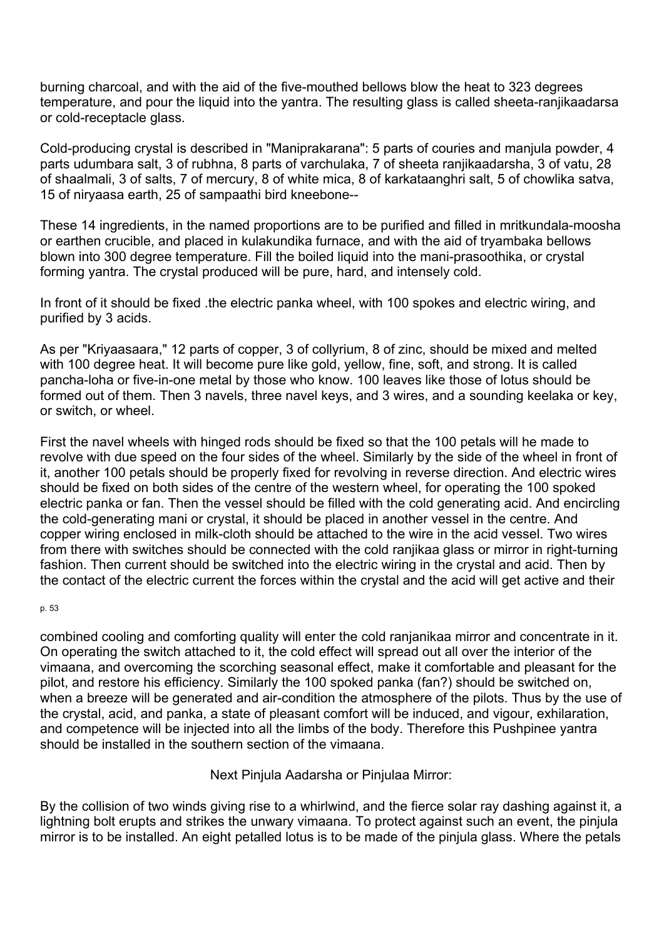burning charcoal, and with the aid of the five-mouthed bellows blow the heat to 323 degrees temperature, and pour the liquid into the yantra. The resulting glass is called sheeta-ranjikaadarsa or cold-receptacle glass.

Cold-producing crystal is described in "Maniprakarana": 5 parts of couries and manjula powder, 4 parts udumbara salt, 3 of rubhna, 8 parts of varchulaka, 7 of sheeta ranjikaadarsha, 3 of vatu, 28 of shaalmali, 3 of salts, 7 of mercury, 8 of white mica, 8 of karkataanghri salt, 5 of chowlika satva, 15 of niryaasa earth, 25 of sampaathi bird kneebone--

These 14 ingredients, in the named proportions are to be purified and filled in mritkundala-moosha or earthen crucible, and placed in kulakundika furnace, and with the aid of tryambaka bellows blown into 300 degree temperature. Fill the boiled liquid into the mani-prasoothika, or crystal forming yantra. The crystal produced will be pure, hard, and intensely cold.

In front of it should be fixed .the electric panka wheel, with 100 spokes and electric wiring, and purified by 3 acids.

As per "Kriyaasaara," 12 parts of copper, 3 of collyrium, 8 of zinc, should be mixed and melted with 100 degree heat. It will become pure like gold, yellow, fine, soft, and strong. It is called pancha-loha or five-in-one metal by those who know. 100 leaves like those of lotus should be formed out of them. Then 3 navels, three navel keys, and 3 wires, and a sounding keelaka or key, or switch, or wheel.

First the navel wheels with hinged rods should be fixed so that the 100 petals will he made to revolve with due speed on the four sides of the wheel. Similarly by the side of the wheel in front of it, another 100 petals should be properly fixed for revolving in reverse direction. And electric wires should be fixed on both sides of the centre of the western wheel, for operating the 100 spoked electric panka or fan. Then the vessel should be filled with the cold generating acid. And encircling the cold-generating mani or crystal, it should be placed in another vessel in the centre. And copper wiring enclosed in milk-cloth should be attached to the wire in the acid vessel. Two wires from there with switches should be connected with the cold ranjikaa glass or mirror in right-turning fashion. Then current should be switched into the electric wiring in the crystal and acid. Then by the contact of the electric current the forces within the crystal and the acid will get active and their

p. 53

combined cooling and comforting quality will enter the cold ranjanikaa mirror and concentrate in it. On operating the switch attached to it, the cold effect will spread out all over the interior of the vimaana, and overcoming the scorching seasonal effect, make it comfortable and pleasant for the pilot, and restore his efficiency. Similarly the 100 spoked panka (fan?) should be switched on, when a breeze will be generated and air-condition the atmosphere of the pilots. Thus by the use of the crystal, acid, and panka, a state of pleasant comfort will be induced, and vigour, exhilaration, and competence will be injected into all the limbs of the body. Therefore this Pushpinee yantra should be installed in the southern section of the vimaana.

Next Pinjula Aadarsha or Pinjulaa Mirror:

By the collision of two winds giving rise to a whirlwind, and the fierce solar ray dashing against it, a lightning bolt erupts and strikes the unwary vimaana. To protect against such an event, the pinjula mirror is to be installed. An eight petalled lotus is to be made of the pinjula glass. Where the petals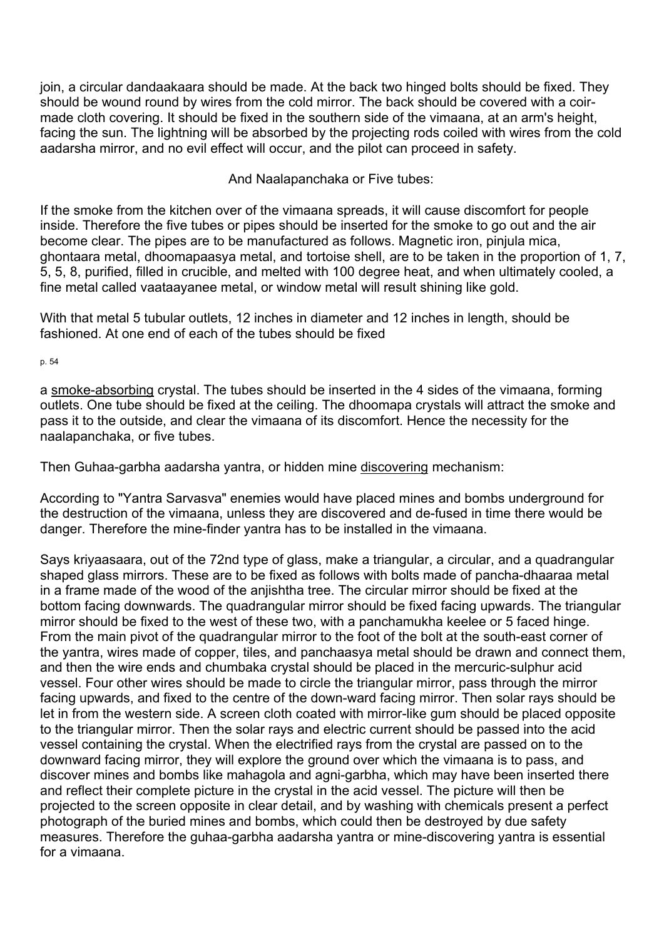join, a circular dandaakaara should be made. At the back two hinged bolts should be fixed. They should be wound round by wires from the cold mirror. The back should be covered with a coirmade cloth covering. It should be fixed in the southern side of the vimaana, at an arm's height, facing the sun. The lightning will be absorbed by the projecting rods coiled with wires from the cold aadarsha mirror, and no evil effect will occur, and the pilot can proceed in safety.

And Naalapanchaka or Five tubes:

If the smoke from the kitchen over of the vimaana spreads, it will cause discomfort for people inside. Therefore the five tubes or pipes should be inserted for the smoke to go out and the air become clear. The pipes are to be manufactured as follows. Magnetic iron, pinjula mica, ghontaara metal, dhoomapaasya metal, and tortoise shell, are to be taken in the proportion of 1, 7, 5, 5, 8, purified, filled in crucible, and melted with 100 degree heat, and when ultimately cooled, a fine metal called vaataayanee metal, or window metal will result shining like gold.

With that metal 5 tubular outlets, 12 inches in diameter and 12 inches in length, should be fashioned. At one end of each of the tubes should be fixed

p. 54

a smoke-absorbing crystal. The tubes should be inserted in the 4 sides of the vimaana, forming outlets. One tube should be fixed at the ceiling. The dhoomapa crystals will attract the smoke and pass it to the outside, and clear the vimaana of its discomfort. Hence the necessity for the naalapanchaka, or five tubes.

Then Guhaa-garbha aadarsha yantra, or hidden mine discovering mechanism:

According to "Yantra Sarvasva" enemies would have placed mines and bombs underground for the destruction of the vimaana, unless they are discovered and de-fused in time there would be danger. Therefore the mine-finder yantra has to be installed in the vimaana.

Says kriyaasaara, out of the 72nd type of glass, make a triangular, a circular, and a quadrangular shaped glass mirrors. These are to be fixed as follows with bolts made of pancha-dhaaraa metal in a frame made of the wood of the anjishtha tree. The circular mirror should be fixed at the bottom facing downwards. The quadrangular mirror should be fixed facing upwards. The triangular mirror should be fixed to the west of these two, with a panchamukha keelee or 5 faced hinge. From the main pivot of the quadrangular mirror to the foot of the bolt at the south-east corner of the yantra, wires made of copper, tiles, and panchaasya metal should be drawn and connect them, and then the wire ends and chumbaka crystal should be placed in the mercuric-sulphur acid vessel. Four other wires should be made to circle the triangular mirror, pass through the mirror facing upwards, and fixed to the centre of the down-ward facing mirror. Then solar rays should be let in from the western side. A screen cloth coated with mirror-like gum should be placed opposite to the triangular mirror. Then the solar rays and electric current should be passed into the acid vessel containing the crystal. When the electrified rays from the crystal are passed on to the downward facing mirror, they will explore the ground over which the vimaana is to pass, and discover mines and bombs like mahagola and agni-garbha, which may have been inserted there and reflect their complete picture in the crystal in the acid vessel. The picture will then be projected to the screen opposite in clear detail, and by washing with chemicals present a perfect photograph of the buried mines and bombs, which could then be destroyed by due safety measures. Therefore the guhaa-garbha aadarsha yantra or mine-discovering yantra is essential for a vimaana.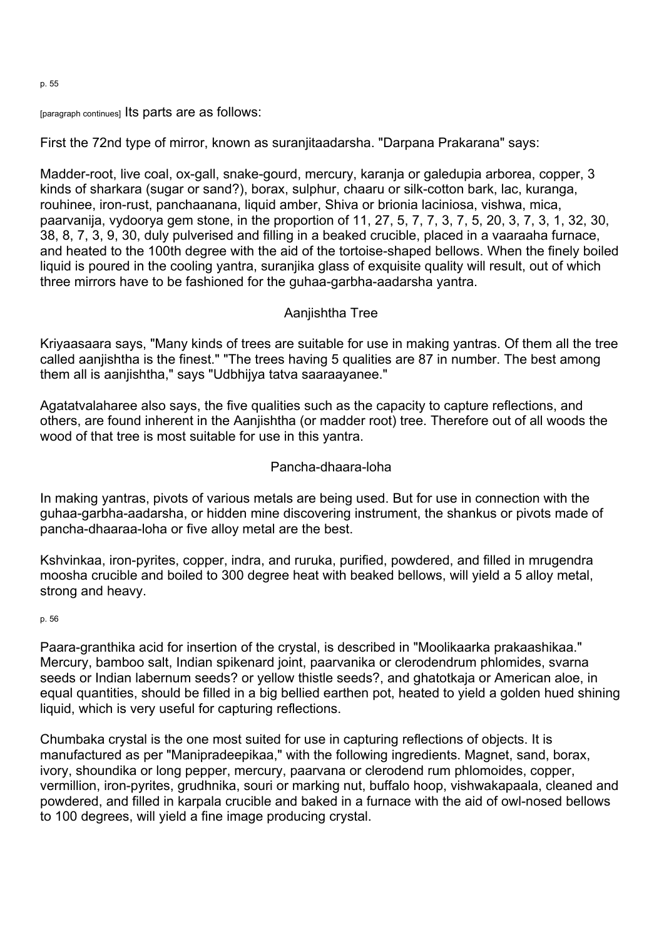p. 55

[paragraph continues] Its parts are as follows:

First the 72nd type of mirror, known as suranjitaadarsha. "Darpana Prakarana" says:

Madder-root, live coal, ox-gall, snake-gourd, mercury, karanja or galedupia arborea, copper, 3 kinds of sharkara (sugar or sand?), borax, sulphur, chaaru or silk-cotton bark, lac, kuranga, rouhinee, iron-rust, panchaanana, liquid amber, Shiva or brionia laciniosa, vishwa, mica, paarvanija, vydoorya gem stone, in the proportion of 11, 27, 5, 7, 7, 3, 7, 5, 20, 3, 7, 3, 1, 32, 30, 38, 8, 7, 3, 9, 30, duly pulverised and filling in a beaked crucible, placed in a vaaraaha furnace, and heated to the 100th degree with the aid of the tortoise-shaped bellows. When the finely boiled liquid is poured in the cooling yantra, suranjika glass of exquisite quality will result, out of which three mirrors have to be fashioned for the guhaa-garbha-aadarsha yantra.

## Aanjishtha Tree

Kriyaasaara says, "Many kinds of trees are suitable for use in making yantras. Of them all the tree called aaniishtha is the finest." "The trees having 5 qualities are 87 in number. The best among them all is aanjishtha," says "Udbhijya tatva saaraayanee."

Agatatvalaharee also says, the five qualities such as the capacity to capture reflections, and others, are found inherent in the Aanjishtha (or madder root) tree. Therefore out of all woods the wood of that tree is most suitable for use in this yantra.

## Pancha-dhaara-loha

In making yantras, pivots of various metals are being used. But for use in connection with the guhaa-garbha-aadarsha, or hidden mine discovering instrument, the shankus or pivots made of pancha-dhaaraa-loha or five alloy metal are the best.

Kshvinkaa, iron-pyrites, copper, indra, and ruruka, purified, powdered, and filled in mrugendra moosha crucible and boiled to 300 degree heat with beaked bellows, will yield a 5 alloy metal, strong and heavy.

p. 56

Paara-granthika acid for insertion of the crystal, is described in "Moolikaarka prakaashikaa." Mercury, bamboo salt, Indian spikenard joint, paarvanika or clerodendrum phlomides, svarna seeds or Indian labernum seeds? or yellow thistle seeds?, and ghatotkaja or American aloe, in equal quantities, should be filled in a big bellied earthen pot, heated to yield a golden hued shining liquid, which is very useful for capturing reflections.

Chumbaka crystal is the one most suited for use in capturing reflections of objects. It is manufactured as per "Manipradeepikaa," with the following ingredients. Magnet, sand, borax, ivory, shoundika or long pepper, mercury, paarvana or clerodend rum phlomoides, copper, vermillion, iron-pyrites, grudhnika, souri or marking nut, buffalo hoop, vishwakapaala, cleaned and powdered, and filled in karpala crucible and baked in a furnace with the aid of owl-nosed bellows to 100 degrees, will yield a fine image producing crystal.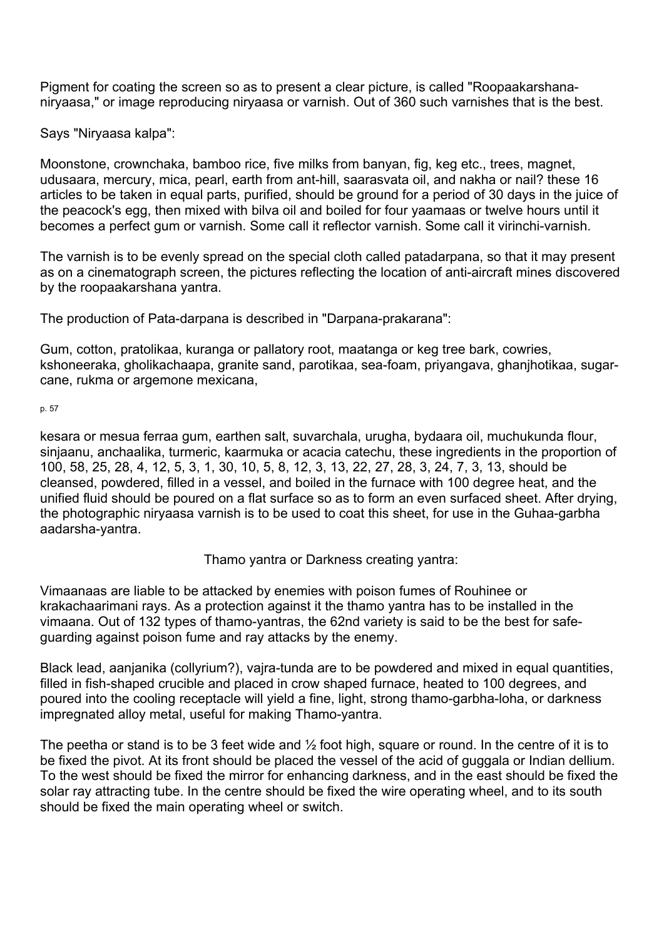Pigment for coating the screen so as to present a clear picture, is called "Roopaakarshananiryaasa," or image reproducing niryaasa or varnish. Out of 360 such varnishes that is the best.

Says "Niryaasa kalpa":

Moonstone, crownchaka, bamboo rice, five milks from banyan, fig, keg etc., trees, magnet, udusaara, mercury, mica, pearl, earth from ant-hill, saarasvata oil, and nakha or nail? these 16 articles to be taken in equal parts, purified, should be ground for a period of 30 days in the juice of the peacock's egg, then mixed with bilva oil and boiled for four yaamaas or twelve hours until it becomes a perfect gum or varnish. Some call it reflector varnish. Some call it virinchi-varnish.

The varnish is to be evenly spread on the special cloth called patadarpana, so that it may present as on a cinematograph screen, the pictures reflecting the location of anti-aircraft mines discovered by the roopaakarshana yantra.

The production of Pata-darpana is described in "Darpana-prakarana":

Gum, cotton, pratolikaa, kuranga or pallatory root, maatanga or keg tree bark, cowries, kshoneeraka, gholikachaapa, granite sand, parotikaa, sea-foam, priyangava, ghanjhotikaa, sugarcane, rukma or argemone mexicana,

p. 57

kesara or mesua ferraa gum, earthen salt, suvarchala, urugha, bydaara oil, muchukunda flour, sinjaanu, anchaalika, turmeric, kaarmuka or acacia catechu, these ingredients in the proportion of 100, 58, 25, 28, 4, 12, 5, 3, 1, 30, 10, 5, 8, 12, 3, 13, 22, 27, 28, 3, 24, 7, 3, 13, should be cleansed, powdered, filled in a vessel, and boiled in the furnace with 100 degree heat, and the unified fluid should be poured on a flat surface so as to form an even surfaced sheet. After drying, the photographic niryaasa varnish is to be used to coat this sheet, for use in the Guhaa-garbha aadarsha-yantra.

Thamo yantra or Darkness creating yantra:

Vimaanaas are liable to be attacked by enemies with poison fumes of Rouhinee or krakachaarimani rays. As a protection against it the thamo yantra has to be installed in the vimaana. Out of 132 types of thamo-yantras, the 62nd variety is said to be the best for safeguarding against poison fume and ray attacks by the enemy.

Black lead, aanjanika (collyrium?), vajra-tunda are to be powdered and mixed in equal quantities, filled in fish-shaped crucible and placed in crow shaped furnace, heated to 100 degrees, and poured into the cooling receptacle will yield a fine, light, strong thamo-garbha-loha, or darkness impregnated alloy metal, useful for making Thamo-yantra.

The peetha or stand is to be 3 feet wide and ½ foot high, square or round. In the centre of it is to be fixed the pivot. At its front should be placed the vessel of the acid of guggala or Indian dellium. To the west should be fixed the mirror for enhancing darkness, and in the east should be fixed the solar ray attracting tube. In the centre should be fixed the wire operating wheel, and to its south should be fixed the main operating wheel or switch.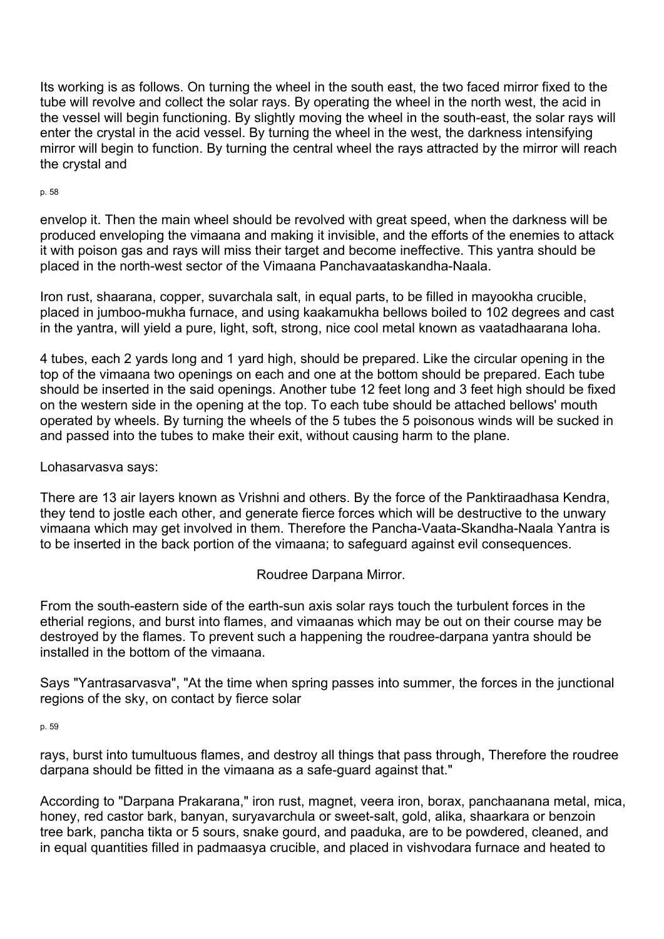Its working is as follows. On turning the wheel in the south east, the two faced mirror fixed to the tube will revolve and collect the solar rays. By operating the wheel in the north west, the acid in the vessel will begin functioning. By slightly moving the wheel in the south-east, the solar rays will enter the crystal in the acid vessel. By turning the wheel in the west, the darkness intensifying mirror will begin to function. By turning the central wheel the rays attracted by the mirror will reach the crystal and

#### p. 58

envelop it. Then the main wheel should be revolved with great speed, when the darkness will be produced enveloping the vimaana and making it invisible, and the efforts of the enemies to attack it with poison gas and rays will miss their target and become ineffective. This yantra should be placed in the north-west sector of the Vimaana Panchavaataskandha-Naala.

Iron rust, shaarana, copper, suvarchala salt, in equal parts, to be filled in mayookha crucible, placed in jumboo-mukha furnace, and using kaakamukha bellows boiled to 102 degrees and cast in the yantra, will yield a pure, light, soft, strong, nice cool metal known as vaatadhaarana loha.

4 tubes, each 2 yards long and 1 yard high, should be prepared. Like the circular opening in the top of the vimaana two openings on each and one at the bottom should be prepared. Each tube should be inserted in the said openings. Another tube 12 feet long and 3 feet high should be fixed on the western side in the opening at the top. To each tube should be attached bellows' mouth operated by wheels. By turning the wheels of the 5 tubes the 5 poisonous winds will be sucked in and passed into the tubes to make their exit, without causing harm to the plane.

#### Lohasarvasva says:

There are 13 air layers known as Vrishni and others. By the force of the Panktiraadhasa Kendra, they tend to jostle each other, and generate fierce forces which will be destructive to the unwary vimaana which may get involved in them. Therefore the Pancha-Vaata-Skandha-Naala Yantra is to be inserted in the back portion of the vimaana; to safeguard against evil consequences.

Roudree Darpana Mirror.

From the south-eastern side of the earth-sun axis solar rays touch the turbulent forces in the etherial regions, and burst into flames, and vimaanas which may be out on their course may be destroyed by the flames. To prevent such a happening the roudree-darpana yantra should be installed in the bottom of the vimaana.

Says "Yantrasarvasva", "At the time when spring passes into summer, the forces in the junctional regions of the sky, on contact by fierce solar

p. 59

rays, burst into tumultuous flames, and destroy all things that pass through, Therefore the roudree darpana should be fitted in the vimaana as a safe-guard against that."

According to "Darpana Prakarana," iron rust, magnet, veera iron, borax, panchaanana metal, mica, honey, red castor bark, banyan, suryavarchula or sweet-salt, gold, alika, shaarkara or benzoin tree bark, pancha tikta or 5 sours, snake gourd, and paaduka, are to be powdered, cleaned, and in equal quantities filled in padmaasya crucible, and placed in vishvodara furnace and heated to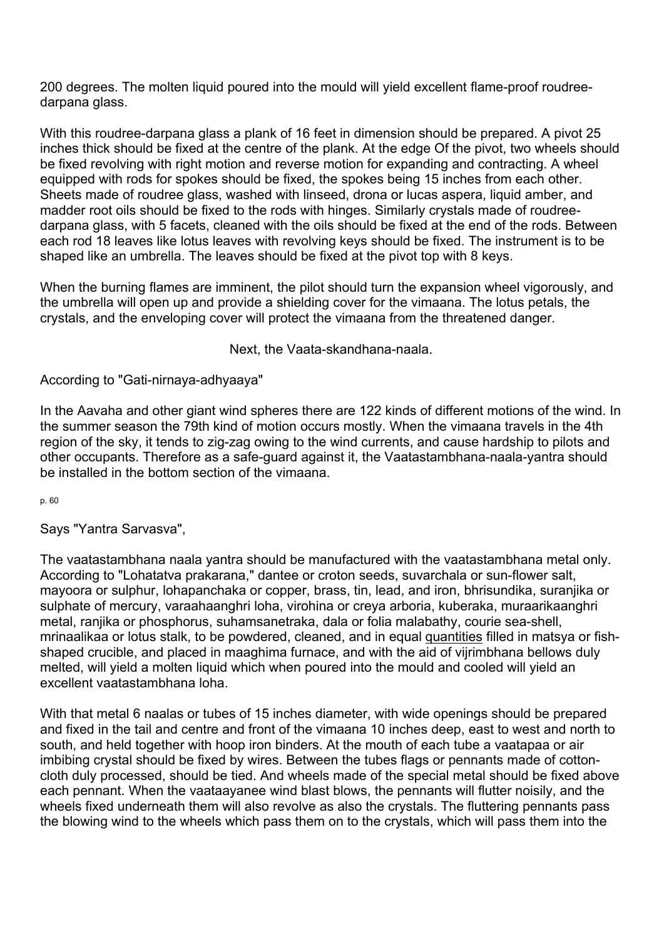200 degrees. The molten liquid poured into the mould will yield excellent flame-proof roudreedarpana glass.

With this roudree-darpana glass a plank of 16 feet in dimension should be prepared. A pivot 25 inches thick should be fixed at the centre of the plank. At the edge Of the pivot, two wheels should be fixed revolving with right motion and reverse motion for expanding and contracting. A wheel equipped with rods for spokes should be fixed, the spokes being 15 inches from each other. Sheets made of roudree glass, washed with linseed, drona or lucas aspera, liquid amber, and madder root oils should be fixed to the rods with hinges. Similarly crystals made of roudreedarpana glass, with 5 facets, cleaned with the oils should be fixed at the end of the rods. Between each rod 18 leaves like lotus leaves with revolving keys should be fixed. The instrument is to be shaped like an umbrella. The leaves should be fixed at the pivot top with 8 keys.

When the burning flames are imminent, the pilot should turn the expansion wheel vigorously, and the umbrella will open up and provide a shielding cover for the vimaana. The lotus petals, the crystals, and the enveloping cover will protect the vimaana from the threatened danger.

Next, the Vaata-skandhana-naala.

## According to "Gati-nirnaya-adhyaaya"

In the Aavaha and other giant wind spheres there are 122 kinds of different motions of the wind. In the summer season the 79th kind of motion occurs mostly. When the vimaana travels in the 4th region of the sky, it tends to zig-zag owing to the wind currents, and cause hardship to pilots and other occupants. Therefore as a safe-guard against it, the Vaatastambhana-naala-yantra should be installed in the bottom section of the vimaana.

p. 60

## Says "Yantra Sarvasva",

The vaatastambhana naala yantra should be manufactured with the vaatastambhana metal only. According to "Lohatatva prakarana," dantee or croton seeds, suvarchala or sun-flower salt, mayoora or sulphur, lohapanchaka or copper, brass, tin, lead, and iron, bhrisundika, suranjika or sulphate of mercury, varaahaanghri loha, virohina or creya arboria, kuberaka, muraarikaanghri metal, ranjika or phosphorus, suhamsanetraka, dala or folia malabathy, courie sea-shell, mrinaalikaa or lotus stalk, to be powdered, cleaned, and in equal quantities filled in matsya or fishshaped crucible, and placed in maaghima furnace, and with the aid of vijrimbhana bellows duly melted, will yield a molten liquid which when poured into the mould and cooled will yield an excellent vaatastambhana loha.

With that metal 6 naalas or tubes of 15 inches diameter, with wide openings should be prepared and fixed in the tail and centre and front of the vimaana 10 inches deep, east to west and north to south, and held together with hoop iron binders. At the mouth of each tube a vaatapaa or air imbibing crystal should be fixed by wires. Between the tubes flags or pennants made of cottoncloth duly processed, should be tied. And wheels made of the special metal should be fixed above each pennant. When the vaataayanee wind blast blows, the pennants will flutter noisily, and the wheels fixed underneath them will also revolve as also the crystals. The fluttering pennants pass the blowing wind to the wheels which pass them on to the crystals, which will pass them into the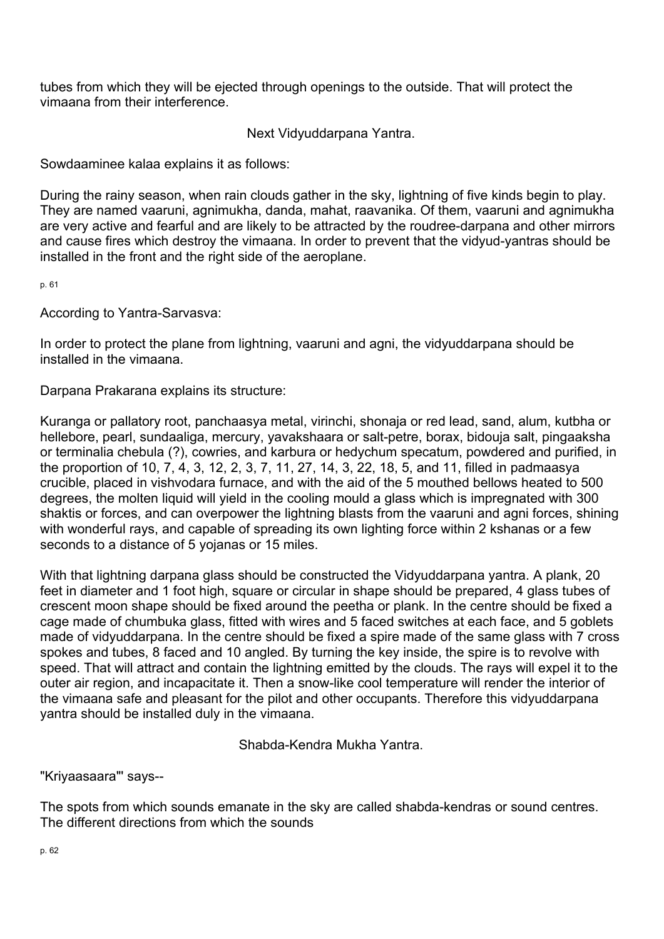tubes from which they will be ejected through openings to the outside. That will protect the vimaana from their interference.

Next Vidyuddarpana Yantra.

Sowdaaminee kalaa explains it as follows:

During the rainy season, when rain clouds gather in the sky, lightning of five kinds begin to play. They are named vaaruni, agnimukha, danda, mahat, raavanika. Of them, vaaruni and agnimukha are very active and fearful and are likely to be attracted by the roudree-darpana and other mirrors and cause fires which destroy the vimaana. In order to prevent that the vidyud-yantras should be installed in the front and the right side of the aeroplane.

p. 61

According to Yantra-Sarvasva:

In order to protect the plane from lightning, vaaruni and agni, the vidyuddarpana should be installed in the vimaana.

Darpana Prakarana explains its structure:

Kuranga or pallatory root, panchaasya metal, virinchi, shonaja or red lead, sand, alum, kutbha or hellebore, pearl, sundaaliga, mercury, yavakshaara or salt-petre, borax, bidouja salt, pingaaksha or terminalia chebula (?), cowries, and karbura or hedychum specatum, powdered and purified, in the proportion of 10, 7, 4, 3, 12, 2, 3, 7, 11, 27, 14, 3, 22, 18, 5, and 11, filled in padmaasya crucible, placed in vishvodara furnace, and with the aid of the 5 mouthed bellows heated to 500 degrees, the molten liquid will yield in the cooling mould a glass which is impregnated with 300 shaktis or forces, and can overpower the lightning blasts from the vaaruni and agni forces, shining with wonderful rays, and capable of spreading its own lighting force within 2 kshanas or a few seconds to a distance of 5 yojanas or 15 miles.

With that lightning darpana glass should be constructed the Vidyuddarpana yantra. A plank, 20 feet in diameter and 1 foot high, square or circular in shape should be prepared, 4 glass tubes of crescent moon shape should be fixed around the peetha or plank. In the centre should be fixed a cage made of chumbuka glass, fitted with wires and 5 faced switches at each face, and 5 goblets made of vidyuddarpana. In the centre should be fixed a spire made of the same glass with 7 cross spokes and tubes, 8 faced and 10 angled. By turning the key inside, the spire is to revolve with speed. That will attract and contain the lightning emitted by the clouds. The rays will expel it to the outer air region, and incapacitate it. Then a snow-like cool temperature will render the interior of the vimaana safe and pleasant for the pilot and other occupants. Therefore this vidyuddarpana yantra should be installed duly in the vimaana.

Shabda-Kendra Mukha Yantra.

"Kriyaasaara"' says--

The spots from which sounds emanate in the sky are called shabda-kendras or sound centres. The different directions from which the sounds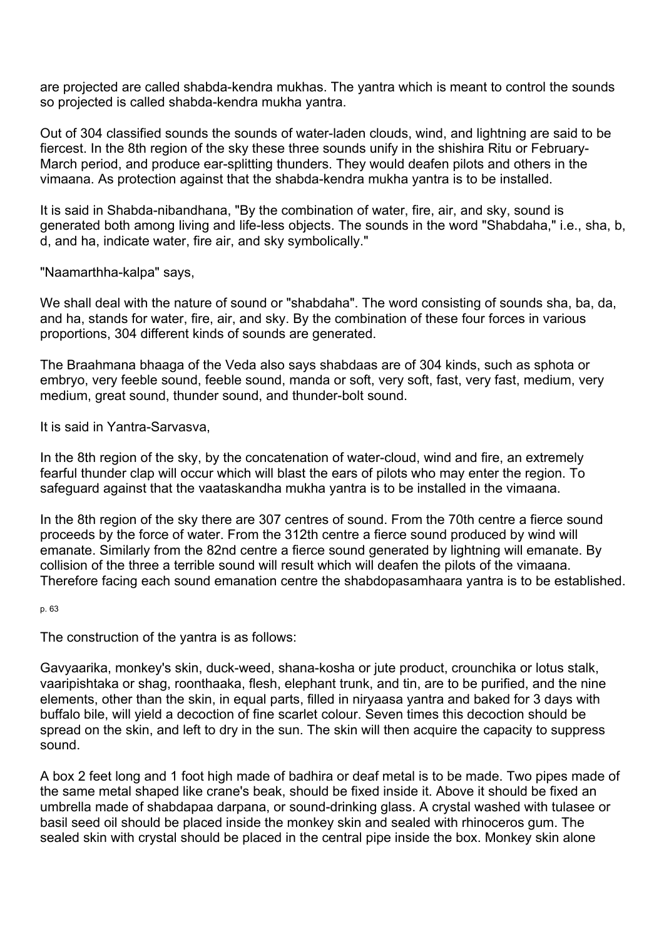are projected are called shabda-kendra mukhas. The yantra which is meant to control the sounds so projected is called shabda-kendra mukha yantra.

Out of 304 classified sounds the sounds of water-laden clouds, wind, and lightning are said to be fiercest. In the 8th region of the sky these three sounds unify in the shishira Ritu or February-March period, and produce ear-splitting thunders. They would deafen pilots and others in the vimaana. As protection against that the shabda-kendra mukha yantra is to be installed.

It is said in Shabda-nibandhana, "By the combination of water, fire, air, and sky, sound is generated both among living and life-less objects. The sounds in the word "Shabdaha," i.e., sha, b, d, and ha, indicate water, fire air, and sky symbolically."

"Naamarthha-kalpa" says,

We shall deal with the nature of sound or "shabdaha". The word consisting of sounds sha, ba, da, and ha, stands for water, fire, air, and sky. By the combination of these four forces in various proportions, 304 different kinds of sounds are generated.

The Braahmana bhaaga of the Veda also says shabdaas are of 304 kinds, such as sphota or embryo, very feeble sound, feeble sound, manda or soft, very soft, fast, very fast, medium, very medium, great sound, thunder sound, and thunder-bolt sound.

It is said in Yantra-Sarvasva,

In the 8th region of the sky, by the concatenation of water-cloud, wind and fire, an extremely fearful thunder clap will occur which will blast the ears of pilots who may enter the region. To safeguard against that the vaataskandha mukha yantra is to be installed in the vimaana.

In the 8th region of the sky there are 307 centres of sound. From the 70th centre a fierce sound proceeds by the force of water. From the 312th centre a fierce sound produced by wind will emanate. Similarly from the 82nd centre a fierce sound generated by lightning will emanate. By collision of the three a terrible sound will result which will deafen the pilots of the vimaana. Therefore facing each sound emanation centre the shabdopasamhaara yantra is to be established.

p. 63

The construction of the yantra is as follows:

Gavyaarika, monkey's skin, duck-weed, shana-kosha or jute product, crounchika or lotus stalk, vaaripishtaka or shag, roonthaaka, flesh, elephant trunk, and tin, are to be purified, and the nine elements, other than the skin, in equal parts, filled in niryaasa yantra and baked for 3 days with buffalo bile, will yield a decoction of fine scarlet colour. Seven times this decoction should be spread on the skin, and left to dry in the sun. The skin will then acquire the capacity to suppress sound.

A box 2 feet long and 1 foot high made of badhira or deaf metal is to be made. Two pipes made of the same metal shaped like crane's beak, should be fixed inside it. Above it should be fixed an umbrella made of shabdapaa darpana, or sound-drinking glass. A crystal washed with tulasee or basil seed oil should be placed inside the monkey skin and sealed with rhinoceros gum. The sealed skin with crystal should be placed in the central pipe inside the box. Monkey skin alone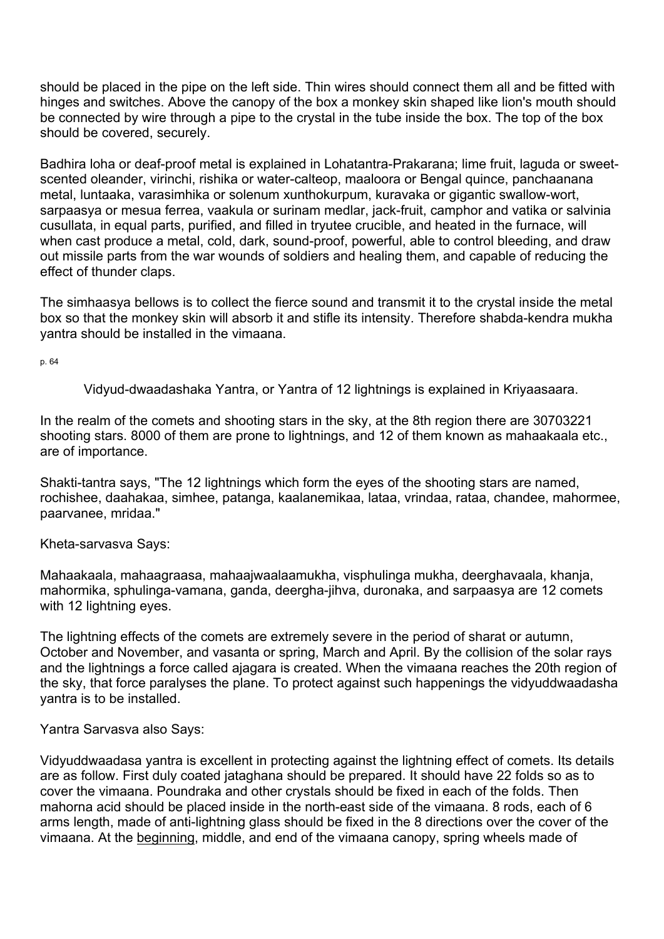should be placed in the pipe on the left side. Thin wires should connect them all and be fitted with hinges and switches. Above the canopy of the box a monkey skin shaped like lion's mouth should be connected by wire through a pipe to the crystal in the tube inside the box. The top of the box should be covered, securely.

Badhira loha or deaf-proof metal is explained in Lohatantra-Prakarana; lime fruit, laguda or sweetscented oleander, virinchi, rishika or water-calteop, maaloora or Bengal quince, panchaanana metal, luntaaka, varasimhika or solenum xunthokurpum, kuravaka or gigantic swallow-wort, sarpaasya or mesua ferrea, vaakula or surinam medlar, jack-fruit, camphor and vatika or salvinia cusullata, in equal parts, purified, and filled in tryutee crucible, and heated in the furnace, will when cast produce a metal, cold, dark, sound-proof, powerful, able to control bleeding, and draw out missile parts from the war wounds of soldiers and healing them, and capable of reducing the effect of thunder claps.

The simhaasya bellows is to collect the fierce sound and transmit it to the crystal inside the metal box so that the monkey skin will absorb it and stifle its intensity. Therefore shabda-kendra mukha yantra should be installed in the vimaana.

p. 64

Vidyud-dwaadashaka Yantra, or Yantra of 12 lightnings is explained in Kriyaasaara.

In the realm of the comets and shooting stars in the sky, at the 8th region there are 30703221 shooting stars. 8000 of them are prone to lightnings, and 12 of them known as mahaakaala etc., are of importance.

Shakti-tantra says, "The 12 lightnings which form the eyes of the shooting stars are named, rochishee, daahakaa, simhee, patanga, kaalanemikaa, lataa, vrindaa, rataa, chandee, mahormee, paarvanee, mridaa."

Kheta-sarvasva Says:

Mahaakaala, mahaagraasa, mahaajwaalaamukha, visphulinga mukha, deerghavaala, khanja, mahormika, sphulinga-vamana, ganda, deergha-jihva, duronaka, and sarpaasya are 12 comets with 12 lightning eyes.

The lightning effects of the comets are extremely severe in the period of sharat or autumn, October and November, and vasanta or spring, March and April. By the collision of the solar rays and the lightnings a force called ajagara is created. When the vimaana reaches the 20th region of the sky, that force paralyses the plane. To protect against such happenings the vidyuddwaadasha yantra is to be installed.

Yantra Sarvasva also Says:

Vidyuddwaadasa yantra is excellent in protecting against the lightning effect of comets. Its details are as follow. First duly coated jataghana should be prepared. It should have 22 folds so as to cover the vimaana. Poundraka and other crystals should be fixed in each of the folds. Then mahorna acid should be placed inside in the north-east side of the vimaana. 8 rods, each of 6 arms length, made of anti-lightning glass should be fixed in the 8 directions over the cover of the vimaana. At the beginning, middle, and end of the vimaana canopy, spring wheels made of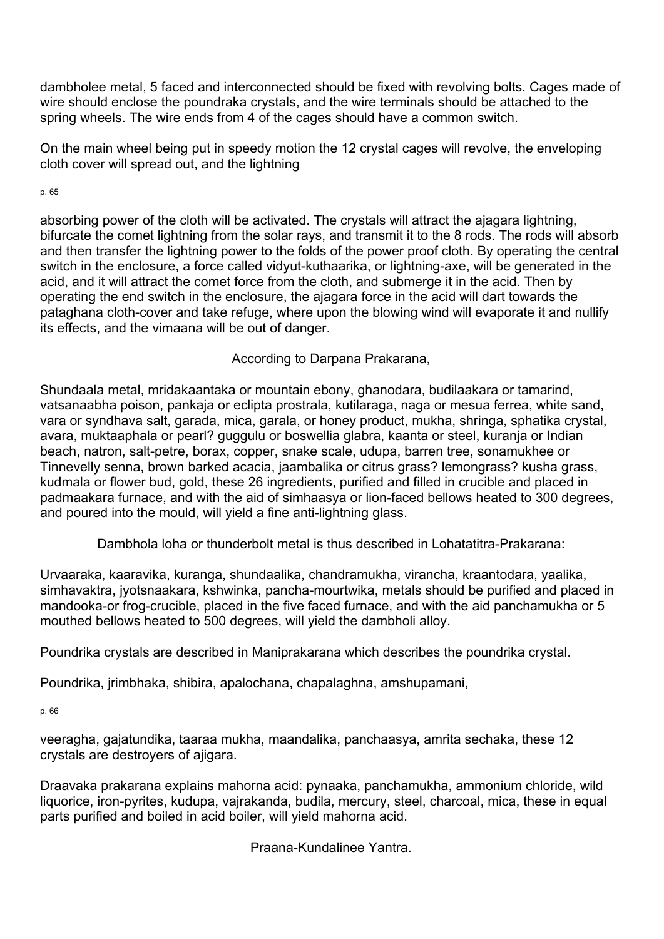dambholee metal, 5 faced and interconnected should be fixed with revolving bolts. Cages made of wire should enclose the poundraka crystals, and the wire terminals should be attached to the spring wheels. The wire ends from 4 of the cages should have a common switch.

On the main wheel being put in speedy motion the 12 crystal cages will revolve, the enveloping cloth cover will spread out, and the lightning

p. 65

absorbing power of the cloth will be activated. The crystals will attract the ajagara lightning, bifurcate the comet lightning from the solar rays, and transmit it to the 8 rods. The rods will absorb and then transfer the lightning power to the folds of the power proof cloth. By operating the central switch in the enclosure, a force called vidyut-kuthaarika, or lightning-axe, will be generated in the acid, and it will attract the comet force from the cloth, and submerge it in the acid. Then by operating the end switch in the enclosure, the ajagara force in the acid will dart towards the pataghana cloth-cover and take refuge, where upon the blowing wind will evaporate it and nullify its effects, and the vimaana will be out of danger.

According to Darpana Prakarana,

Shundaala metal, mridakaantaka or mountain ebony, ghanodara, budilaakara or tamarind, vatsanaabha poison, pankaja or eclipta prostrala, kutilaraga, naga or mesua ferrea, white sand, vara or syndhava salt, garada, mica, garala, or honey product, mukha, shringa, sphatika crystal, avara, muktaaphala or pearl? guggulu or boswellia glabra, kaanta or steel, kuranja or Indian beach, natron, salt-petre, borax, copper, snake scale, udupa, barren tree, sonamukhee or Tinnevelly senna, brown barked acacia, jaambalika or citrus grass? lemongrass? kusha grass, kudmala or flower bud, gold, these 26 ingredients, purified and filled in crucible and placed in padmaakara furnace, and with the aid of simhaasya or lion-faced bellows heated to 300 degrees, and poured into the mould, will yield a fine anti-lightning glass.

Dambhola loha or thunderbolt metal is thus described in Lohatatitra-Prakarana:

Urvaaraka, kaaravika, kuranga, shundaalika, chandramukha, virancha, kraantodara, yaalika, simhavaktra, jyotsnaakara, kshwinka, pancha-mourtwika, metals should be purified and placed in mandooka-or frog-crucible, placed in the five faced furnace, and with the aid panchamukha or 5 mouthed bellows heated to 500 degrees, will yield the dambholi alloy.

Poundrika crystals are described in Maniprakarana which describes the poundrika crystal.

Poundrika, jrimbhaka, shibira, apalochana, chapalaghna, amshupamani,

p. 66

veeragha, gajatundika, taaraa mukha, maandalika, panchaasya, amrita sechaka, these 12 crystals are destroyers of ajigara.

Draavaka prakarana explains mahorna acid: pynaaka, panchamukha, ammonium chloride, wild liquorice, iron-pyrites, kudupa, vajrakanda, budila, mercury, steel, charcoal, mica, these in equal parts purified and boiled in acid boiler, will yield mahorna acid.

Praana-Kundalinee Yantra.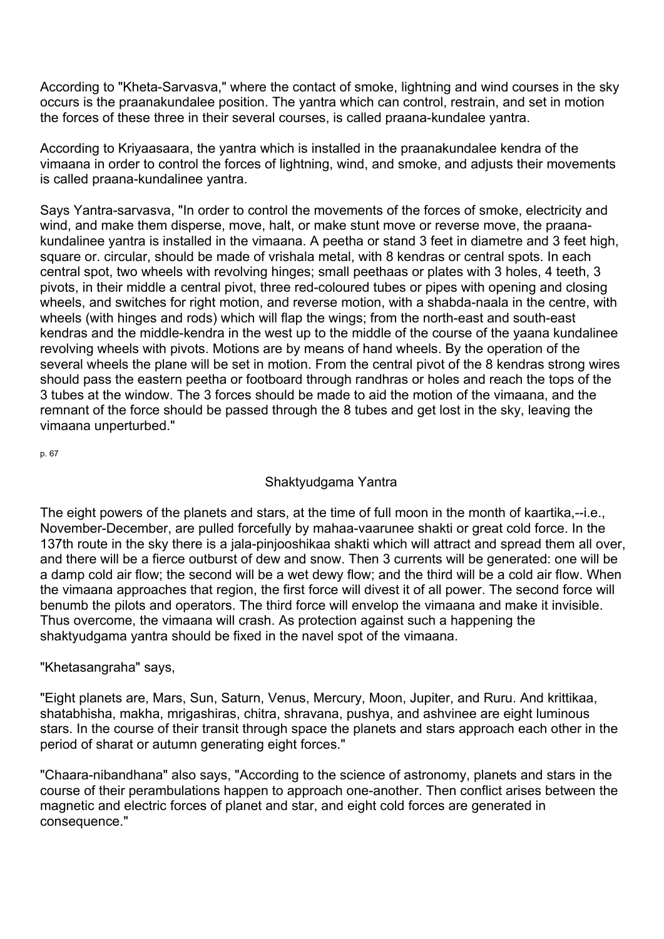According to "Kheta-Sarvasva," where the contact of smoke, lightning and wind courses in the sky occurs is the praanakundalee position. The yantra which can control, restrain, and set in motion the forces of these three in their several courses, is called praana-kundalee yantra.

According to Kriyaasaara, the yantra which is installed in the praanakundalee kendra of the vimaana in order to control the forces of lightning, wind, and smoke, and adjusts their movements is called praana-kundalinee yantra.

Says Yantra-sarvasva, "In order to control the movements of the forces of smoke, electricity and wind, and make them disperse, move, halt, or make stunt move or reverse move, the praanakundalinee yantra is installed in the vimaana. A peetha or stand 3 feet in diametre and 3 feet high, square or. circular, should be made of vrishala metal, with 8 kendras or central spots. In each central spot, two wheels with revolving hinges; small peethaas or plates with 3 holes, 4 teeth, 3 pivots, in their middle a central pivot, three red-coloured tubes or pipes with opening and closing wheels, and switches for right motion, and reverse motion, with a shabda-naala in the centre, with wheels (with hinges and rods) which will flap the wings; from the north-east and south-east kendras and the middle-kendra in the west up to the middle of the course of the yaana kundalinee revolving wheels with pivots. Motions are by means of hand wheels. By the operation of the several wheels the plane will be set in motion. From the central pivot of the 8 kendras strong wires should pass the eastern peetha or footboard through randhras or holes and reach the tops of the 3 tubes at the window. The 3 forces should be made to aid the motion of the vimaana, and the remnant of the force should be passed through the 8 tubes and get lost in the sky, leaving the vimaana unperturbed."

p. 67

# Shaktyudgama Yantra

The eight powers of the planets and stars, at the time of full moon in the month of kaartika,--i.e., November-December, are pulled forcefully by mahaa-vaarunee shakti or great cold force. In the 137th route in the sky there is a jala-pinjooshikaa shakti which will attract and spread them all over, and there will be a fierce outburst of dew and snow. Then 3 currents will be generated: one will be a damp cold air flow; the second will be a wet dewy flow; and the third will be a cold air flow. When the vimaana approaches that region, the first force will divest it of all power. The second force will benumb the pilots and operators. The third force will envelop the vimaana and make it invisible. Thus overcome, the vimaana will crash. As protection against such a happening the shaktyudgama yantra should be fixed in the navel spot of the vimaana.

# "Khetasangraha" says,

"Eight planets are, Mars, Sun, Saturn, Venus, Mercury, Moon, Jupiter, and Ruru. And krittikaa, shatabhisha, makha, mrigashiras, chitra, shravana, pushya, and ashvinee are eight luminous stars. In the course of their transit through space the planets and stars approach each other in the period of sharat or autumn generating eight forces."

"Chaara-nibandhana" also says, "According to the science of astronomy, planets and stars in the course of their perambulations happen to approach one-another. Then conflict arises between the magnetic and electric forces of planet and star, and eight cold forces are generated in consequence."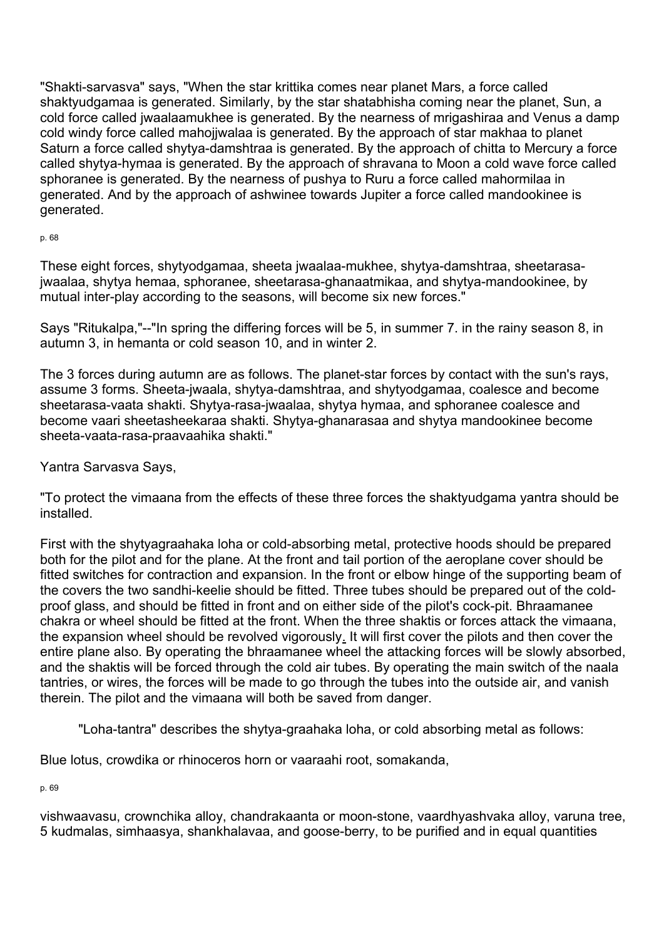"Shakti-sarvasva" says, "When the star krittika comes near planet Mars, a force called shaktyudgamaa is generated. Similarly, by the star shatabhisha coming near the planet, Sun, a cold force called jwaalaamukhee is generated. By the nearness of mrigashiraa and Venus a damp cold windy force called mahojjwalaa is generated. By the approach of star makhaa to planet Saturn a force called shytya-damshtraa is generated. By the approach of chitta to Mercury a force called shytya-hymaa is generated. By the approach of shravana to Moon a cold wave force called sphoranee is generated. By the nearness of pushya to Ruru a force called mahormilaa in generated. And by the approach of ashwinee towards Jupiter a force called mandookinee is generated.

p. 68

These eight forces, shytyodgamaa, sheeta jwaalaa-mukhee, shytya-damshtraa, sheetarasajwaalaa, shytya hemaa, sphoranee, sheetarasa-ghanaatmikaa, and shytya-mandookinee, by mutual inter-play according to the seasons, will become six new forces."

Says "Ritukalpa,"--"In spring the differing forces will be 5, in summer 7. in the rainy season 8, in autumn 3, in hemanta or cold season 10, and in winter 2.

The 3 forces during autumn are as follows. The planet-star forces by contact with the sun's rays, assume 3 forms. Sheeta-jwaala, shytya-damshtraa, and shytyodgamaa, coalesce and become sheetarasa-vaata shakti. Shytya-rasa-jwaalaa, shytya hymaa, and sphoranee coalesce and become vaari sheetasheekaraa shakti. Shytya-ghanarasaa and shytya mandookinee become sheeta-vaata-rasa-praavaahika shakti."

Yantra Sarvasva Says,

"To protect the vimaana from the effects of these three forces the shaktyudgama yantra should be installed.

First with the shytyagraahaka loha or cold-absorbing metal, protective hoods should be prepared both for the pilot and for the plane. At the front and tail portion of the aeroplane cover should be fitted switches for contraction and expansion. In the front or elbow hinge of the supporting beam of the covers the two sandhi-keelie should be fitted. Three tubes should be prepared out of the coldproof glass, and should be fitted in front and on either side of the pilot's cock-pit. Bhraamanee chakra or wheel should be fitted at the front. When the three shaktis or forces attack the vimaana, the expansion wheel should be revolved vigorously. It will first cover the pilots and then cover the entire plane also. By operating the bhraamanee wheel the attacking forces will be slowly absorbed, and the shaktis will be forced through the cold air tubes. By operating the main switch of the naala tantries, or wires, the forces will be made to go through the tubes into the outside air, and vanish therein. The pilot and the vimaana will both be saved from danger.

"Loha-tantra" describes the shytya-graahaka loha, or cold absorbing metal as follows:

Blue lotus, crowdika or rhinoceros horn or vaaraahi root, somakanda,

p. 69

vishwaavasu, crownchika alloy, chandrakaanta or moon-stone, vaardhyashvaka alloy, varuna tree, 5 kudmalas, simhaasya, shankhalavaa, and goose-berry, to be purified and in equal quantities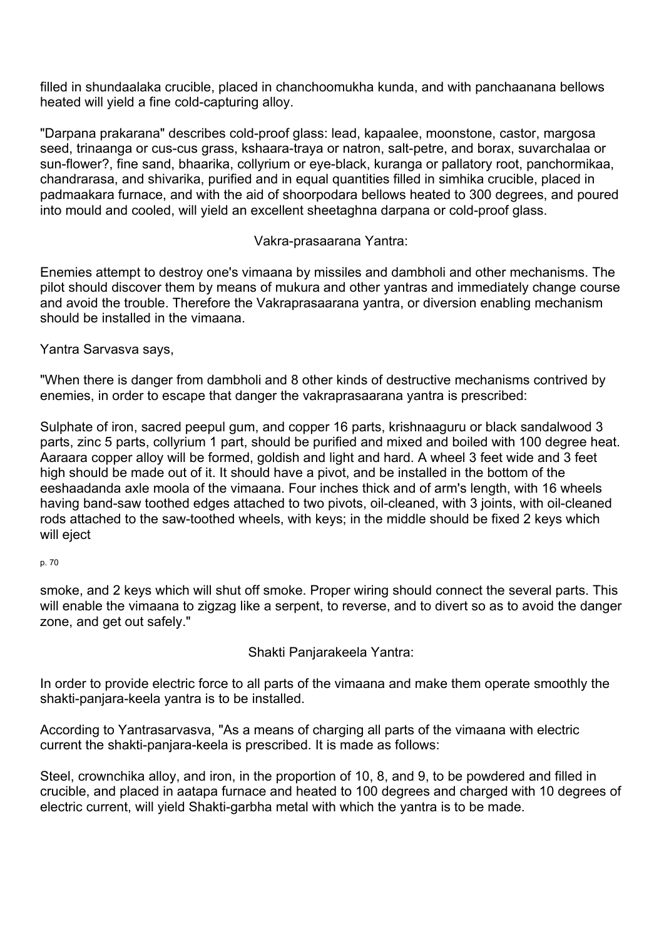filled in shundaalaka crucible, placed in chanchoomukha kunda, and with panchaanana bellows heated will yield a fine cold-capturing alloy.

"Darpana prakarana" describes cold-proof glass: lead, kapaalee, moonstone, castor, margosa seed, trinaanga or cus-cus grass, kshaara-traya or natron, salt-petre, and borax, suvarchalaa or sun-flower?, fine sand, bhaarika, collyrium or eye-black, kuranga or pallatory root, panchormikaa, chandrarasa, and shivarika, purified and in equal quantities filled in simhika crucible, placed in padmaakara furnace, and with the aid of shoorpodara bellows heated to 300 degrees, and poured into mould and cooled, will yield an excellent sheetaghna darpana or cold-proof glass.

## Vakra-prasaarana Yantra:

Enemies attempt to destroy one's vimaana by missiles and dambholi and other mechanisms. The pilot should discover them by means of mukura and other yantras and immediately change course and avoid the trouble. Therefore the Vakraprasaarana yantra, or diversion enabling mechanism should be installed in the vimaana.

## Yantra Sarvasva says,

"When there is danger from dambholi and 8 other kinds of destructive mechanisms contrived by enemies, in order to escape that danger the vakraprasaarana yantra is prescribed:

Sulphate of iron, sacred peepul gum, and copper 16 parts, krishnaaguru or black sandalwood 3 parts, zinc 5 parts, collyrium 1 part, should be purified and mixed and boiled with 100 degree heat. Aaraara copper alloy will be formed, goldish and light and hard. A wheel 3 feet wide and 3 feet high should be made out of it. It should have a pivot, and be installed in the bottom of the eeshaadanda axle moola of the vimaana. Four inches thick and of arm's length, with 16 wheels having band-saw toothed edges attached to two pivots, oil-cleaned, with 3 joints, with oil-cleaned rods attached to the saw-toothed wheels, with keys; in the middle should be fixed 2 keys which will eject

p. 70

smoke, and 2 keys which will shut off smoke. Proper wiring should connect the several parts. This will enable the vimaana to zigzag like a serpent, to reverse, and to divert so as to avoid the danger zone, and get out safely."

Shakti Panjarakeela Yantra:

In order to provide electric force to all parts of the vimaana and make them operate smoothly the shakti-panjara-keela yantra is to be installed.

According to Yantrasarvasva, "As a means of charging all parts of the vimaana with electric current the shakti-panjara-keela is prescribed. It is made as follows:

Steel, crownchika alloy, and iron, in the proportion of 10, 8, and 9, to be powdered and filled in crucible, and placed in aatapa furnace and heated to 100 degrees and charged with 10 degrees of electric current, will yield Shakti-garbha metal with which the yantra is to be made.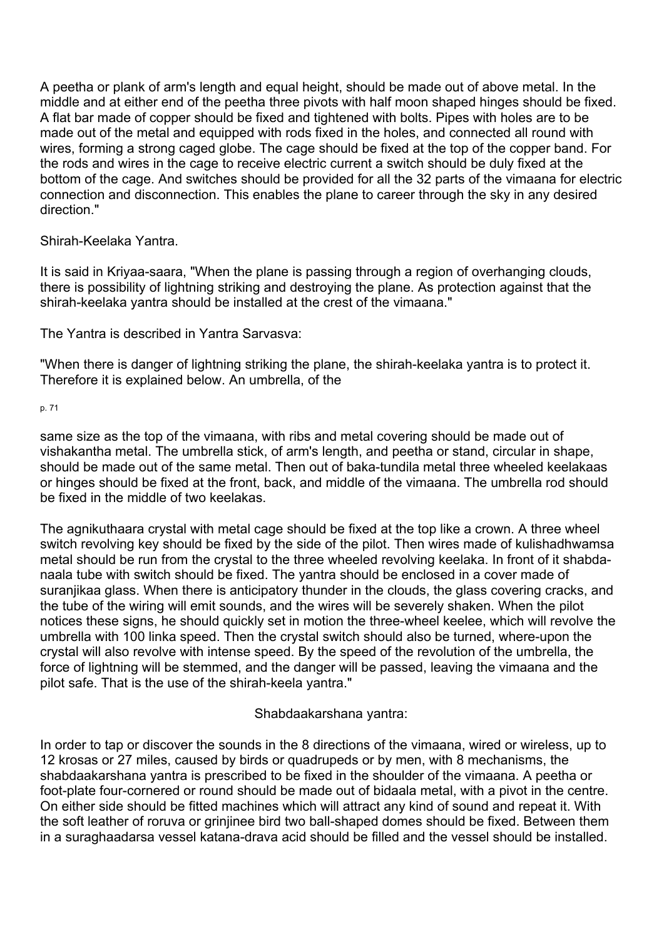A peetha or plank of arm's length and equal height, should be made out of above metal. In the middle and at either end of the peetha three pivots with half moon shaped hinges should be fixed. A flat bar made of copper should be fixed and tightened with bolts. Pipes with holes are to be made out of the metal and equipped with rods fixed in the holes, and connected all round with wires, forming a strong caged globe. The cage should be fixed at the top of the copper band. For the rods and wires in the cage to receive electric current a switch should be duly fixed at the bottom of the cage. And switches should be provided for all the 32 parts of the vimaana for electric connection and disconnection. This enables the plane to career through the sky in any desired direction."

Shirah-Keelaka Yantra.

It is said in Kriyaa-saara, "When the plane is passing through a region of overhanging clouds, there is possibility of lightning striking and destroying the plane. As protection against that the shirah-keelaka yantra should be installed at the crest of the vimaana."

The Yantra is described in Yantra Sarvasva:

"When there is danger of lightning striking the plane, the shirah-keelaka yantra is to protect it. Therefore it is explained below. An umbrella, of the

p. 71

same size as the top of the vimaana, with ribs and metal covering should be made out of vishakantha metal. The umbrella stick, of arm's length, and peetha or stand, circular in shape, should be made out of the same metal. Then out of baka-tundila metal three wheeled keelakaas or hinges should be fixed at the front, back, and middle of the vimaana. The umbrella rod should be fixed in the middle of two keelakas.

The agnikuthaara crystal with metal cage should be fixed at the top like a crown. A three wheel switch revolving key should be fixed by the side of the pilot. Then wires made of kulishadhwamsa metal should be run from the crystal to the three wheeled revolving keelaka. In front of it shabdanaala tube with switch should be fixed. The yantra should be enclosed in a cover made of suranjikaa glass. When there is anticipatory thunder in the clouds, the glass covering cracks, and the tube of the wiring will emit sounds, and the wires will be severely shaken. When the pilot notices these signs, he should quickly set in motion the three-wheel keelee, which will revolve the umbrella with 100 linka speed. Then the crystal switch should also be turned, where-upon the crystal will also revolve with intense speed. By the speed of the revolution of the umbrella, the force of lightning will be stemmed, and the danger will be passed, leaving the vimaana and the pilot safe. That is the use of the shirah-keela yantra."

Shabdaakarshana yantra:

In order to tap or discover the sounds in the 8 directions of the vimaana, wired or wireless, up to 12 krosas or 27 miles, caused by birds or quadrupeds or by men, with 8 mechanisms, the shabdaakarshana yantra is prescribed to be fixed in the shoulder of the vimaana. A peetha or foot-plate four-cornered or round should be made out of bidaala metal, with a pivot in the centre. On either side should be fitted machines which will attract any kind of sound and repeat it. With the soft leather of roruva or grinjinee bird two ball-shaped domes should be fixed. Between them in a suraghaadarsa vessel katana-drava acid should be filled and the vessel should be installed.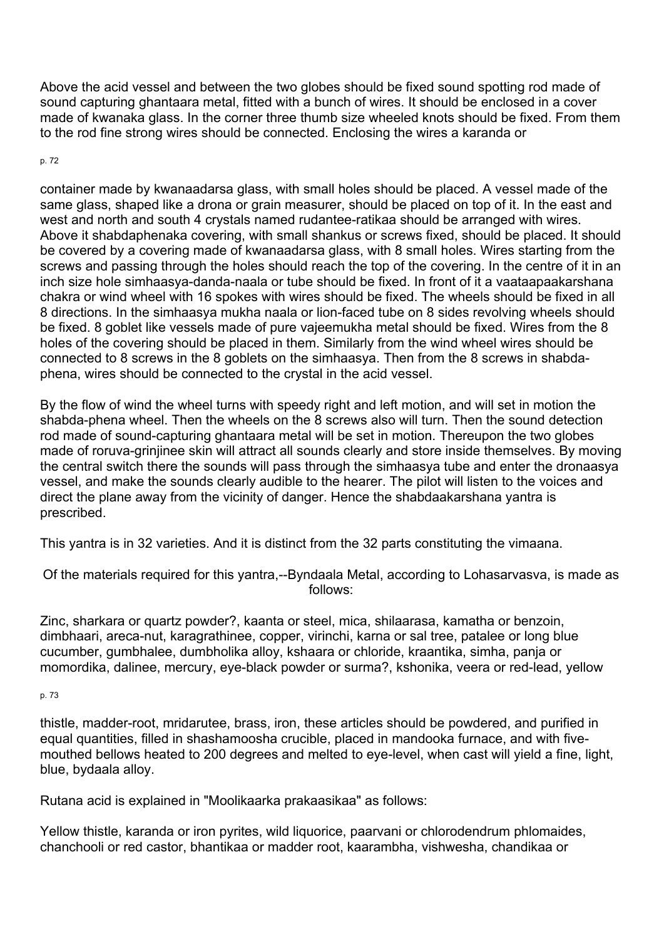Above the acid vessel and between the two globes should be fixed sound spotting rod made of sound capturing ghantaara metal, fitted with a bunch of wires. It should be enclosed in a cover made of kwanaka glass. In the corner three thumb size wheeled knots should be fixed. From them to the rod fine strong wires should be connected. Enclosing the wires a karanda or

#### p. 72

container made by kwanaadarsa glass, with small holes should be placed. A vessel made of the same glass, shaped like a drona or grain measurer, should be placed on top of it. In the east and west and north and south 4 crystals named rudantee-ratikaa should be arranged with wires. Above it shabdaphenaka covering, with small shankus or screws fixed, should be placed. It should be covered by a covering made of kwanaadarsa glass, with 8 small holes. Wires starting from the screws and passing through the holes should reach the top of the covering. In the centre of it in an inch size hole simhaasya-danda-naala or tube should be fixed. In front of it a vaataapaakarshana chakra or wind wheel with 16 spokes with wires should be fixed. The wheels should be fixed in all 8 directions. In the simhaasya mukha naala or lion-faced tube on 8 sides revolving wheels should be fixed. 8 goblet like vessels made of pure vaieemukha metal should be fixed. Wires from the 8 holes of the covering should be placed in them. Similarly from the wind wheel wires should be connected to 8 screws in the 8 goblets on the simhaasya. Then from the 8 screws in shabdaphena, wires should be connected to the crystal in the acid vessel.

By the flow of wind the wheel turns with speedy right and left motion, and will set in motion the shabda-phena wheel. Then the wheels on the 8 screws also will turn. Then the sound detection rod made of sound-capturing ghantaara metal will be set in motion. Thereupon the two globes made of roruva-grinjinee skin will attract all sounds clearly and store inside themselves. By moving the central switch there the sounds will pass through the simhaasya tube and enter the dronaasya vessel, and make the sounds clearly audible to the hearer. The pilot will listen to the voices and direct the plane away from the vicinity of danger. Hence the shabdaakarshana yantra is prescribed.

This yantra is in 32 varieties. And it is distinct from the 32 parts constituting the vimaana.

Of the materials required for this yantra,--Byndaala Metal, according to Lohasarvasva, is made as follows:

Zinc, sharkara or quartz powder?, kaanta or steel, mica, shilaarasa, kamatha or benzoin, dimbhaari, areca-nut, karagrathinee, copper, virinchi, karna or sal tree, patalee or long blue cucumber, gumbhalee, dumbholika alloy, kshaara or chloride, kraantika, simha, panja or momordika, dalinee, mercury, eye-black powder or surma?, kshonika, veera or red-lead, yellow

#### p. 73

thistle, madder-root, mridarutee, brass, iron, these articles should be powdered, and purified in equal quantities, filled in shashamoosha crucible, placed in mandooka furnace, and with fivemouthed bellows heated to 200 degrees and melted to eye-level, when cast will yield a fine, light, blue, bydaala alloy.

Rutana acid is explained in "Moolikaarka prakaasikaa" as follows:

Yellow thistle, karanda or iron pyrites, wild liquorice, paarvani or chlorodendrum phlomaides, chanchooli or red castor, bhantikaa or madder root, kaarambha, vishwesha, chandikaa or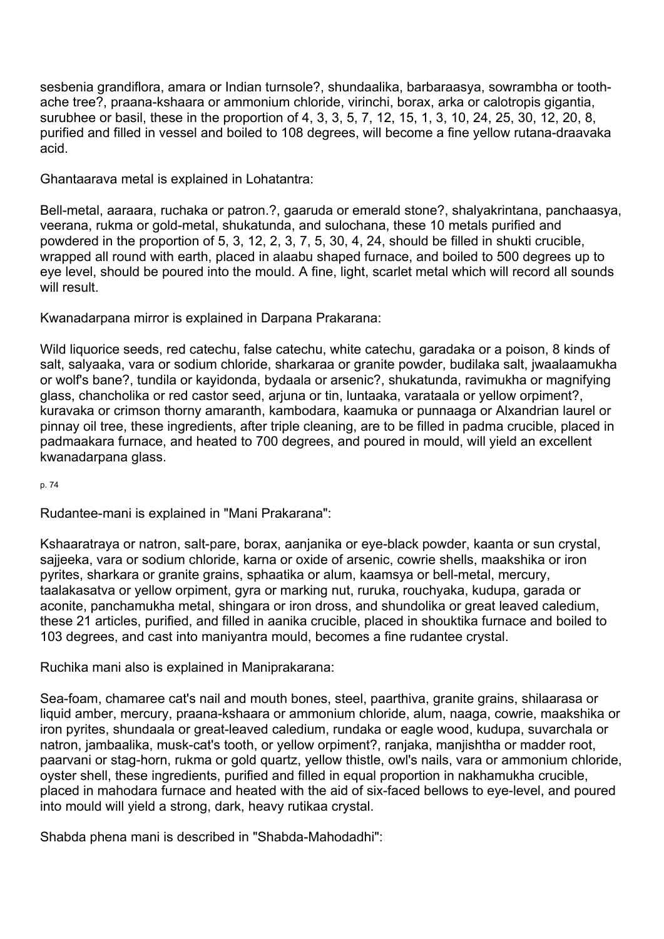sesbenia grandiflora, amara or Indian turnsole?, shundaalika, barbaraasya, sowrambha or toothache tree?, praana-kshaara or ammonium chloride, virinchi, borax, arka or calotropis gigantia, surubhee or basil, these in the proportion of 4, 3, 3, 5, 7, 12, 15, 1, 3, 10, 24, 25, 30, 12, 20, 8, purified and filled in vessel and boiled to 108 degrees, will become a fine yellow rutana-draavaka acid.

Ghantaarava metal is explained in Lohatantra:

Bell-metal, aaraara, ruchaka or patron.?, gaaruda or emerald stone?, shalyakrintana, panchaasya, veerana, rukma or gold-metal, shukatunda, and sulochana, these 10 metals purified and powdered in the proportion of 5, 3, 12, 2, 3, 7, 5, 30, 4, 24, should be filled in shukti crucible, wrapped all round with earth, placed in alaabu shaped furnace, and boiled to 500 degrees up to eye level, should be poured into the mould. A fine, light, scarlet metal which will record all sounds will result.

Kwanadarpana mirror is explained in Darpana Prakarana:

Wild liquorice seeds, red catechu, false catechu, white catechu, garadaka or a poison, 8 kinds of salt, salyaaka, vara or sodium chloride, sharkaraa or granite powder, budilaka salt, jwaalaamukha or wolf's bane?, tundila or kayidonda, bydaala or arsenic?, shukatunda, ravimukha or magnifying glass, chancholika or red castor seed, arjuna or tin, luntaaka, varataala or yellow orpiment?, kuravaka or crimson thorny amaranth, kambodara, kaamuka or punnaaga or Alxandrian laurel or pinnay oil tree, these ingredients, after triple cleaning, are to be filled in padma crucible, placed in padmaakara furnace, and heated to 700 degrees, and poured in mould, will yield an excellent kwanadarpana glass.

p. 74

Rudantee-mani is explained in "Mani Prakarana":

Kshaaratraya or natron, salt-pare, borax, aanjanika or eye-black powder, kaanta or sun crystal, sajjeeka, vara or sodium chloride, karna or oxide of arsenic, cowrie shells, maakshika or iron pyrites, sharkara or granite grains, sphaatika or alum, kaamsya or bell-metal, mercury, taalakasatva or yellow orpiment, gyra or marking nut, ruruka, rouchyaka, kudupa, garada or aconite, panchamukha metal, shingara or iron dross, and shundolika or great leaved caledium, these 21 articles, purified, and filled in aanika crucible, placed in shouktika furnace and boiled to 103 degrees, and cast into maniyantra mould, becomes a fine rudantee crystal.

Ruchika mani also is explained in Maniprakarana:

Sea-foam, chamaree cat's nail and mouth bones, steel, paarthiva, granite grains, shilaarasa or liquid amber, mercury, praana-kshaara or ammonium chloride, alum, naaga, cowrie, maakshika or iron pyrites, shundaala or great-leaved caledium, rundaka or eagle wood, kudupa, suvarchala or natron, jambaalika, musk-cat's tooth, or yellow orpiment?, ranjaka, manjishtha or madder root, paarvani or stag-horn, rukma or gold quartz, yellow thistle, owl's nails, vara or ammonium chloride, oyster shell, these ingredients, purified and filled in equal proportion in nakhamukha crucible, placed in mahodara furnace and heated with the aid of six-faced bellows to eye-level, and poured into mould will yield a strong, dark, heavy rutikaa crystal.

Shabda phena mani is described in "Shabda-Mahodadhi":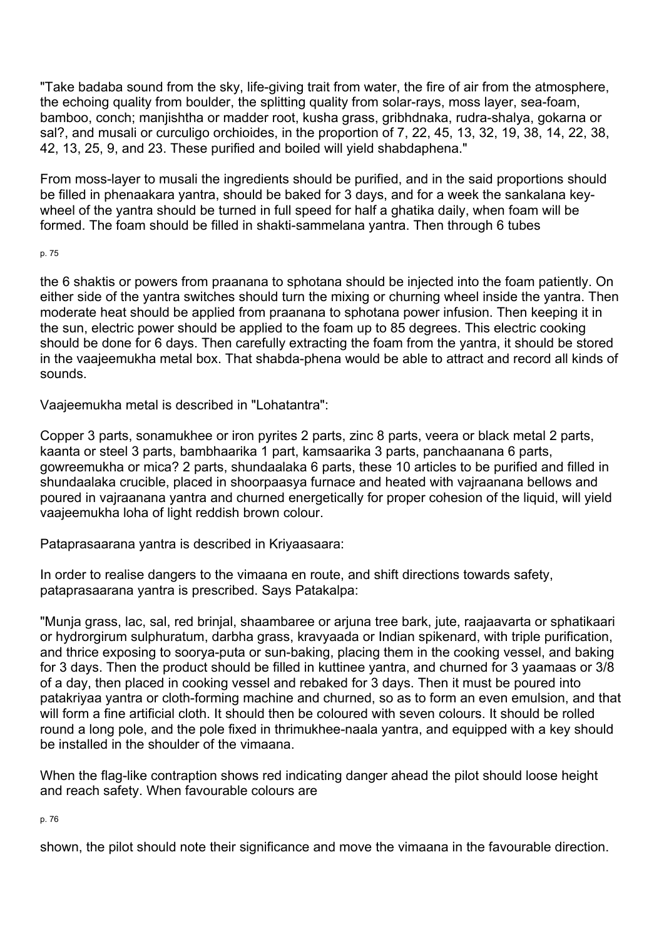"Take badaba sound from the sky, life-giving trait from water, the fire of air from the atmosphere, the echoing quality from boulder, the splitting quality from solar-rays, moss layer, sea-foam, bamboo, conch; manjishtha or madder root, kusha grass, gribhdnaka, rudra-shalya, gokarna or sal?, and musali or curculigo orchioides, in the proportion of 7, 22, 45, 13, 32, 19, 38, 14, 22, 38, 42, 13, 25, 9, and 23. These purified and boiled will yield shabdaphena."

From moss-layer to musali the ingredients should be purified, and in the said proportions should be filled in phenaakara yantra, should be baked for 3 days, and for a week the sankalana keywheel of the yantra should be turned in full speed for half a ghatika daily, when foam will be formed. The foam should be filled in shakti-sammelana yantra. Then through 6 tubes

p. 75

the 6 shaktis or powers from praanana to sphotana should be injected into the foam patiently. On either side of the yantra switches should turn the mixing or churning wheel inside the yantra. Then moderate heat should be applied from praanana to sphotana power infusion. Then keeping it in the sun, electric power should be applied to the foam up to 85 degrees. This electric cooking should be done for 6 days. Then carefully extracting the foam from the yantra, it should be stored in the vaajeemukha metal box. That shabda-phena would be able to attract and record all kinds of sounds.

Vaajeemukha metal is described in "Lohatantra":

Copper 3 parts, sonamukhee or iron pyrites 2 parts, zinc 8 parts, veera or black metal 2 parts, kaanta or steel 3 parts, bambhaarika 1 part, kamsaarika 3 parts, panchaanana 6 parts, gowreemukha or mica? 2 parts, shundaalaka 6 parts, these 10 articles to be purified and filled in shundaalaka crucible, placed in shoorpaasya furnace and heated with vajraanana bellows and poured in vajraanana yantra and churned energetically for proper cohesion of the liquid, will yield vaajeemukha loha of light reddish brown colour.

Pataprasaarana yantra is described in Kriyaasaara:

In order to realise dangers to the vimaana en route, and shift directions towards safety, pataprasaarana yantra is prescribed. Says Patakalpa:

"Munja grass, lac, sal, red brinjal, shaambaree or arjuna tree bark, jute, raajaavarta or sphatikaari or hydrorgirum sulphuratum, darbha grass, kravyaada or Indian spikenard, with triple purification, and thrice exposing to soorya-puta or sun-baking, placing them in the cooking vessel, and baking for 3 days. Then the product should be filled in kuttinee yantra, and churned for 3 yaamaas or 3/8 of a day, then placed in cooking vessel and rebaked for 3 days. Then it must be poured into patakriyaa yantra or cloth-forming machine and churned, so as to form an even emulsion, and that will form a fine artificial cloth. It should then be coloured with seven colours. It should be rolled round a long pole, and the pole fixed in thrimukhee-naala yantra, and equipped with a key should be installed in the shoulder of the vimaana.

When the flag-like contraption shows red indicating danger ahead the pilot should loose height and reach safety. When favourable colours are

p. 76

shown, the pilot should note their significance and move the vimaana in the favourable direction.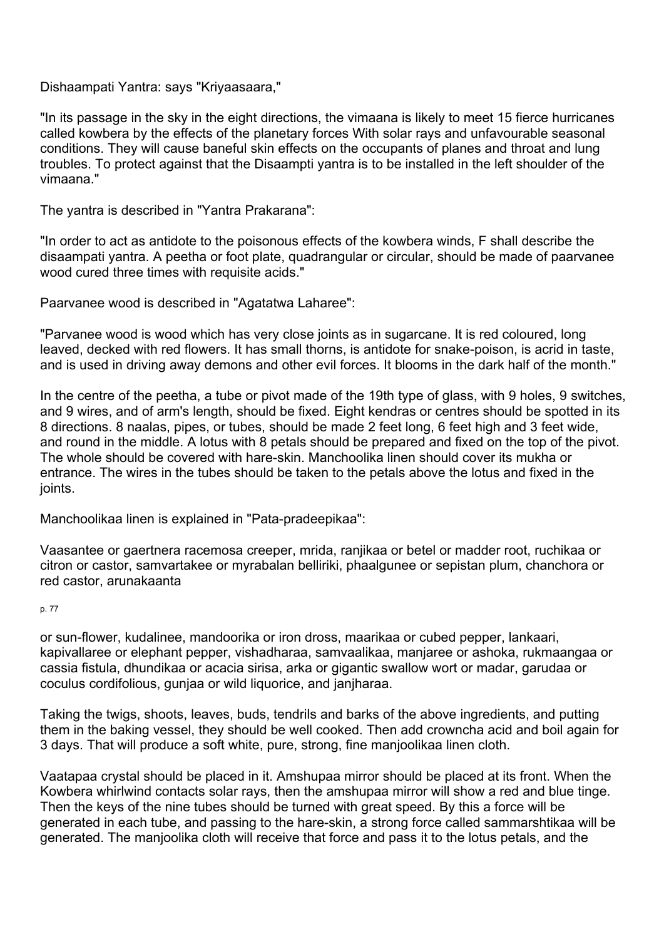Dishaampati Yantra: says "Kriyaasaara,"

"In its passage in the sky in the eight directions, the vimaana is likely to meet 15 fierce hurricanes called kowbera by the effects of the planetary forces With solar rays and unfavourable seasonal conditions. They will cause baneful skin effects on the occupants of planes and throat and lung troubles. To protect against that the Disaampti yantra is to be installed in the left shoulder of the vimaana."

The yantra is described in "Yantra Prakarana":

"In order to act as antidote to the poisonous effects of the kowbera winds, F shall describe the disaampati yantra. A peetha or foot plate, quadrangular or circular, should be made of paarvanee wood cured three times with requisite acids."

Paarvanee wood is described in "Agatatwa Laharee":

"Parvanee wood is wood which has very close joints as in sugarcane. It is red coloured, long leaved, decked with red flowers. It has small thorns, is antidote for snake-poison, is acrid in taste, and is used in driving away demons and other evil forces. It blooms in the dark half of the month."

In the centre of the peetha, a tube or pivot made of the 19th type of glass, with 9 holes, 9 switches, and 9 wires, and of arm's length, should be fixed. Eight kendras or centres should be spotted in its 8 directions. 8 naalas, pipes, or tubes, should be made 2 feet long, 6 feet high and 3 feet wide, and round in the middle. A lotus with 8 petals should be prepared and fixed on the top of the pivot. The whole should be covered with hare-skin. Manchoolika linen should cover its mukha or entrance. The wires in the tubes should be taken to the petals above the lotus and fixed in the joints.

Manchoolikaa linen is explained in "Pata-pradeepikaa":

Vaasantee or gaertnera racemosa creeper, mrida, ranjikaa or betel or madder root, ruchikaa or citron or castor, samvartakee or myrabalan belliriki, phaalgunee or sepistan plum, chanchora or red castor, arunakaanta

p. 77

or sun-flower, kudalinee, mandoorika or iron dross, maarikaa or cubed pepper, lankaari, kapivallaree or elephant pepper, vishadharaa, samvaalikaa, manjaree or ashoka, rukmaangaa or cassia fistula, dhundikaa or acacia sirisa, arka or gigantic swallow wort or madar, garudaa or coculus cordifolious, gunjaa or wild liquorice, and janjharaa.

Taking the twigs, shoots, leaves, buds, tendrils and barks of the above ingredients, and putting them in the baking vessel, they should be well cooked. Then add crowncha acid and boil again for 3 days. That will produce a soft white, pure, strong, fine manjoolikaa linen cloth.

Vaatapaa crystal should be placed in it. Amshupaa mirror should be placed at its front. When the Kowbera whirlwind contacts solar rays, then the amshupaa mirror will show a red and blue tinge. Then the keys of the nine tubes should be turned with great speed. By this a force will be generated in each tube, and passing to the hare-skin, a strong force called sammarshtikaa will be generated. The manjoolika cloth will receive that force and pass it to the lotus petals, and the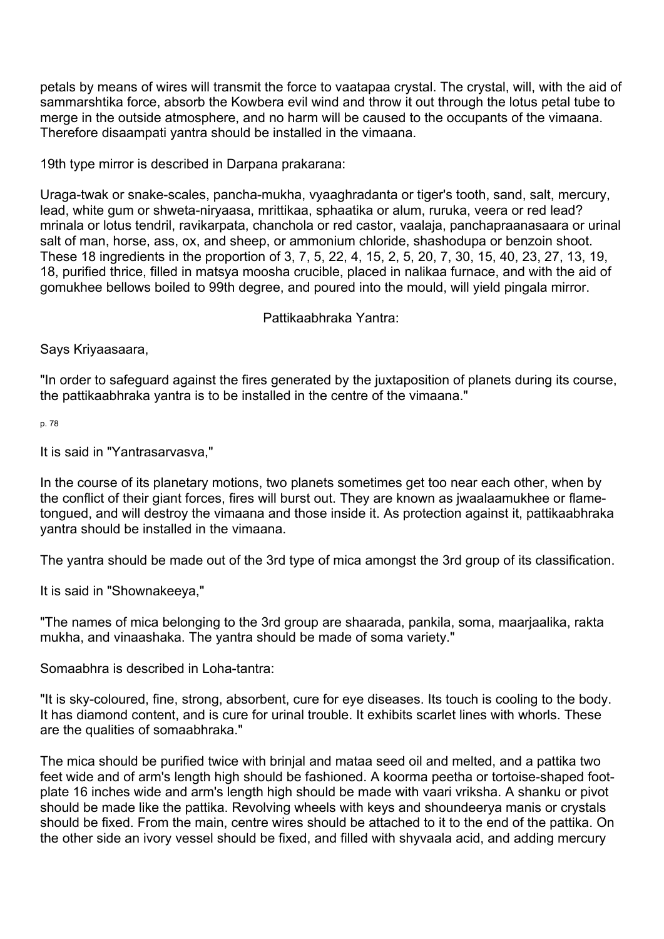petals by means of wires will transmit the force to vaatapaa crystal. The crystal, will, with the aid of sammarshtika force, absorb the Kowbera evil wind and throw it out through the lotus petal tube to merge in the outside atmosphere, and no harm will be caused to the occupants of the vimaana. Therefore disaampati yantra should be installed in the vimaana.

19th type mirror is described in Darpana prakarana:

Uraga-twak or snake-scales, pancha-mukha, vyaaghradanta or tiger's tooth, sand, salt, mercury, lead, white gum or shweta-niryaasa, mrittikaa, sphaatika or alum, ruruka, veera or red lead? mrinala or lotus tendril, ravikarpata, chanchola or red castor, vaalaja, panchapraanasaara or urinal salt of man, horse, ass, ox, and sheep, or ammonium chloride, shashodupa or benzoin shoot. These 18 ingredients in the proportion of 3, 7, 5, 22, 4, 15, 2, 5, 20, 7, 30, 15, 40, 23, 27, 13, 19, 18, purified thrice, filled in matsya moosha crucible, placed in nalikaa furnace, and with the aid of gomukhee bellows boiled to 99th degree, and poured into the mould, will yield pingala mirror.

Pattikaabhraka Yantra:

Says Kriyaasaara,

"In order to safeguard against the fires generated by the juxtaposition of planets during its course, the pattikaabhraka yantra is to be installed in the centre of the vimaana."

p. 78

It is said in "Yantrasarvasva,"

In the course of its planetary motions, two planets sometimes get too near each other, when by the conflict of their giant forces, fires will burst out. They are known as jwaalaamukhee or flametongued, and will destroy the vimaana and those inside it. As protection against it, pattikaabhraka yantra should be installed in the vimaana.

The yantra should be made out of the 3rd type of mica amongst the 3rd group of its classification.

It is said in "Shownakeeya,"

"The names of mica belonging to the 3rd group are shaarada, pankila, soma, maarjaalika, rakta mukha, and vinaashaka. The yantra should be made of soma variety."

Somaabhra is described in Loha-tantra:

"It is sky-coloured, fine, strong, absorbent, cure for eye diseases. Its touch is cooling to the body. It has diamond content, and is cure for urinal trouble. It exhibits scarlet lines with whorls. These are the qualities of somaabhraka."

The mica should be purified twice with brinjal and mataa seed oil and melted, and a pattika two feet wide and of arm's length high should be fashioned. A koorma peetha or tortoise-shaped footplate 16 inches wide and arm's length high should be made with vaari vriksha. A shanku or pivot should be made like the pattika. Revolving wheels with keys and shoundeerya manis or crystals should be fixed. From the main, centre wires should be attached to it to the end of the pattika. On the other side an ivory vessel should be fixed, and filled with shyvaala acid, and adding mercury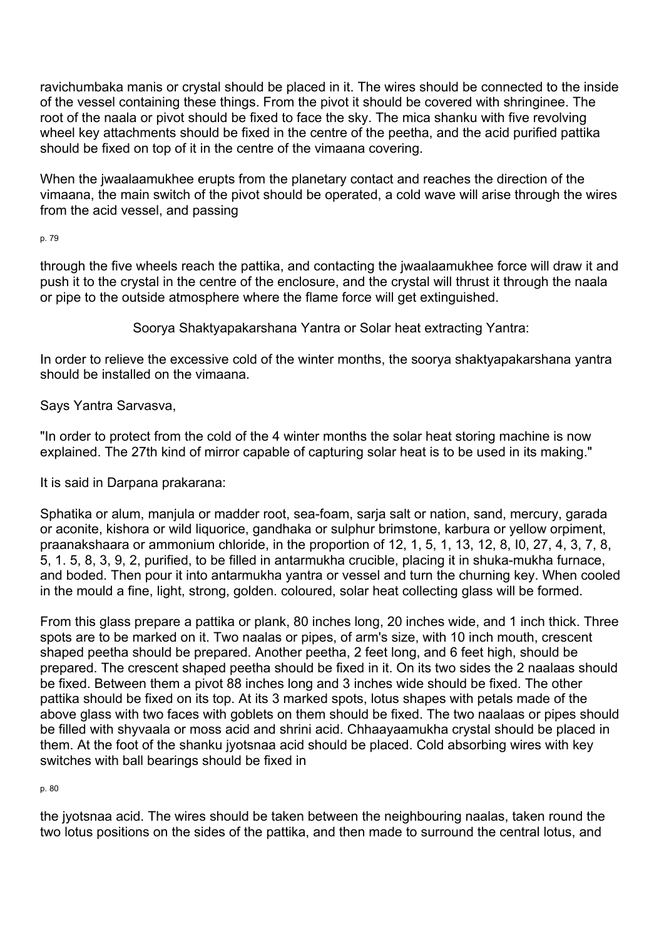ravichumbaka manis or crystal should be placed in it. The wires should be connected to the inside of the vessel containing these things. From the pivot it should be covered with shringinee. The root of the naala or pivot should be fixed to face the sky. The mica shanku with five revolving wheel key attachments should be fixed in the centre of the peetha, and the acid purified pattika should be fixed on top of it in the centre of the vimaana covering.

When the jwaalaamukhee erupts from the planetary contact and reaches the direction of the vimaana, the main switch of the pivot should be operated, a cold wave will arise through the wires from the acid vessel, and passing

p. 79

through the five wheels reach the pattika, and contacting the jwaalaamukhee force will draw it and push it to the crystal in the centre of the enclosure, and the crystal will thrust it through the naala or pipe to the outside atmosphere where the flame force will get extinguished.

Soorya Shaktyapakarshana Yantra or Solar heat extracting Yantra:

In order to relieve the excessive cold of the winter months, the soorya shaktyapakarshana yantra should be installed on the vimaana.

Says Yantra Sarvasva,

"In order to protect from the cold of the 4 winter months the solar heat storing machine is now explained. The 27th kind of mirror capable of capturing solar heat is to be used in its making."

It is said in Darpana prakarana:

Sphatika or alum, manjula or madder root, sea-foam, sarja salt or nation, sand, mercury, garada or aconite, kishora or wild liquorice, gandhaka or sulphur brimstone, karbura or yellow orpiment, praanakshaara or ammonium chloride, in the proportion of 12, 1, 5, 1, 13, 12, 8, I0, 27, 4, 3, 7, 8, 5, 1. 5, 8, 3, 9, 2, purified, to be filled in antarmukha crucible, placing it in shuka-mukha furnace, and boded. Then pour it into antarmukha yantra or vessel and turn the churning key. When cooled in the mould a fine, light, strong, golden. coloured, solar heat collecting glass will be formed.

From this glass prepare a pattika or plank, 80 inches long, 20 inches wide, and 1 inch thick. Three spots are to be marked on it. Two naalas or pipes, of arm's size, with 10 inch mouth, crescent shaped peetha should be prepared. Another peetha, 2 feet long, and 6 feet high, should be prepared. The crescent shaped peetha should be fixed in it. On its two sides the 2 naalaas should be fixed. Between them a pivot 88 inches long and 3 inches wide should be fixed. The other pattika should be fixed on its top. At its 3 marked spots, lotus shapes with petals made of the above glass with two faces with goblets on them should be fixed. The two naalaas or pipes should be filled with shyvaala or moss acid and shrini acid. Chhaayaamukha crystal should be placed in them. At the foot of the shanku jyotsnaa acid should be placed. Cold absorbing wires with key switches with ball bearings should be fixed in

p. 80

the jyotsnaa acid. The wires should be taken between the neighbouring naalas, taken round the two lotus positions on the sides of the pattika, and then made to surround the central lotus, and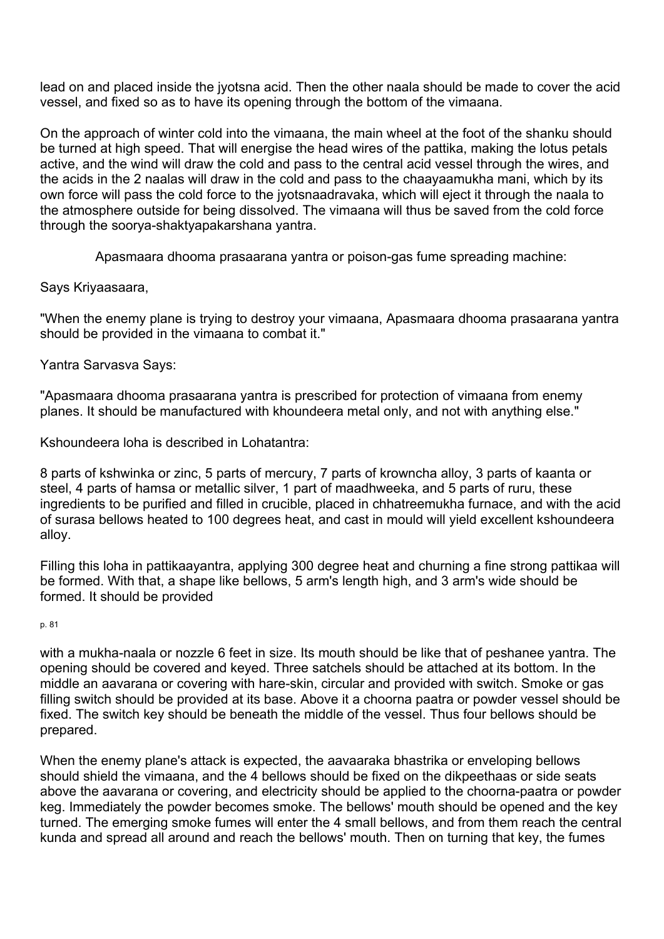lead on and placed inside the jyotsna acid. Then the other naala should be made to cover the acid vessel, and fixed so as to have its opening through the bottom of the vimaana.

On the approach of winter cold into the vimaana, the main wheel at the foot of the shanku should be turned at high speed. That will energise the head wires of the pattika, making the lotus petals active, and the wind will draw the cold and pass to the central acid vessel through the wires, and the acids in the 2 naalas will draw in the cold and pass to the chaayaamukha mani, which by its own force will pass the cold force to the jyotsnaadravaka, which will eject it through the naala to the atmosphere outside for being dissolved. The vimaana will thus be saved from the cold force through the soorya-shaktyapakarshana yantra.

Apasmaara dhooma prasaarana yantra or poison-gas fume spreading machine:

Says Kriyaasaara,

"When the enemy plane is trying to destroy your vimaana, Apasmaara dhooma prasaarana yantra should be provided in the vimaana to combat it."

Yantra Sarvasva Says:

"Apasmaara dhooma prasaarana yantra is prescribed for protection of vimaana from enemy planes. It should be manufactured with khoundeera metal only, and not with anything else."

Kshoundeera loha is described in Lohatantra:

8 parts of kshwinka or zinc, 5 parts of mercury, 7 parts of krowncha alloy, 3 parts of kaanta or steel, 4 parts of hamsa or metallic silver, 1 part of maadhweeka, and 5 parts of ruru, these ingredients to be purified and filled in crucible, placed in chhatreemukha furnace, and with the acid of surasa bellows heated to 100 degrees heat, and cast in mould will yield excellent kshoundeera alloy.

Filling this loha in pattikaayantra, applying 300 degree heat and churning a fine strong pattikaa will be formed. With that, a shape like bellows, 5 arm's length high, and 3 arm's wide should be formed. It should be provided

p. 81

with a mukha-naala or nozzle 6 feet in size. Its mouth should be like that of peshanee yantra. The opening should be covered and keyed. Three satchels should be attached at its bottom. In the middle an aavarana or covering with hare-skin, circular and provided with switch. Smoke or gas filling switch should be provided at its base. Above it a choorna paatra or powder vessel should be fixed. The switch key should be beneath the middle of the vessel. Thus four bellows should be prepared.

When the enemy plane's attack is expected, the aavaaraka bhastrika or enveloping bellows should shield the vimaana, and the 4 bellows should be fixed on the dikpeethaas or side seats above the aavarana or covering, and electricity should be applied to the choorna-paatra or powder keg. Immediately the powder becomes smoke. The bellows' mouth should be opened and the key turned. The emerging smoke fumes will enter the 4 small bellows, and from them reach the central kunda and spread all around and reach the bellows' mouth. Then on turning that key, the fumes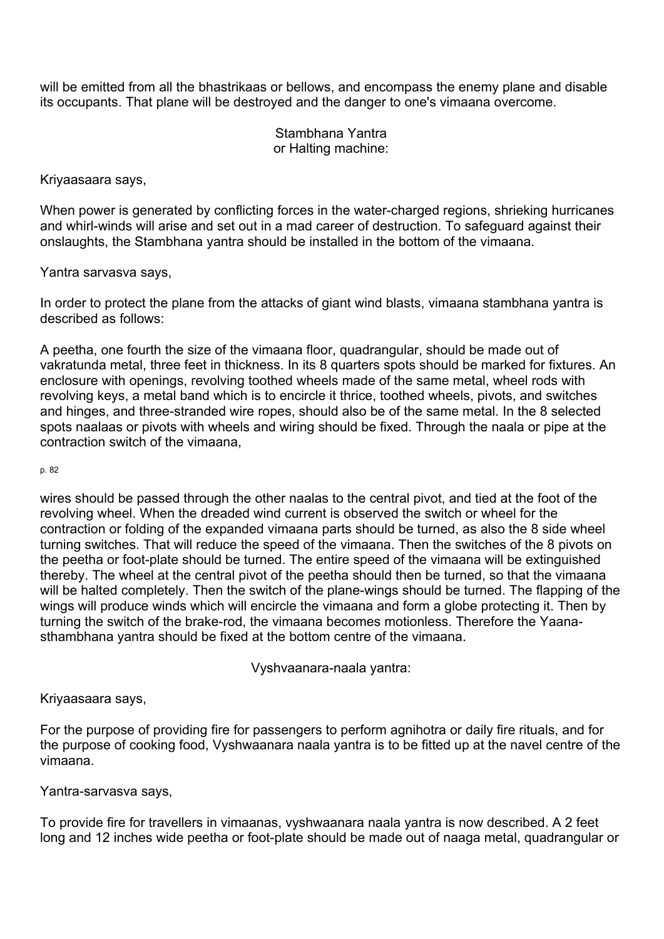will be emitted from all the bhastrikaas or bellows, and encompass the enemy plane and disable its occupants. That plane will be destroyed and the danger to one's vimaana overcome.

> Stambhana Yantra or Halting machine:

Kriyaasaara says,

When power is generated by conflicting forces in the water-charged regions, shrieking hurricanes and whirl-winds will arise and set out in a mad career of destruction. To safeguard against their onslaughts, the Stambhana yantra should be installed in the bottom of the vimaana.

Yantra sarvasva says,

In order to protect the plane from the attacks of giant wind blasts, vimaana stambhana yantra is described as follows:

A peetha, one fourth the size of the vimaana floor, quadrangular, should be made out of vakratunda metal, three feet in thickness. In its 8 quarters spots should be marked for fixtures. An enclosure with openings, revolving toothed wheels made of the same metal, wheel rods with revolving keys, a metal band which is to encircle it thrice, toothed wheels, pivots, and switches and hinges, and three-stranded wire ropes, should also be of the same metal. In the 8 selected spots naalaas or pivots with wheels and wiring should be fixed. Through the naala or pipe at the contraction switch of the vimaana,

p. 82

wires should be passed through the other naalas to the central pivot, and tied at the foot of the revolving wheel. When the dreaded wind current is observed the switch or wheel for the contraction or folding of the expanded vimaana parts should be turned, as also the 8 side wheel turning switches. That will reduce the speed of the vimaana. Then the switches of the 8 pivots on the peetha or foot-plate should be turned. The entire speed of the vimaana will be extinguished thereby. The wheel at the central pivot of the peetha should then be turned, so that the vimaana will be halted completely. Then the switch of the plane-wings should be turned. The flapping of the wings will produce winds which will encircle the vimaana and form a globe protecting it. Then by turning the switch of the brake-rod, the vimaana becomes motionless. Therefore the Yaanasthambhana yantra should be fixed at the bottom centre of the vimaana.

Vyshvaanara-naala yantra:

Kriyaasaara says,

For the purpose of providing fire for passengers to perform agnihotra or daily fire rituals, and for the purpose of cooking food, Vyshwaanara naala yantra is to be fitted up at the navel centre of the vimaana.

Yantra-sarvasva says,

To provide fire for travellers in vimaanas, vyshwaanara naala yantra is now described. A 2 feet long and 12 inches wide peetha or foot-plate should be made out of naaga metal, quadrangular or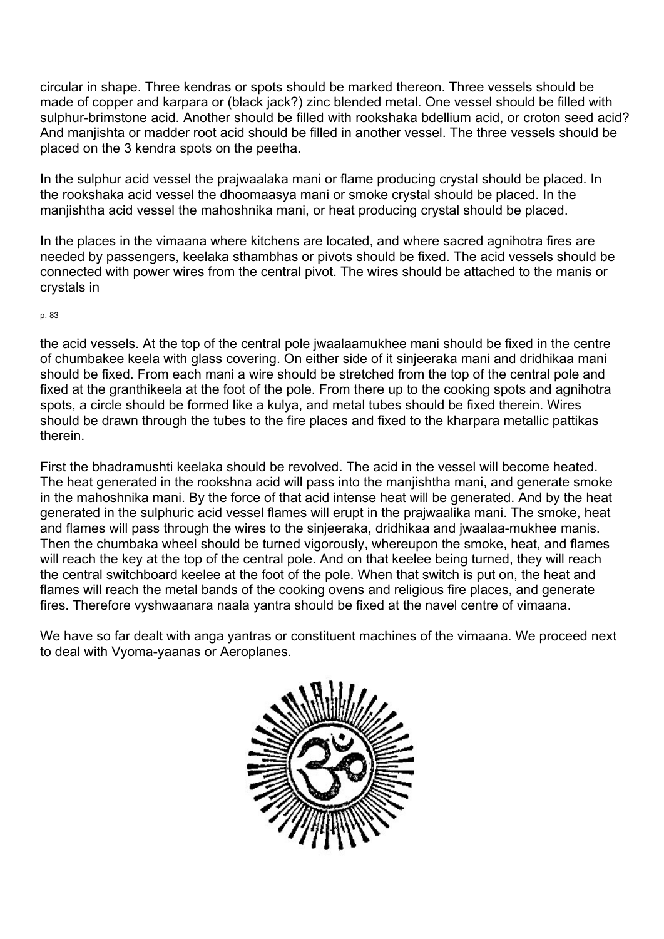circular in shape. Three kendras or spots should be marked thereon. Three vessels should be made of copper and karpara or (black jack?) zinc blended metal. One vessel should be filled with sulphur-brimstone acid. Another should be filled with rookshaka bdellium acid, or croton seed acid? And manjishta or madder root acid should be filled in another vessel. The three vessels should be placed on the 3 kendra spots on the peetha.

In the sulphur acid vessel the prajwaalaka mani or flame producing crystal should be placed. In the rookshaka acid vessel the dhoomaasya mani or smoke crystal should be placed. In the manjishtha acid vessel the mahoshnika mani, or heat producing crystal should be placed.

In the places in the vimaana where kitchens are located, and where sacred agnihotra fires are needed by passengers, keelaka sthambhas or pivots should be fixed. The acid vessels should be connected with power wires from the central pivot. The wires should be attached to the manis or crystals in

p. 83

the acid vessels. At the top of the central pole jwaalaamukhee mani should be fixed in the centre of chumbakee keela with glass covering. On either side of it sinjeeraka mani and dridhikaa mani should be fixed. From each mani a wire should be stretched from the top of the central pole and fixed at the granthikeela at the foot of the pole. From there up to the cooking spots and agnihotra spots, a circle should be formed like a kulya, and metal tubes should be fixed therein. Wires should be drawn through the tubes to the fire places and fixed to the kharpara metallic pattikas therein.

First the bhadramushti keelaka should be revolved. The acid in the vessel will become heated. The heat generated in the rookshna acid will pass into the maniishtha mani, and generate smoke in the mahoshnika mani. By the force of that acid intense heat will be generated. And by the heat generated in the sulphuric acid vessel flames will erupt in the prajwaalika mani. The smoke, heat and flames will pass through the wires to the sinjeeraka, dridhikaa and jwaalaa-mukhee manis. Then the chumbaka wheel should be turned vigorously, whereupon the smoke, heat, and flames will reach the key at the top of the central pole. And on that keelee being turned, they will reach the central switchboard keelee at the foot of the pole. When that switch is put on, the heat and flames will reach the metal bands of the cooking ovens and religious fire places, and generate fires. Therefore vyshwaanara naala yantra should be fixed at the navel centre of vimaana.

We have so far dealt with anga yantras or constituent machines of the vimaana. We proceed next to deal with Vyoma-yaanas or Aeroplanes.

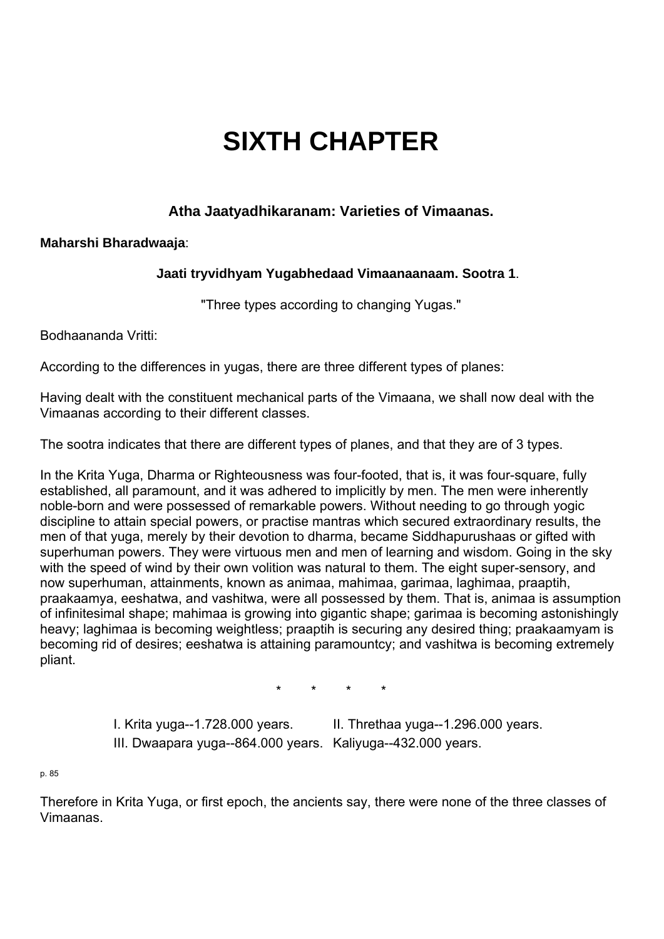# **SIXTH CHAPTER**

# **Atha Jaatyadhikaranam: Varieties of Vimaanas.**

# **Maharshi Bharadwaaja**:

# **Jaati tryvidhyam Yugabhedaad Vimaanaanaam. Sootra 1**.

"Three types according to changing Yugas."

Bodhaananda Vritti:

According to the differences in yugas, there are three different types of planes:

Having dealt with the constituent mechanical parts of the Vimaana, we shall now deal with the Vimaanas according to their different classes.

The sootra indicates that there are different types of planes, and that they are of 3 types.

In the Krita Yuga, Dharma or Righteousness was four-footed, that is, it was four-square, fully established, all paramount, and it was adhered to implicitly by men. The men were inherently noble-born and were possessed of remarkable powers. Without needing to go through yogic discipline to attain special powers, or practise mantras which secured extraordinary results, the men of that yuga, merely by their devotion to dharma, became Siddhapurushaas or gifted with superhuman powers. They were virtuous men and men of learning and wisdom. Going in the sky with the speed of wind by their own volition was natural to them. The eight super-sensory, and now superhuman, attainments, known as animaa, mahimaa, garimaa, laghimaa, praaptih, praakaamya, eeshatwa, and vashitwa, were all possessed by them. That is, animaa is assumption of infinitesimal shape; mahimaa is growing into gigantic shape; garimaa is becoming astonishingly heavy; laghimaa is becoming weightless; praaptih is securing any desired thing; praakaamyam is becoming rid of desires; eeshatwa is attaining paramountcy; and vashitwa is becoming extremely pliant.

\* \* \* \*

I. Krita yuga--1.728.000 years. II. Threthaa yuga--1.296.000 years. III. Dwaapara yuga--864.000 years. Kaliyuga--432.000 years.

p. 85

Therefore in Krita Yuga, or first epoch, the ancients say, there were none of the three classes of Vimaanas.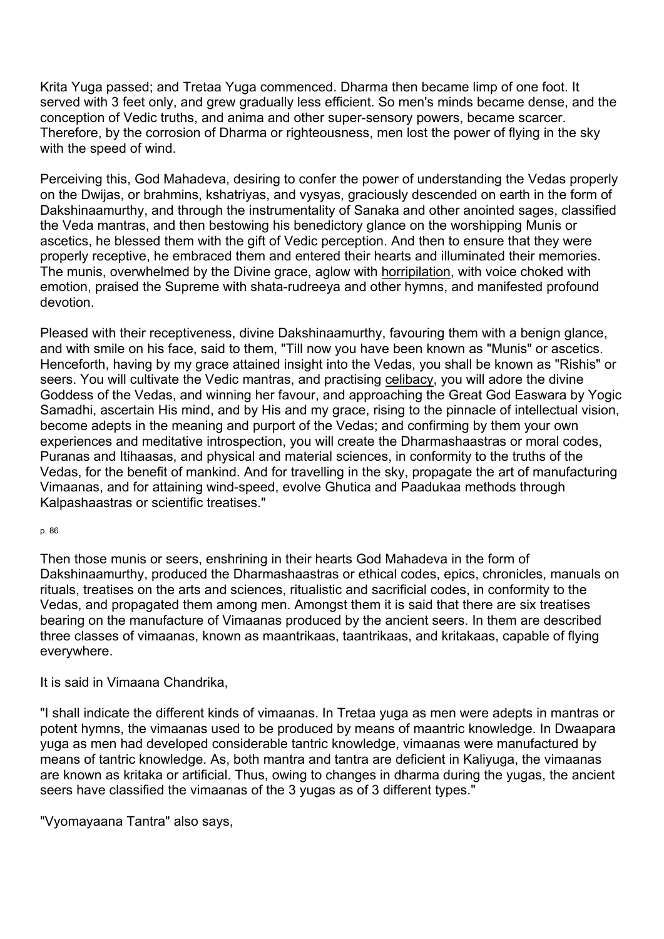Krita Yuga passed; and Tretaa Yuga commenced. Dharma then became limp of one foot. It served with 3 feet only, and grew gradually less efficient. So men's minds became dense, and the conception of Vedic truths, and anima and other super-sensory powers, became scarcer. Therefore, by the corrosion of Dharma or righteousness, men lost the power of flying in the sky with the speed of wind.

Perceiving this, God Mahadeva, desiring to confer the power of understanding the Vedas properly on the Dwijas, or brahmins, kshatriyas, and vysyas, graciously descended on earth in the form of Dakshinaamurthy, and through the instrumentality of Sanaka and other anointed sages, classified the Veda mantras, and then bestowing his benedictory glance on the worshipping Munis or ascetics, he blessed them with the gift of Vedic perception. And then to ensure that they were properly receptive, he embraced them and entered their hearts and illuminated their memories. The munis, overwhelmed by the Divine grace, aglow with horripilation, with voice choked with emotion, praised the Supreme with shata-rudreeya and other hymns, and manifested profound devotion.

Pleased with their receptiveness, divine Dakshinaamurthy, favouring them with a benign glance, and with smile on his face, said to them, "Till now you have been known as "Munis" or ascetics. Henceforth, having by my grace attained insight into the Vedas, you shall be known as "Rishis" or seers. You will cultivate the Vedic mantras, and practising celibacy, you will adore the divine Goddess of the Vedas, and winning her favour, and approaching the Great God Easwara by Yogic Samadhi, ascertain His mind, and by His and my grace, rising to the pinnacle of intellectual vision, become adepts in the meaning and purport of the Vedas; and confirming by them your own experiences and meditative introspection, you will create the Dharmashaastras or moral codes, Puranas and Itihaasas, and physical and material sciences, in conformity to the truths of the Vedas, for the benefit of mankind. And for travelling in the sky, propagate the art of manufacturing Vimaanas, and for attaining wind-speed, evolve Ghutica and Paadukaa methods through Kalpashaastras or scientific treatises."

#### p. 86

Then those munis or seers, enshrining in their hearts God Mahadeva in the form of Dakshinaamurthy, produced the Dharmashaastras or ethical codes, epics, chronicles, manuals on rituals, treatises on the arts and sciences, ritualistic and sacrificial codes, in conformity to the Vedas, and propagated them among men. Amongst them it is said that there are six treatises bearing on the manufacture of Vimaanas produced by the ancient seers. In them are described three classes of vimaanas, known as maantrikaas, taantrikaas, and kritakaas, capable of flying everywhere.

### It is said in Vimaana Chandrika,

"I shall indicate the different kinds of vimaanas. In Tretaa yuga as men were adepts in mantras or potent hymns, the vimaanas used to be produced by means of maantric knowledge. In Dwaapara yuga as men had developed considerable tantric knowledge, vimaanas were manufactured by means of tantric knowledge. As, both mantra and tantra are deficient in Kaliyuga, the vimaanas are known as kritaka or artificial. Thus, owing to changes in dharma during the yugas, the ancient seers have classified the vimaanas of the 3 yugas as of 3 different types."

"Vyomayaana Tantra" also says,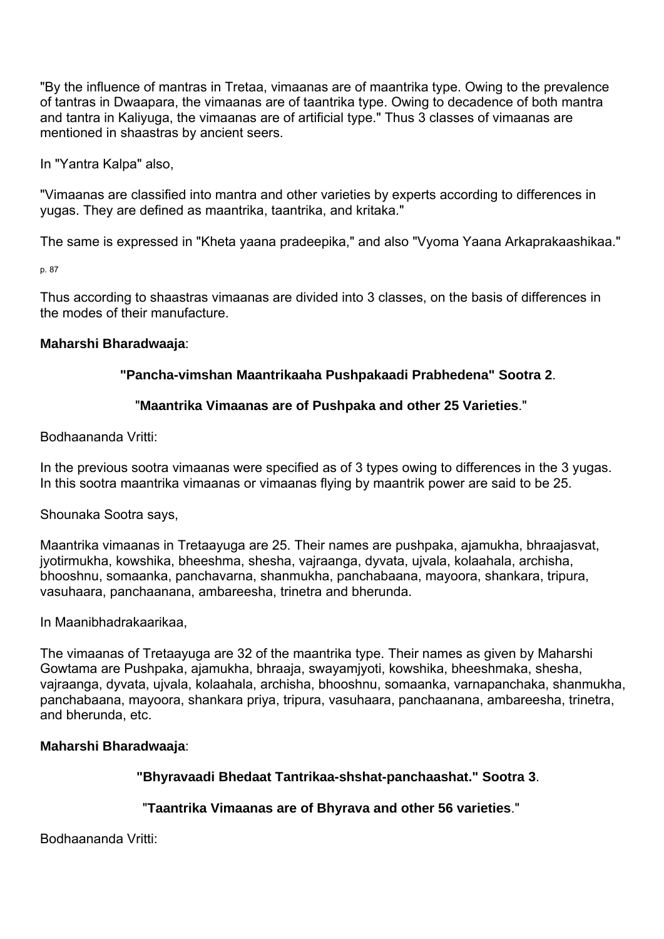"By the influence of mantras in Tretaa, vimaanas are of maantrika type. Owing to the prevalence of tantras in Dwaapara, the vimaanas are of taantrika type. Owing to decadence of both mantra and tantra in Kaliyuga, the vimaanas are of artificial type." Thus 3 classes of vimaanas are mentioned in shaastras by ancient seers.

In "Yantra Kalpa" also,

"Vimaanas are classified into mantra and other varieties by experts according to differences in yugas. They are defined as maantrika, taantrika, and kritaka."

The same is expressed in "Kheta yaana pradeepika," and also "Vyoma Yaana Arkaprakaashikaa."

p. 87

Thus according to shaastras vimaanas are divided into 3 classes, on the basis of differences in the modes of their manufacture.

# **Maharshi Bharadwaaja**:

# **"Pancha-vimshan Maantrikaaha Pushpakaadi Prabhedena" Sootra 2**.

# "**Maantrika Vimaanas are of Pushpaka and other 25 Varieties**."

Bodhaananda Vritti:

In the previous sootra vimaanas were specified as of 3 types owing to differences in the 3 yugas. In this sootra maantrika vimaanas or vimaanas flying by maantrik power are said to be 25.

Shounaka Sootra says,

Maantrika vimaanas in Tretaayuga are 25. Their names are pushpaka, ajamukha, bhraajasvat, jyotirmukha, kowshika, bheeshma, shesha, vajraanga, dyvata, ujvala, kolaahala, archisha, bhooshnu, somaanka, panchavarna, shanmukha, panchabaana, mayoora, shankara, tripura, vasuhaara, panchaanana, ambareesha, trinetra and bherunda.

In Maanibhadrakaarikaa,

The vimaanas of Tretaayuga are 32 of the maantrika type. Their names as given by Maharshi Gowtama are Pushpaka, ajamukha, bhraaja, swayamjyoti, kowshika, bheeshmaka, shesha, vajraanga, dyvata, ujvala, kolaahala, archisha, bhooshnu, somaanka, varnapanchaka, shanmukha, panchabaana, mayoora, shankara priya, tripura, vasuhaara, panchaanana, ambareesha, trinetra, and bherunda, etc.

### **Maharshi Bharadwaaja**:

# **"Bhyravaadi Bhedaat Tantrikaa-shshat-panchaashat." Sootra 3**.

"**Taantrika Vimaanas are of Bhyrava and other 56 varieties**."

Bodhaananda Vritti: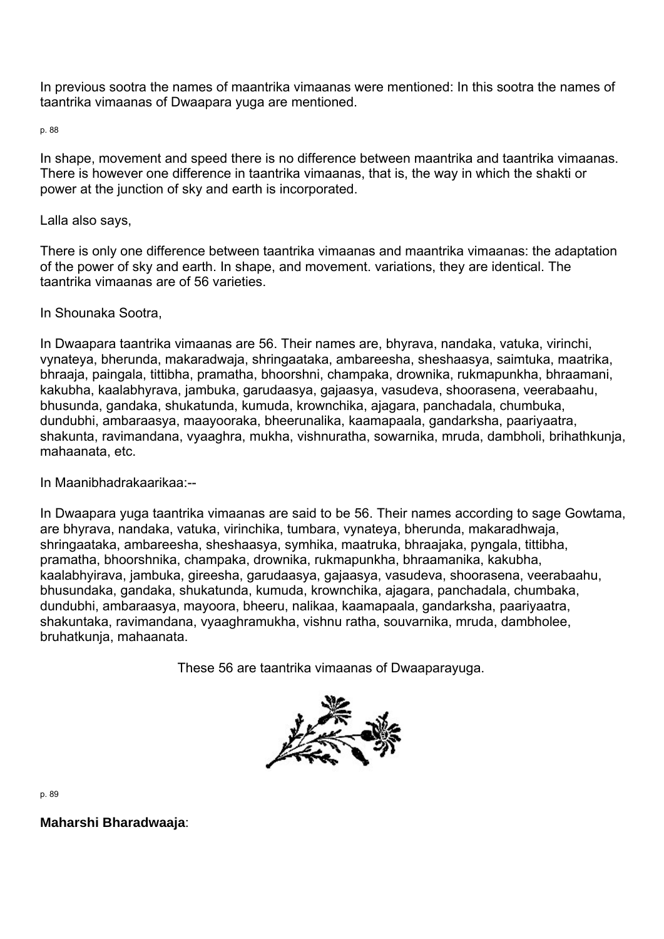In previous sootra the names of maantrika vimaanas were mentioned: In this sootra the names of taantrika vimaanas of Dwaapara yuga are mentioned.

p. 88

In shape, movement and speed there is no difference between maantrika and taantrika vimaanas. There is however one difference in taantrika vimaanas, that is, the way in which the shakti or power at the junction of sky and earth is incorporated.

Lalla also says,

There is only one difference between taantrika vimaanas and maantrika vimaanas: the adaptation of the power of sky and earth. In shape, and movement. variations, they are identical. The taantrika vimaanas are of 56 varieties.

In Shounaka Sootra,

In Dwaapara taantrika vimaanas are 56. Their names are, bhyrava, nandaka, vatuka, virinchi, vynateya, bherunda, makaradwaja, shringaataka, ambareesha, sheshaasya, saimtuka, maatrika, bhraaja, paingala, tittibha, pramatha, bhoorshni, champaka, drownika, rukmapunkha, bhraamani, kakubha, kaalabhyrava, jambuka, garudaasya, gajaasya, vasudeva, shoorasena, veerabaahu, bhusunda, gandaka, shukatunda, kumuda, krownchika, ajagara, panchadala, chumbuka, dundubhi, ambaraasya, maayooraka, bheerunalika, kaamapaala, gandarksha, paariyaatra, shakunta, ravimandana, vyaaghra, mukha, vishnuratha, sowarnika, mruda, dambholi, brihathkunja, mahaanata, etc.

In Maanibhadrakaarikaa:--

In Dwaapara yuga taantrika vimaanas are said to be 56. Their names according to sage Gowtama, are bhyrava, nandaka, vatuka, virinchika, tumbara, vynateya, bherunda, makaradhwaja, shringaataka, ambareesha, sheshaasya, symhika, maatruka, bhraajaka, pyngala, tittibha, pramatha, bhoorshnika, champaka, drownika, rukmapunkha, bhraamanika, kakubha, kaalabhyirava, jambuka, gireesha, garudaasya, gajaasya, vasudeva, shoorasena, veerabaahu, bhusundaka, gandaka, shukatunda, kumuda, krownchika, ajagara, panchadala, chumbaka, dundubhi, ambaraasya, mayoora, bheeru, nalikaa, kaamapaala, gandarksha, paariyaatra, shakuntaka, ravimandana, vyaaghramukha, vishnu ratha, souvarnika, mruda, dambholee, bruhatkunja, mahaanata.

These 56 are taantrika vimaanas of Dwaaparayuga.



p. 89

**Maharshi Bharadwaaja**: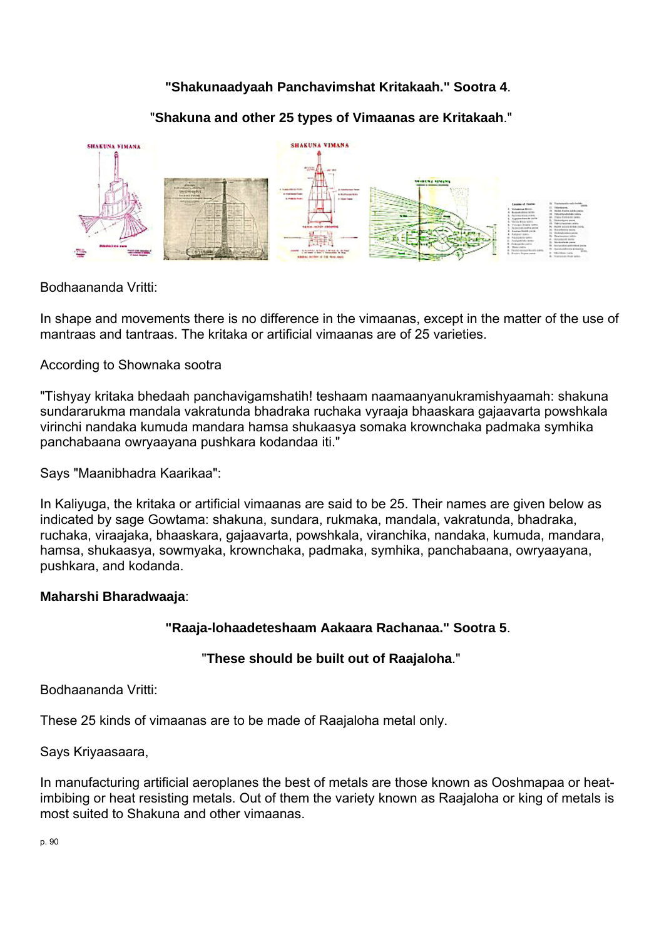# **"Shakunaadyaah Panchavimshat Kritakaah." Sootra 4**.

# "**Shakuna and other 25 types of Vimaanas are Kritakaah**."



Bodhaananda Vritti:

In shape and movements there is no difference in the vimaanas, except in the matter of the use of mantraas and tantraas. The kritaka or artificial vimaanas are of 25 varieties.

### According to Shownaka sootra

"Tishyay kritaka bhedaah panchavigamshatih! teshaam naamaanyanukramishyaamah: shakuna sundararukma mandala vakratunda bhadraka ruchaka vyraaja bhaaskara gajaavarta powshkala virinchi nandaka kumuda mandara hamsa shukaasya somaka krownchaka padmaka symhika panchabaana owryaayana pushkara kodandaa iti."

Says "Maanibhadra Kaarikaa":

In Kaliyuga, the kritaka or artificial vimaanas are said to be 25. Their names are given below as indicated by sage Gowtama: shakuna, sundara, rukmaka, mandala, vakratunda, bhadraka, ruchaka, viraajaka, bhaaskara, gajaavarta, powshkala, viranchika, nandaka, kumuda, mandara, hamsa, shukaasya, sowmyaka, krownchaka, padmaka, symhika, panchabaana, owryaayana, pushkara, and kodanda.

### **Maharshi Bharadwaaja**:

### **"Raaja-lohaadeteshaam Aakaara Rachanaa." Sootra 5**.

### "**These should be built out of Raajaloha**."

Bodhaananda Vritti:

These 25 kinds of vimaanas are to be made of Raajaloha metal only.

Says Kriyaasaara,

In manufacturing artificial aeroplanes the best of metals are those known as Ooshmapaa or heatimbibing or heat resisting metals. Out of them the variety known as Raajaloha or king of metals is most suited to Shakuna and other vimaanas.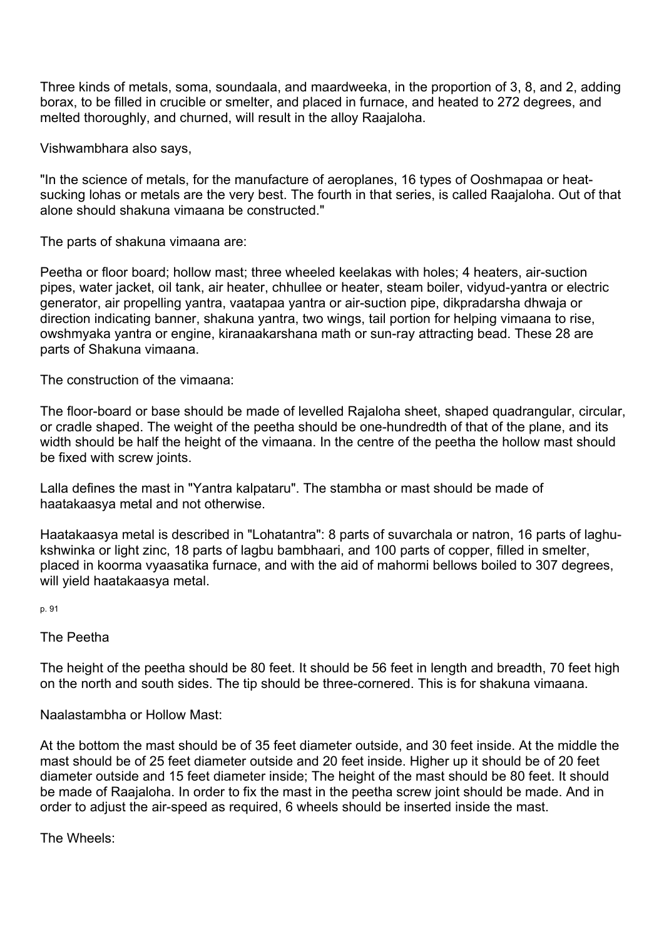Three kinds of metals, soma, soundaala, and maardweeka, in the proportion of 3, 8, and 2, adding borax, to be filled in crucible or smelter, and placed in furnace, and heated to 272 degrees, and melted thoroughly, and churned, will result in the alloy Raajaloha.

Vishwambhara also says,

"In the science of metals, for the manufacture of aeroplanes, 16 types of Ooshmapaa or heatsucking lohas or metals are the very best. The fourth in that series, is called Raajaloha. Out of that alone should shakuna vimaana be constructed."

The parts of shakuna vimaana are:

Peetha or floor board; hollow mast; three wheeled keelakas with holes; 4 heaters, air-suction pipes, water jacket, oil tank, air heater, chhullee or heater, steam boiler, vidyud-yantra or electric generator, air propelling yantra, vaatapaa yantra or air-suction pipe, dikpradarsha dhwaja or direction indicating banner, shakuna yantra, two wings, tail portion for helping vimaana to rise, owshmyaka yantra or engine, kiranaakarshana math or sun-ray attracting bead. These 28 are parts of Shakuna vimaana.

The construction of the vimaana:

The floor-board or base should be made of levelled Rajaloha sheet, shaped quadrangular, circular, or cradle shaped. The weight of the peetha should be one-hundredth of that of the plane, and its width should be half the height of the vimaana. In the centre of the peetha the hollow mast should be fixed with screw joints.

Lalla defines the mast in "Yantra kalpataru". The stambha or mast should be made of haatakaasya metal and not otherwise.

Haatakaasya metal is described in "Lohatantra": 8 parts of suvarchala or natron, 16 parts of laghukshwinka or light zinc, 18 parts of lagbu bambhaari, and 100 parts of copper, filled in smelter, placed in koorma vyaasatika furnace, and with the aid of mahormi bellows boiled to 307 degrees, will yield haatakaasya metal.

p. 91

The Peetha

The height of the peetha should be 80 feet. It should be 56 feet in length and breadth, 70 feet high on the north and south sides. The tip should be three-cornered. This is for shakuna vimaana.

Naalastambha or Hollow Mast:

At the bottom the mast should be of 35 feet diameter outside, and 30 feet inside. At the middle the mast should be of 25 feet diameter outside and 20 feet inside. Higher up it should be of 20 feet diameter outside and 15 feet diameter inside; The height of the mast should be 80 feet. It should be made of Raajaloha. In order to fix the mast in the peetha screw joint should be made. And in order to adjust the air-speed as required, 6 wheels should be inserted inside the mast.

The Wheels: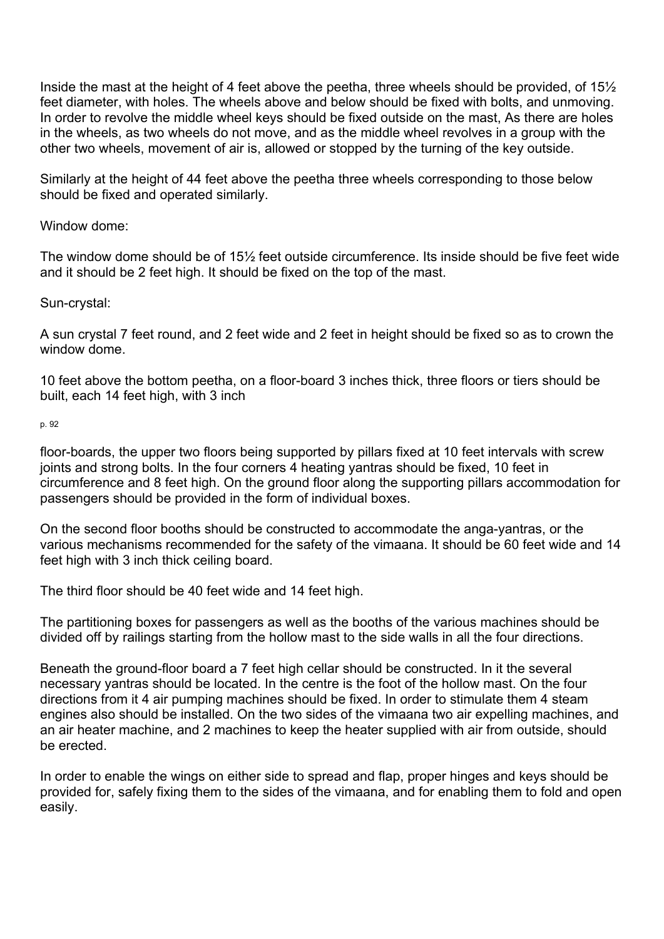Inside the mast at the height of 4 feet above the peetha, three wheels should be provided, of 15½ feet diameter, with holes. The wheels above and below should be fixed with bolts, and unmoving. In order to revolve the middle wheel keys should be fixed outside on the mast, As there are holes in the wheels, as two wheels do not move, and as the middle wheel revolves in a group with the other two wheels, movement of air is, allowed or stopped by the turning of the key outside.

Similarly at the height of 44 feet above the peetha three wheels corresponding to those below should be fixed and operated similarly.

Window dome:

The window dome should be of 15½ feet outside circumference. Its inside should be five feet wide and it should be 2 feet high. It should be fixed on the top of the mast.

Sun-crystal:

A sun crystal 7 feet round, and 2 feet wide and 2 feet in height should be fixed so as to crown the window dome.

10 feet above the bottom peetha, on a floor-board 3 inches thick, three floors or tiers should be built, each 14 feet high, with 3 inch

p. 92

floor-boards, the upper two floors being supported by pillars fixed at 10 feet intervals with screw joints and strong bolts. In the four corners 4 heating yantras should be fixed, 10 feet in circumference and 8 feet high. On the ground floor along the supporting pillars accommodation for passengers should be provided in the form of individual boxes.

On the second floor booths should be constructed to accommodate the anga-yantras, or the various mechanisms recommended for the safety of the vimaana. It should be 60 feet wide and 14 feet high with 3 inch thick ceiling board.

The third floor should be 40 feet wide and 14 feet high.

The partitioning boxes for passengers as well as the booths of the various machines should be divided off by railings starting from the hollow mast to the side walls in all the four directions.

Beneath the ground-floor board a 7 feet high cellar should be constructed. In it the several necessary yantras should be located. In the centre is the foot of the hollow mast. On the four directions from it 4 air pumping machines should be fixed. In order to stimulate them 4 steam engines also should be installed. On the two sides of the vimaana two air expelling machines, and an air heater machine, and 2 machines to keep the heater supplied with air from outside, should be erected.

In order to enable the wings on either side to spread and flap, proper hinges and keys should be provided for, safely fixing them to the sides of the vimaana, and for enabling them to fold and open easily.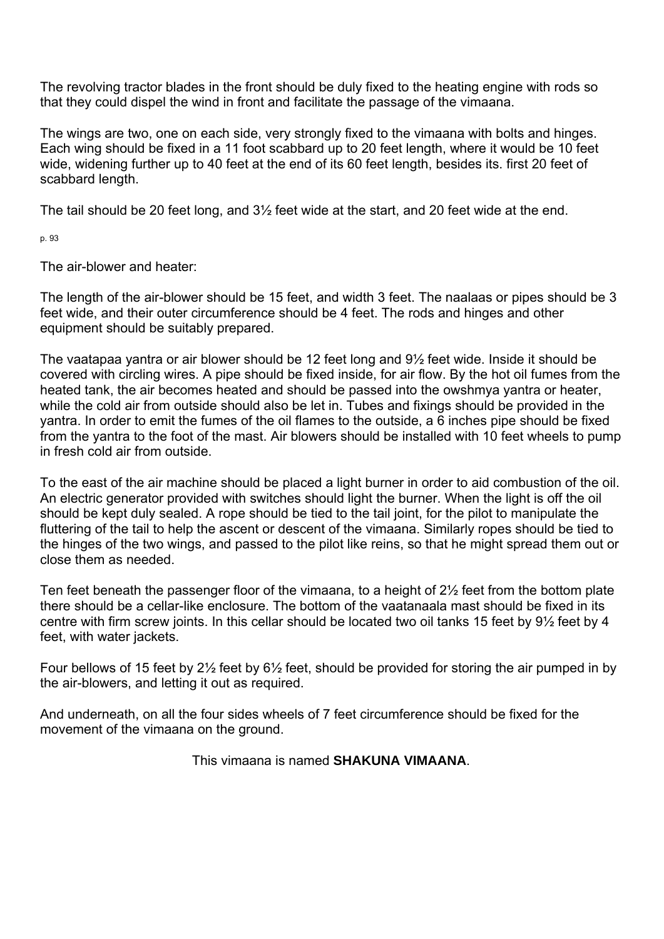The revolving tractor blades in the front should be duly fixed to the heating engine with rods so that they could dispel the wind in front and facilitate the passage of the vimaana.

The wings are two, one on each side, very strongly fixed to the vimaana with bolts and hinges. Each wing should be fixed in a 11 foot scabbard up to 20 feet length, where it would be 10 feet wide, widening further up to 40 feet at the end of its 60 feet length, besides its. first 20 feet of scabbard length.

The tail should be 20 feet long, and 3½ feet wide at the start, and 20 feet wide at the end.

p. 93

The air-blower and heater:

The length of the air-blower should be 15 feet, and width 3 feet. The naalaas or pipes should be 3 feet wide, and their outer circumference should be 4 feet. The rods and hinges and other equipment should be suitably prepared.

The vaatapaa yantra or air blower should be 12 feet long and 9½ feet wide. Inside it should be covered with circling wires. A pipe should be fixed inside, for air flow. By the hot oil fumes from the heated tank, the air becomes heated and should be passed into the owshmya yantra or heater, while the cold air from outside should also be let in. Tubes and fixings should be provided in the yantra. In order to emit the fumes of the oil flames to the outside, a 6 inches pipe should be fixed from the yantra to the foot of the mast. Air blowers should be installed with 10 feet wheels to pump in fresh cold air from outside.

To the east of the air machine should be placed a light burner in order to aid combustion of the oil. An electric generator provided with switches should light the burner. When the light is off the oil should be kept duly sealed. A rope should be tied to the tail joint, for the pilot to manipulate the fluttering of the tail to help the ascent or descent of the vimaana. Similarly ropes should be tied to the hinges of the two wings, and passed to the pilot like reins, so that he might spread them out or close them as needed.

Ten feet beneath the passenger floor of the vimaana, to a height of 2½ feet from the bottom plate there should be a cellar-like enclosure. The bottom of the vaatanaala mast should be fixed in its centre with firm screw joints. In this cellar should be located two oil tanks 15 feet by 9½ feet by 4 feet, with water jackets.

Four bellows of 15 feet by 2½ feet by 6½ feet, should be provided for storing the air pumped in by the air-blowers, and letting it out as required.

And underneath, on all the four sides wheels of 7 feet circumference should be fixed for the movement of the vimaana on the ground.

This vimaana is named **SHAKUNA VIMAANA**.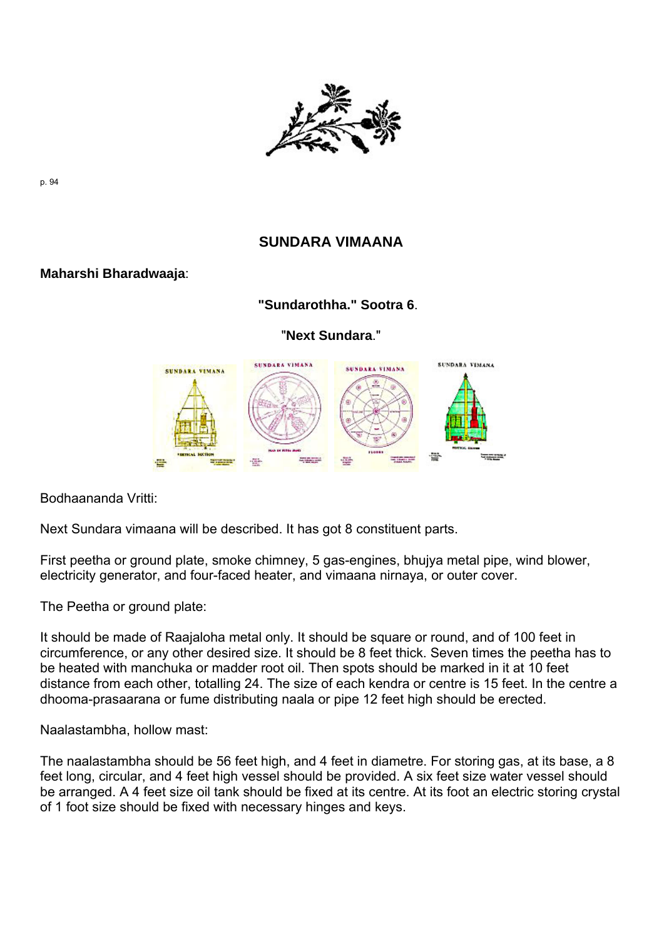

p. 94

# **SUNDARA VIMAANA**

# **Maharshi Bharadwaaja**:

# **"Sundarothha." Sootra 6**.

# "**Next Sundara**."



Bodhaananda Vritti:

Next Sundara vimaana will be described. It has got 8 constituent parts.

First peetha or ground plate, smoke chimney, 5 gas-engines, bhujya metal pipe, wind blower, electricity generator, and four-faced heater, and vimaana nirnaya, or outer cover.

The Peetha or ground plate:

It should be made of Raajaloha metal only. It should be square or round, and of 100 feet in circumference, or any other desired size. It should be 8 feet thick. Seven times the peetha has to be heated with manchuka or madder root oil. Then spots should be marked in it at 10 feet distance from each other, totalling 24. The size of each kendra or centre is 15 feet. In the centre a dhooma-prasaarana or fume distributing naala or pipe 12 feet high should be erected.

Naalastambha, hollow mast:

The naalastambha should be 56 feet high, and 4 feet in diametre. For storing gas, at its base, a 8 feet long, circular, and 4 feet high vessel should be provided. A six feet size water vessel should be arranged. A 4 feet size oil tank should be fixed at its centre. At its foot an electric storing crystal of 1 foot size should be fixed with necessary hinges and keys.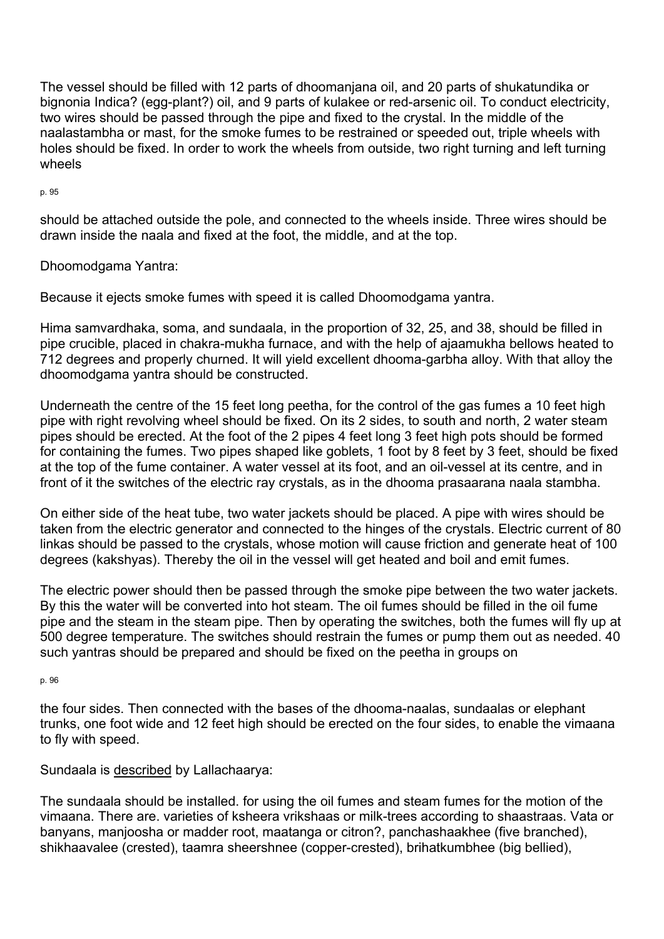The vessel should be filled with 12 parts of dhoomanjana oil, and 20 parts of shukatundika or bignonia Indica? (egg-plant?) oil, and 9 parts of kulakee or red-arsenic oil. To conduct electricity, two wires should be passed through the pipe and fixed to the crystal. In the middle of the naalastambha or mast, for the smoke fumes to be restrained or speeded out, triple wheels with holes should be fixed. In order to work the wheels from outside, two right turning and left turning wheels

p. 95

should be attached outside the pole, and connected to the wheels inside. Three wires should be drawn inside the naala and fixed at the foot, the middle, and at the top.

Dhoomodgama Yantra:

Because it ejects smoke fumes with speed it is called Dhoomodgama yantra.

Hima samvardhaka, soma, and sundaala, in the proportion of 32, 25, and 38, should be filled in pipe crucible, placed in chakra-mukha furnace, and with the help of ajaamukha bellows heated to 712 degrees and properly churned. It will yield excellent dhooma-garbha alloy. With that alloy the dhoomodgama yantra should be constructed.

Underneath the centre of the 15 feet long peetha, for the control of the gas fumes a 10 feet high pipe with right revolving wheel should be fixed. On its 2 sides, to south and north, 2 water steam pipes should be erected. At the foot of the 2 pipes 4 feet long 3 feet high pots should be formed for containing the fumes. Two pipes shaped like goblets, 1 foot by 8 feet by 3 feet, should be fixed at the top of the fume container. A water vessel at its foot, and an oil-vessel at its centre, and in front of it the switches of the electric ray crystals, as in the dhooma prasaarana naala stambha.

On either side of the heat tube, two water jackets should be placed. A pipe with wires should be taken from the electric generator and connected to the hinges of the crystals. Electric current of 80 linkas should be passed to the crystals, whose motion will cause friction and generate heat of 100 degrees (kakshyas). Thereby the oil in the vessel will get heated and boil and emit fumes.

The electric power should then be passed through the smoke pipe between the two water jackets. By this the water will be converted into hot steam. The oil fumes should be filled in the oil fume pipe and the steam in the steam pipe. Then by operating the switches, both the fumes will fly up at 500 degree temperature. The switches should restrain the fumes or pump them out as needed. 40 such yantras should be prepared and should be fixed on the peetha in groups on

p. 96

the four sides. Then connected with the bases of the dhooma-naalas, sundaalas or elephant trunks, one foot wide and 12 feet high should be erected on the four sides, to enable the vimaana to fly with speed.

Sundaala is described by Lallachaarya:

The sundaala should be installed. for using the oil fumes and steam fumes for the motion of the vimaana. There are. varieties of ksheera vrikshaas or milk-trees according to shaastraas. Vata or banyans, manjoosha or madder root, maatanga or citron?, panchashaakhee (five branched), shikhaavalee (crested), taamra sheershnee (copper-crested), brihatkumbhee (big bellied),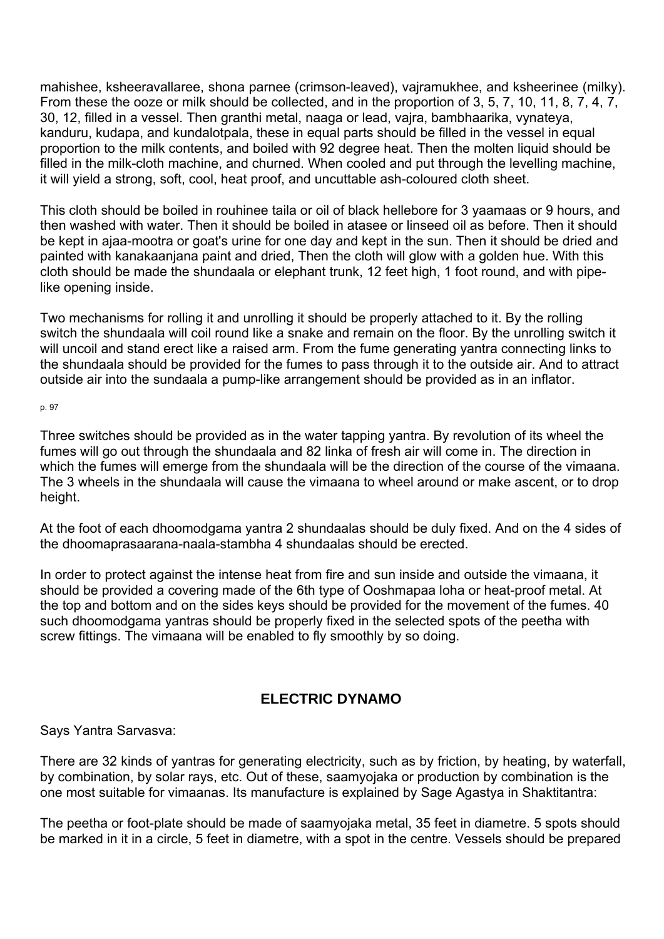mahishee, ksheeravallaree, shona parnee (crimson-leaved), vajramukhee, and ksheerinee (milky). From these the ooze or milk should be collected, and in the proportion of 3, 5, 7, 10, 11, 8, 7, 4, 7, 30, 12, filled in a vessel. Then granthi metal, naaga or lead, vajra, bambhaarika, vynateya, kanduru, kudapa, and kundalotpala, these in equal parts should be filled in the vessel in equal proportion to the milk contents, and boiled with 92 degree heat. Then the molten liquid should be filled in the milk-cloth machine, and churned. When cooled and put through the levelling machine, it will yield a strong, soft, cool, heat proof, and uncuttable ash-coloured cloth sheet.

This cloth should be boiled in rouhinee taila or oil of black hellebore for 3 yaamaas or 9 hours, and then washed with water. Then it should be boiled in atasee or linseed oil as before. Then it should be kept in ajaa-mootra or goat's urine for one day and kept in the sun. Then it should be dried and painted with kanakaanjana paint and dried, Then the cloth will glow with a golden hue. With this cloth should be made the shundaala or elephant trunk, 12 feet high, 1 foot round, and with pipelike opening inside.

Two mechanisms for rolling it and unrolling it should be properly attached to it. By the rolling switch the shundaala will coil round like a snake and remain on the floor. By the unrolling switch it will uncoil and stand erect like a raised arm. From the fume generating yantra connecting links to the shundaala should be provided for the fumes to pass through it to the outside air. And to attract outside air into the sundaala a pump-like arrangement should be provided as in an inflator.

p. 97

Three switches should be provided as in the water tapping yantra. By revolution of its wheel the fumes will go out through the shundaala and 82 linka of fresh air will come in. The direction in which the fumes will emerge from the shundaala will be the direction of the course of the vimaana. The 3 wheels in the shundaala will cause the vimaana to wheel around or make ascent, or to drop height.

At the foot of each dhoomodgama yantra 2 shundaalas should be duly fixed. And on the 4 sides of the dhoomaprasaarana-naala-stambha 4 shundaalas should be erected.

In order to protect against the intense heat from fire and sun inside and outside the vimaana, it should be provided a covering made of the 6th type of Ooshmapaa loha or heat-proof metal. At the top and bottom and on the sides keys should be provided for the movement of the fumes. 40 such dhoomodgama yantras should be properly fixed in the selected spots of the peetha with screw fittings. The vimaana will be enabled to fly smoothly by so doing.

# **ELECTRIC DYNAMO**

Says Yantra Sarvasva:

There are 32 kinds of yantras for generating electricity, such as by friction, by heating, by waterfall, by combination, by solar rays, etc. Out of these, saamyojaka or production by combination is the one most suitable for vimaanas. Its manufacture is explained by Sage Agastya in Shaktitantra:

The peetha or foot-plate should be made of saamyojaka metal, 35 feet in diametre. 5 spots should be marked in it in a circle, 5 feet in diametre, with a spot in the centre. Vessels should be prepared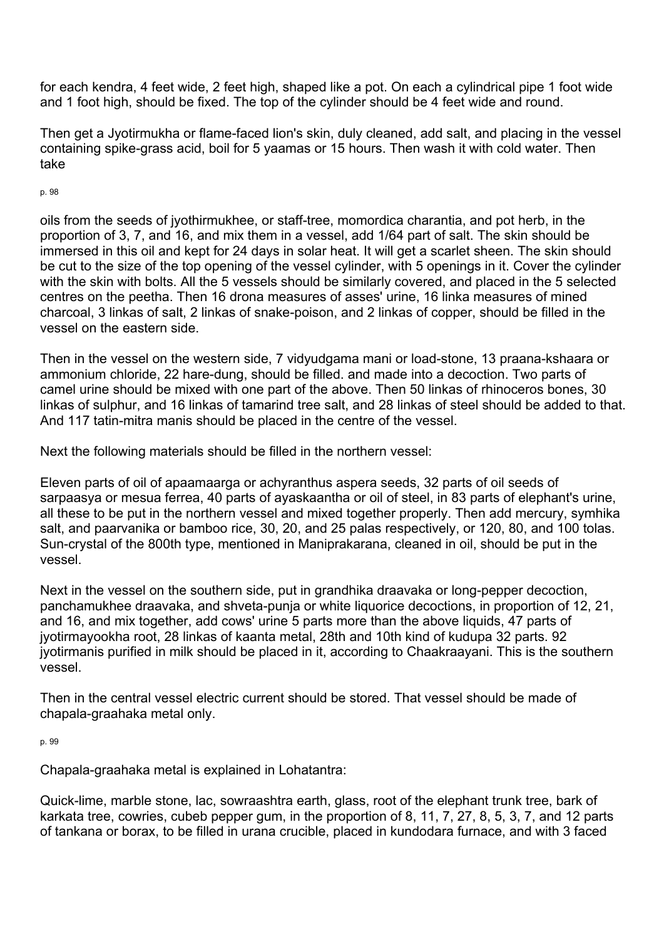for each kendra, 4 feet wide, 2 feet high, shaped like a pot. On each a cylindrical pipe 1 foot wide and 1 foot high, should be fixed. The top of the cylinder should be 4 feet wide and round.

Then get a Jyotirmukha or flame-faced lion's skin, duly cleaned, add salt, and placing in the vessel containing spike-grass acid, boil for 5 yaamas or 15 hours. Then wash it with cold water. Then take

#### p. 98

oils from the seeds of jyothirmukhee, or staff-tree, momordica charantia, and pot herb, in the proportion of 3, 7, and 16, and mix them in a vessel, add 1/64 part of salt. The skin should be immersed in this oil and kept for 24 days in solar heat. It will get a scarlet sheen. The skin should be cut to the size of the top opening of the vessel cylinder, with 5 openings in it. Cover the cylinder with the skin with bolts. All the 5 vessels should be similarly covered, and placed in the 5 selected centres on the peetha. Then 16 drona measures of asses' urine, 16 linka measures of mined charcoal, 3 linkas of salt, 2 linkas of snake-poison, and 2 linkas of copper, should be filled in the vessel on the eastern side.

Then in the vessel on the western side, 7 vidyudgama mani or load-stone, 13 praana-kshaara or ammonium chloride, 22 hare-dung, should be filled. and made into a decoction. Two parts of camel urine should be mixed with one part of the above. Then 50 linkas of rhinoceros bones, 30 linkas of sulphur, and 16 linkas of tamarind tree salt, and 28 linkas of steel should be added to that. And 117 tatin-mitra manis should be placed in the centre of the vessel.

Next the following materials should be filled in the northern vessel:

Eleven parts of oil of apaamaarga or achyranthus aspera seeds, 32 parts of oil seeds of sarpaasya or mesua ferrea, 40 parts of ayaskaantha or oil of steel, in 83 parts of elephant's urine, all these to be put in the northern vessel and mixed together properly. Then add mercury, symhika salt, and paarvanika or bamboo rice, 30, 20, and 25 palas respectively, or 120, 80, and 100 tolas. Sun-crystal of the 800th type, mentioned in Maniprakarana, cleaned in oil, should be put in the vessel.

Next in the vessel on the southern side, put in grandhika draavaka or long-pepper decoction, panchamukhee draavaka, and shveta-punja or white liquorice decoctions, in proportion of 12, 21, and 16, and mix together, add cows' urine 5 parts more than the above liquids, 47 parts of jyotirmayookha root, 28 linkas of kaanta metal, 28th and 10th kind of kudupa 32 parts. 92 jyotirmanis purified in milk should be placed in it, according to Chaakraayani. This is the southern vessel.

Then in the central vessel electric current should be stored. That vessel should be made of chapala-graahaka metal only.

p. 99

Chapala-graahaka metal is explained in Lohatantra:

Quick-lime, marble stone, lac, sowraashtra earth, glass, root of the elephant trunk tree, bark of karkata tree, cowries, cubeb pepper gum, in the proportion of 8, 11, 7, 27, 8, 5, 3, 7, and 12 parts of tankana or borax, to be filled in urana crucible, placed in kundodara furnace, and with 3 faced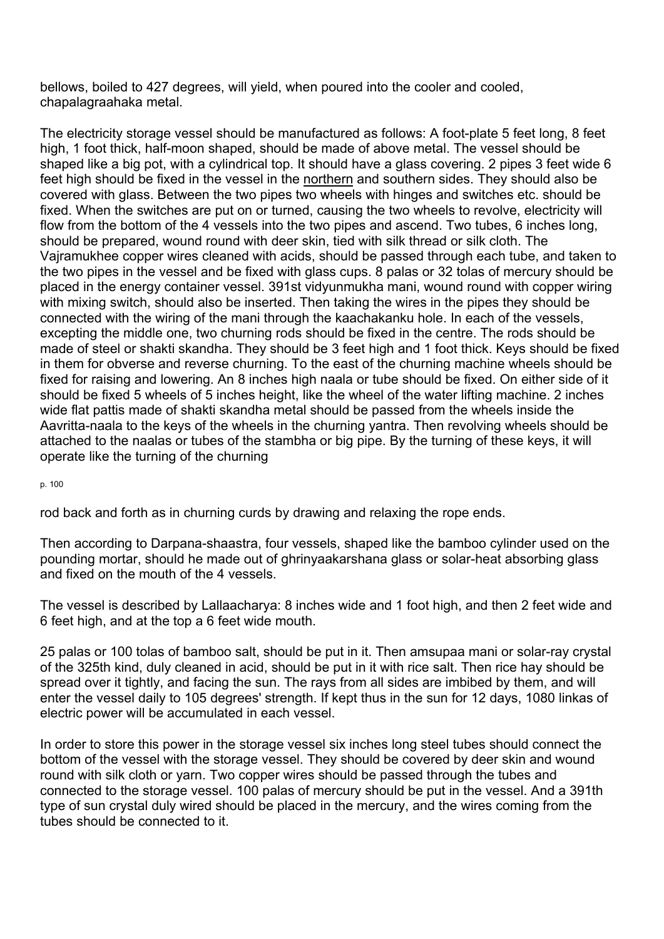bellows, boiled to 427 degrees, will yield, when poured into the cooler and cooled, chapalagraahaka metal.

The electricity storage vessel should be manufactured as follows: A foot-plate 5 feet long, 8 feet high, 1 foot thick, half-moon shaped, should be made of above metal. The vessel should be shaped like a big pot, with a cylindrical top. It should have a glass covering. 2 pipes 3 feet wide 6 feet high should be fixed in the vessel in the northern and southern sides. They should also be covered with glass. Between the two pipes two wheels with hinges and switches etc. should be fixed. When the switches are put on or turned, causing the two wheels to revolve, electricity will flow from the bottom of the 4 vessels into the two pipes and ascend. Two tubes, 6 inches long, should be prepared, wound round with deer skin, tied with silk thread or silk cloth. The Vajramukhee copper wires cleaned with acids, should be passed through each tube, and taken to the two pipes in the vessel and be fixed with glass cups. 8 palas or 32 tolas of mercury should be placed in the energy container vessel. 391st vidyunmukha mani, wound round with copper wiring with mixing switch, should also be inserted. Then taking the wires in the pipes they should be connected with the wiring of the mani through the kaachakanku hole. In each of the vessels, excepting the middle one, two churning rods should be fixed in the centre. The rods should be made of steel or shakti skandha. They should be 3 feet high and 1 foot thick. Keys should be fixed in them for obverse and reverse churning. To the east of the churning machine wheels should be fixed for raising and lowering. An 8 inches high naala or tube should be fixed. On either side of it should be fixed 5 wheels of 5 inches height, like the wheel of the water lifting machine. 2 inches wide flat pattis made of shakti skandha metal should be passed from the wheels inside the Aavritta-naala to the keys of the wheels in the churning yantra. Then revolving wheels should be attached to the naalas or tubes of the stambha or big pipe. By the turning of these keys, it will operate like the turning of the churning

p. 100

rod back and forth as in churning curds by drawing and relaxing the rope ends.

Then according to Darpana-shaastra, four vessels, shaped like the bamboo cylinder used on the pounding mortar, should he made out of ghrinyaakarshana glass or solar-heat absorbing glass and fixed on the mouth of the 4 vessels.

The vessel is described by Lallaacharya: 8 inches wide and 1 foot high, and then 2 feet wide and 6 feet high, and at the top a 6 feet wide mouth.

25 palas or 100 tolas of bamboo salt, should be put in it. Then amsupaa mani or solar-ray crystal of the 325th kind, duly cleaned in acid, should be put in it with rice salt. Then rice hay should be spread over it tightly, and facing the sun. The rays from all sides are imbibed by them, and will enter the vessel daily to 105 degrees' strength. If kept thus in the sun for 12 days, 1080 linkas of electric power will be accumulated in each vessel.

In order to store this power in the storage vessel six inches long steel tubes should connect the bottom of the vessel with the storage vessel. They should be covered by deer skin and wound round with silk cloth or yarn. Two copper wires should be passed through the tubes and connected to the storage vessel. 100 palas of mercury should be put in the vessel. And a 391th type of sun crystal duly wired should be placed in the mercury, and the wires coming from the tubes should be connected to it.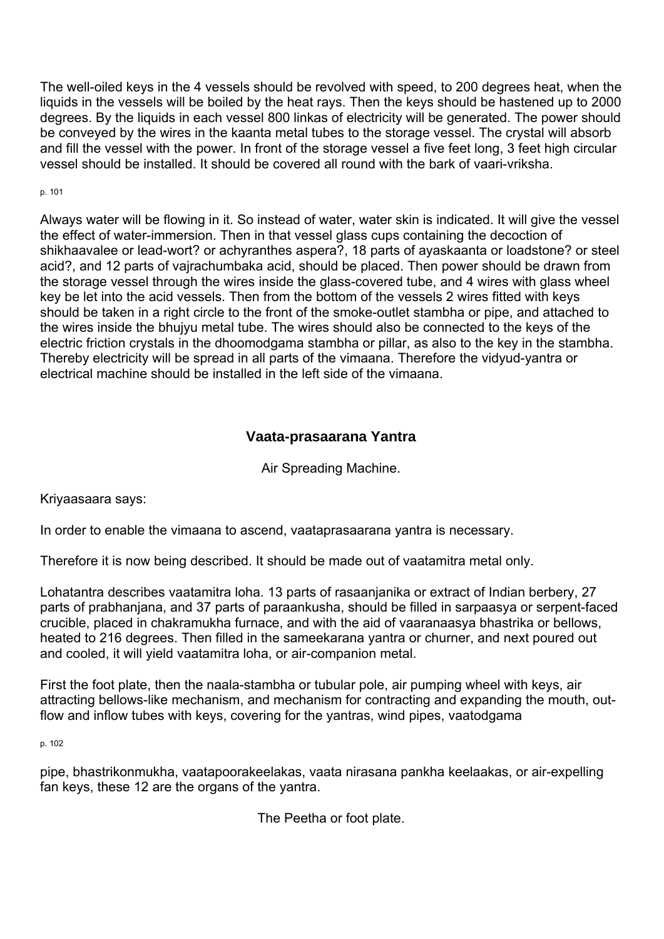The well-oiled keys in the 4 vessels should be revolved with speed, to 200 degrees heat, when the liquids in the vessels will be boiled by the heat rays. Then the keys should be hastened up to 2000 degrees. By the liquids in each vessel 800 linkas of electricity will be generated. The power should be conveyed by the wires in the kaanta metal tubes to the storage vessel. The crystal will absorb and fill the vessel with the power. In front of the storage vessel a five feet long, 3 feet high circular vessel should be installed. It should be covered all round with the bark of vaari-vriksha.

#### p. 101

Always water will be flowing in it. So instead of water, water skin is indicated. It will give the vessel the effect of water-immersion. Then in that vessel glass cups containing the decoction of shikhaavalee or lead-wort? or achyranthes aspera?, 18 parts of ayaskaanta or loadstone? or steel acid?, and 12 parts of vajrachumbaka acid, should be placed. Then power should be drawn from the storage vessel through the wires inside the glass-covered tube, and 4 wires with glass wheel key be let into the acid vessels. Then from the bottom of the vessels 2 wires fitted with keys should be taken in a right circle to the front of the smoke-outlet stambha or pipe, and attached to the wires inside the bhujyu metal tube. The wires should also be connected to the keys of the electric friction crystals in the dhoomodgama stambha or pillar, as also to the key in the stambha. Thereby electricity will be spread in all parts of the vimaana. Therefore the vidyud-yantra or electrical machine should be installed in the left side of the vimaana.

# **Vaata-prasaarana Yantra**

Air Spreading Machine.

Kriyaasaara says:

In order to enable the vimaana to ascend, vaataprasaarana yantra is necessary.

Therefore it is now being described. It should be made out of vaatamitra metal only.

Lohatantra describes vaatamitra loha. 13 parts of rasaanjanika or extract of Indian berbery, 27 parts of prabhanjana, and 37 parts of paraankusha, should be filled in sarpaasya or serpent-faced crucible, placed in chakramukha furnace, and with the aid of vaaranaasya bhastrika or bellows, heated to 216 degrees. Then filled in the sameekarana yantra or churner, and next poured out and cooled, it will yield vaatamitra loha, or air-companion metal.

First the foot plate, then the naala-stambha or tubular pole, air pumping wheel with keys, air attracting bellows-like mechanism, and mechanism for contracting and expanding the mouth, outflow and inflow tubes with keys, covering for the yantras, wind pipes, vaatodgama

p. 102

pipe, bhastrikonmukha, vaatapoorakeelakas, vaata nirasana pankha keelaakas, or air-expelling fan keys, these 12 are the organs of the yantra.

The Peetha or foot plate.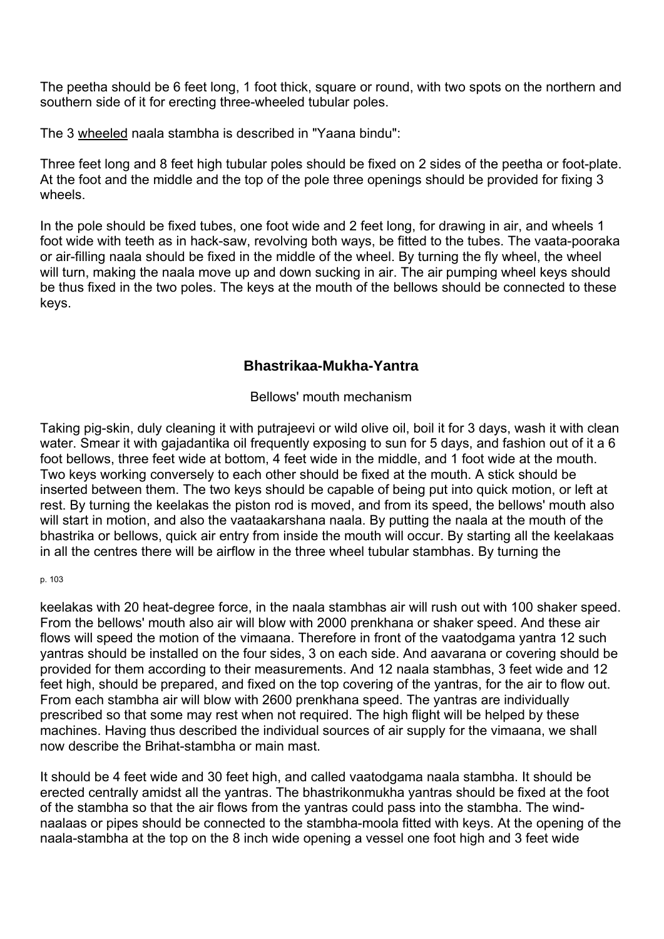The peetha should be 6 feet long, 1 foot thick, square or round, with two spots on the northern and southern side of it for erecting three-wheeled tubular poles.

The 3 wheeled naala stambha is described in "Yaana bindu":

Three feet long and 8 feet high tubular poles should be fixed on 2 sides of the peetha or foot-plate. At the foot and the middle and the top of the pole three openings should be provided for fixing 3 wheels.

In the pole should be fixed tubes, one foot wide and 2 feet long, for drawing in air, and wheels 1 foot wide with teeth as in hack-saw, revolving both ways, be fitted to the tubes. The vaata-pooraka or air-filling naala should be fixed in the middle of the wheel. By turning the fly wheel, the wheel will turn, making the naala move up and down sucking in air. The air pumping wheel keys should be thus fixed in the two poles. The keys at the mouth of the bellows should be connected to these keys.

# **Bhastrikaa-Mukha-Yantra**

Bellows' mouth mechanism

Taking pig-skin, duly cleaning it with putrajeevi or wild olive oil, boil it for 3 days, wash it with clean water. Smear it with gajadantika oil frequently exposing to sun for 5 days, and fashion out of it a 6 foot bellows, three feet wide at bottom, 4 feet wide in the middle, and 1 foot wide at the mouth. Two keys working conversely to each other should be fixed at the mouth. A stick should be inserted between them. The two keys should be capable of being put into quick motion, or left at rest. By turning the keelakas the piston rod is moved, and from its speed, the bellows' mouth also will start in motion, and also the vaataakarshana naala. By putting the naala at the mouth of the bhastrika or bellows, quick air entry from inside the mouth will occur. By starting all the keelakaas in all the centres there will be airflow in the three wheel tubular stambhas. By turning the

p. 103

keelakas with 20 heat-degree force, in the naala stambhas air will rush out with 100 shaker speed. From the bellows' mouth also air will blow with 2000 prenkhana or shaker speed. And these air flows will speed the motion of the vimaana. Therefore in front of the vaatodgama yantra 12 such yantras should be installed on the four sides, 3 on each side. And aavarana or covering should be provided for them according to their measurements. And 12 naala stambhas, 3 feet wide and 12 feet high, should be prepared, and fixed on the top covering of the yantras, for the air to flow out. From each stambha air will blow with 2600 prenkhana speed. The yantras are individually prescribed so that some may rest when not required. The high flight will be helped by these machines. Having thus described the individual sources of air supply for the vimaana, we shall now describe the Brihat-stambha or main mast.

It should be 4 feet wide and 30 feet high, and called vaatodgama naala stambha. It should be erected centrally amidst all the yantras. The bhastrikonmukha yantras should be fixed at the foot of the stambha so that the air flows from the yantras could pass into the stambha. The windnaalaas or pipes should be connected to the stambha-moola fitted with keys. At the opening of the naala-stambha at the top on the 8 inch wide opening a vessel one foot high and 3 feet wide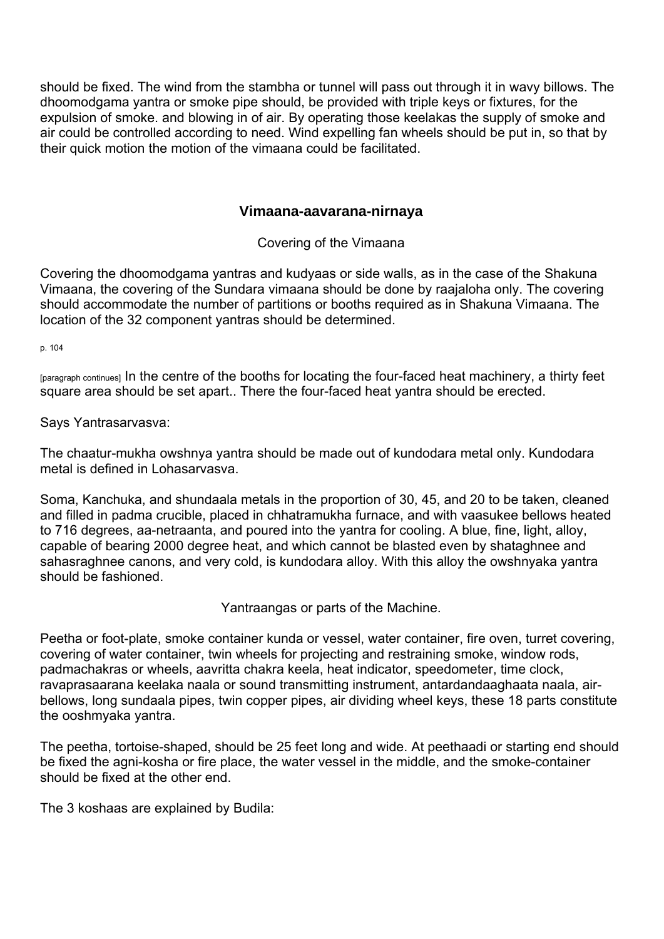should be fixed. The wind from the stambha or tunnel will pass out through it in wavy billows. The dhoomodgama yantra or smoke pipe should, be provided with triple keys or fixtures, for the expulsion of smoke. and blowing in of air. By operating those keelakas the supply of smoke and air could be controlled according to need. Wind expelling fan wheels should be put in, so that by their quick motion the motion of the vimaana could be facilitated.

# **Vimaana-aavarana-nirnaya**

# Covering of the Vimaana

Covering the dhoomodgama yantras and kudyaas or side walls, as in the case of the Shakuna Vimaana, the covering of the Sundara vimaana should be done by raajaloha only. The covering should accommodate the number of partitions or booths required as in Shakuna Vimaana. The location of the 32 component yantras should be determined.

p. 104

[paragraph continues] In the centre of the booths for locating the four-faced heat machinery, a thirty feet square area should be set apart.. There the four-faced heat yantra should be erected.

Says Yantrasarvasva:

The chaatur-mukha owshnya yantra should be made out of kundodara metal only. Kundodara metal is defined in Lohasarvasva.

Soma, Kanchuka, and shundaala metals in the proportion of 30, 45, and 20 to be taken, cleaned and filled in padma crucible, placed in chhatramukha furnace, and with vaasukee bellows heated to 716 degrees, aa-netraanta, and poured into the yantra for cooling. A blue, fine, light, alloy, capable of bearing 2000 degree heat, and which cannot be blasted even by shataghnee and sahasraghnee canons, and very cold, is kundodara alloy. With this alloy the owshnyaka yantra should be fashioned.

Yantraangas or parts of the Machine.

Peetha or foot-plate, smoke container kunda or vessel, water container, fire oven, turret covering, covering of water container, twin wheels for projecting and restraining smoke, window rods, padmachakras or wheels, aavritta chakra keela, heat indicator, speedometer, time clock, ravaprasaarana keelaka naala or sound transmitting instrument, antardandaaghaata naala, airbellows, long sundaala pipes, twin copper pipes, air dividing wheel keys, these 18 parts constitute the ooshmyaka yantra.

The peetha, tortoise-shaped, should be 25 feet long and wide. At peethaadi or starting end should be fixed the agni-kosha or fire place, the water vessel in the middle, and the smoke-container should be fixed at the other end.

The 3 koshaas are explained by Budila: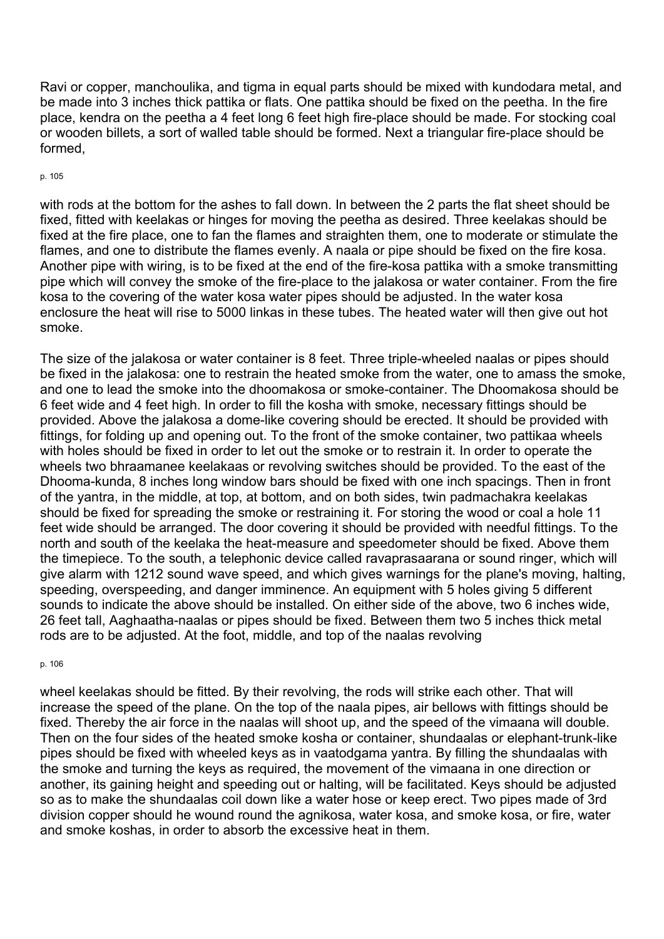Ravi or copper, manchoulika, and tigma in equal parts should be mixed with kundodara metal, and be made into 3 inches thick pattika or flats. One pattika should be fixed on the peetha. In the fire place, kendra on the peetha a 4 feet long 6 feet high fire-place should be made. For stocking coal or wooden billets, a sort of walled table should be formed. Next a triangular fire-place should be formed,

#### p. 105

with rods at the bottom for the ashes to fall down. In between the 2 parts the flat sheet should be fixed, fitted with keelakas or hinges for moving the peetha as desired. Three keelakas should be fixed at the fire place, one to fan the flames and straighten them, one to moderate or stimulate the flames, and one to distribute the flames evenly. A naala or pipe should be fixed on the fire kosa. Another pipe with wiring, is to be fixed at the end of the fire-kosa pattika with a smoke transmitting pipe which will convey the smoke of the fire-place to the jalakosa or water container. From the fire kosa to the covering of the water kosa water pipes should be adjusted. In the water kosa enclosure the heat will rise to 5000 linkas in these tubes. The heated water will then give out hot smoke.

The size of the jalakosa or water container is 8 feet. Three triple-wheeled naalas or pipes should be fixed in the jalakosa: one to restrain the heated smoke from the water, one to amass the smoke, and one to lead the smoke into the dhoomakosa or smoke-container. The Dhoomakosa should be 6 feet wide and 4 feet high. In order to fill the kosha with smoke, necessary fittings should be provided. Above the jalakosa a dome-like covering should be erected. It should be provided with fittings, for folding up and opening out. To the front of the smoke container, two pattikaa wheels with holes should be fixed in order to let out the smoke or to restrain it. In order to operate the wheels two bhraamanee keelakaas or revolving switches should be provided. To the east of the Dhooma-kunda, 8 inches long window bars should be fixed with one inch spacings. Then in front of the yantra, in the middle, at top, at bottom, and on both sides, twin padmachakra keelakas should be fixed for spreading the smoke or restraining it. For storing the wood or coal a hole 11 feet wide should be arranged. The door covering it should be provided with needful fittings. To the north and south of the keelaka the heat-measure and speedometer should be fixed. Above them the timepiece. To the south, a telephonic device called ravaprasaarana or sound ringer, which will give alarm with 1212 sound wave speed, and which gives warnings for the plane's moving, halting, speeding, overspeeding, and danger imminence. An equipment with 5 holes giving 5 different sounds to indicate the above should be installed. On either side of the above, two 6 inches wide, 26 feet tall, Aaghaatha-naalas or pipes should be fixed. Between them two 5 inches thick metal rods are to be adjusted. At the foot, middle, and top of the naalas revolving

#### p. 106

wheel keelakas should be fitted. By their revolving, the rods will strike each other. That will increase the speed of the plane. On the top of the naala pipes, air bellows with fittings should be fixed. Thereby the air force in the naalas will shoot up, and the speed of the vimaana will double. Then on the four sides of the heated smoke kosha or container, shundaalas or elephant-trunk-like pipes should be fixed with wheeled keys as in vaatodgama yantra. By filling the shundaalas with the smoke and turning the keys as required, the movement of the vimaana in one direction or another, its gaining height and speeding out or halting, will be facilitated. Keys should be adjusted so as to make the shundaalas coil down like a water hose or keep erect. Two pipes made of 3rd division copper should he wound round the agnikosa, water kosa, and smoke kosa, or fire, water and smoke koshas, in order to absorb the excessive heat in them.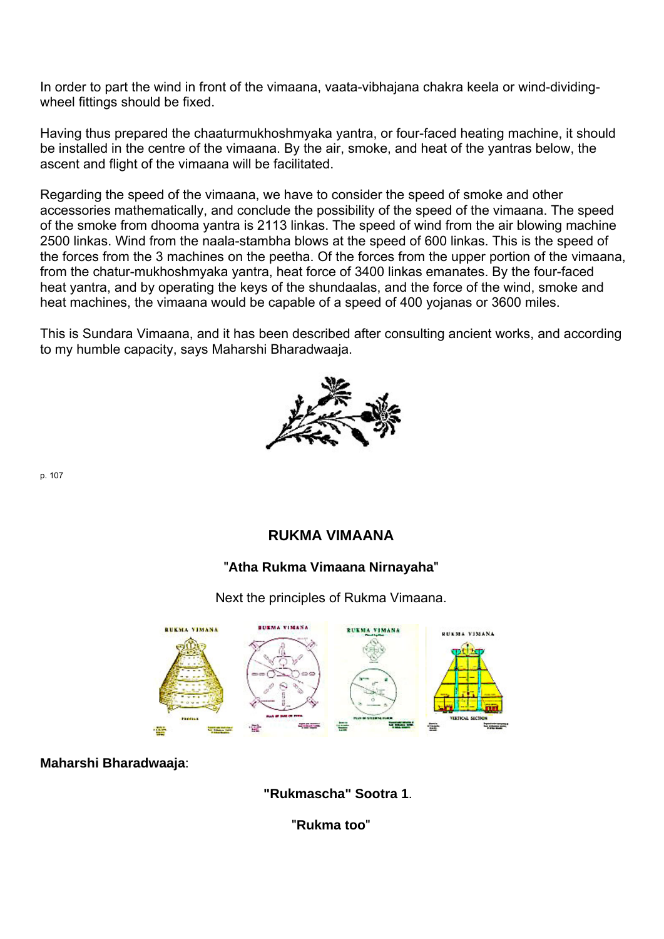In order to part the wind in front of the vimaana, vaata-vibhajana chakra keela or wind-dividingwheel fittings should be fixed.

Having thus prepared the chaaturmukhoshmyaka yantra, or four-faced heating machine, it should be installed in the centre of the vimaana. By the air, smoke, and heat of the yantras below, the ascent and flight of the vimaana will be facilitated.

Regarding the speed of the vimaana, we have to consider the speed of smoke and other accessories mathematically, and conclude the possibility of the speed of the vimaana. The speed of the smoke from dhooma yantra is 2113 linkas. The speed of wind from the air blowing machine 2500 linkas. Wind from the naala-stambha blows at the speed of 600 linkas. This is the speed of the forces from the 3 machines on the peetha. Of the forces from the upper portion of the vimaana, from the chatur-mukhoshmyaka yantra, heat force of 3400 linkas emanates. By the four-faced heat yantra, and by operating the keys of the shundaalas, and the force of the wind, smoke and heat machines, the vimaana would be capable of a speed of 400 yojanas or 3600 miles.

This is Sundara Vimaana, and it has been described after consulting ancient works, and according to my humble capacity, says Maharshi Bharadwaaja.



p. 107

# **RUKMA VIMAANA**

### "**Atha Rukma Vimaana Nirnayaha**"

Next the principles of Rukma Vimaana.



### **Maharshi Bharadwaaja**:

**"Rukmascha" Sootra 1**.

"**Rukma too**"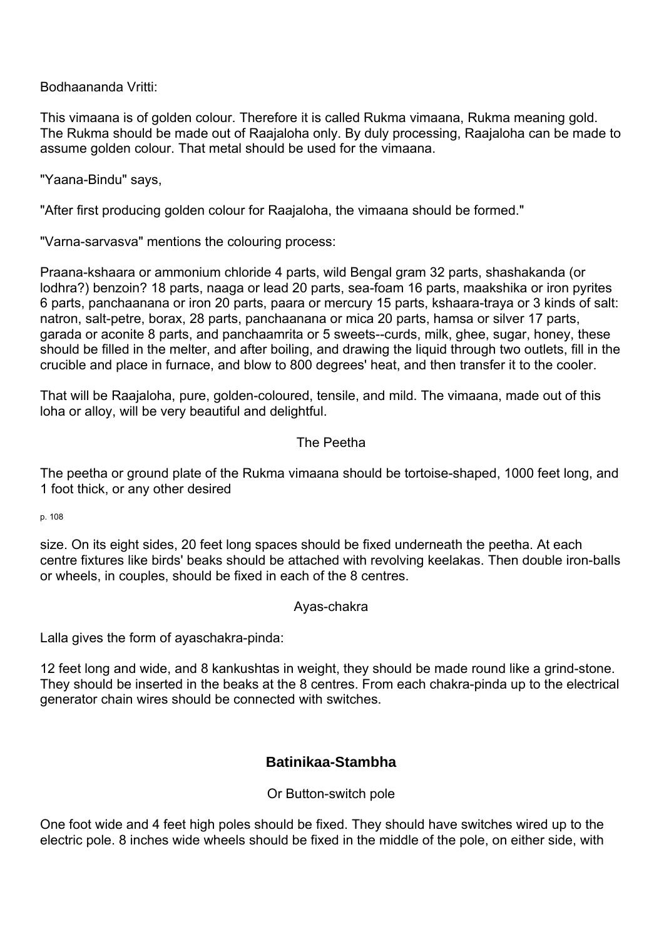Bodhaananda Vritti:

This vimaana is of golden colour. Therefore it is called Rukma vimaana, Rukma meaning gold. The Rukma should be made out of Raajaloha only. By duly processing, Raajaloha can be made to assume golden colour. That metal should be used for the vimaana.

"Yaana-Bindu" says,

"After first producing golden colour for Raajaloha, the vimaana should be formed."

"Varna-sarvasva" mentions the colouring process:

Praana-kshaara or ammonium chloride 4 parts, wild Bengal gram 32 parts, shashakanda (or lodhra?) benzoin? 18 parts, naaga or lead 20 parts, sea-foam 16 parts, maakshika or iron pyrites 6 parts, panchaanana or iron 20 parts, paara or mercury 15 parts, kshaara-traya or 3 kinds of salt: natron, salt-petre, borax, 28 parts, panchaanana or mica 20 parts, hamsa or silver 17 parts, garada or aconite 8 parts, and panchaamrita or 5 sweets--curds, milk, ghee, sugar, honey, these should be filled in the melter, and after boiling, and drawing the liquid through two outlets, fill in the crucible and place in furnace, and blow to 800 degrees' heat, and then transfer it to the cooler.

That will be Raajaloha, pure, golden-coloured, tensile, and mild. The vimaana, made out of this loha or alloy, will be very beautiful and delightful.

The Peetha

The peetha or ground plate of the Rukma vimaana should be tortoise-shaped, 1000 feet long, and 1 foot thick, or any other desired

p. 108

size. On its eight sides, 20 feet long spaces should be fixed underneath the peetha. At each centre fixtures like birds' beaks should be attached with revolving keelakas. Then double iron-balls or wheels, in couples, should be fixed in each of the 8 centres.

Ayas-chakra

Lalla gives the form of ayaschakra-pinda:

12 feet long and wide, and 8 kankushtas in weight, they should be made round like a grind-stone. They should be inserted in the beaks at the 8 centres. From each chakra-pinda up to the electrical generator chain wires should be connected with switches.

# **Batinikaa-Stambha**

Or Button-switch pole

One foot wide and 4 feet high poles should be fixed. They should have switches wired up to the electric pole. 8 inches wide wheels should be fixed in the middle of the pole, on either side, with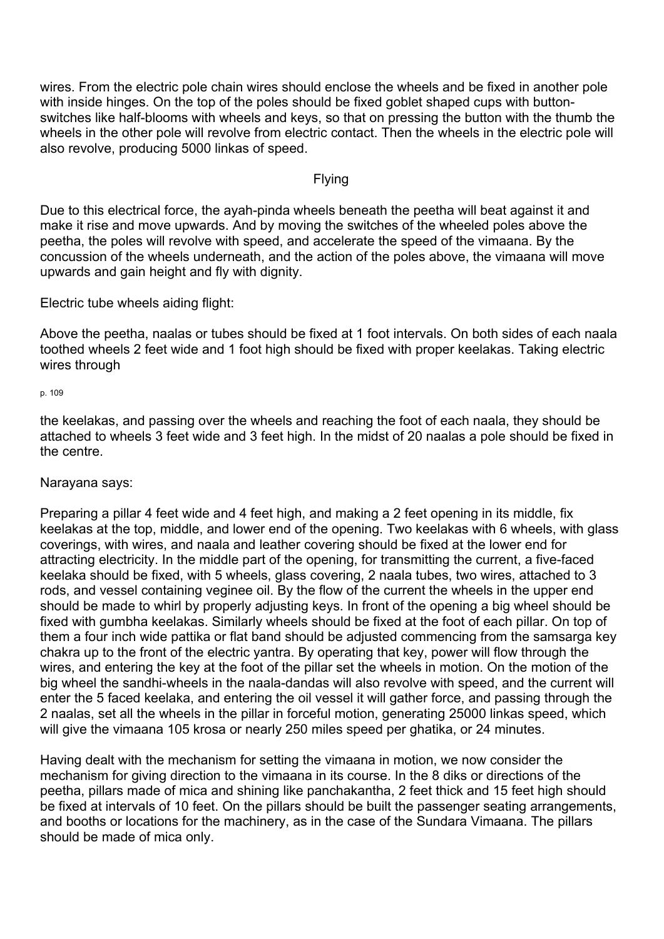wires. From the electric pole chain wires should enclose the wheels and be fixed in another pole with inside hinges. On the top of the poles should be fixed goblet shaped cups with buttonswitches like half-blooms with wheels and keys, so that on pressing the button with the thumb the wheels in the other pole will revolve from electric contact. Then the wheels in the electric pole will also revolve, producing 5000 linkas of speed.

#### Flying

Due to this electrical force, the ayah-pinda wheels beneath the peetha will beat against it and make it rise and move upwards. And by moving the switches of the wheeled poles above the peetha, the poles will revolve with speed, and accelerate the speed of the vimaana. By the concussion of the wheels underneath, and the action of the poles above, the vimaana will move upwards and gain height and fly with dignity.

Electric tube wheels aiding flight:

Above the peetha, naalas or tubes should be fixed at 1 foot intervals. On both sides of each naala toothed wheels 2 feet wide and 1 foot high should be fixed with proper keelakas. Taking electric wires through

#### p. 109

the keelakas, and passing over the wheels and reaching the foot of each naala, they should be attached to wheels 3 feet wide and 3 feet high. In the midst of 20 naalas a pole should be fixed in the centre.

### Narayana says:

Preparing a pillar 4 feet wide and 4 feet high, and making a 2 feet opening in its middle, fix keelakas at the top, middle, and lower end of the opening. Two keelakas with 6 wheels, with glass coverings, with wires, and naala and leather covering should be fixed at the lower end for attracting electricity. In the middle part of the opening, for transmitting the current, a five-faced keelaka should be fixed, with 5 wheels, glass covering, 2 naala tubes, two wires, attached to 3 rods, and vessel containing veginee oil. By the flow of the current the wheels in the upper end should be made to whirl by properly adjusting keys. In front of the opening a big wheel should be fixed with gumbha keelakas. Similarly wheels should be fixed at the foot of each pillar. On top of them a four inch wide pattika or flat band should be adjusted commencing from the samsarga key chakra up to the front of the electric yantra. By operating that key, power will flow through the wires, and entering the key at the foot of the pillar set the wheels in motion. On the motion of the big wheel the sandhi-wheels in the naala-dandas will also revolve with speed, and the current will enter the 5 faced keelaka, and entering the oil vessel it will gather force, and passing through the 2 naalas, set all the wheels in the pillar in forceful motion, generating 25000 linkas speed, which will give the vimaana 105 krosa or nearly 250 miles speed per ghatika, or 24 minutes.

Having dealt with the mechanism for setting the vimaana in motion, we now consider the mechanism for giving direction to the vimaana in its course. In the 8 diks or directions of the peetha, pillars made of mica and shining like panchakantha, 2 feet thick and 15 feet high should be fixed at intervals of 10 feet. On the pillars should be built the passenger seating arrangements, and booths or locations for the machinery, as in the case of the Sundara Vimaana. The pillars should be made of mica only.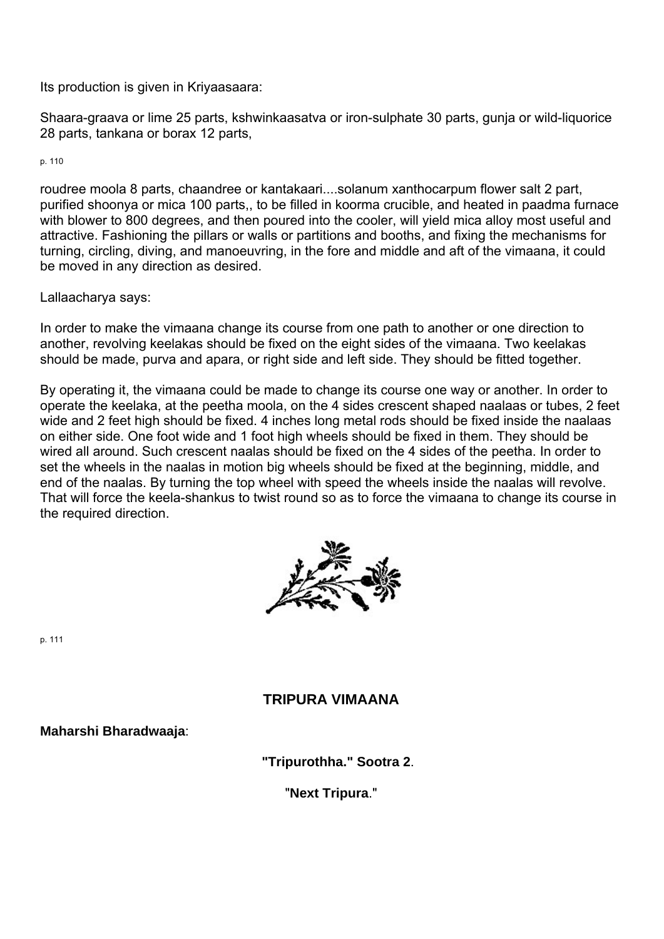Its production is given in Kriyaasaara:

Shaara-graava or lime 25 parts, kshwinkaasatva or iron-sulphate 30 parts, gunja or wild-liquorice 28 parts, tankana or borax 12 parts,

p. 110

roudree moola 8 parts, chaandree or kantakaari....solanum xanthocarpum flower salt 2 part, purified shoonya or mica 100 parts,, to be filled in koorma crucible, and heated in paadma furnace with blower to 800 degrees, and then poured into the cooler, will yield mica alloy most useful and attractive. Fashioning the pillars or walls or partitions and booths, and fixing the mechanisms for turning, circling, diving, and manoeuvring, in the fore and middle and aft of the vimaana, it could be moved in any direction as desired.

Lallaacharya says:

In order to make the vimaana change its course from one path to another or one direction to another, revolving keelakas should be fixed on the eight sides of the vimaana. Two keelakas should be made, purva and apara, or right side and left side. They should be fitted together.

By operating it, the vimaana could be made to change its course one way or another. In order to operate the keelaka, at the peetha moola, on the 4 sides crescent shaped naalaas or tubes, 2 feet wide and 2 feet high should be fixed. 4 inches long metal rods should be fixed inside the naalaas on either side. One foot wide and 1 foot high wheels should be fixed in them. They should be wired all around. Such crescent naalas should be fixed on the 4 sides of the peetha. In order to set the wheels in the naalas in motion big wheels should be fixed at the beginning, middle, and end of the naalas. By turning the top wheel with speed the wheels inside the naalas will revolve. That will force the keela-shankus to twist round so as to force the vimaana to change its course in the required direction.



p. 111

# **TRIPURA VIMAANA**

**Maharshi Bharadwaaja**:

**"Tripurothha." Sootra 2**.

"**Next Tripura**."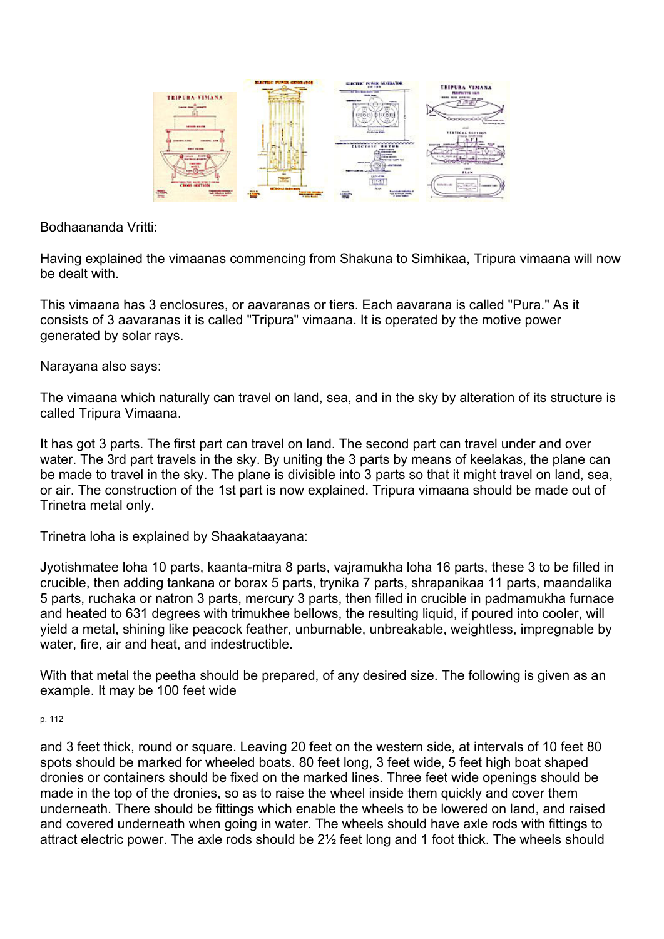

Bodhaananda Vritti:

Having explained the vimaanas commencing from Shakuna to Simhikaa, Tripura vimaana will now be dealt with.

This vimaana has 3 enclosures, or aavaranas or tiers. Each aavarana is called "Pura." As it consists of 3 aavaranas it is called "Tripura" vimaana. It is operated by the motive power generated by solar rays.

Narayana also says:

The vimaana which naturally can travel on land, sea, and in the sky by alteration of its structure is called Tripura Vimaana.

It has got 3 parts. The first part can travel on land. The second part can travel under and over water. The 3rd part travels in the sky. By uniting the 3 parts by means of keelakas, the plane can be made to travel in the sky. The plane is divisible into 3 parts so that it might travel on land, sea, or air. The construction of the 1st part is now explained. Tripura vimaana should be made out of Trinetra metal only.

Trinetra loha is explained by Shaakataayana:

Jyotishmatee loha 10 parts, kaanta-mitra 8 parts, vajramukha loha 16 parts, these 3 to be filled in crucible, then adding tankana or borax 5 parts, trynika 7 parts, shrapanikaa 11 parts, maandalika 5 parts, ruchaka or natron 3 parts, mercury 3 parts, then filled in crucible in padmamukha furnace and heated to 631 degrees with trimukhee bellows, the resulting liquid, if poured into cooler, will yield a metal, shining like peacock feather, unburnable, unbreakable, weightless, impregnable by water, fire, air and heat, and indestructible.

With that metal the peetha should be prepared, of any desired size. The following is given as an example. It may be 100 feet wide

p. 112

and 3 feet thick, round or square. Leaving 20 feet on the western side, at intervals of 10 feet 80 spots should be marked for wheeled boats. 80 feet long, 3 feet wide, 5 feet high boat shaped dronies or containers should be fixed on the marked lines. Three feet wide openings should be made in the top of the dronies, so as to raise the wheel inside them quickly and cover them underneath. There should be fittings which enable the wheels to be lowered on land, and raised and covered underneath when going in water. The wheels should have axle rods with fittings to attract electric power. The axle rods should be 2½ feet long and 1 foot thick. The wheels should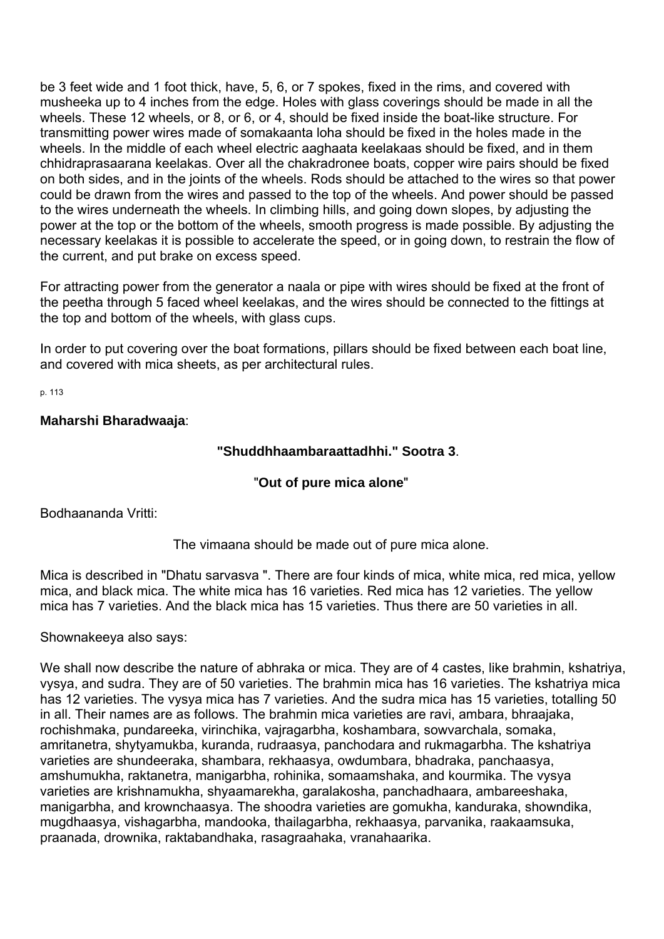be 3 feet wide and 1 foot thick, have, 5, 6, or 7 spokes, fixed in the rims, and covered with musheeka up to 4 inches from the edge. Holes with glass coverings should be made in all the wheels. These 12 wheels, or 8, or 6, or 4, should be fixed inside the boat-like structure. For transmitting power wires made of somakaanta loha should be fixed in the holes made in the wheels. In the middle of each wheel electric aaghaata keelakaas should be fixed, and in them chhidraprasaarana keelakas. Over all the chakradronee boats, copper wire pairs should be fixed on both sides, and in the joints of the wheels. Rods should be attached to the wires so that power could be drawn from the wires and passed to the top of the wheels. And power should be passed to the wires underneath the wheels. In climbing hills, and going down slopes, by adjusting the power at the top or the bottom of the wheels, smooth progress is made possible. By adjusting the necessary keelakas it is possible to accelerate the speed, or in going down, to restrain the flow of the current, and put brake on excess speed.

For attracting power from the generator a naala or pipe with wires should be fixed at the front of the peetha through 5 faced wheel keelakas, and the wires should be connected to the fittings at the top and bottom of the wheels, with glass cups.

In order to put covering over the boat formations, pillars should be fixed between each boat line, and covered with mica sheets, as per architectural rules.

p. 113

# **Maharshi Bharadwaaja**:

# **"Shuddhhaambaraattadhhi." Sootra 3**.

### "**Out of pure mica alone**"

Bodhaananda Vritti:

The vimaana should be made out of pure mica alone.

Mica is described in "Dhatu sarvasva ". There are four kinds of mica, white mica, red mica, yellow mica, and black mica. The white mica has 16 varieties. Red mica has 12 varieties. The yellow mica has 7 varieties. And the black mica has 15 varieties. Thus there are 50 varieties in all.

Shownakeeya also says:

We shall now describe the nature of abhraka or mica. They are of 4 castes, like brahmin, kshatriya, vysya, and sudra. They are of 50 varieties. The brahmin mica has 16 varieties. The kshatriya mica has 12 varieties. The vysya mica has 7 varieties. And the sudra mica has 15 varieties, totalling 50 in all. Their names are as follows. The brahmin mica varieties are ravi, ambara, bhraajaka, rochishmaka, pundareeka, virinchika, vajragarbha, koshambara, sowvarchala, somaka, amritanetra, shytyamukba, kuranda, rudraasya, panchodara and rukmagarbha. The kshatriya varieties are shundeeraka, shambara, rekhaasya, owdumbara, bhadraka, panchaasya, amshumukha, raktanetra, manigarbha, rohinika, somaamshaka, and kourmika. The vysya varieties are krishnamukha, shyaamarekha, garalakosha, panchadhaara, ambareeshaka, manigarbha, and krownchaasya. The shoodra varieties are gomukha, kanduraka, showndika, mugdhaasya, vishagarbha, mandooka, thailagarbha, rekhaasya, parvanika, raakaamsuka, praanada, drownika, raktabandhaka, rasagraahaka, vranahaarika.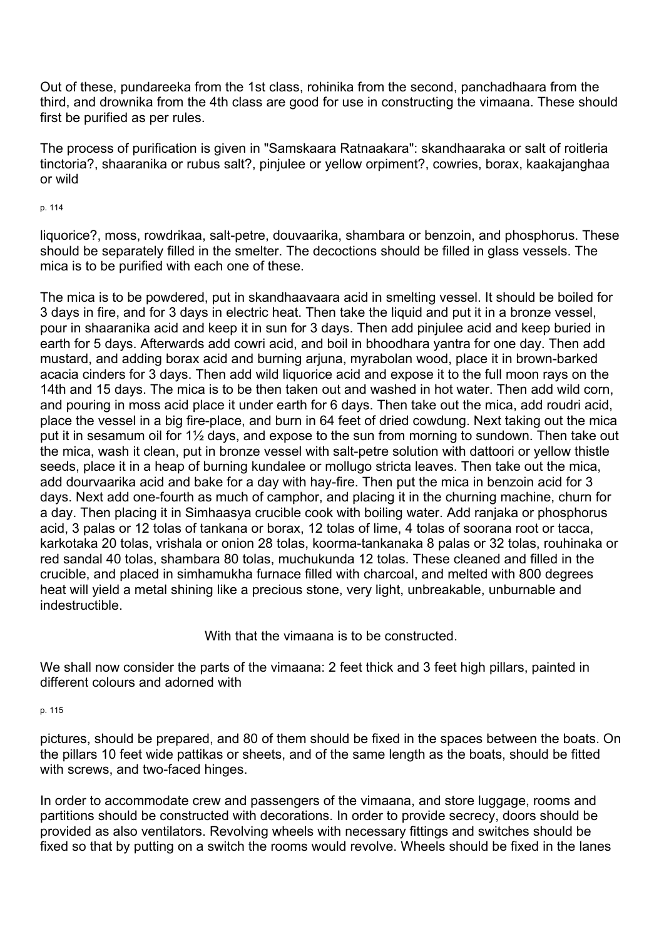Out of these, pundareeka from the 1st class, rohinika from the second, panchadhaara from the third, and drownika from the 4th class are good for use in constructing the vimaana. These should first be purified as per rules.

The process of purification is given in "Samskaara Ratnaakara": skandhaaraka or salt of roitleria tinctoria?, shaaranika or rubus salt?, pinjulee or yellow orpiment?, cowries, borax, kaakajanghaa or wild

p. 114

liquorice?, moss, rowdrikaa, salt-petre, douvaarika, shambara or benzoin, and phosphorus. These should be separately filled in the smelter. The decoctions should be filled in glass vessels. The mica is to be purified with each one of these.

The mica is to be powdered, put in skandhaavaara acid in smelting vessel. It should be boiled for 3 days in fire, and for 3 days in electric heat. Then take the liquid and put it in a bronze vessel, pour in shaaranika acid and keep it in sun for 3 days. Then add pinjulee acid and keep buried in earth for 5 days. Afterwards add cowri acid, and boil in bhoodhara yantra for one day. Then add mustard, and adding borax acid and burning arjuna, myrabolan wood, place it in brown-barked acacia cinders for 3 days. Then add wild liquorice acid and expose it to the full moon rays on the 14th and 15 days. The mica is to be then taken out and washed in hot water. Then add wild corn, and pouring in moss acid place it under earth for 6 days. Then take out the mica, add roudri acid, place the vessel in a big fire-place, and burn in 64 feet of dried cowdung. Next taking out the mica put it in sesamum oil for 1½ days, and expose to the sun from morning to sundown. Then take out the mica, wash it clean, put in bronze vessel with salt-petre solution with dattoori or yellow thistle seeds, place it in a heap of burning kundalee or mollugo stricta leaves. Then take out the mica, add dourvaarika acid and bake for a day with hay-fire. Then put the mica in benzoin acid for 3 days. Next add one-fourth as much of camphor, and placing it in the churning machine, churn for a day. Then placing it in Simhaasya crucible cook with boiling water. Add ranjaka or phosphorus acid, 3 palas or 12 tolas of tankana or borax, 12 tolas of lime, 4 tolas of soorana root or tacca, karkotaka 20 tolas, vrishala or onion 28 tolas, koorma-tankanaka 8 palas or 32 tolas, rouhinaka or red sandal 40 tolas, shambara 80 tolas, muchukunda 12 tolas. These cleaned and filled in the crucible, and placed in simhamukha furnace filled with charcoal, and melted with 800 degrees heat will yield a metal shining like a precious stone, very light, unbreakable, unburnable and indestructible.

With that the vimaana is to be constructed.

We shall now consider the parts of the vimaana: 2 feet thick and 3 feet high pillars, painted in different colours and adorned with

p. 115

pictures, should be prepared, and 80 of them should be fixed in the spaces between the boats. On the pillars 10 feet wide pattikas or sheets, and of the same length as the boats, should be fitted with screws, and two-faced hinges.

In order to accommodate crew and passengers of the vimaana, and store luggage, rooms and partitions should be constructed with decorations. In order to provide secrecy, doors should be provided as also ventilators. Revolving wheels with necessary fittings and switches should be fixed so that by putting on a switch the rooms would revolve. Wheels should be fixed in the lanes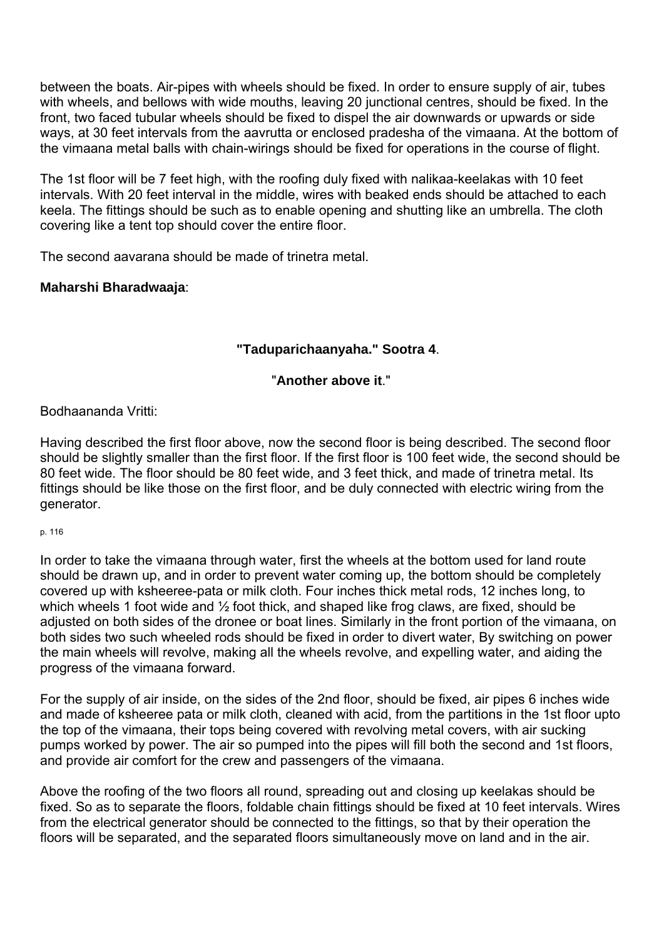between the boats. Air-pipes with wheels should be fixed. In order to ensure supply of air, tubes with wheels, and bellows with wide mouths, leaving 20 junctional centres, should be fixed. In the front, two faced tubular wheels should be fixed to dispel the air downwards or upwards or side ways, at 30 feet intervals from the aavrutta or enclosed pradesha of the vimaana. At the bottom of the vimaana metal balls with chain-wirings should be fixed for operations in the course of flight.

The 1st floor will be 7 feet high, with the roofing duly fixed with nalikaa-keelakas with 10 feet intervals. With 20 feet interval in the middle, wires with beaked ends should be attached to each keela. The fittings should be such as to enable opening and shutting like an umbrella. The cloth covering like a tent top should cover the entire floor.

The second aavarana should be made of trinetra metal.

# **Maharshi Bharadwaaja**:

# **"Taduparichaanyaha." Sootra 4**.

### "**Another above it**."

Bodhaananda Vritti:

Having described the first floor above, now the second floor is being described. The second floor should be slightly smaller than the first floor. If the first floor is 100 feet wide, the second should be 80 feet wide. The floor should be 80 feet wide, and 3 feet thick, and made of trinetra metal. Its fittings should be like those on the first floor, and be duly connected with electric wiring from the generator.

p. 116

In order to take the vimaana through water, first the wheels at the bottom used for land route should be drawn up, and in order to prevent water coming up, the bottom should be completely covered up with ksheeree-pata or milk cloth. Four inches thick metal rods, 12 inches long, to which wheels 1 foot wide and 1/2 foot thick, and shaped like frog claws, are fixed, should be adjusted on both sides of the dronee or boat lines. Similarly in the front portion of the vimaana, on both sides two such wheeled rods should be fixed in order to divert water, By switching on power the main wheels will revolve, making all the wheels revolve, and expelling water, and aiding the progress of the vimaana forward.

For the supply of air inside, on the sides of the 2nd floor, should be fixed, air pipes 6 inches wide and made of ksheeree pata or milk cloth, cleaned with acid, from the partitions in the 1st floor upto the top of the vimaana, their tops being covered with revolving metal covers, with air sucking pumps worked by power. The air so pumped into the pipes will fill both the second and 1st floors, and provide air comfort for the crew and passengers of the vimaana.

Above the roofing of the two floors all round, spreading out and closing up keelakas should be fixed. So as to separate the floors, foldable chain fittings should be fixed at 10 feet intervals. Wires from the electrical generator should be connected to the fittings, so that by their operation the floors will be separated, and the separated floors simultaneously move on land and in the air.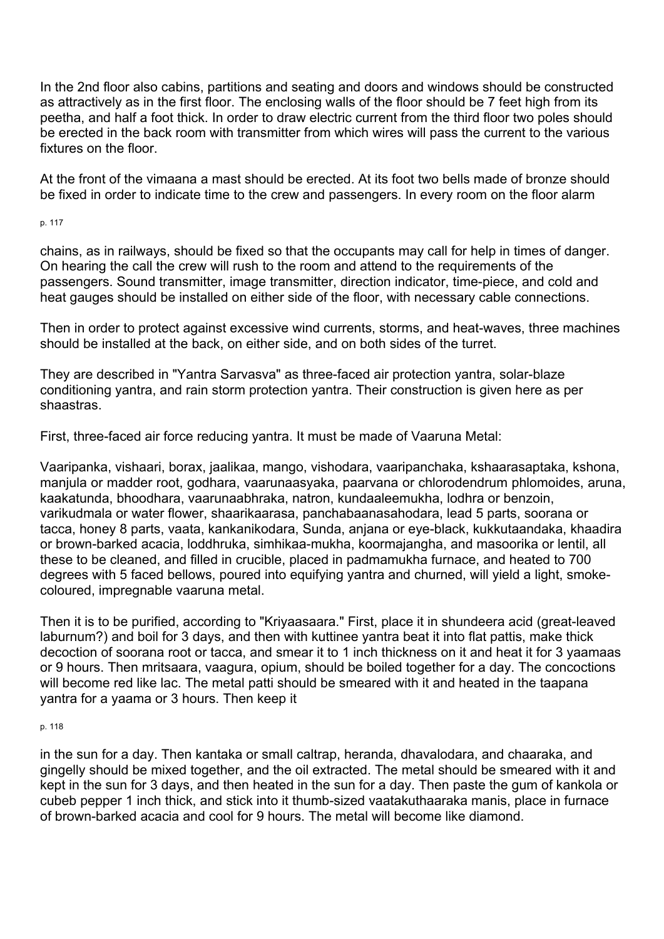In the 2nd floor also cabins, partitions and seating and doors and windows should be constructed as attractively as in the first floor. The enclosing walls of the floor should be 7 feet high from its peetha, and half a foot thick. In order to draw electric current from the third floor two poles should be erected in the back room with transmitter from which wires will pass the current to the various fixtures on the floor.

At the front of the vimaana a mast should be erected. At its foot two bells made of bronze should be fixed in order to indicate time to the crew and passengers. In every room on the floor alarm

p. 117

chains, as in railways, should be fixed so that the occupants may call for help in times of danger. On hearing the call the crew will rush to the room and attend to the requirements of the passengers. Sound transmitter, image transmitter, direction indicator, time-piece, and cold and heat gauges should be installed on either side of the floor, with necessary cable connections.

Then in order to protect against excessive wind currents, storms, and heat-waves, three machines should be installed at the back, on either side, and on both sides of the turret.

They are described in "Yantra Sarvasva" as three-faced air protection yantra, solar-blaze conditioning yantra, and rain storm protection yantra. Their construction is given here as per shaastras.

First, three-faced air force reducing yantra. It must be made of Vaaruna Metal:

Vaaripanka, vishaari, borax, jaalikaa, mango, vishodara, vaaripanchaka, kshaarasaptaka, kshona, manjula or madder root, godhara, vaarunaasyaka, paarvana or chlorodendrum phlomoides, aruna, kaakatunda, bhoodhara, vaarunaabhraka, natron, kundaaleemukha, lodhra or benzoin, varikudmala or water flower, shaarikaarasa, panchabaanasahodara, lead 5 parts, soorana or tacca, honey 8 parts, vaata, kankanikodara, Sunda, anjana or eye-black, kukkutaandaka, khaadira or brown-barked acacia, loddhruka, simhikaa-mukha, koormajangha, and masoorika or lentil, all these to be cleaned, and filled in crucible, placed in padmamukha furnace, and heated to 700 degrees with 5 faced bellows, poured into equifying yantra and churned, will yield a light, smokecoloured, impregnable vaaruna metal.

Then it is to be purified, according to "Kriyaasaara." First, place it in shundeera acid (great-leaved laburnum?) and boil for 3 days, and then with kuttinee yantra beat it into flat pattis, make thick decoction of soorana root or tacca, and smear it to 1 inch thickness on it and heat it for 3 yaamaas or 9 hours. Then mritsaara, vaagura, opium, should be boiled together for a day. The concoctions will become red like lac. The metal patti should be smeared with it and heated in the taapana yantra for a yaama or 3 hours. Then keep it

p. 118

in the sun for a day. Then kantaka or small caltrap, heranda, dhavalodara, and chaaraka, and gingelly should be mixed together, and the oil extracted. The metal should be smeared with it and kept in the sun for 3 days, and then heated in the sun for a day. Then paste the gum of kankola or cubeb pepper 1 inch thick, and stick into it thumb-sized vaatakuthaaraka manis, place in furnace of brown-barked acacia and cool for 9 hours. The metal will become like diamond.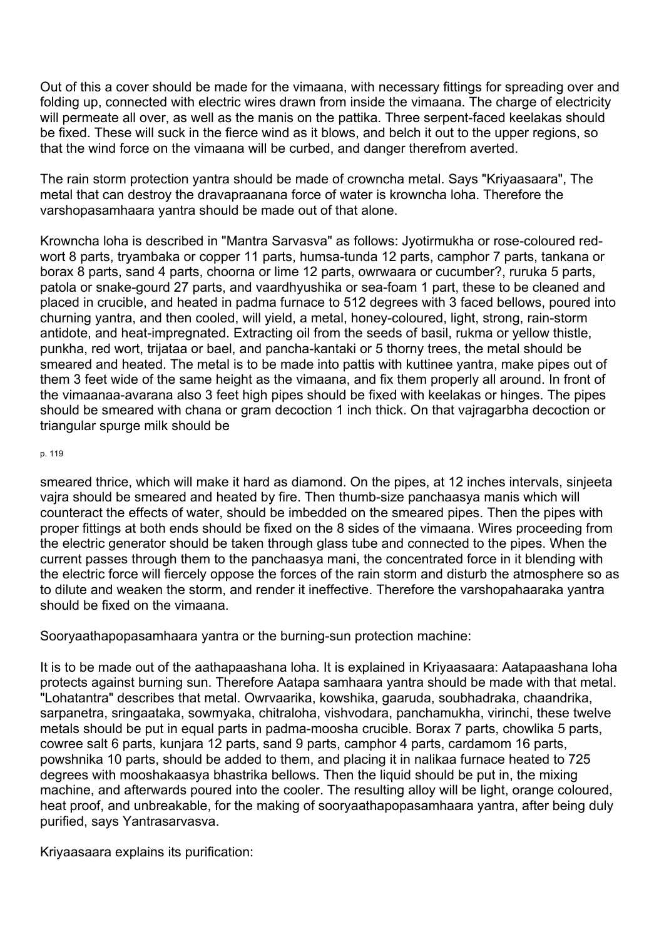Out of this a cover should be made for the vimaana, with necessary fittings for spreading over and folding up, connected with electric wires drawn from inside the vimaana. The charge of electricity will permeate all over, as well as the manis on the pattika. Three serpent-faced keelakas should be fixed. These will suck in the fierce wind as it blows, and belch it out to the upper regions, so that the wind force on the vimaana will be curbed, and danger therefrom averted.

The rain storm protection yantra should be made of crowncha metal. Says "Kriyaasaara", The metal that can destroy the dravapraanana force of water is krowncha loha. Therefore the varshopasamhaara yantra should be made out of that alone.

Krowncha loha is described in "Mantra Sarvasva" as follows: Jyotirmukha or rose-coloured redwort 8 parts, tryambaka or copper 11 parts, humsa-tunda 12 parts, camphor 7 parts, tankana or borax 8 parts, sand 4 parts, choorna or lime 12 parts, owrwaara or cucumber?, ruruka 5 parts, patola or snake-gourd 27 parts, and vaardhyushika or sea-foam 1 part, these to be cleaned and placed in crucible, and heated in padma furnace to 512 degrees with 3 faced bellows, poured into churning yantra, and then cooled, will yield, a metal, honey-coloured, light, strong, rain-storm antidote, and heat-impregnated. Extracting oil from the seeds of basil, rukma or yellow thistle, punkha, red wort, trijataa or bael, and pancha-kantaki or 5 thorny trees, the metal should be smeared and heated. The metal is to be made into pattis with kuttinee yantra, make pipes out of them 3 feet wide of the same height as the vimaana, and fix them properly all around. In front of the vimaanaa-avarana also 3 feet high pipes should be fixed with keelakas or hinges. The pipes should be smeared with chana or gram decoction 1 inch thick. On that vajragarbha decoction or triangular spurge milk should be

#### p. 119

smeared thrice, which will make it hard as diamond. On the pipes, at 12 inches intervals, sinjeeta vajra should be smeared and heated by fire. Then thumb-size panchaasya manis which will counteract the effects of water, should be imbedded on the smeared pipes. Then the pipes with proper fittings at both ends should be fixed on the 8 sides of the vimaana. Wires proceeding from the electric generator should be taken through glass tube and connected to the pipes. When the current passes through them to the panchaasya mani, the concentrated force in it blending with the electric force will fiercely oppose the forces of the rain storm and disturb the atmosphere so as to dilute and weaken the storm, and render it ineffective. Therefore the varshopahaaraka yantra should be fixed on the vimaana.

Sooryaathapopasamhaara yantra or the burning-sun protection machine:

It is to be made out of the aathapaashana loha. It is explained in Kriyaasaara: Aatapaashana loha protects against burning sun. Therefore Aatapa samhaara yantra should be made with that metal. "Lohatantra" describes that metal. Owrvaarika, kowshika, gaaruda, soubhadraka, chaandrika, sarpanetra, sringaataka, sowmyaka, chitraloha, vishvodara, panchamukha, virinchi, these twelve metals should be put in equal parts in padma-moosha crucible. Borax 7 parts, chowlika 5 parts, cowree salt 6 parts, kunjara 12 parts, sand 9 parts, camphor 4 parts, cardamom 16 parts, powshnika 10 parts, should be added to them, and placing it in nalikaa furnace heated to 725 degrees with mooshakaasya bhastrika bellows. Then the liquid should be put in, the mixing machine, and afterwards poured into the cooler. The resulting alloy will be light, orange coloured, heat proof, and unbreakable, for the making of sooryaathapopasamhaara yantra, after being duly purified, says Yantrasarvasva.

Kriyaasaara explains its purification: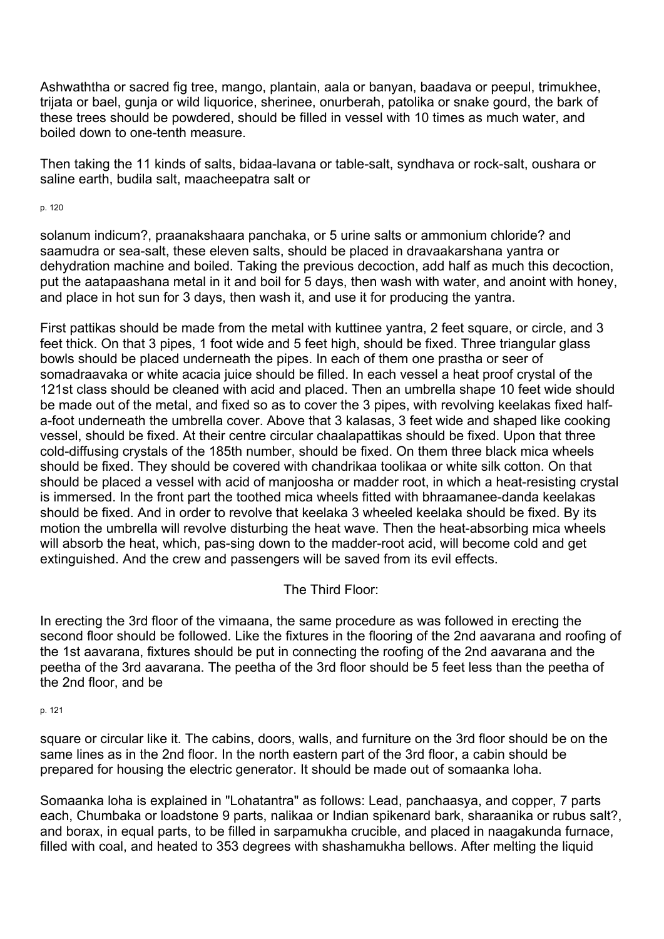Ashwaththa or sacred fig tree, mango, plantain, aala or banyan, baadava or peepul, trimukhee, trijata or bael, gunja or wild liquorice, sherinee, onurberah, patolika or snake gourd, the bark of these trees should be powdered, should be filled in vessel with 10 times as much water, and boiled down to one-tenth measure.

Then taking the 11 kinds of salts, bidaa-lavana or table-salt, syndhava or rock-salt, oushara or saline earth, budila salt, maacheepatra salt or

p. 120

solanum indicum?, praanakshaara panchaka, or 5 urine salts or ammonium chloride? and saamudra or sea-salt, these eleven salts, should be placed in dravaakarshana yantra or dehydration machine and boiled. Taking the previous decoction, add half as much this decoction, put the aatapaashana metal in it and boil for 5 days, then wash with water, and anoint with honey, and place in hot sun for 3 days, then wash it, and use it for producing the yantra.

First pattikas should be made from the metal with kuttinee yantra, 2 feet square, or circle, and 3 feet thick. On that 3 pipes, 1 foot wide and 5 feet high, should be fixed. Three triangular glass bowls should be placed underneath the pipes. In each of them one prastha or seer of somadraavaka or white acacia juice should be filled. In each vessel a heat proof crystal of the 121st class should be cleaned with acid and placed. Then an umbrella shape 10 feet wide should be made out of the metal, and fixed so as to cover the 3 pipes, with revolving keelakas fixed halfa-foot underneath the umbrella cover. Above that 3 kalasas, 3 feet wide and shaped like cooking vessel, should be fixed. At their centre circular chaalapattikas should be fixed. Upon that three cold-diffusing crystals of the 185th number, should be fixed. On them three black mica wheels should be fixed. They should be covered with chandrikaa toolikaa or white silk cotton. On that should be placed a vessel with acid of manjoosha or madder root, in which a heat-resisting crystal is immersed. In the front part the toothed mica wheels fitted with bhraamanee-danda keelakas should be fixed. And in order to revolve that keelaka 3 wheeled keelaka should be fixed. By its motion the umbrella will revolve disturbing the heat wave. Then the heat-absorbing mica wheels will absorb the heat, which, pas-sing down to the madder-root acid, will become cold and get extinguished. And the crew and passengers will be saved from its evil effects.

The Third Floor:

In erecting the 3rd floor of the vimaana, the same procedure as was followed in erecting the second floor should be followed. Like the fixtures in the flooring of the 2nd aavarana and roofing of the 1st aavarana, fixtures should be put in connecting the roofing of the 2nd aavarana and the peetha of the 3rd aavarana. The peetha of the 3rd floor should be 5 feet less than the peetha of the 2nd floor, and be

p. 121

square or circular like it. The cabins, doors, walls, and furniture on the 3rd floor should be on the same lines as in the 2nd floor. In the north eastern part of the 3rd floor, a cabin should be prepared for housing the electric generator. It should be made out of somaanka loha.

Somaanka loha is explained in "Lohatantra" as follows: Lead, panchaasya, and copper, 7 parts each, Chumbaka or loadstone 9 parts, nalikaa or Indian spikenard bark, sharaanika or rubus salt?, and borax, in equal parts, to be filled in sarpamukha crucible, and placed in naagakunda furnace, filled with coal, and heated to 353 degrees with shashamukha bellows. After melting the liquid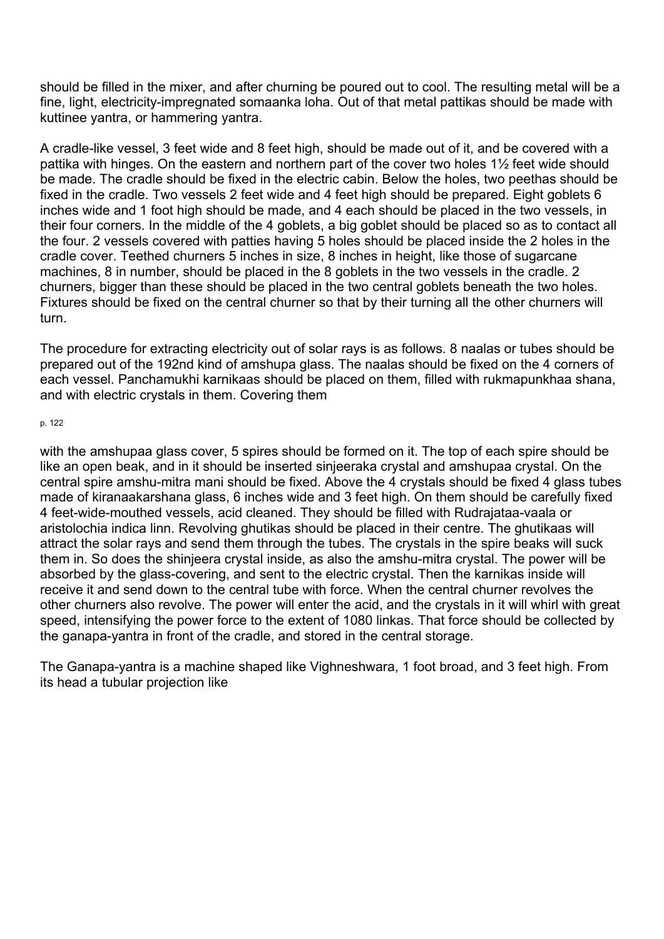should be filled in the mixer, and after churning be poured out to cool. The resulting metal will be a fine, light, electricity-impregnated somaanka loha. Out of that metal pattikas should be made with kuttinee yantra, or hammering yantra.

A cradle-like vessel, 3 feet wide and 8 feet high, should be made out of it, and be covered with a pattika with hinges. On the eastern and northern part of the cover two holes 1½ feet wide should be made. The cradle should be fixed in the electric cabin. Below the holes, two peethas should be fixed in the cradle. Two vessels 2 feet wide and 4 feet high should be prepared. Eight goblets 6 inches wide and 1 foot high should be made, and 4 each should be placed in the two vessels, in their four corners. In the middle of the 4 goblets, a big goblet should be placed so as to contact all the four. 2 vessels covered with patties having 5 holes should be placed inside the 2 holes in the cradle cover. Teethed churners 5 inches in size, 8 inches in height, like those of sugarcane machines, 8 in number, should be placed in the 8 goblets in the two vessels in the cradle. 2 churners, bigger than these should be placed in the two central goblets beneath the two holes. Fixtures should be fixed on the central churner so that by their turning all the other churners will turn.

The procedure for extracting electricity out of solar rays is as follows. 8 naalas or tubes should be prepared out of the 192nd kind of amshupa glass. The naalas should be fixed on the 4 corners of each vessel. Panchamukhi karnikaas should be placed on them, filled with rukmapunkhaa shana, and with electric crystals in them. Covering them

p. 122

with the amshupaa glass cover, 5 spires should be formed on it. The top of each spire should be like an open beak, and in it should be inserted sinjeeraka crystal and amshupaa crystal. On the central spire amshu-mitra mani should be fixed. Above the 4 crystals should be fixed 4 glass tubes made of kiranaakarshana glass, 6 inches wide and 3 feet high. On them should be carefully fixed 4 feet-wide-mouthed vessels, acid cleaned. They should be filled with Rudrajataa-vaala or aristolochia indica linn. Revolving ghutikas should be placed in their centre. The ghutikaas will attract the solar rays and send them through the tubes. The crystals in the spire beaks will suck them in. So does the shinjeera crystal inside, as also the amshu-mitra crystal. The power will be absorbed by the glass-covering, and sent to the electric crystal. Then the karnikas inside will receive it and send down to the central tube with force. When the central churner revolves the other churners also revolve. The power will enter the acid, and the crystals in it will whirl with great speed, intensifying the power force to the extent of 1080 linkas. That force should be collected by the ganapa-yantra in front of the cradle, and stored in the central storage.

The Ganapa-yantra is a machine shaped like Vighneshwara, 1 foot broad, and 3 feet high. From its head a tubular projection like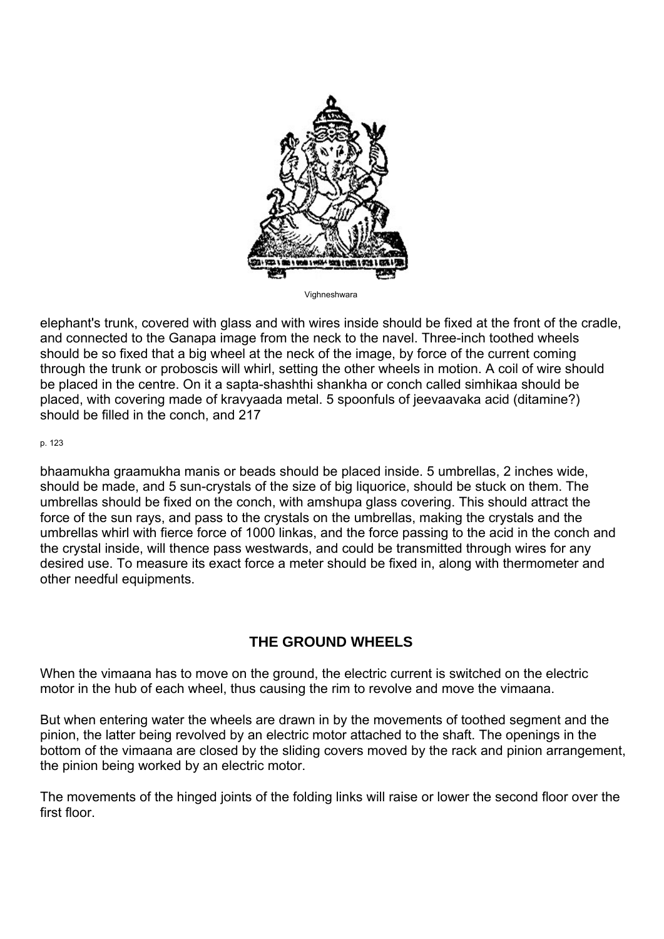

Vighneshwara

elephant's trunk, covered with glass and with wires inside should be fixed at the front of the cradle, and connected to the Ganapa image from the neck to the navel. Three-inch toothed wheels should be so fixed that a big wheel at the neck of the image, by force of the current coming through the trunk or proboscis will whirl, setting the other wheels in motion. A coil of wire should be placed in the centre. On it a sapta-shashthi shankha or conch called simhikaa should be placed, with covering made of kravyaada metal. 5 spoonfuls of jeevaavaka acid (ditamine?) should be filled in the conch, and 217

#### p. 123

bhaamukha graamukha manis or beads should be placed inside. 5 umbrellas, 2 inches wide, should be made, and 5 sun-crystals of the size of big liquorice, should be stuck on them. The umbrellas should be fixed on the conch, with amshupa glass covering. This should attract the force of the sun rays, and pass to the crystals on the umbrellas, making the crystals and the umbrellas whirl with fierce force of 1000 linkas, and the force passing to the acid in the conch and the crystal inside, will thence pass westwards, and could be transmitted through wires for any desired use. To measure its exact force a meter should be fixed in, along with thermometer and other needful equipments.

# **THE GROUND WHEELS**

When the vimaana has to move on the ground, the electric current is switched on the electric motor in the hub of each wheel, thus causing the rim to revolve and move the vimaana.

But when entering water the wheels are drawn in by the movements of toothed segment and the pinion, the latter being revolved by an electric motor attached to the shaft. The openings in the bottom of the vimaana are closed by the sliding covers moved by the rack and pinion arrangement, the pinion being worked by an electric motor.

The movements of the hinged joints of the folding links will raise or lower the second floor over the first floor.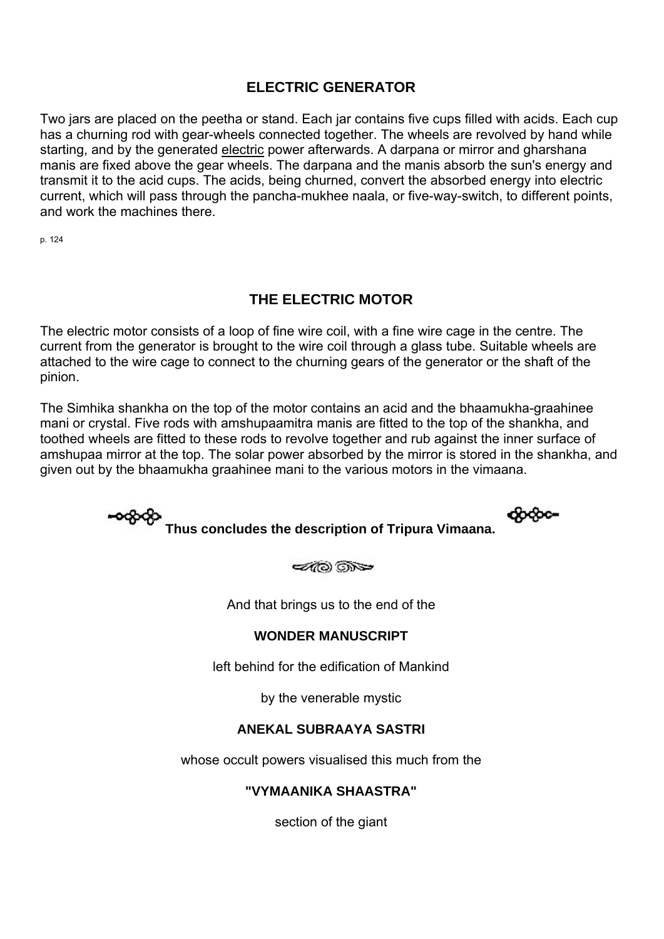# **ELECTRIC GENERATOR**

Two jars are placed on the peetha or stand. Each jar contains five cups filled with acids. Each cup has a churning rod with gear-wheels connected together. The wheels are revolved by hand while starting, and by the generated electric power afterwards. A darpana or mirror and gharshana manis are fixed above the gear wheels. The darpana and the manis absorb the sun's energy and transmit it to the acid cups. The acids, being churned, convert the absorbed energy into electric current, which will pass through the pancha-mukhee naala, or five-way-switch, to different points, and work the machines there.

p. 124

# **THE ELECTRIC MOTOR**

The electric motor consists of a loop of fine wire coil, with a fine wire cage in the centre. The current from the generator is brought to the wire coil through a glass tube. Suitable wheels are attached to the wire cage to connect to the churning gears of the generator or the shaft of the pinion.

The Simhika shankha on the top of the motor contains an acid and the bhaamukha-graahinee mani or crystal. Five rods with amshupaamitra manis are fitted to the top of the shankha, and toothed wheels are fitted to these rods to revolve together and rub against the inner surface of amshupaa mirror at the top. The solar power absorbed by the mirror is stored in the shankha, and given out by the bhaamukha graahinee mani to the various motors in the vimaana.

**Thus concludes the description of Tripura Vimaana.** 



**⊄∧⊙ ො∾** 

And that brings us to the end of the

### **WONDER MANUSCRIPT**

left behind for the edification of Mankind

by the venerable mystic

# **ANEKAL SUBRAAYA SASTRI**

whose occult powers visualised this much from the

### **"VYMAANIKA SHAASTRA"**

section of the giant